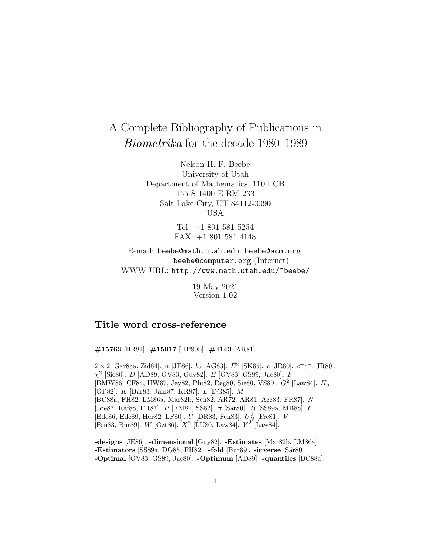# A Complete Bibliography of Publications in Biometrika for the decade 1980–1989

Nelson H. F. Beebe University of Utah Department of Mathematics, 110 LCB 155 S 1400 E RM 233 Salt Lake City, UT 84112-0090 USA

> Tel: +1 801 581 5254 FAX: +1 801 581 4148

E-mail: beebe@math.utah.edu, beebe@acm.org, beebe@computer.org (Internet) WWW URL: http://www.math.utah.edu/~beebe/

> 19 May 2021 Version 1.02

## **Title word cross-reference**

**#15763** [BR81]. **#15917** [HP80b]. **#4143** [AR81].

 $2 \times 2$  [Gar85a, Zid84].  $\alpha$  [JE86].  $b_2$  [AG83].  $\bar{E}^2$  [SK85].  $c$  [JR80].  $c^+c^-$  [JR80].  $\chi^2$  [Sie80]. *D* [AD89, GV83, Guy82]. *E* [GV83, GS89, Jac80]. *F* [BMW86, CF84, HW87, Jey82, Phi82, Reg80, Sie80, VS80].  $G^2$  [Law84].  $H_o$ [GP82]. K [Bar83, Jam87, KR87]. L [DG85]. M [BC88a, FH82, LM86a, Mar82b, Sen82, AR72, AR81, Azz83, FR87]. N  $[Joe87, Rafs8, FR87]$ . P [FM82, SS82].  $\pi$  [Sär80]. R [SS89a, MB88]. t [Ede86, Ede89, Hor82, LF80].  $U$  [DR83, Fen83].  $U_{N}^2$  [Fre81].  $V$ [Fen83, Bur89]. W [Özt86].  $X^2$  [LU80, Law84].  $Y^2$  [Law84].

**-designs** [JE86]. **-dimensional** [Guy82]. **-Estimates** [Mar82b, LM86a]. **-Estimators** [SS89a, DG85, FH82]. **-fold** [Bur89]. **-inverse** [Sär80]. **-Optimal** [GV83, GS89, Jac80]. **-Optimum** [AD89]. **-quantiles** [BC88a].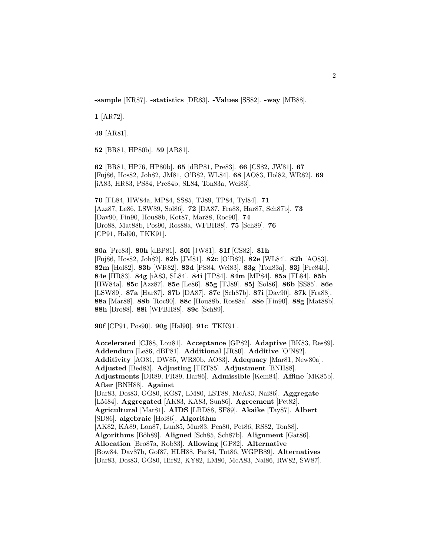**-sample** [KR87]. **-statistics** [DR83]. **-Values** [SS82]. **-way** [MB88].

**1** [AR72].

**49** [AR81].

**52** [BR81, HP80b]. **59** [AR81].

**62** [BR81, HP76, HP80b]. **65** [dBP81, Pre83]. **66** [CS82, JW81]. **67** [Fuj86, Hos82, Joh82, JM81, O'B82, WL84]. **68** [AO83, Hol82, WR82]. **69** [iA83, HR83, PS84, Pre84b, SL84, Ton83a, Wei83].

**70** [FL84, HW84a, MP84, SS85, TJ89, TP84, Tyl84]. **71** [Azz87, Le86, LSW89, Sol86]. **72** [DA87, Fra88, Har87, Sch87b]. **73** [Dav90, Fin90, Hou88b, Kot87, Mar88, Roc90]. **74** [Bro88, Mat88b, Pos90, Ros88a, WFBH88]. **75** [Sch89]. **76** [CP91, Hal90, TKK91].

**80a** [Pre83]. **80h** [dBP81]. **80i** [JW81]. **81f** [CS82]. **81h** [Fuj86, Hos82, Joh82]. **82b** [JM81]. **82c** [O'B82]. **82e** [WL84]. **82h** [AO83]. **82m** [Hol82]. **83b** [WR82]. **83d** [PS84, Wei83]. **83g** [Ton83a]. **83j** [Pre84b]. **84e** [HR83]. **84g** [iA83, SL84]. **84i** [TP84]. **84m** [MP84]. **85a** [FL84]. **85b** [HW84a]. **85c** [Azz87]. **85e** [Le86]. **85g** [TJ89]. **85j** [Sol86]. **86b** [SS85]. **86e** [LSW89]. **87a** [Har87]. **87b** [DA87]. **87c** [Sch87b]. **87i** [Dav90]. **87k** [Fra88]. **88a** [Mar88]. **88b** [Roc90]. **88c** [Hou88b, Ros88a]. **88e** [Fin90]. **88g** [Mat88b]. **88h** [Bro88]. **88i** [WFBH88]. **89c** [Sch89].

**90f** [CP91, Pos90]. **90g** [Hal90]. **91c** [TKK91].

**Accelerated** [CJ88, Lou81]. **Acceptance** [GP82]. **Adaptive** [BK83, Res89]. **Addendum** [Le86, dBP81]. **Additional** [JR80]. **Additive** [O'N82]. **Additivity** [AO81, DW85, WR80b, AO83]. **Adequacy** [Mar81, New80a]. **Adjusted** [Bed83]. **Adjusting** [TRT85]. **Adjustment** [BNH88]. **Adjustments** [DR89, FR89, Har86]. **Admissible** [Kem84]. **Affine** [MK85b]. **After** [BNH88]. **Against** [Bar83, Des83, GG80, KG87, LM80, LST88, McA83, Nai86]. **Aggregate** [LM84]. **Aggregated** [AK83, KA83, Sun86]. **Agreement** [Pet82]. **Agricultural** [Mar81]. **AIDS** [LBD88, SF89]. **Akaike** [Tay87]. **Albert** [SD86]. **algebraic** [Hol86]. **Algorithm** [AK82, KA89, Lon87, Lun85, Mur83, Pea80, Pet86, RS82, Ton88]. **Algorithms** [B¨oh89]. **Aligned** [Sch85, Sch87b]. **Alignment** [Gat86]. **Allocation** [Bro87a, Rob83]. **Allowing** [GP82]. **Alternative** [Bow84, Dav87b, Gof87, HLH88, Per84, Tut86, WGPB89]. **Alternatives** [Bar83, Des83, GG80, Hir82, KY82, LM80, McA83, Nai86, RW82, SW87].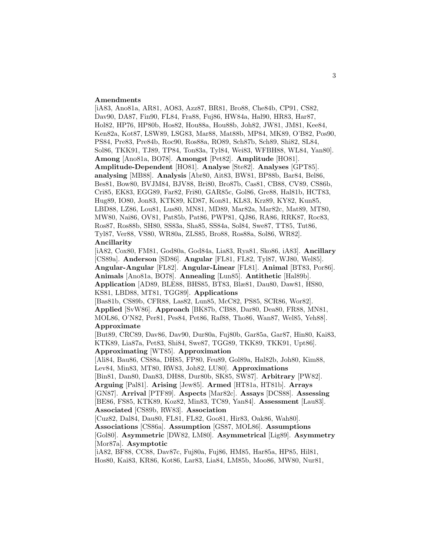#### **Amendments**

[iA83, Ano81a, AR81, AO83, Azz87, BR81, Bro88, Che84b, CP91, CS82, Dav90, DA87, Fin90, FL84, Fra88, Fuj86, HW84a, Hal90, HR83, Har87, Hol82, HP76, HP80b, Hos82, Hou88a, Hou88b, Joh82, JW81, JM81, Kee84, Ken82a, Kot87, LSW89, LSG83, Mar88, Mat88b, MP84, MK89, O'B82, Pos90, PS84, Pre83, Pre84b, Roc90, Ros88a, RO89, Sch87b, Sch89, Shi82, SL84, Sol86, TKK91, TJ89, TP84, Ton83a, Tyl84, Wei83, WFBH88, WL84, Yan80]. **Among** [Ano81a, BO78]. **Amongst** [Pet82]. **Amplitude** [HO81]. **Amplitude-Dependent** [HO81]. **Analyse** [Ste82]. **Analyses** [GPT85]. **analysing** [MB88]. **Analysis** [Abr80, Ait83, BW81, BP88b, Bar84, Bel86, Bes81, Bow80, BVJM84, BJV88, Bri80, Bro87b, Cas81, CB88, CV89, CS86b, Cri85, EK83, EGG89, Far82, Fri80, GAR85c, Gol86, Gre88, Hal81b, HCT83, Hug89, IO80, Jon83, KTK89, KD87, Kon81, KL83, Krz89, KY82, Kun85, LBD88, LZ86, Lou81, Lus80, MN81, MD89, Mar82a, Mar82c, Mat89, MT80, MW80, Nai86, OV81, Pat85b, Pat86, PWP81, QJ86, RA86, RRK87, Roc83, Ros87, Ros88b, SH80, SS83a, Sha85, SS84a, Sol84, Swe87, TT85, Tut86, Tyl87, Ver88, VS80, WR80a, ZLS85, Bro88, Ros88a, Sol86, WR82]. **Ancillarity**

[iA82, Cox80, FM81, God80a, God84a, Lia83, Rya81, Sko86, iA83]. **Ancillary** [CS89a]. **Anderson** [SD86]. **Angular** [FL81, FL82, Tyl87, WJ80, Wel85]. **Angular-Angular** [FL82]. **Angular-Linear** [FL81]. **Animal** [BT83, Por86]. **Animals** [Ano81a, BO78]. **Annealing** [Lun85]. **Antithetic** [Hal89b]. **Application** [AD89, BLE88, BHS85, BT83, Blæ81, Dau80, Daw81, HS80, KS81, LBD88, MT81, TGG89]. **Applications**

[Bas81b, CS89b, CFR88, Las82, Lun85, McC82, PS85, SCR86, Wor82]. **Applied** [SvW86]. **Approach** [BK87b, CB88, Dar80, Dea80, FR88, MN81, MOL86, O'N82, Per81, Pes84, Pet86, Raf88, Tho86, Wan87, Wel85, Yeh88]. **Approximate**

[But89, CRC89, Dav86, Dav90, Dur80a, Fuj80b, Gar85a, Gar87, Hin80, Kai83, KTK89, Lia87a, Pet83, Shi84, Swe87, TGG89, TKK89, TKK91, Upt86]. **Approximating** [WT85]. **Approximation**

[Ali84, Bau86, CS88a, DH85, FP80, Feu89, Gol89a, Hal82b, Joh80, Kim88, Lev84, Min83, MT80, RW83, Joh82, LU80]. **Approximations**

[Bin81, Dan80, Dan83, DH88, Dur80b, SK85, SW87]. **Arbitrary** [PW82].

**Arguing** [Pal81]. **Arising** [Jew85]. **Armed** [HT81a, HT81b]. **Arrays**

[GN87]. **Arrival** [PTF89]. **Aspects** [Mar82c]. **Assays** [DCS88]. **Assessing** [BE86, FS85, KTK89, Koz82, Min83, TC89, Yan84]. **Assessment** [Lau83]. **Associated** [CS89b, RW83]. **Association**

[Cuz82, Dal84, Dau80, FL81, FL82, Goo81, Hir83, Oak86, Wah80]. **Associations** [CS86a]. **Assumption** [GS87, MOL86]. **Assumptions** [Gol80]. **Asymmetric** [DW82, LM80]. **Asymmetrical** [Lig89]. **Asymmetry** [Mor87a]. **Asymptotic**

[iA82, BF88, CC88, Dav87c, Fuj80a, Fuj86, HM85, Har85a, HP85, Hil81, Hos80, Kai83, KR86, Kot86, Lar83, Lia84, LM85b, Moo86, MW80, Nur81,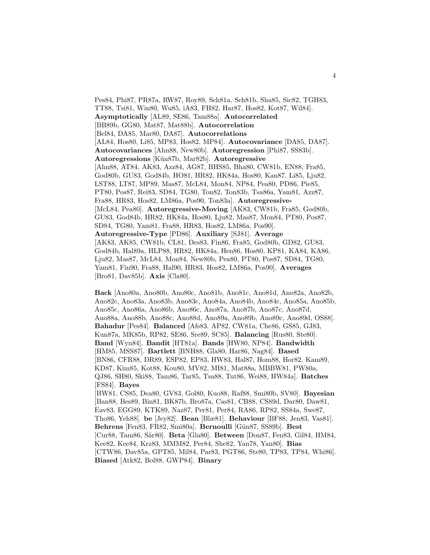Pes84, Phi87, PR87a, RW87, Roy89, Sch81a, Sch81b, Sha85, Sic82, TGH83, TT88, Tsi81, Win80, Wu85, iA83, FH82, Har87, Hos82, Kot87, Wil84]. **Asymptotically** [AL89, SE86, Tam88a]. **Autocorrelated** [BB89b, GG80, Mat87, Mat88b]. **Autocorrelation** [Bel84, DA85, Mar80, DA87]. **Autocorrelations** [AL84, Hos80, Li85, MP83, Hos82, MP84]. **Autocovariance** [DA85, DA87]. **Autocovariances** [Ahn88, New80b]. **Autoregression** [Phi87, SS83b]. **Autoregressions** [K¨un87b, Mar82b]. **Autoregressive** [Ahn88, AT84, AK83, Azz84, AG87, BHS85, Bha80, CW81b, EN88, Fra85, God80b, GU83, God84b, HO81, HR82, HK84a, Hos80, Kan87, Li85, Lju82, LST88, LT87, MP89, Mas87, McL84, Mon84, NP84, Pea80, PD86, Pie85, PT80, Pos87, Rei83, SD84, TG80, Ton82, Ton83b, Tsa86a, Yam81, Azz87, Fra88, HR83, Hos82, LM86a, Pos90, Ton83a]. **Autoregressive-** [McL84, Pea80]. **Autoregressive-Moving** [AK83, CW81b, Fra85, God80b, GU83, God84b, HR82, HK84a, Hos80, Lju82, Mas87, Mon84, PT80, Pos87, SD84, TG80, Yam81, Fra88, HR83, Hos82, LM86a, Pos90]. **Autoregressive-Type** [PD86]. **Auxiliary** [SJ81]. **Average** [AK83, AK85, CW81b, CL81, Des83, Fin86, Fra85, God80b, GD82, GU83, God84b, Hal89a, HLP88, HR82, HK84a, Hen86, Hos80, KP81, KA84, KA86, Lju82, Mas87, McL84, Mon84, New80b, Pea80, PT80, Pos87, SD84, TG80, Yam81, Fin90, Fra88, Hal90, HR83, Hos82, LM86a, Pos90]. **Averages** [Bro81, Dav85b]. **Axis** [Cla80].

**Back** [Ano80a, Ano80b, Ano80c, Ano81b, Ano81c, Ano81d, Ano82a, Ano82b, Ano82c, Ano83a, Ano83b, Ano83c, Ano84a, Ano84b, Ano84c, Ano85a, Ano85b, Ano85c, Ano86a, Ano86b, Ano86c, Ano87a, Ano87b, Ano87c, Ano87d, Ano88a, Ano88b, Ano88c, Ano88d, Ano89a, Ano89b, Ano89c, Ano89d, OS88]. **Bahadur** [Pes84]. **Balanced** [Afs83, AP82, CW81a, Che86, GS85, GJ83, Kun87a, MK85b, RP82, SE86, Sre89, SC85]. **Balancing** [Rus80, Ste80]. **Band** [Wyn84]. **Bandit** [HT81a]. **Bands** [HW80, NP84]. **Bandwidth** [HM85, MSS87]. **Bartlett** [BNH88, Gla80, Har86, Nag84]. **Based** [BN86, CFR88, DR89, ESP82, EP83, HW83, Hal87, Hom88, Hor82, Kam89, KD87, Kim85, Kot88, Kou80, MV82, MI81, Mat88a, MBBW81, PW80a, QJ86, SH80, Ski88, Tam86, Tar85, Tsa88, Tut86, Wei88, HW84a]. **Batches** [FS84]. **Bayes** [BW81, CS85, Dea80, GV83, Gol80, Kuo88, Raf88, Smi80b, SV80]. **Bayesian** [Ban88, Bes89, Bin81, BK87b, Bro87a, Cas81, CB88, CS89d, Dar80, Daw81, Eav83, EGG89, KTK89, Naz87, Per81, Per84, RA86, RP82, SS84a, Swe87, Tho86, Yeh88]. **be** [Jey82]. **Bean** [Blæ81]. **Behaviour** [BF88, Jen83, Vas81]. **Behrens** [Fen83, FR82, Smi80a]. **Bernoulli** [G¨un87, SS89b]. **Best** [Cur88, Tam86, S¨ar80]. **Beta** [Gla80]. **Between** [Don87, Fen83, Gil84, HM84, Kee82, Kee84, Krz83, MMM82, Per84, She82, Yan78, Yan80]. **Bias** [CTW86, Dav85a, GPT85, Mil84, Par83, PGT86, Ste80, TP83, TP84, Whi86]. **Biased** [Atk82, Bol88, GWP84]. **Binary**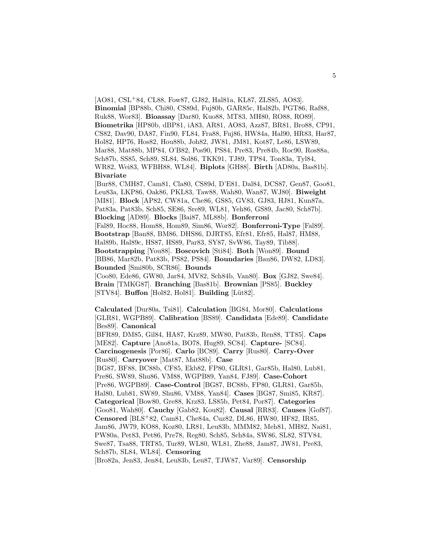[AO81, CSL<sup>+</sup>84, CL88, Fow87, GJ82, Hal81a, KL87, ZLS85, AO83]. **Binomial** [BP88b, Chi80, CS89d, Fuj80b, GAR85c, Hal82b, PGT86, Raf88, Ruk88, Wor83]. **Bioassay** [Dar80, Kuo88, MT83, MH80, RO88, RO89]. **Biometrika** [HP80b, dBP81, iA83, AR81, AO83, Azz87, BR81, Bro88, CP91, CS82, Dav90, DA87, Fin90, FL84, Fra88, Fuj86, HW84a, Hal90, HR83, Har87, Hol82, HP76, Hos82, Hou88b, Joh82, JW81, JM81, Kot87, Le86, LSW89, Mar88, Mat88b, MP84, O'B82, Pos90, PS84, Pre83, Pre84b, Roc90, Ros88a, Sch87b, SS85, Sch89, SL84, Sol86, TKK91, TJ89, TP84, Ton83a, Tyl84, WR82, Wei83, WFBH88, WL84]. **Biplots** [GH88]. **Birth** [AD80a, Bas81b]. **Bivariate**

[Bur88, CMH87, Cam81, Cla80, CS89d, D'E81, Dal84, DCS87, Gen87, Goo81, Leu83a, LKP86, Oak86, PKL83, Taw88, Wah80, Wan87, WJ80]. **Biweight** [MI81]. **Block** [AP82, CW81a, Che86, GS85, GV83, GJ83, HJ81, Kun87a, Pat83a, Pat83b, Sch85, SE86, Sre89, WL81, Yeh86, GS89, Jac80, Sch87b]. **Blocking** [AD89]. **Blocks** [Bai87, ML88b]. **Bonferroni** [Fal89, Hoc88, Hom88, Hom89, Sim86, Wor82]. **Bonferroni-Type** [Fal89]. **Bootstrap** [Ban88, BM86, DHS86, DJRT85, Efr81, Efr85, Hal87, HM88, Hal89b, Hal89c, HS87, HS89, Par83, SY87, SvW86, Tay89, Tib88]. **Bootstrapping** [You88]. **Boscovich** [Sti84]. **Both** [Won89]. **Bound** [BB86, Mar82b, Pat83b, PS82, PS84]. **Boundaries** [Bau86, DW82, LD83]. **Bounded** [Smi80b, SCR86]. **Bounds**

[Coo80, Ede86, GW80, Jar84, MV82, Sch84b, Van80]. **Box** [GJ82, Swe84]. **Brain** [TMKG87]. **Branching** [Bas81b]. **Brownian** [PS85]. **Buckley** [STV84]. **Buffon** [Hol82, Hol81]. **Building** [Lüt82].

**Calculated** [Dur80a, Tsi81]. **Calculation** [BG84, Mor80]. **Calculations** [GLR81, WGPB89]. **Calibration** [BS89]. **Candidata** [Ede89]. **Candidate** [Bes89]. **Canonical**

[BFR89, DM85, Gil84, HA87, Krz89, MW80, Pat83b, Ren88, TT85]. **Caps** [ME82]. **Capture** [Ano81a, BO78, Hug89, SC84]. **Capture-** [SC84]. **Carcinogenesis** [Por86]. **Carlo** [BC89]. **Carry** [Rus80]. **Carry-Over** [Rus80]. **Carryover** [Mat87, Mat88b]. **Case** [BG87, BF88, BC88b, CF85, Ekb82, FP80, GLR81, Gar85b, Hal80, Lub81, Pre86, SW89, Shu86, VM88, WGPB89, Yan84, FJ89]. **Case-Cohort** [Pre86, WGPB89]. **Case-Control** [BG87, BC88b, FP80, GLR81, Gar85b, Hal80, Lub81, SW89, Shu86, VM88, Yan84]. **Cases** [BG87, Smi85, KR87]. **Categorical** [Bow80, Gre88, Krz83, LS85b, Pet84, Por87]. **Categories** [Goo81, Wah80]. **Cauchy** [Gab82, Kou82]. **Causal** [RR83]. **Causes** [Gof87]. **Censored** [BLS<sup>+</sup>82, Cam81, Che84a, Cuz82, DL86, HW80, HF82, IR85,

Jam86, JW79, KO88, Koz80, LR81, Leu83b, MMM82, Meh81, MH82, Nai81, PW80a, Pet83, Pet86, Pre78, Reg80, Sch85, Sch84a, SW86, SL82, STV84,

Swe87, Tsa88, TRT85, Tur89, WL80, WL81, Zhe88, Jam87, JW81, Pre83, Sch87b, SL84, WL84]. **Censoring**

[Bro82a, Jen83, Jen84, Leu83b, Leu87, TJW87, Var89]. **Censorship**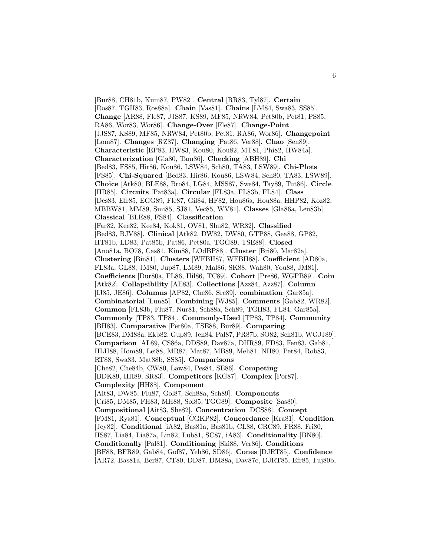[Bur88, CH81b, Kum87, PW82]. **Central** [RR83, Tyl87]. **Certain** [Ros87, TGH83, Ros88a]. **Chain** [Vas81]. **Chains** [LM84, Swa83, SS85]. **Change** [AR88, Fle87, JJS87, KS89, MF85, NRW84, Pet80b, Pet81, PS85, RA86, Wor83, Wor86]. **Change-Over** [Fle87]. **Change-Point** [JJS87, KS89, MF85, NRW84, Pet80b, Pet81, RA86, Wor86]. **Changepoint** [Lom87]. **Changes** [RZ87]. **Changing** [Pat86, Ver88]. **Chao** [Sen89]. **Characteristic** [EP83, HW83, Kou80, Kou82, MT81, Phi82, HW84a]. **Characterization** [Gla80, Tam86]. **Checking** [ABH89]. **Chi** [Bed83, FS85, Hir86, Kou86, LSW84, Sch80, TA83, LSW89]. **Chi-Plots** [FS85]. **Chi-Squared** [Bed83, Hir86, Kou86, LSW84, Sch80, TA83, LSW89]. **Choice** [Atk80, BLE88, Bro84, LG84, MSS87, Swe84, Tay89, Tut86]. **Circle** [HR85]. **Circuits** [Pat83a]. **Circular** [FL83a, FL83b, FL84]. **Class** [Des83, Efr85, EGG89, Fle87, Gil84, HF82, Hou86a, Hou88a, HHP82, Koz82, MBBW81, MM89, Smi85, SJ81, Vec85, WV81]. **Classes** [Gla86a, Leu83b]. **Classical** [BLE88, FS84]. **Classification** [Far82, Kee82, Kee84, Kok81, OV81, Shu82, WR82]. **Classified** [Bed83, BJV88]. **Clinical** [Atk82, DW82, DW80, GTP88, Gea88, GP82, HT81b, LD83, Pat85b, Pat86, Pet80a, TGG89, TSE88]. **Closed** [Ano81a, BO78, Cas81, Kim88, LOdBP88]. **Cluster** [Bri80, Mar82a]. **Clustering** [Bin81]. **Clusters** [WFBH87, WFBH88]. **Coefficient** [AD80a, FL83a, GL88, JM80, Jup87, LM89, Mal86, SK88, Wah80, You88, JM81]. **Coefficients** [Dur80a, FL86, Hil86, TC89]. **Cohort** [Pre86, WGPB89]. **Coin** [Atk82]. **Collapsibility** [AE83]. **Collections** [Azz84, Azz87]. **Column** [IJ85, JE86]. **Columns** [AP82, Che86, Sre89]. **combination** [Gar85a]. **Combinatorial** [Lun85]. **Combining** [WJ85]. **Comments** [Gab82, WR82]. **Common** [FL83b, Flu87, Nur81, Sch88a, Sch89, TGH83, FL84, Gar85a]. **Commonly** [TP83, TP84]. **Commonly-Used** [TP83, TP84]. **Community** [BH83]. **Comparative** [Pet80a, TSE88, Bur89]. **Comparing** [BCE83, DM88a, Ekb82, Gup89, Jen84, Pal87, PR87b, SO82, Sch81b, WGJJ89]. **Comparison** [AL89, CS86a, DDS89, Dav87a, DHR89, FD83, Fen83, Gab81, HLH88, Hom89, Lei88, MR87, Mat87, MB89, Meh81, NH80, Pet84, Rob83, RT88, Swa83, Mat88b, SS85]. **Comparisons** [Che82, Che84b, CW80, Law84, Pes84, SE86]. **Competing** [BDK89, HH89, SR83]. **Competitors** [KG87]. **Complex** [Por87]. **Complexity** [HH88]. **Component** [Ait83, DW85, Flu87, Gol87, Sch88a, Sch89]. **Components** [Cri85, DM85, FH83, MH88, Sol85, TGG89]. **Composite** [Sas80]. **Compositional** [Ait83, She82]. **Concentration** [DCS88]. **Concept** [FM81, Rya81]. **Conceptual** [CGKP82]. **Concordance** [Kra81]. **Condition** [Jey82]. **Conditional** [iA82, Bas81a, Bas81b, CL88, CRC89, FR88, Fri80, HS87, Lia84, Lia87a, Lin82, Lub81, SC87, iA83]. **Conditionality** [BN80]. **Conditionally** [Pal81]. **Conditioning** [Ski88, Ver86]. **Conditions** [BF88, BFR89, Gab84, Gof87, Yeh86, SD86]. **Cones** [DJRT85]. **Confidence** [AR72, Bas81a, Ber87, CT80, DD87, DM88a, Dav87c, DJRT85, Efr85, Fuj80b,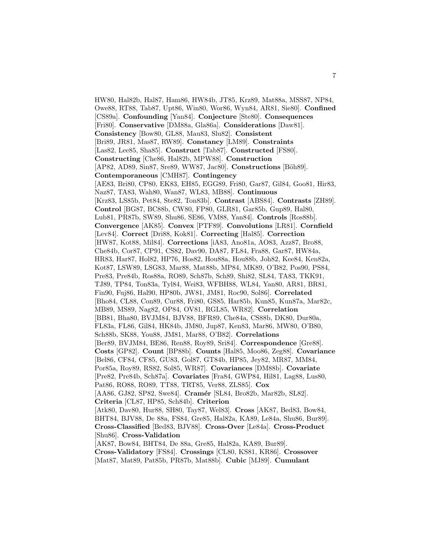HW80, Hal82b, Hal87, Ham86, HW84b, JT85, Krz89, Mat88a, MSS87, NP84, Owe88, RT88, Tab87, Upt86, Win80, Wor86, Wyn84, AR81, Sie80]. **Confined** [CS89a]. **Confounding** [Yan84]. **Conjecture** [Ste80]. **Consequences** [Fri80]. **Conservative** [DM88a, Gla86a]. **Considerations** [Daw81]. **Consistency** [Bow80, GL88, Mau83, Slu82]. **Consistent** [Bri89, JR81, Mas87, RW89]. **Constancy** [LM89]. **Constraints** [Las82, Lee85, Sha85]. **Construct** [Tab87]. **Constructed** [FS80]. **Constructing** [Che86, Hal82b, MPW88]. **Construction** [AP82, AD89, Sin87, Sre89, WW87, Jac80]. **Constructions** [Böh89]. **Contemporaneous** [CMH87]. **Contingency** [AE83, Bri80, CP80, EK83, EH85, EGG89, Fri80, Gar87, Gil84, Goo81, Hir83, Naz87, TA83, Wah80, Wan87, WL83, MB88]. **Continuous** [Krz83, LS85b, Pet84, Ste82, Ton83b]. **Contrast** [ABS84]. **Contrasts** [ZH89]. **Control** [BG87, BC88b, CW80, FP80, GLR81, Gar85b, Gup89, Hal80, Lub81, PR87b, SW89, Shu86, SE86, VM88, Yan84]. **Controls** [Ros88b]. **Convergence** [AK85]. **Convex** [PTF89]. **Convolutions** [LR81]. **Cornfield** [Lev84]. **Correct** [Dri88, Kok81]. **Correcting** [Hal85]. **Correction** [HW87, Kot88, Mil84]. **Corrections** [iA83, Ano81a, AO83, Azz87, Bro88, Che84b, Cor87, CP91, CS82, Dav90, DA87, FL84, Fra88, Gar87, HW84a, HR83, Har87, Hol82, HP76, Hos82, Hou88a, Hou88b, Joh82, Kee84, Ken82a, Kot87, LSW89, LSG83, Mar88, Mat88b, MP84, MK89, O'B82, Pos90, PS84, Pre83, Pre84b, Ros88a, RO89, Sch87b, Sch89, Shi82, SL84, TA83, TKK91, TJ89, TP84, Ton83a, Tyl84, Wei83, WFBH88, WL84, Yan80, AR81, BR81, Fin90, Fuj86, Hal90, HP80b, JW81, JM81, Roc90, Sol86]. **Correlated** [Bho84, CL88, Con89, Cur88, Fri80, GS85, Har85b, Kun85, Kun87a, Mar82c, MB89, MS89, Nag82, OP84, OV81, RGL85, WR82]. **Correlation** [BB81, Bha80, BVJM84, BJV88, BFR89, Che84a, CS88b, DK80, Dur80a, FL83a, FL86, Gil84, HK84b, JM80, Jup87, Ken83, Mar86, MW80, O'B80, Sch88b, SK88, You88, JM81, Mar88, O'B82]. **Correlations** [Ber89, BVJM84, BE86, Ren88, Roy89, Sri84]. **Correspondence** [Gre88]. **Costs** [GP82]. **Count** [BP88b]. **Counts** [Hal85, Moo86, Zeg88]. **Covariance** [Bel86, CF84, CF85, GU83, Gol87, GT84b, HP85, Jey82, MR87, MM84, Por85a, Roy89, RS82, Sol85, WR87]. **Covariances** [DM88b]. **Covariate** [Pre82, Pre84b, Sch87a]. **Covariates** [Fra84, GWP84, Hil81, Lag88, Lus80, Pat86, RO88, RO89, TT88, TRT85, Ver88, ZLS85]. **Cox** [AA86, GJ82, SP82, Swe84]. **Cram´er** [SL84, Bro82b, Mar82b, SL82]. **Criteria** [CL87, HP85, Sch84b]. **Criterion** [Atk80, Dav80, Hur88, SH80, Tay87, Wel83]. **Cross** [AK87, Bed83, Bow84, BHT84, BJV88, De 88a, FS84, Gre85, Hal82a, KA89, Le84a, Shu86, Bur89]. **Cross-Classified** [Bed83, BJV88]. **Cross-Over** [Le84a]. **Cross-Product** [Shu86]. **Cross-Validation** [AK87, Bow84, BHT84, De 88a, Gre85, Hal82a, KA89, Bur89]. **Cross-Validatory** [FS84]. **Crossings** [CL80, KS81, KR86]. **Crossover** [Mat87, Mat89, Pat85b, PR87b, Mat88b]. **Cubic** [MJ89]. **Cumulant**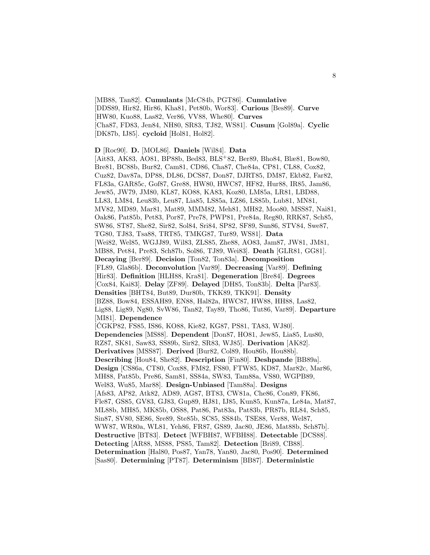[MB88, Tan82]. **Cumulants** [McC84b, PGT86]. **Cumulative** [DDS89, Hir82, Hir86, Kha81, Pet80b, Wor83]. **Curious** [Bes89]. **Curve** [HW80, Kuo88, Las82, Ver86, VV88, Whe80]. **Curves** [Cha87, FD83, Jen84, NH80, SR83, TJ82, WS81]. **Cusum** [Gol89a]. **Cyclic** [DK87b, IJ85]. **cycloid** [Hol81, Hol82].

**D** [Roc90]. **D.** [MOL86]. **Daniels** [Wil84]. **Data**

[Ait83, AK83, AO81, BP88b, Bed83, BLS<sup>+</sup>82, Ber89, Bho84, Blæ81, Bow80, Bre81, BC88b, Bur82, Cam81, CD86, Cha87, Che84a, CP81, CL88, Cox82, Cuz82, Dav87a, DP88, DL86, DCS87, Don87, DJRT85, DM87, Ekb82, Far82, FL83a, GAR85c, Gof87, Gre88, HW80, HWC87, HF82, Hur88, IR85, Jam86, Jew85, JW79, JM80, KL87, KO88, KA83, Koz80, LM85a, LR81, LBD88, LL83, LM84, Leu83b, Leu87, Lia85, LS85a, LZ86, LS85b, Lub81, MN81, MV82, MD89, Mar81, Mat89, MMM82, Meh81, MH82, Moo80, MSS87, Nai81, Oak86, Pat85b, Pet83, Por87, Pre78, PWP81, Pre84a, Reg80, RRK87, Sch85, SW86, ST87, She82, Sir82, Sol84, Sri84, SP82, SF89, Sun86, STV84, Swe87, TG80, TJ83, Tsa88, TRT85, TMKG87, Tur89, WS81]. **Data** [Wei82, Wel85, WGJJ89, Wil83, ZLS85, Zhe88, AO83, Jam87, JW81, JM81, MB88, Pet84, Pre83, Sch87b, Sol86, TJ89, Wei83]. **Death** [GLR81, GG81]. **Decaying** [Ber89]. **Decision** [Ton82, Ton83a]. **Decomposition** [FL89, Gla86b]. **Deconvolution** [Var89]. **Decreasing** [Var89]. **Defining** [Hir83]. **Definition** [HLH88, Kra81]. **Degeneration** [Bre84]. **Degrees** [Cox84, Kai83]. **Delay** [ZF89]. **Delayed** [DH85, Ton83b]. **Delta** [Par83]. **Densities** [BHT84, But89, Dur80b, TKK89, TKK91]. **Density** [BZ88, Bow84, ESSAH89, EN88, Hal82a, HWC87, HW88, HH88, Las82, Lig88, Lig89, Ng80, SvW86, Tan82, Tay89, Tho86, Tut86, Var89]. **Departure** [MI81]. **Dependence** [CGKP82, FS85, IS86, KO88, Kie82, KG87, PS81, TA83, WJ80]. **Dependencies** [MS88]. **Dependent** [Don87, HO81, Jew85, Lia85, Lus80, RZ87, SK81, Saw83, SS89b, Sir82, SR83, WJ85]. **Derivation** [AK82]. **Derivatives** [MSS87]. **Derived** [Bur82, Col89, Hou86b, Hou88b]. **Describing** [Hou84, She82]. **Description** [Fin80]. **Deshpande** [BB89a]. **Design** [CS86a, CT80, Cox88, FM82, FS80, FTW85, KD87, Mar82c, Mar86, MH88, Pat85b, Pre86, Sam81, SS84a, SW83, Tam88a, VS80, WGPB89, Wel83, Wu85, Mar88]. **Design-Unbiased** [Tam88a]. **Designs** [Afs83, AP82, Atk82, AD89, AG87, BT83, CW81a, Che86, Con89, FK86, Fle87, GS85, GV83, GJ83, Gup89, HJ81, IJ85, Kun85, Kun87a, Le84a, Mat87, ML88b, MH85, MK85b, OS88, Pat86, Pat83a, Pat83b, PR87b, RL84, Sch85, Sin87, SV80, SE86, Sre89, Ste85b, SC85, SS84b, TSE88, Ver88, Wel87, WW87, WR80a, WL81, Yeh86, FR87, GS89, Jac80, JE86, Mat88b, Sch87b]. **Destructive** [BT83]. **Detect** [WFBH87, WFBH88]. **Detectable** [DCS88]. **Detecting** [AR88, MS88, PS85, Tam82]. **Detection** [Bri89, CB88]. **Determination** [Hal80, Pos87, Yan78, Yan80, Jac80, Pos90]. **Determined** [Sas80]. **Determining** [PT87]. **Determinism** [BB87]. **Deterministic**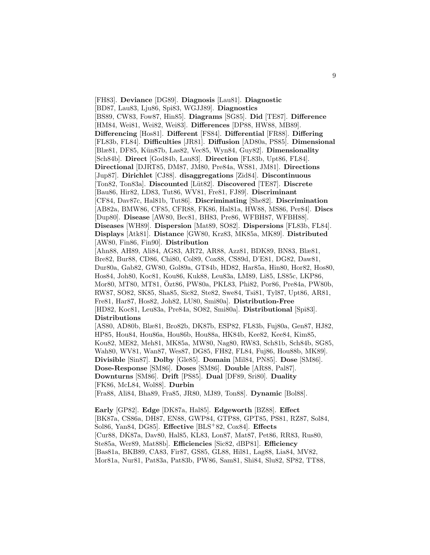[FH83]. **Deviance** [DG89]. **Diagnosis** [Lau81]. **Diagnostic** [BD87, Lau83, Lju86, Spi83, WGJJ89]. **Diagnostics** [BS89, CW83, Fow87, Hin85]. **Diagrams** [SG85]. **Did** [TE87]. **Difference** [HM84, Wei81, Wei82, Wei83]. **Differences** [DP88, HW88, MB89]. **Differencing** [Hos81]. **Different** [FS84]. **Differential** [FR88]. **Differing** [FL83b, FL84]. **Difficulties** [JR81]. **Diffusion** [AD80a, PS85]. **Dimensional** [Blæ81, DF85, K¨un87b, Las82, Vec85, Wyn84, Guy82]. **Dimensionality** [Sch84b]. **Direct** [God84b, Lau83]. **Direction** [FL83b, Upt86, FL84]. **Directional** [DJRT85, DM87, JM80, Pre84a, WS81, JM81]. **Directions** [Jup87]. **Dirichlet** [CJ88]. **disaggregations** [Zid84]. **Discontinuous** [Ton82, Ton83a]. **Discounted** [L¨ut82]. **Discovered** [TE87]. **Discrete** [Bau86, Hir82, LD83, Tut86, WV81, Fre81, FJ89]. **Discriminant** [CF84, Dav87c, Hal81b, Tut86]. **Discriminating** [She82]. **Discrimination** [AB82a, BMW86, CF85, CFR88, FK86, Hal81a, HW88, MS86, Per84]. **Discs** [Dup80]. **Disease** [AW80, Bec81, BH83, Pre86, WFBH87, WFBH88]. **Diseases** [WH89]. **Dispersion** [Mat89, SO82]. **Dispersions** [FL83b, FL84]. **Displays** [Atk81]. **Distance** [GW80, Krz83, MK85a, MK89]. **Distributed** [AW80, Fin86, Fin90]. **Distribution** [Ahn88, AH89, Ali84, AG83, AR72, AR88, Azz81, BDK89, BN83, Blæ81, Bre82, Bur88, CD86, Chi80, Col89, Cox88, CS89d, D'E81, DG82, Daw81, Dur80a, Gab82, GW80, Gol89a, GT84b, HD82, Har85a, Hin80, Hor82, Hos80, Hos84, Joh80, Koc81, Kou86, Kuk88, Leu83a, LM89, Li85, LS85c, LKP86, Mor80, MT80, MT81, Ozt86, PW80a, PKL83, Phi82, Por86, Pre84a, PW80b, ¨ RW87, SO82, SK85, Sha85, Sic82, Ste82, Swe84, Tsi81, Tyl87, Upt86, AR81, Fre81, Har87, Hos82, Joh82, LU80, Smi80a]. **Distribution-Free** [HD82, Koc81, Leu83a, Pre84a, SO82, Smi80a]. **Distributional** [Spi83]. **Distributions** [AS80, AD80b, Blæ81, Bro82b, DK87b, ESP82, FL83b, Fuj80a, Gen87, HJ82, HP85, Hou84, Hou86a, Hou86b, Hou88a, HK84b, Kee82, Kee84, Kim85, Kou82, ME82, Meh81, MK85a, MW80, Nag80, RW83, Sch81b, Sch84b, SG85, Wah80, WV81, Wan87, Wes87, DG85, FH82, FL84, Fuj86, Hou88b, MK89]. **Divisible** [Sin87]. **Dolby** [Gle85]. **Domain** [Mil84, PN85]. **Dose** [SM86]. **Dose-Response** [SM86]. **Doses** [SM86]. **Double** [AR88, Pal87]. **Downturns** [SM86]. **Drift** [PS85]. **Dual** [DF89, Sri80]. **Duality** [FK86, McL84, Wol88]. **Durbin** [Fra88, Ali84, Bha89, Fra85, JR80, MJ89, Ton88]. **Dynamic** [Bol88]. **Early** [GP82]. **Edge** [DK87a, Hal85]. **Edgeworth** [BZ88]. **Effect**

[BK87a, CS86a, DH87, EN88, GWP84, GTP88, GPT85, PS81, RZ87, Sol84, Sol86, Yan84, DG85]. **Effective** [BLS<sup>+</sup>82, Cox84]. **Effects** [Cur88, DK87a, Dav80, Hal85, KL83, Lon87, Mat87, Pet86, RR83, Rus80, Ste85a, Wer89, Mat88b]. **Efficiencies** [Sic82, dBP81]. **Efficiency** [Bas81a, BKB89, CA83, Fir87, GS85, GL88, Hil81, Lag88, Lia84, MV82, Mor81a, Nur81, Pat83a, Pat83b, PW86, Sam81, Shi84, Slu82, SP82, TT88,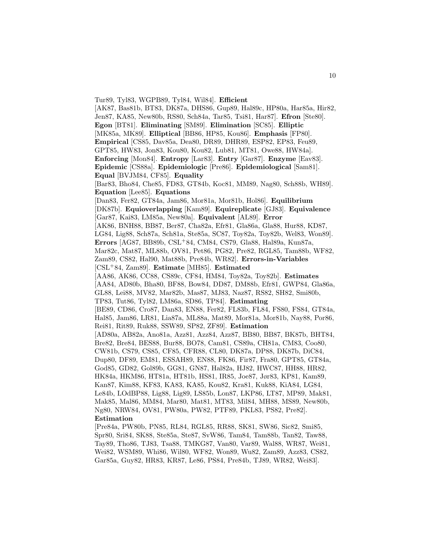[AK87, Bas81b, BT83, DK87a, DHS86, Gup89, Hal89c, HP80a, Har85a, Hir82, Jen87, KA85, New80b, RS80, Sch84a, Tar85, Tsi81, Har87]. **Efron** [Ste80]. **Egon** [BT81]. **Eliminating** [SM89]. **Elimination** [SC85]. **Elliptic** [MK85a, MK89]. **Elliptical** [BB86, HP85, Kou86]. **Emphasis** [FP80]. **Empirical** [CS85, Dav85a, Dea80, DR89, DHR89, ESP82, EP83, Feu89, GPT85, HW83, Jon83, Kou80, Kou82, Lub81, MT81, Owe88, HW84a]. **Enforcing** [Mon84]. **Entropy** [Lar83]. **Entry** [Gar87]. **Enzyme** [Eav83]. **Epidemic** [CS88a]. **Epidemiologic** [Pre86]. **Epidemiological** [Sam81]. **Equal** [BVJM84, CF85]. **Equality** [Bar83, Bho84, Che85, FD83, GT84b, Koc81, MM89, Nag80, Sch88b, WH89]. **Equation** [Lee85]. **Equations** [Dan83, Fer82, GT84a, Jam86, Mor81a, Mor81b, Hol86]. **Equilibrium** [DK87b]. **Equioverlapping** [Kam89]. **Equireplicate** [GJ83]. **Equivalence** [Gar87, Kai83, LM85a, New80a]. **Equivalent** [AL89]. **Error** [AK86, BNH88, BB87, Ber87, Cha82a, Efr81, Gla86a, Gla88, Hur88, KD87, LG84, Lig88, Sch87a, Sch81a, Ste85a, SC87, Toy82a, Toy82b, Wel83, Won89]. **Errors** [AG87, BB89b, CSL<sup>+</sup>84, CM84, CS79, Gla88, Hal89a, Kun87a, Mar82c, Mat87, ML88b, OV81, Pet86, PG82, Pre82, RGL85, Tam88b, WF82, Zam89, CS82, Hal90, Mat88b, Pre84b, WR82]. **Errors-in-Variables** [CSL<sup>+</sup>84, Zam89]. **Estimate** [MH85]. **Estimated** [AA86, AK86, CC88, CS89c, CF84, HM84, Toy82a, Toy82b]. **Estimates** [AA84, AD80b, Bha80, BF88, Bow84, DD87, DM88b, Efr81, GWP84, Gla86a, GL88, Lei88, MV82, Mar82b, Mas87, MJ83, Naz87, RS82, SH82, Smi80b, TP83, Tut86, Tyl82, LM86a, SD86, TP84]. **Estimating** [BE89, CD86, Cro87, Dan83, EN88, Fer82, FL83b, FL84, FS80, FS84, GT84a, Hal85, Jam86, LR81, Lia87a, ML88a, Mat89, Mor81a, Mor81b, Nay88, Por86, Rei81, Rit89, Ruk88, SSW89, SP82, ZF89]. **Estimation** [AD80a, AB82a, Ano81a, Azz81, Azz84, Azz87, BB80, BB87, BK87b, BHT84, Bre82, Bre84, BES88, Bur88, BO78, Cam81, CS89a, CH81a, CM83, Coo80, CW81b, CS79, CS85, CF85, CFR88, CL80, DK87a, DP88, DK87b, DiC84, Dup80, DF89, EM81, ESSAH89, EN88, FK86, Fir87, Fra80, GPT85, GT84a, God85, GD82, Gol89b, GG81, GN87, Hal82a, HJ82, HWC87, HH88, HR82, HK84a, HKM86, HT81a, HT81b, HS81, IR85, Joe87, Jør83, KP81, Kam89, Kan87, Kim88, KF83, KA83, KA85, Kou82, Kra81, Kuk88, KiA84, LG84, Le84b, LOdBP88, Lig88, Lig89, LS85b, Lon87, LKP86, LT87, MP89, Mak81, Mak85, Mal86, MM84, Mar80, Mat81, MT83, Mil84, MH88, MS89, New80b, Ng80, NRW84, OV81, PW80a, PW82, PTF89, PKL83, PS82, Pre82]. **Estimation** [Pre84a, PW80b, PN85, RL84, RGL85, RR88, SK81, SW86, Sic82, Smi85,

Tur89, Tyl83, WGPB89, Tyl84, Wil84]. **Efficient**

Spr80, Sri84, SK88, Ste85a, Ste87, SvW86, Tam84, Tam88b, Tan82, Taw88, Tay89, Tho86, TJ83, Tsa88, TMKG87, Van80, Var89, Wal88, WR87, Wei81, Wei82, WSM89, Whi86, Wil80, WF82, Won89, Wu82, Zam89, Azz83, CS82, Gar85a, Guy82, HR83, KR87, Le86, PS84, Pre84b, TJ89, WR82, Wei83].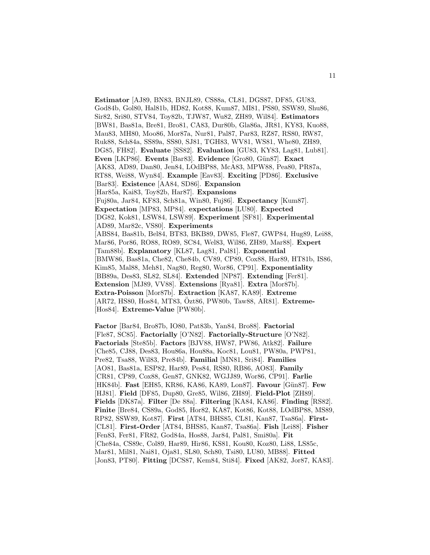**Estimator** [AJ89, BN83, BNJL89, CS88a, CL81, DGS87, DF85, GU83, God84b, Gol80, Hal81b, HD82, Kot88, Kum87, MI81, PS80, SSW89, Shu86, Sir82, Sri80, STV84, Toy82b, TJW87, Wu82, ZH89, Wil84]. **Estimators** [BW81, Bas81a, Bre81, Bro81, CA83, Dur80b, Gla86a, JR81, KY83, Kuo88, Mau83, MH80, Moo86, Mor87a, Nur81, Pal87, Par83, RZ87, RS80, RW87, Ruk88, Sch84a, SS89a, SS80, SJ81, TGH83, WV81, WS81, Whe80, ZH89, DG85, FH82]. **Evaluate** [SS82]. **Evaluation** [GU83, KY83, Lag81, Lub81]. **Even** [LKP86]. **Events** [Bar83]. **Evidence** [Gro80, Gün87]. **Exact** [AK83, AD89, Dan80, Jen84, LOdBP88, McA83, MPW88, Pea80, PR87a, RT88, Wei88, Wyn84]. **Example** [Eav83]. **Exciting** [PD86]. **Exclusive** [Bar83]. **Existence** [AA84, SD86]. **Expansion** [Har85a, Kai83, Toy82b, Har87]. **Expansions** [Fuj80a, Jar84, KF83, Sch81a, Win80, Fuj86]. **Expectancy** [Kum87]. **Expectation** [MP83, MP84]. **expectations** [LU80]. **Expected** [DG82, Kok81, LSW84, LSW89]. **Experiment** [SF81]. **Experimental** [AD89, Mar82c, VS80]. **Experiments** [ABS84, Bas81b, Bel84, BT83, BKB89, DW85, Fle87, GWP84, Hug89, Lei88, Mar86, Por86, RO88, RO89, SC84, Wel83, Wil86, ZH89, Mar88]. **Expert** [Tam88b]. **Explanatory** [KL87, Lag81, Pal81]. **Exponential** [BMW86, Bas81a, Che82, Che84b, CV89, CP89, Cox88, Har89, HT81b, IS86, Kim85, Mal88, Meh81, Nag80, Reg80, Wor86, CP91]. **Exponentiality** [BB89a, Des83, SL82, SL84]. **Extended** [NP87]. **Extending** [Fer81]. **Extension** [MJ89, VV88]. **Extensions** [Rya81]. **Extra** [Mor87b]. **Extra-Poisson** [Mor87b]. **Extraction** [KA87, KA89]. **Extreme** [AR72, HS80, Hos84, MT83, Özt86, PW80b, Taw88, AR81]. **Extreme-**[Hos84]. **Extreme-Value** [PW80b].

**Factor** [Bar84, Bro87b, IO80, Pat83b, Yan84, Bro88]. **Factorial** [Fle87, SC85]. **Factorially** [O'N82]. **Factorially-Structure** [O'N82]. **Factorials** [Ste85b]. **Factors** [BJV88, HW87, PW86, Atk82]. **Failure** [Che85, CJ88, Des83, Hou86a, Hou88a, Koc81, Lou81, PW80a, PWP81, Pre82, Tsa88, Wil83, Pre84b]. **Familial** [MN81, Sri84]. **Families** [AO81, Bas81a, ESP82, Har89, Pes84, RS80, RB86, AO83]. **Family** [CR81, CP89, Cox88, Gen87, GNK82, WGJJ89, Wor86, CP91]. **Farlie** [HK84b]. **Fast** [EH85, KR86, KA86, KA89, Lon87]. **Favour** [Gün87]. **Few** [HJ81]. **Field** [DF85, Dup80, Gre85, Wil86, ZH89]. **Field-Plot** [ZH89]. **Fields** [DK87a]. **Filter** [De 88a]. **Filtering** [KA84, KA86]. **Finding** [RS82]. **Finite** [Bre84, CS89a, God85, Hor82, KA87, Kot86, Kot88, LOdBP88, MS89, RP82, SSW89, Kot87]. **First** [AT84, BHS85, CL81, Kan87, Tsa86a]. **First-** [CL81]. **First-Order** [AT84, BHS85, Kan87, Tsa86a]. **Fish** [Lei88]. **Fisher** [Fen83, Fer81, FR82, God84a, Hos88, Jar84, Pal81, Smi80a]. **Fit** [Che84a, CS89c, Col89, Har89, Hir86, KS81, Kou80, Koz80, Li88, LS85c, Mar81, Mil81, Nai81, Oja81, SL80, Sch80, Tsi80, LU80, MB88]. **Fitted** [Jon83, PT80]. **Fitting** [DCS87, Kem84, Sti84]. **Fixed** [AK82, Jor87, KA83].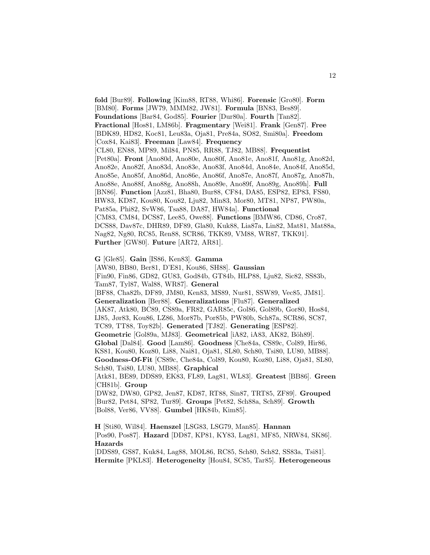**fold** [Bur89]. **Following** [Kim88, RT88, Whi86]. **Forensic** [Gro80]. **Form** [BM80]. **Forms** [JW79, MMM82, JW81]. **Formula** [BN83, Bes89]. **Foundations** [Bar84, God85]. **Fourier** [Dur80a]. **Fourth** [Tan82]. **Fractional** [Hos81, LM86b]. **Fragmentary** [Wei81]. **Frank** [Gen87]. **Free** [BDK89, HD82, Koc81, Leu83a, Oja81, Pre84a, SO82, Smi80a]. **Freedom** [Cox84, Kai83]. **Freeman** [Law84]. **Frequency** [CL80, EN88, MP89, Mil84, PN85, RR88, TJ82, MB88]. **Frequentist** [Pet80a]. **Front** [Ano80d, Ano80e, Ano80f, Ano81e, Ano81f, Ano81g, Ano82d, Ano82e, Ano82f, Ano83d, Ano83e, Ano83f, Ano84d, Ano84e, Ano84f, Ano85d, Ano85e, Ano85f, Ano86d, Ano86e, Ano86f, Ano87e, Ano87f, Ano87g, Ano87h, Ano88e, Ano88f, Ano88g, Ano88h, Ano89e, Ano89f, Ano89g, Ano89h]. **Full** [BN86]. **Function** [Azz81, Bha80, Bur88, CF84, DA85, ESP82, EP83, FS80, HW83, KD87, Kou80, Kou82, Lju82, Min83, Mor80, MT81, NP87, PW80a, Pat85a, Phi82, SvW86, Tsa88, DA87, HW84a]. **Functional** [CM83, CM84, DCS87, Lee85, Owe88]. **Functions** [BMW86, CD86, Cro87, DCS88, Dav87c, DHR89, DF89, Gla80, Kuk88, Lia87a, Lin82, Mat81, Mat88a, Nag82, Ng80, RC85, Ren88, SCR86, TKK89, VM88, WR87, TKK91]. **Further** [GW80]. **Future** [AR72, AR81].

**G** [Gle85]. **Gain** [IS86, Ken83]. **Gamma** [AW80, BB80, Ber81, D'E81, Kou86, SH88]. **Gaussian** [Fin90, Fin86, GD82, GU83, God84b, GT84b, HLP88, Lju82, Sic82, SS83b, Tam87, Tyl87, Wal88, WR87]. **General** [BF88, Cha82b, DF89, JM80, Ken83, MS89, Nur81, SSW89, Vec85, JM81]. **Generalization** [Ber88]. **Generalizations** [Flu87]. **Generalized** [AK87, Atk80, BC89, CS89a, FR82, GAR85c, Gol86, Gol89b, Gor80, Hos84, IJ85, Jør83, Kou86, LZ86, Mor87b, Por85b, PW80b, Sch87a, SCR86, SC87, TC89, TT88, Toy82b]. **Generated** [TJ82]. **Generating** [ESP82]. **Geometric** [Gol89a, MJ83]. **Geometrical** [iA82, iA83, AK82, Böh89]. **Global** [Dal84]. **Good** [Lam86]. **Goodness** [Che84a, CS89c, Col89, Hir86, KS81, Kou80, Koz80, Li88, Nai81, Oja81, SL80, Sch80, Tsi80, LU80, MB88]. **Goodness-Of-Fit** [CS89c, Che84a, Col89, Kou80, Koz80, Li88, Oja81, SL80, Sch80, Tsi80, LU80, MB88]. **Graphical** [Atk81, BE89, DDS89, EK83, FL89, Lag81, WL83]. **Greatest** [BB86]. **Green** [CH81b]. **Group** [DW82, DW80, GP82, Jen87, KD87, RT88, Sin87, TRT85, ZF89]. **Grouped** [Bur82, Pet84, SP82, Tur89]. **Groups** [Pet82, Sch88a, Sch89]. **Growth** [Bol88, Ver86, VV88]. **Gumbel** [HK84b, Kim85].

**H** [Sti80, Wil84]. **Haenszel** [LSG83, LSG79, Man85]. **Hannan** [Pos90, Pos87]. **Hazard** [DD87, KP81, KY83, Lag81, MF85, NRW84, SK86]. **Hazards**

[DDS89, GS87, Kuk84, Lag88, MOL86, RC85, Sch80, Sch82, SS83a, Tsi81]. **Hermite** [PKL83]. **Heterogeneity** [Hou84, SC85, Tar85]. **Heterogeneous**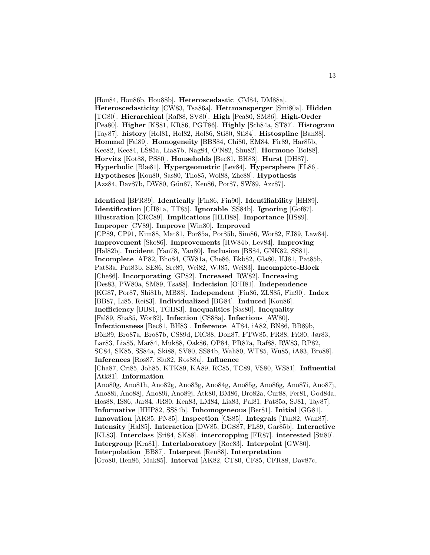[Hou84, Hou86b, Hou88b]. **Heteroscedastic** [CM84, DM88a]. **Heteroscedasticity** [CW83, Tsa86a]. **Hettmansperger** [Smi80a]. **Hidden** [TG80]. **Hierarchical** [Raf88, SV80]. **High** [Pea80, SM86]. **High-Order** [Pea80]. **Higher** [KS81, KR86, PGT86]. **Highly** [Sch84a, ST87]. **Histogram** [Tay87]. **history** [Hol81, Hol82, Hol86, Sti80, Sti84]. **Histospline** [Ban88]. **Hommel** [Fal89]. **Homogeneity** [BBS84, Chi80, EM84, Fir89, Har85b, Kee82, Kee84, LS85a, Lia87b, Nag84, O'N82, Shu82]. **Hormone** [Bol88]. **Horvitz** [Kot88, PS80]. **Households** [Bec81, BH83]. **Hurst** [DH87]. **Hyperbolic** [Blæ81]. **Hypergeometric** [Lev84]. **Hypersphere** [FL86]. **Hypotheses** [Kou80, Sas80, Tho85, Wol88, Zhe88]. **Hypothesis** [Azz84, Dav87b, DW80, Gün87, Ken86, Por87, SW89, Azz87].

**Identical** [BFR89]. **Identically** [Fin86, Fin90]. **Identifiability** [HH89]. **Identification** [CH81a, TT85]. **Ignorable** [SS84b]. **Ignoring** [Gof87]. **Illustration** [CRC89]. **Implications** [HLH88]. **Importance** [HS89]. **Improper** [CV89]. **Improve** [Win80]. **Improved** [CP89, CP91, Kim88, Mat81, Por85a, Por85b, Sim86, Wor82, FJ89, Law84]. **Improvement** [Sko86]. **Improvements** [HW84b, Lev84]. **Improving** [Hal82b]. **Incident** [Yan78, Yan80]. **Inclusion** [BS84, GNK82, SS81]. **Incomplete** [AP82, Bho84, CW81a, Che86, Ekb82, Gla80, HJ81, Pat85b, Pat83a, Pat83b, SE86, Sre89, Wei82, WJ85, Wei83]. **Incomplete-Block** [Che86]. **Incorporating** [GP82]. **Increased** [RW82]. **Increasing** [Des83, PW80a, SM89, Tsa88]. **Indecision** [O'H81]. **Independence** [KG87, Por87, Shi81b, MB88]. **Independent** [Fin86, ZLS85, Fin90]. **Index** [BB87, Li85, Rei83]. **Individualized** [BG84]. **Induced** [Kou86]. **Inefficiency** [BB81, TGH83]. **Inequalities** [Sas80]. **Inequality** [Fal89, Sha85, Wor82]. **Infection** [CS88a]. **Infectious** [AW80]. **Infectiousness** [Bec81, BH83]. **Inference** [AT84, iA82, BN86, BB89b, B¨oh89, Bro87a, Bro87b, CS89d, DiC88, Don87, FTW85, FR88, Fri80, Jør83, Lar83, Lia85, Mar84, Muk88, Oak86, OP84, PR87a, Raf88, RW83, RP82, SC84, SK85, SS84a, Ski88, SV80, SS84b, Wah80, WT85, Wu85, iA83, Bro88]. **Inferences** [Ros87, Slu82, Ros88a]. **Influence** [Cha87, Cri85, Joh85, KTK89, KA89, RC85, TC89, VS80, WS81]. **Influential** [Atk81]. **Information** [Ano80g, Ano81h, Ano82g, Ano83g, Ano84g, Ano85g, Ano86g, Ano87i, Ano87j, Ano88i, Ano88j, Ano89i, Ano89j, Atk80, BM86, Bro82a, Cur88, Fer81, God84a, Hos88, IS86, Jar84, JR80, Ken83, LM84, Lia83, Pal81, Pat85a, SJ81, Tay87]. **Informative** [HHP82, SS84b]. **Inhomogeneous** [Ber81]. **Initial** [GG81]. **Innovation** [AK85, PN85]. **Inspection** [CS85]. **Integrals** [Tan82, Wan87]. **Intensity** [Hal85]. **Interaction** [DW85, DGS87, FL89, Gar85b]. **Interactive** [KL83]. **Interclass** [Sri84, SK88]. **intercropping** [FR87]. **interested** [Sti80]. **Intergroup** [Kra81]. **Interlaboratory** [Roc83]. **Interpoint** [GW80]. **Interpolation** [BB87]. **Interpret** [Ren88]. **Interpretation** [Gro80, Hen86, Mak85]. **Interval** [AK82, CT80, CF85, CFR88, Dav87c,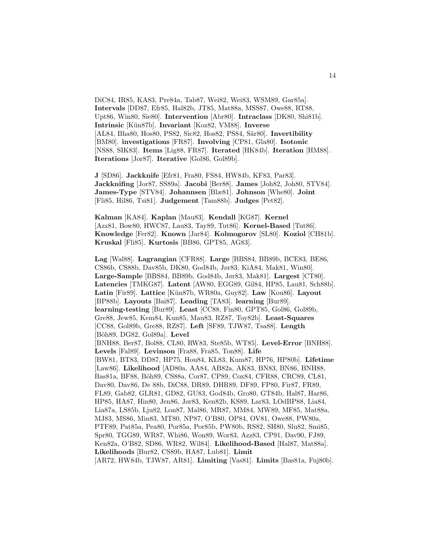DiC84, IR85, KA83, Pre84a, Tab87, Wei82, Wei83, WSM89, Gar85a]. **Intervals** [DD87, Efr85, Hal82b, JT85, Mat88a, MSS87, Owe88, RT88, Upt86, Win80, Sie80]. **Intervention** [Abr80]. **Intraclass** [DK80, Shi81b]. **Intrinsic** [K¨un87b]. **Invariant** [Koz82, VM88]. **Inverse** [AL84, Bha80, Hos80, PS82, Sic82, Hos82, PS84, Sär80]. **Invertibility** [BM80]. **investigations** [FR87]. **Involving** [CP81, Gla80]. **Isotonic** [NS88, SIK83]. **Items** [Lig88, FR87]. **Iterated** [HK84b]. **Iteration** [HM88]. **Iterations** [Jor87]. **Iterative** [Gol86, Gol89b].

**J** [SD86]. **Jackknife** [Efr81, Fra80, FS84, HW84b, KF83, Par83]. **Jackknifing** [Jor87, SS89a]. **Jacobi** [Ber88]. **James** [Joh82, Joh80, STV84]. **James-Type** [STV84]. **Johannsen** [Blæ81]. **Johnson** [Whe80]. **Joint** [Fli85, Hil86, Tsi81]. **Judgement** [Tam88b]. **Judges** [Pet82].

**Kalman** [KA84]. **Kaplan** [Mau83]. **Kendall** [KG87]. **Kernel** [Azz81, Bow80, HWC87, Lau83, Tay89, Tut86]. **Kernel-Based** [Tut86]. **Knowledge** [Fer82]. **Known** [Jar84]. **Kolmogorov** [SL80]. **Koziol** [CH81b]. **Kruskal** [Fli85]. **Kurtosis** [BB86, GPT85, AG83].

**Lag** [Wal88]. **Lagrangian** [CFR88]. **Large** [BBS84, BB89b, BCE83, BE86, CS86b, CS88b, Dav85b, DK80, God84b, Jør83, KiA84, Mak81, Win80]. **Large-Sample** [BBS84, BB89b, God84b, Jør83, Mak81]. **Largest** [CT80]. **Latencies** [TMKG87]. **Latent** [AW80, EGG89, Gil84, HP85, Lau81, Sch88b]. **Latin** [Fir89]. **Lattice** [K¨un87b, WR80a, Guy82]. **Law** [Kou86]. **Layout** [BP88b]. **Layouts** [Bai87]. **Leading** [TA83]. **learning** [Bur89]. **learning-testing** [Bur89]. **Least** [CC88, Fin80, GPT85, Gol86, Gol89b, Gre88, Jew85, Kem84, Kun85, Mau83, RZ87, Toy82b]. **Least-Squares** [CC88, Gol89b, Gre88, RZ87]. **Left** [SF89, TJW87, Tsa88]. **Length** [Böh89, DG82, Gol89a]. Level [BNH88, Ber87, Bol88, CL80, RW83, Ste85b, WT85]. **Level-Error** [BNH88]. **Levels** [Fal89]. **Levinson** [Fra88, Fra85, Ton88]. **Life** [BW81, BT83, DD87, HP75, Hou84, KL83, Kum87, HP76, HP80b]. **Lifetime** [Law86]. **Likelihood** [AD80a, AA84, AB82a, AK83, BN83, BN86, BNH88, Bas81a, BF88, Böh89, CS88a, Cor87, CP89, Cox84, CFR88, CRC89, CL81, Dav80, Dav86, De 88b, DiC88, DR89, DHR89, DF89, FP80, Fir87, FR89, FL89, Gab82, GLR81, GD82, GU83, God84b, Gro80, GT84b, Hal87, Har86, HP85, HA87, Hin80, Jen86, Jør83, Ken82b, KS89, Lar83, LOdBP88, Lia84, Lia87a, LS85b, Lju82, Lon87, Mal86, MR87, MM84, MW89, MF85, Mat88a, MJ83, MS86, Min83, MT80, NP87, O'B80, OP84, OV81, Owe88, PW80a, PTF89, Pat85a, Pea80, Por85a, Por85b, PW80b, RS82, SH80, Slu82, Smi85, Spr80, TGG89, WR87, Whi86, Won89, Wor83, Azz83, CP91, Dav90, FJ89, Ken82a, O'B82, SD86, WR82, Wil84]. **Likelihood-Based** [Hal87, Mat88a]. **Likelihoods** [Bur82, CS89b, HA87, Lub81]. **Limit**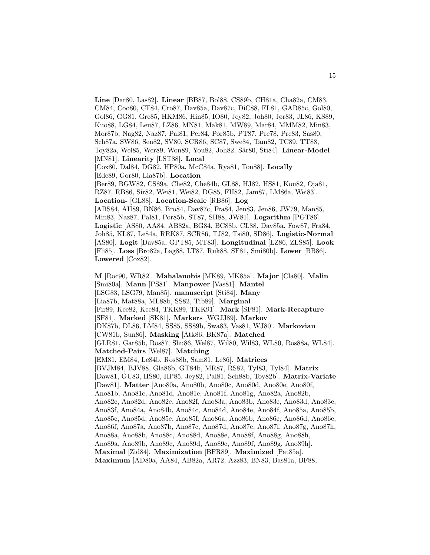**Line** [Dar80, Las82]. **Linear** [BB87, Bol88, CS89b, CH81a, Cha82a, CM83, CM84, Coo80, CF84, Cro87, Dav85a, Dav87c, DiC88, FL81, GAR85c, Gol80, Gol86, GG81, Gre85, HKM86, Hin85, IO80, Jey82, Joh80, Jør83, JL86, KS89, Kuo88, LG84, Leu87, LZ86, MN81, Mak81, MW89, Mar84, MMM82, Min83, Mor87b, Nag82, Naz87, Pal81, Per84, Por85b, PT87, Pre78, Pre83, Sas80, Sch87a, SW86, Sen82, SV80, SCR86, SC87, Swe84, Tam82, TC89, TT88, Toy82a, Wel85, Wer89, Won89, You82, Joh82, Sär80, Sti84]. Linear-Model [MN81]. **Linearity** [LST88]. **Local** [Cox80, Dal84, DG82, HP80a, McC84a, Rya81, Ton88]. **Locally** [Ede89, Gor80, Lia87b]. **Location** [Ber89, BGW82, CS89a, Che82, Che84b, GL88, HJ82, HS81, Kou82, Oja81, RZ87, RB86, Sir82, Wei81, Wei82, DG85, FH82, Jam87, LM86a, Wei83]. **Location-** [GL88]. **Location-Scale** [RB86]. **Log** [ABS84, AH89, BN86, Bro84, Dav87c, Fra84, Jen83, Jen86, JW79, Man85, Min83, Naz87, Pal81, Por85b, ST87, SH88, JW81]. **Logarithm** [PGT86]. **Logistic** [AS80, AA84, AB82a, BG84, BC88b, CL88, Dav85a, Fow87, Fra84, Joh85, KL87, Le84a, RRK87, SCR86, TJ82, Tsi80, SD86]. **Logistic-Normal** [AS80]. **Logit** [Dav85a, GPT85, MT83]. **Longitudinal** [LZ86, ZLS85]. **Look** [Fli85]. **Loss** [Bro82a, Lag88, LT87, Ruk88, SF81, Smi80b]. **Lower** [BB86]. **Lowered** [Cox82]. **M** [Roc90, WR82]. **Mahalanobis** [MK89, MK85a]. **Major** [Cla80]. **Malin** [Smi80a]. **Mann** [PS81]. **Manpower** [Vas81]. **Mantel** [LSG83, LSG79, Man85]. **manuscript** [Sti84]. **Many**

[Lia87b, Mat88a, ML88b, SS82, Tib89]. **Marginal**

[Fir89, Kee82, Kee84, TKK89, TKK91]. **Mark** [SF81]. **Mark-Recapture**

[SF81]. **Marked** [SK81]. **Markers** [WGJJ89]. **Markov**

[DK87b, DL86, LM84, SS85, SS89b, Swa83, Vas81, WJ80]. **Markovian**

[CW81b, Sun86]. **Masking** [Atk86, BK87a]. **Matched**

[GLR81, Gar85b, Ros87, Shu86, Wel87, Wil80, Wil83, WL80, Ros88a, WL84].

**Matched-Pairs** [Wel87]. **Matching**

[EM81, EM84, Le84b, Ros88b, Sam81, Le86]. **Matrices**

[BVJM84, BJV88, Gla86b, GT84b, MR87, RS82, Tyl83, Tyl84]. **Matrix**

[Daw81, GU83, HS80, HP85, Jey82, Pal81, Sch88b, Toy82b]. **Matrix-Variate**

[Daw81]. **Matter** [Ano80a, Ano80b, Ano80c, Ano80d, Ano80e, Ano80f,

Ano81b, Ano81c, Ano81d, Ano81e, Ano81f, Ano81g, Ano82a, Ano82b,

Ano82c, Ano82d, Ano82e, Ano82f, Ano83a, Ano83b, Ano83c, Ano83d, Ano83e,

Ano83f, Ano84a, Ano84b, Ano84c, Ano84d, Ano84e, Ano84f, Ano85a, Ano85b,

Ano85c, Ano85d, Ano85e, Ano85f, Ano86a, Ano86b, Ano86c, Ano86d, Ano86e,

Ano86f, Ano87a, Ano87b, Ano87c, Ano87d, Ano87e, Ano87f, Ano87g, Ano87h,

Ano88a, Ano88b, Ano88c, Ano88d, Ano88e, Ano88f, Ano88g, Ano88h,

Ano89a, Ano89b, Ano89c, Ano89d, Ano89e, Ano89f, Ano89g, Ano89h].

**Maximal** [Zid84]. **Maximization** [BFR89]. **Maximized** [Pat85a].

**Maximum** [AD80a, AA84, AB82a, AR72, Azz83, BN83, Bas81a, BF88,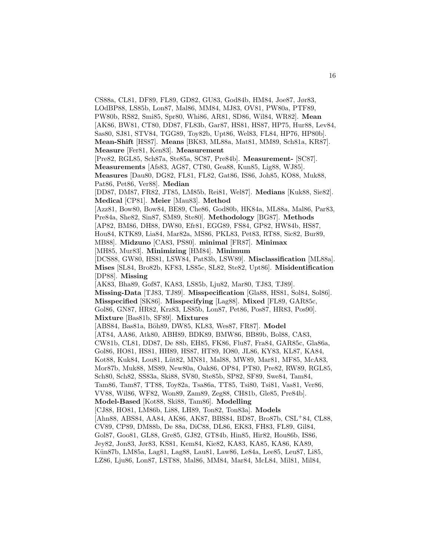CS88a, CL81, DF89, FL89, GD82, GU83, God84b, HM84, Joe87, Jør83, LOdBP88, LS85b, Lon87, Mal86, MM84, MJ83, OV81, PW80a, PTF89, PW80b, RS82, Smi85, Spr80, Whi86, AR81, SD86, Wil84, WR82]. **Mean** [AK86, BW81, CT80, DD87, FL83b, Gar87, HS81, HS87, HP75, Hur88, Lev84, Sas80, SJ81, STV84, TGG89, Toy82b, Upt86, Wel83, FL84, HP76, HP80b]. **Mean-Shift** [HS87]. **Means** [BK83, ML88a, Mat81, MM89, Sch81a, KR87]. **Measure** [Fer81, Ken83]. **Measurement** [Pre82, RGL85, Sch87a, Ste85a, SC87, Pre84b]. **Measurement-** [SC87]. **Measurements** [Afs83, AG87, CT80, Gea88, Kun85, Lig88, WJ85]. **Measures** [Dau80, DG82, FL81, FL82, Gat86, IS86, Joh85, KO88, Muk88, Pat86, Pet86, Ver88]. **Median** [DD87, DM87, FR82, JT85, LM85b, Rei81, Wel87]. **Medians** [Kuk88, Sie82]. **Medical** [CP81]. **Meier** [Mau83]. **Method** [Azz81, Bow80, Bow84, BE89, Che86, God80b, HK84a, ML88a, Mal86, Par83, Pre84a, She82, Sin87, SM89, Ste80]. **Methodology** [BG87]. **Methods** [AP82, BM86, DH88, DW80, Efr81, EGG89, FS84, GP82, HW84b, HS87, Hou84, KTK89, Lia84, Mar82a, MS86, PKL83, Pet83, RT88, Sic82, Bur89, MB88]. **Midzuno** [CA83, PS80]. **minimal** [FR87]. **Minimax** [MH85, Mur83]. **Minimizing** [HM84]. **Minimum** [DCS88, GW80, HS81, LSW84, Pat83b, LSW89]. **Misclassification** [ML88a]. **Mises** [SL84, Bro82b, KF83, LS85c, SL82, Ste82, Upt86]. **Misidentification** [DP88]. **Missing** [AK83, Bha89, Gof87, KA83, LS85b, Lju82, Mar80, TJ83, TJ89]. **Missing-Data** [TJ83, TJ89]. **Misspecification** [Gla88, HS81, Sol84, Sol86]. **Misspecified** [SK86]. **Misspecifying** [Lag88]. **Mixed** [FL89, GAR85c, Gol86, GN87, HR82, Krz83, LS85b, Lon87, Pet86, Pos87, HR83, Pos90]. **Mixture** [Bas81b, SF89]. **Mixtures** [ABS84, Bas81a, Böh89, DW85, KL83, Wes87, FR87]. Model [AT84, AA86, Atk80, ABH89, BDK89, BMW86, BB89b, Bol88, CA83, CW81b, CL81, DD87, De 88b, EH85, FK86, Flu87, Fra84, GAR85c, Gla86a, Gol86, HO81, HS81, HH89, HS87, HT89, IO80, JL86, KY83, KL87, KA84, Kot88, Kuk84, Lou81, Lüt82, MN81, Mal88, MW89, Mar81, MF85, McA83, Mor87b, Muk88, MS89, New80a, Oak86, OP84, PT80, Pre82, RW89, RGL85, Sch80, Sch82, SS83a, Ski88, SV80, Ste85b, SP82, SF89, Swe84, Tam84, Tam86, Tam87, TT88, Toy82a, Tsa86a, TT85, Tsi80, Tsi81, Vas81, Ver86, VV88, Wil86, WF82, Won89, Zam89, Zeg88, CH81b, Gle85, Pre84b]. **Model-Based** [Kot88, Ski88, Tam86]. **Modelling** [CJ88, HO81, LM86b, Li88, LH89, Ton82, Ton83a]. **Models** [Ahn88, ABS84, AA84, AK86, AK87, BBS84, BD87, Bro87b, CSL<sup>+</sup>84, CL88, CV89, CP89, DM88b, De 88a, DiC88, DL86, EK83, FH83, FL89, Gil84, Gol87, Goo81, GL88, Gre85, GJ82, GT84b, Hin85, Hir82, Hou86b, IS86, Jey82, Jon83, Jør83, KS81, Kem84, Kie82, KA83, KA85, KA86, KA89, Kün87b, LM85a, Lag81, Lag88, Lau81, Law86, Le84a, Lee85, Leu87, Li85, LZ86, Lju86, Lon87, LST88, Mal86, MM84, Mar84, McL84, Mil81, Mil84,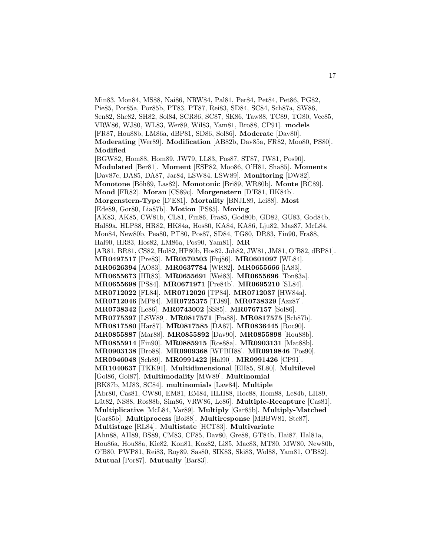Min83, Mon84, MS88, Nai86, NRW84, Pal81, Per84, Pet84, Pet86, PG82, Pie85, Por85a, Por85b, PT83, PT87, Rei83, SD84, SC84, Sch87a, SW86, Sen82, She82, SH82, Sol84, SCR86, SC87, SK86, Taw88, TC89, TG80, Vec85, VRW86, WJ80, WL83, Wer89, Wil83, Yam81, Bro88, CP91]. **models** [FR87, Hou88b, LM86a, dBP81, SD86, Sol86]. **Moderate** [Dav80]. **Moderating** [Wer89]. **Modification** [AB82b, Dav85a, FR82, Moo80, PS80]. **Modified** [BGW82, Hom88, Hom89, JW79, LL83, Pos87, ST87, JW81, Pos90]. **Modulated** [Ber81]. **Moment** [ESP82, Moo86, O'H81, Sha85]. **Moments** [Dav87c, DA85, DA87, Jar84, LSW84, LSW89]. **Monitoring** [DW82]. **Monotone** [B¨oh89, Las82]. **Monotonic** [Bri89, WR80b]. **Monte** [BC89]. **Mood** [FR82]. **Moran** [CS89c]. **Morgenstern** [D'E81, HK84b]. **Morgenstern-Type** [D'E81]. **Mortality** [BNJL89, Lei88]. **Most** [Ede89, Gor80, Lia87b]. **Motion** [PS85]. **Moving** [AK83, AK85, CW81b, CL81, Fin86, Fra85, God80b, GD82, GU83, God84b, Hal89a, HLP88, HR82, HK84a, Hos80, KA84, KA86, Lju82, Mas87, McL84, Mon84, New80b, Pea80, PT80, Pos87, SD84, TG80, DR83, Fin90, Fra88, Hal90, HR83, Hos82, LM86a, Pos90, Yam81]. **MR** [AR81, BR81, CS82, Hol82, HP80b, Hos82, Joh82, JW81, JM81, O'B82, dBP81]. **MR0497517** [Pre83]. **MR0570503** [Fuj86]. **MR0601097** [WL84]. **MR0626394** [AO83]. **MR0637784** [WR82]. **MR0655666** [iA83]. **MR0655673** [HR83]. **MR0655691** [Wei83]. **MR0655696** [Ton83a]. **MR0655698** [PS84]. **MR0671971** [Pre84b]. **MR0695210** [SL84]. **MR0712022** [FL84]. **MR0712026** [TP84]. **MR0712037** [HW84a]. **MR0712046** [MP84]. **MR0725375** [TJ89]. **MR0738329** [Azz87]. **MR0738342** [Le86]. **MR0743002** [SS85]. **MR0767157** [Sol86]. **MR0775397** [LSW89]. **MR0817571** [Fra88]. **MR0817575** [Sch87b]. **MR0817580** [Har87]. **MR0817585** [DA87]. **MR0836445** [Roc90]. **MR0855887** [Mar88]. **MR0855892** [Dav90]. **MR0855898** [Hou88b]. **MR0855914** [Fin90]. **MR0885915** [Ros88a]. **MR0903131** [Mat88b]. **MR0903138** [Bro88]. **MR0909368** [WFBH88]. **MR0919846** [Pos90]. **MR0946048** [Sch89]. **MR0991422** [Hal90]. **MR0991426** [CP91]. **MR1040637** [TKK91]. **Multidimensional** [EH85, SL80]. **Multilevel** [Gol86, Gol87]. **Multimodality** [MW89]. **Multinomial** [BK87b, MJ83, SC84]. **multinomials** [Law84]. **Multiple** [Abr80, Cas81, CW80, EM81, EM84, HLH88, Hoc88, Hom88, Le84b, LH89, Lüt82, NS88, Ros88b, Sim86, VRW86, Le86]. **Multiple-Recapture** [Cas81]. **Multiplicative** [McL84, Var89]. **Multiply** [Gar85b]. **Multiply-Matched** [Gar85b]. **Multiprocess** [Bol88]. **Multiresponse** [MBBW81, Ste87]. **Multistage** [RL84]. **Multistate** [HCT83]. **Multivariate** [Ahn88, AH89, BS89, CM83, CF85, Dav80, Gre88, GT84b, Hai87, Hal81a, Hou86a, Hou88a, Kie82, Kon81, Koz82, Li85, Mac83, MT80, MW80, New80b, O'B80, PWP81, Rei83, Roy89, Sas80, SIK83, Ski83, Wol88, Yam81, O'B82]. **Mutual** [Por87]. **Mutually** [Bar83].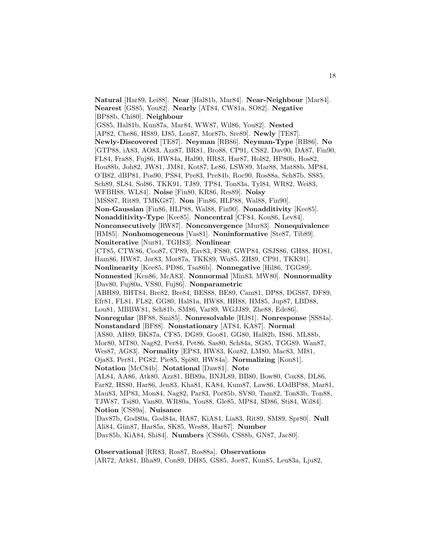**Natural** [Har89, Lei88]. **Near** [Hal81b, Mar84]. **Near-Neighbour** [Mar84]. **Nearest** [GS85, You82]. **Nearly** [AT84, CW81a, SO82]. **Negative** [BP88b, Chi80]. **Neighbour** [GS85, Hal81b, Kun87a, Mar84, WW87, Wil86, You82]. **Nested** [AP82, Che86, HS89, IJ85, Lon87, Mor87b, Sre89]. **Newly** [TE87]. **Newly-Discovered** [TE87]. **Neyman** [RB86]. **Neyman-Type** [RB86]. **No** [GTP88, iA83, AO83, Azz87, BR81, Bro88, CP91, CS82, Dav90, DA87, Fin90, FL84, Fra88, Fuj86, HW84a, Hal90, HR83, Har87, Hol82, HP80b, Hos82, Hou88b, Joh82, JW81, JM81, Kot87, Le86, LSW89, Mar88, Mat88b, MP84, O'B82, dBP81, Pos90, PS84, Pre83, Pre84b, Roc90, Ros88a, Sch87b, SS85, Sch89, SL84, Sol86, TKK91, TJ89, TP84, Ton83a, Tyl84, WR82, Wei83, WFBH88, WL84]. **Noise** [Fin80, KR86, Res89]. **Noisy** [MSS87, Rit89, TMKG87]. **Non** [Fin86, HLP88, Wal88, Fin90]. **Non-Gaussian** [Fin86, HLP88, Wal88, Fin90]. **Nonadditivity** [Kee85]. **Nonadditivity-Type** [Kee85]. **Noncentral** [CF84, Kou86, Lev84]. **Nonconsecutively** [RW87]. **Nonconvergence** [Mur83]. **Nonequivalence** [HM85]. **Nonhomogeneous** [Vas81]. **Noninformative** [Ste87, Tib89]. **Noniterative** [Nur81, TGH83]. **Nonlinear** [CT85, CTW86, Coo87, CP89, Eav83, FS80, GWP84, GSJS86, GH88, HO81, Ham86, HW87, Jør83, Mor87a, TKK89, Wu85, ZH89, CP91, TKK91]. **Nonlinearity** [Kee85, PD86, Tsa86b]. **Nonnegative** [Hil86, TGG89]. **Nonnested** [Ken86, McA83]. **Nonnormal** [Min83, MW80]. **Nonnormality** [Dav80, Fuj80a, VS80, Fuj86]. **Nonparametric** [ABH89, BHT84, Bre82, Bre84, BES88, BE89, Cam81, DP88, DGS87, DF89, Efr81, FL81, FL82, GG80, Hal81a, HW88, HH88, HM85, Jup87, LBD88, Lou81, MBBW81, Sch81b, SM86, Var89, WGJJ89, Zhe88, Ede86]. **Nonregular** [BF88, Smi85]. **Nonresolvable** [HJ81]. **Nonresponse** [SS84a]. **Nonstandard** [BF88]. **Nonstationary** [AT84, KA87]. **Normal** [AS80, AH89, BK87a, CF85, DG89, Goo81, GG80, Hal82b, IS86, ML88b, Mor80, MT80, Nag82, Per84, Pet86, Sas80, Sch84a, SG85, TGG89, Wan87, Wes87, AG83]. **Normality** [EP83, HW83, Koz82, LM80, Mac83, MI81, Oja83, Per81, PG82, Pie85, Spi80, HW84a]. **Normalizing** [Kon81]. **Notation** [McC84b]. **Notational** [Daw81]. **Note** [AL84, AA86, Atk80, Azz81, BB89a, BNJL89, BB80, Bow80, Cox88, DL86, Far82, HS80, Har86, Jen83, Kha81, KA84, Kum87, Law86, LOdBP88, Mar81, Mau83, MP83, Mon84, Nag82, Par83, Por85b, SV80, Tam82, Ton83b, Ton88, TJW87, Tsi80, Van80, WR80a, You88, Gle85, MP84, SD86, Sti84, Wil84]. **Notion** [CS89a]. **Nuisance** [Dav87b, God80a, God84a, HA87, KiA84, Lia83, Rit89, SM89, Spr80]. **Null** [Ali84, G¨un87, Har85a, SK85, Wes88, Har87]. **Number** [Dav85b, KiA84, Shi84]. **Numbers** [CS86b, CS88b, GN87, Jac80].

**Observational** [RR83, Ros87, Ros88a]. **Observations** [AR72, Atk81, Bha89, Con89, DH85, GS85, Joe87, Kun85, Leu83a, Lju82,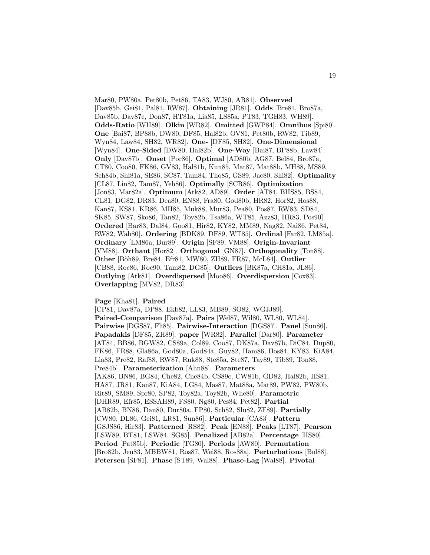Mar80, PW80a, Pet80b, Pet86, TA83, WJ80, AR81]. **Observed** [Dav85b, Gei81, Pal81, RW87]. **Obtaining** [JR81]. **Odds** [Bre81, Bro87a, Dav85b, Dav87c, Don87, HT81a, Lia85, LS85a, PT83, TGH83, WH89]. **Odds-Ratio** [WH89]. **Olkin** [WR82]. **Omitted** [GWP84]. **Omnibus** [Spi80]. **One** [Bai87, BP88b, DW80, DF85, Hal82b, OV81, Pet80b, RW82, Tib89, Wyn84, Law84, SH82, WR82]. **One-** [DF85, SH82]. **One-Dimensional** [Wyn84]. **One-Sided** [DW80, Hal82b]. **One-Way** [Bai87, BP88b, Law84]. **Only** [Dav87b]. **Onset** [Por86]. **Optimal** [AD80b, AG87, Bel84, Bro87a, CT80, Coo80, FK86, GV83, Hal81b, Kun85, Mat87, Mat88b, MH88, MS89, Sch84b, Shi81a, SE86, SC87, Tam84, Tho85, GS89, Jac80, Shi82]. **Optimality** [CL87, Lin82, Tam87, Yeh86]. **Optimally** [SCR86]. **Optimization** [Jon83, Mar82a]. **Optimum** [Atk82, AD89]. **Order** [AT84, BHS85, BS84, CL81, DG82, DR83, Dea80, EN88, Fra80, God80b, HR82, Hor82, Hos88, Kan87, KS81, KR86, MH85, Muk88, Mur83, Pea80, Pos87, RW83, SD84, SK85, SW87, Sko86, Tan82, Toy82b, Tsa86a, WT85, Azz83, HR83, Pos90]. **Ordered** [Bar83, Dal84, Goo81, Hir82, KY82, MM89, Nag82, Nai86, Pet84, RW82, Wah80]. **Ordering** [BDK89, DF89, WT85]. **Ordinal** [Far82, LM85a]. **Ordinary** [LM86a, Bur89]. **Origin** [SF89, VM88]. **Origin-Invariant** [VM88]. **Orthant** [Hor82]. **Orthogonal** [GN87]. **Orthogonality** [Ton88]. **Other** [B¨oh89, Bre84, Efr81, MW80, ZH89, FR87, McL84]. **Outlier** [CB88, Roc86, Roc90, Tam82, DG85]. **Outliers** [BK87a, CH81a, JL86]. **Outlying** [Atk81]. **Overdispersed** [Moo86]. **Overdispersion** [Cox83]. **Overlapping** [MV82, DR83].

## **Page** [Kha81]. **Paired**

[CP81, Dav87a, DP88, Ekb82, LL83, MB89, SO82, WGJJ89]. **Paired-Comparison** [Dav87a]. **Pairs** [Wel87, Wil80, WL80, WL84]. **Pairwise** [DGS87, Fli85]. **Pairwise-Interaction** [DGS87]. **Panel** [Sun86]. **Papadakis** [DF85, ZH89]. **paper** [WR82]. **Parallel** [Dar80]. **Parameter** [AT84, BB86, BGW82, CS89a, Col89, Coo87, DK87a, Dav87b, DiC84, Dup80, FK86, FR88, Gla86a, God80a, God84a, Guy82, Ham86, Hos84, KY83, KiA84, Lia83, Pre82, Raf88, RW87, Ruk88, Ste85a, Ste87, Tay89, Tib89, Ton88, Pre84b]. **Parameterization** [Ahn88]. **Parameters** [AK86, BN86, BG84, Che82, Che84b, CS89c, CW81b, GD82, Hal82b, HS81, HA87, JR81, Kan87, KiA84, LG84, Mas87, Mat88a, Mat89, PW82, PW80b, Rit89, SM89, Spr80, SP82, Toy82a, Toy82b, Whe80]. **Parametric** [DHR89, Efr85, ESSAH89, FS80, Ng80, Pes84, Pet82]. **Partial** [AB82b, BN86, Dau80, Dur80a, FP80, Sch82, Slu82, ZF89]. **Partially** [CW80, DL86, Gei81, LR81, Sun86]. **Particular** [CA83]. **Pattern** [GSJS86, Hir83]. **Patterned** [RS82]. **Peak** [EN88]. **Peaks** [LT87]. **Pearson** [LSW89, BT81, LSW84, SG85]. **Penalized** [AB82a]. **Percentage** [HS80]. **Period** [Pat85b]. **Periodic** [TG80]. **Periods** [AW80]. **Permutation** [Bro82b, Jen83, MBBW81, Ros87, Wei88, Ros88a]. **Perturbations** [Bol88]. **Petersen** [SF81]. **Phase** [ST89, Wal88]. **Phase-Lag** [Wal88]. **Pivotal**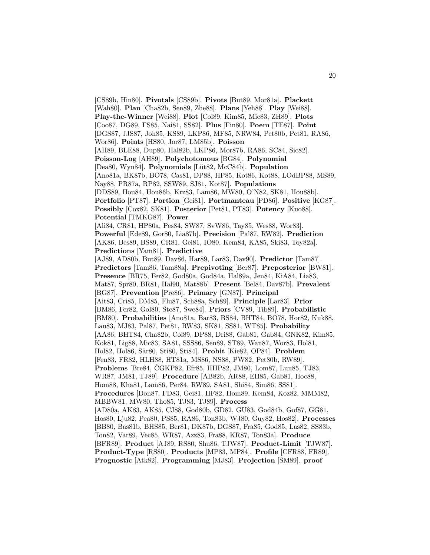[CS89b, Hin80]. **Pivotals** [CS89b]. **Pivots** [But89, Mor81a]. **Plackett** [Wah80]. **Plan** [Cha82b, Sen89, Zhe88]. **Plans** [Yeh88]. **Play** [Wei88]. **Play-the-Winner** [Wei88]. **Plot** [Col89, Kim85, Mic83, ZH89]. **Plots** [Coo87, DG89, FS85, Nai81, SS82]. **Plus** [Fin80]. **Poem** [TE87]. **Point** [DGS87, JJS87, Joh85, KS89, LKP86, MF85, NRW84, Pet80b, Pet81, RA86, Wor86]. **Points** [HS80, Jor87, LM85b]. **Poisson** [AH89, BLE88, Dup80, Hal82b, LKP86, Mor87b, RA86, SC84, Sic82]. **Poisson-Log** [AH89]. **Polychotomous** [BG84]. **Polynomial** [Dea80, Wyn84]. **Polynomials** [Lüt82, McC84b]. **Population** [Ano81a, BK87b, BO78, Cas81, DP88, HP85, Kot86, Kot88, LOdBP88, MS89, Nay88, PR87a, RP82, SSW89, SJ81, Kot87]. **Populations** [DDS89, Hou84, Hou86b, Krz83, Lam86, MW80, O'N82, SK81, Hou88b]. **Portfolio** [PT87]. **Portion** [Gei81]. **Portmanteau** [PD86]. **Positive** [KG87]. **Possibly** [Cox82, SK81]. **Posterior** [Pet81, PT83]. **Potency** [Kuo88]. **Potential** [TMKG87]. **Power** [Ali84, CR81, HP80a, Pes84, SW87, SvW86, Tay85, Wes88, Wor83]. **Powerful** [Ede89, Gor80, Lia87b]. **Precision** [Pal87, RW82]. **Prediction** [AK86, Bes89, BS89, CR81, Gei81, IO80, Kem84, KA85, Ski83, Toy82a]. **Predictions** [Yam81]. **Predictive** [AJ89, AD80b, But89, Dav86, Har89, Lar83, Dav90]. **Predictor** [Tam87]. **Predictors** [Tam86, Tam88a]. **Prepivoting** [Ber87]. **Preposterior** [BW81]. **Presence** [BR75, Fer82, God80a, God84a, Hal89a, Jen84, KiA84, Lia83, Mat87, Spr80, BR81, Hal90, Mat88b]. **Present** [Bel84, Dav87b]. **Prevalent** [BG87]. **Prevention** [Pre86]. **Primary** [GN87]. **Principal** [Ait83, Cri85, DM85, Flu87, Sch88a, Sch89]. **Principle** [Lar83]. **Prior** [BM86, Fer82, Gol80, Ste87, Swe84]. **Priors** [CV89, Tib89]. **Probabilistic** [BM80]. **Probabilities** [Ano81a, Bar83, BS84, BHT84, BO78, Hor82, Kuk88, Lau83, MJ83, Pal87, Pet81, RW83, SK81, SS81, WT85]. **Probability** [AA86, BHT84, Cha82b, Col89, DP88, Dri88, Gab81, Gab84, GNK82, Kim85, Kok81, Lig88, Mic83, SA81, SSS86, Sen89, ST89, Wan87, Wor83, Hol81, Hol82, Hol86, Sär80, Sti80, Sti84]. **Probit** [Kie82, OP84]. **Problem** [Fen83, FR82, HLH88, HT81a, MS86, NS88, PW82, Pet80b, RW89]. **Problems** [Bre84, CGKP82, Efr85, HHP82, JM80, Lom87, Lun85, TJ83, ´ WR87, JM81, TJ89]. **Procedure** [AB82b, AR88, EH85, Gab81, Hoc88, Hom88, Kha81, Lam86, Per84, RW89, SA81, Shi84, Sim86, SS81]. **Procedures** [Don87, FD83, Gei81, HF82, Hom89, Kem84, Koz82, MMM82, MBBW81, MW80, Tho85, TJ83, TJ89]. **Process** [AD80a, AK83, AK85, CJ88, God80b, GD82, GU83, God84b, Gof87, GG81, Hos80, Lju82, Pea80, PS85, RA86, Ton83b, WJ80, Guy82, Hos82]. **Processes** [BB80, Bas81b, BHS85, Ber81, DK87b, DGS87, Fra85, God85, Las82, SS83b, Ton82, Var89, Vec85, WR87, Azz83, Fra88, KR87, Ton83a]. **Produce** [BFR89]. **Product** [AJ89, RS80, Shu86, TJW87]. **Product-Limit** [TJW87]. **Product-Type** [RS80]. **Products** [MP83, MP84]. **Profile** [CFR88, FR89]. **Prognostic** [Atk82]. **Programming** [MJ83]. **Projection** [SM89]. **proof**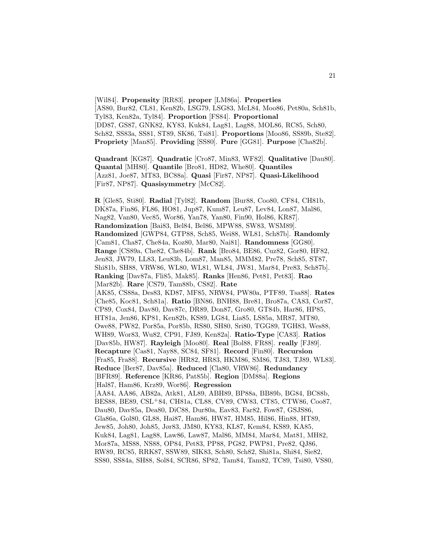[Wil84]. **Propensity** [RR83]. **proper** [LM86a]. **Properties** [AS80, Bur82, CL81, Ken82b, LSG79, LSG83, McL84, Moo86, Pet80a, Sch81b, Tyl83, Ken82a, Tyl84]. **Proportion** [FS84]. **Proportional** [DD87, GS87, GNK82, KY83, Kuk84, Lag81, Lag88, MOL86, RC85, Sch80, Sch82, SS83a, SS81, ST89, SK86, Tsi81]. **Proportions** [Moo86, SS89b, Ste82]. **Propriety** [Man85]. **Providing** [SS80]. **Pure** [GG81]. **Purpose** [Cha82b].

**Quadrant** [KG87]. **Quadratic** [Cro87, Min83, WF82]. **Qualitative** [Dau80]. **Quantal** [MH80]. **Quantile** [Bro81, HD82, Whe80]. **Quantiles** [Azz81, Joe87, MT83, BC88a]. **Quasi** [Fir87, NP87]. **Quasi-Likelihood** [Fir87, NP87]. **Quasisymmetry** [McC82].

**R** [Gle85, Sti80]. **Radial** [Tyl82]. **Random** [Bur88, Coo80, CF84, CH81b, DK87a, Fin86, FL86, HO81, Jup87, Kum87, Leu87, Lev84, Lon87, Mal86, Nag82, Van80, Vec85, Wor86, Yan78, Yan80, Fin90, Hol86, KR87]. **Randomization** [Bai83, Bel84, Bel86, MPW88, SW83, WSM89]. **Randomized** [GWP84, GTP88, Sch85, Wei88, WL81, Sch87b]. **Randomly** [Cam81, Cha87, Che84a, Koz80, Mar80, Nai81]. **Randomness** [GG80]. **Range** [CS89a, Che82, Che84b]. **Rank** [Bro84, BE86, Cuz82, Gor80, HF82, Jen83, JW79, LL83, Leu83b, Lom87, Man85, MMM82, Pre78, Sch85, ST87, Shi81b, SH88, VRW86, WL80, WL81, WL84, JW81, Mar84, Pre83, Sch87b]. **Ranking** [Dav87a, Fli85, Mak85]. **Ranks** [Hen86, Pet81, Pet83]. **Rao** [Mar82b]. **Rare** [CS79, Tam88b, CS82]. **Rate** [AK85, CS88a, Des83, KD87, MF85, NRW84, PW80a, PTF89, Tsa88]. **Rates** [Che85, Koc81, Sch81a]. **Ratio** [BN86, BNH88, Bre81, Bro87a, CA83, Cor87, CP89, Cox84, Dav80, Dav87c, DR89, Don87, Gro80, GT84b, Har86, HP85, HT81a, Jen86, KP81, Ken82b, KS89, LG84, Lia85, LS85a, MR87, MT80, Owe88, PW82, Por85a, Por85b, RS80, SH80, Sri80, TGG89, TGH83, Wes88, WH89, Wor83, Wu82, CP91, FJ89, Ken82a]. **Ratio-Type** [CA83]. **Ratios** [Dav85b, HW87]. **Rayleigh** [Moo80]. **Real** [Bol88, FR88]. **really** [FJ89]. **Recapture** [Cas81, Nay88, SC84, SF81]. **Record** [Fin80]. **Recursion** [Fra85, Fra88]. **Recursive** [HR82, HR83, HKM86, SM86, TJ83, TJ89, WL83]. **Reduce** [Ber87, Dav85a]. **Reduced** [Cla80, VRW86]. **Redundancy** [BFR89]. **Reference** [KR86, Pat85b]. **Region** [DM88a]. **Regions** [Hal87, Ham86, Krz89, Wor86]. **Regression** [AA84, AA86, AB82a, Atk81, AL89, ABH89, BP88a, BB89b, BG84, BC88b, BES88, BE89, CSL<sup>+</sup>84, CH81a, CL88, CV89, CW83, CT85, CTW86, Coo87, Dau80, Dav85a, Dea80, DiC88, Dur80a, Eav83, Far82, Fow87, GSJS86, Gla86a, Gol80, GL88, Hai87, Ham86, HW87, HM85, Hil86, Hin88, HT89, Jew85, Joh80, Joh85, Jør83, JM80, KY83, KL87, Kem84, KS89, KA85, Kuk84, Lag81, Lag88, Law86, Law87, Mal86, MM84, Mar84, Mat81, MH82, Mor87a, MS88, NS88, OP84, Pet83, PP88, PG82, PWP81, Pre82, QJ86, RW89, RC85, RRK87, SSW89, SIK83, Sch80, Sch82, Shi81a, Shi84, Sie82, SS80, SS84a, SH88, Sol84, SCR86, SP82, Tam84, Tam82, TC89, Tsi80, VS80,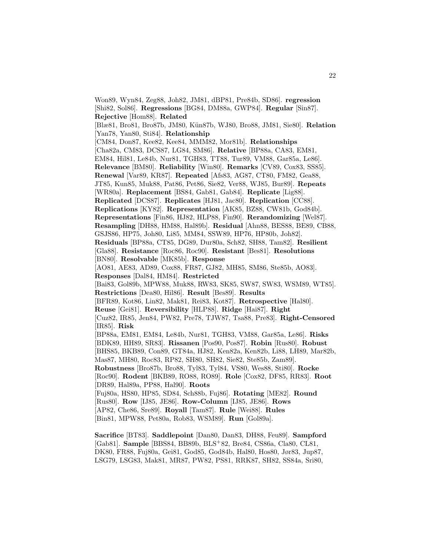Won89, Wyn84, Zeg88, Joh82, JM81, dBP81, Pre84b, SD86]. **regression** [Shi82, Sol86]. **Regressions** [BG84, DM88a, GWP84]. **Regular** [Sin87]. **Rejective** [Hom88]. **Related** [Blæ81, Bro81, Bro87b, JM80, K¨un87b, WJ80, Bro88, JM81, Sie80]. **Relation** [Yan78, Yan80, Sti84]. **Relationship** [CM84, Don87, Kee82, Kee84, MMM82, Mor81b]. **Relationships** [Cha82a, CM83, DCS87, LG84, SM86]. **Relative** [BP88a, CA83, EM81, EM84, Hil81, Le84b, Nur81, TGH83, TT88, Tur89, VM88, Gar85a, Le86]. **Relevance** [BM80]. **Reliability** [Win80]. **Remarks** [CV89, Cox83, SS85]. **Renewal** [Var89, KR87]. **Repeated** [Afs83, AG87, CT80, FM82, Gea88, JT85, Kun85, Muk88, Pat86, Pet86, Sie82, Ver88, WJ85, Bur89]. **Repeats** [WR80a]. **Replacement** [BS84, Gab81, Gab84]. **Replicate** [Lig88]. **Replicated** [DCS87]. **Replicates** [HJ81, Jac80]. **Replication** [CC88]. **Replications** [KY82]. **Representation** [AK85, BZ88, CW81b, God84b]. **Representations** [Fin86, HJ82, HLP88, Fin90]. **Rerandomizing** [Wel87]. **Resampling** [DH88, HM88, Hal89b]. **Residual** [Ahn88, BES88, BE89, CB88, GSJS86, HP75, Joh80, Li85, MM84, SSW89, HP76, HP80b, Joh82]. **Residuals** [BP88a, CT85, DG89, Dur80a, Sch82, SH88, Tam82]. **Resilient** [Gla88]. **Resistance** [Roc86, Roc90]. **Resistant** [Bes81]. **Resolutions** [BN80]. **Resolvable** [MK85b]. **Response** [AO81, AE83, AD89, Cox88, FR87, GJ82, MH85, SM86, Ste85b, AO83]. **Responses** [Dal84, HM84]. **Restricted** [Bai83, Gol89b, MPW88, Muk88, RW83, SK85, SW87, SW83, WSM89, WT85]. **Restrictions** [Dea80, Hil86]. **Result** [Bes89]. **Results** [BFR89, Kot86, Lin82, Mak81, Rei83, Kot87]. **Retrospective** [Hal80]. **Reuse** [Gei81]. **Reversibility** [HLP88]. **Ridge** [Hai87]. **Right** [Cuz82, IR85, Jen84, PW82, Pre78, TJW87, Tsa88, Pre83]. **Right-Censored** [IR85]. **Risk** [BP88a, EM81, EM84, Le84b, Nur81, TGH83, VM88, Gar85a, Le86]. **Risks** [BDK89, HH89, SR83]. **Rissanen** [Pos90, Pos87]. **Robin** [Rus80]. **Robust** [BHS85, BKB89, Con89, GT84a, HJ82, Ken82a, Ken82b, Li88, LH89, Mar82b, Mas87, MH80, Roc83, RP82, SH80, SH82, Sie82, Ste85b, Zam89]. **Robustness** [Bro87b, Bro88, Tyl83, Tyl84, VS80, Wes88, Sti80]. **Rocke** [Roc90]. **Rodent** [BKB89, RO88, RO89]. **Role** [Cox82, DF85, RR83]. **Root** [DR89, Hal89a, PP88, Hal90]. **Roots** [Fuj80a, HS80, HP85, SD84, Sch88b, Fuj86]. **Rotating** [ME82]. **Round** [Rus80]. **Row** [IJ85, JE86]. **Row-Column** [IJ85, JE86]. **Rows** [AP82, Che86, Sre89]. **Royall** [Tam87]. **Rule** [Wei88]. **Rules** [Bin81, MPW88, Pet80a, Rob83, WSM89]. **Run** [Gol89a].

**Sacrifice** [BT83]. **Saddlepoint** [Dan80, Dan83, DH88, Feu89]. **Sampford** [Gab81]. **Sample** [BBS84, BB89b, BLS<sup>+</sup>82, Bre84, CS86a, Cla80, CL81, DK80, FR88, Fuj80a, Gei81, God85, God84b, Hal80, Hos80, Jør83, Jup87, LSG79, LSG83, Mak81, MR87, PW82, PS81, RRK87, SH82, SS84a, Sri80,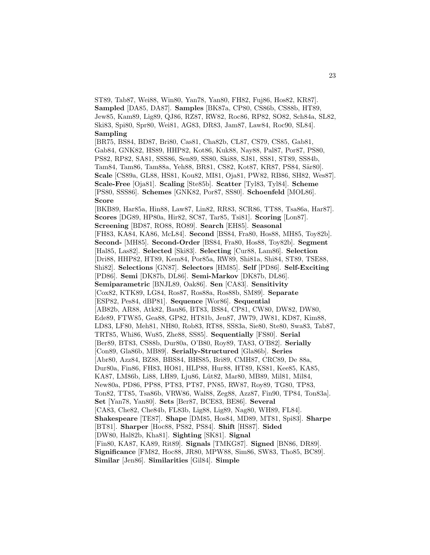ST89, Tab87, Wei88, Win80, Yan78, Yan80, FH82, Fuj86, Hos82, KR87]. **Sampled** [DA85, DA87]. **Samples** [BK87a, CP80, CS86b, CS88b, HT89, Jew85, Kam89, Lig89, QJ86, RZ87, RW82, Roc86, RP82, SO82, Sch84a, SL82, Ski83, Spi80, Spr80, Wei81, AG83, DR83, Jam87, Law84, Roc90, SL84]. **Sampling**

[BR75, BS84, BD87, Bri80, Cas81, Cha82b, CL87, CS79, CS85, Gab81, Gab84, GNK82, HS89, HHP82, Kot86, Kuk88, Nay88, Pal87, Por87, PS80, PS82, RP82, SA81, SSS86, Sen89, SS80, Ski88, SJ81, SS81, ST89, SS84b, Tam84, Tam86, Tam88a, Yeh88, BR81, CS82, Kot87, KR87, PS84, Sär80. **Scale** [CS89a, GL88, HS81, Kou82, MI81, Oja81, PW82, RB86, SH82, Wes87]. **Scale-Free** [Oja81]. **Scaling** [Ste85b]. **Scatter** [Tyl83, Tyl84]. **Scheme** [PS80, SSS86]. **Schemes** [GNK82, Por87, SS80]. **Schoenfeld** [MOL86]. **Score**

[BKB89, Har85a, Hin88, Law87, Lin82, RR83, SCR86, TT88, Tsa86a, Har87]. **Scores** [DG89, HP80a, Hir82, SC87, Tar85, Tsi81]. **Scoring** [Lon87]. **Screening** [BD87, RO88, RO89]. **Search** [EH85]. **Seasonal** [FH83, KA84, KA86, McL84]. **Second** [BS84, Fra80, Hos88, MH85, Toy82b]. **Second-** [MH85]. **Second-Order** [BS84, Fra80, Hos88, Toy82b]. **Segment** [Hal85, Las82]. **Selected** [Ski83]. **Selecting** [Cur88, Lam86]. **Selection** [Dri88, HHP82, HT89, Kem84, Por85a, RW89, Shi81a, Shi84, ST89, TSE88, Shi82]. **Selections** [GN87]. **Selectors** [HM85]. **Self** [PD86]. **Self-Exciting** [PD86]. **Semi** [DK87b, DL86]. **Semi-Markov** [DK87b, DL86]. **Semiparametric** [BNJL89, Oak86]. **Sen** [CA83]. **Sensitivity** [Cox82, KTK89, LG84, Ros87, Ros88a, Ros88b, SM89]. **Separate** [ESP82, Pes84, dBP81]. **Sequence** [Wor86]. **Sequential** [AB82b, AR88, Atk82, Bau86, BT83, BS84, CP81, CW80, DW82, DW80, Ede89, FTW85, Gea88, GP82, HT81b, Jen87, JW79, JW81, KD87, Kim88, LD83, LF80, Meh81, NH80, Rob83, RT88, SS83a, Sie80, Ste80, Swa83, Tab87, TRT85, Whi86, Wu85, Zhe88, SS85]. **Sequentially** [FS80]. **Serial** [Ber89, BT83, CS88b, Dur80a, O'B80, Roy89, TA83, O'B82]. **Serially** [Con89, Gla86b, MB89]. **Serially-Structured** [Gla86b]. **Series** [Abr80, Azz84, BZ88, BBS84, BHS85, Bri89, CMH87, CRC89, De 88a, Dur80a, Fin86, FH83, HO81, HLP88, Hur88, HT89, KS81, Kee85, KA85, KA87, LM86b, Li88, LH89, Lju86, Lüt82, Mar80, MB89, Mil81, Mil84, New80a, PD86, PP88, PT83, PT87, PN85, RW87, Roy89, TG80, TP83, Ton82, TT85, Tsa86b, VRW86, Wal88, Zeg88, Azz87, Fin90, TP84, Ton83a]. **Set** [Yan78, Yan80]. **Sets** [Ber87, BCE83, BE86]. **Several** [CA83, Che82, Che84b, FL83b, Lig88, Lig89, Nag80, WH89, FL84]. **Shakespeare** [TE87]. **Shape** [DM85, Hos84, MD89, MT81, Spi83]. **Sharpe** [BT81]. **Sharper** [Hoc88, PS82, PS84]. **Shift** [HS87]. **Sided** [DW80, Hal82b, Kha81]. **Sighting** [SK81]. **Signal** [Fin80, KA87, KA89, Rit89]. **Signals** [TMKG87]. **Signed** [BN86, DR89]. **Significance** [FM82, Hoc88, JR80, MPW88, Sim86, SW83, Tho85, BC89]. **Similar** [Jen86]. **Similarities** [Gil84]. **Simple**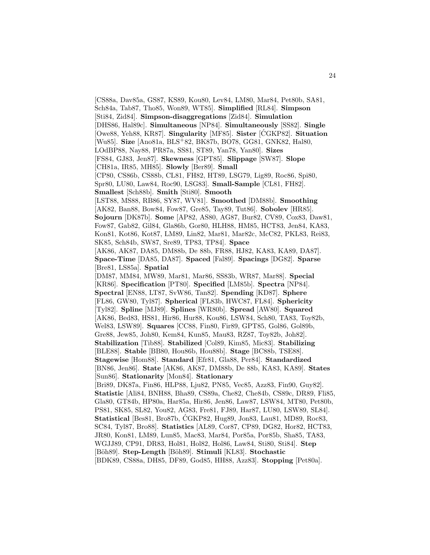[CS88a, Dav85a, GS87, KS89, Kou80, Lev84, LM80, Mar84, Pet80b, SA81, Sch84a, Tab87, Tho85, Won89, WT85]. **Simplified** [RL84]. **Simpson** [Sti84, Zid84]. **Simpson-disaggregations** [Zid84]. **Simulation** [DHS86, Hal89c]. **Simultaneous** [NP84]. **Simultaneously** [SS82]. **Single** [Owe88, Yeh88, KR87]. **Singularity** [MF85]. **Sister** [CGKP82]. ´ **Situation** [Wu85]. **Size** [Ano81a, BLS<sup>+</sup>82, BK87b, BO78, GG81, GNK82, Hal80, LOdBP88, Nay88, PR87a, SS81, ST89, Yan78, Yan80]. **Sizes** [FS84, GJ83, Jen87]. **Skewness** [GPT85]. **Slippage** [SW87]. **Slope** [CH81a, IR85, MH85]. **Slowly** [Ber89]. **Small** [CP80, CS86b, CS88b, CL81, FH82, HT89, LSG79, Lig89, Roc86, Spi80, Spr80, LU80, Law84, Roc90, LSG83]. **Small-Sample** [CL81, FH82]. **Smallest** [Sch88b]. **Smith** [Sti80]. **Smooth** [LST88, MS88, RB86, SY87, WV81]. **Smoothed** [DM88b]. **Smoothing** [AK82, Ban88, Bow84, Fow87, Gre85, Tay89, Tut86]. **Sobolev** [HR85]. **Sojourn** [DK87b]. **Some** [AP82, AS80, AG87, Bur82, CV89, Cox83, Daw81, Fow87, Gab82, Gil84, Gla86b, Gor80, HLH88, HM85, HCT83, Jen84, KA83, Kon81, Kot86, Kot87, LM89, Lin82, Mar81, Mar82c, McC82, PKL83, Rei83, SK85, Sch84b, SW87, Sre89, TP83, TP84]. **Space** [AK86, AK87, DA85, DM88b, De 88b, FR88, HJ82, KA83, KA89, DA87]. **Space-Time** [DA85, DA87]. **Spaced** [Fal89]. **Spacings** [DG82]. **Sparse** [Bre81, LS85a]. **Spatial** [DM87, MM84, MW89, Mar81, Mar86, SS83b, WR87, Mar88]. **Special** [KR86]. **Specification** [PT80]. **Specified** [LM85b]. **Spectra** [NP84]. **Spectral** [EN88, LT87, SvW86, Tan82]. **Spending** [KD87]. **Sphere** [FL86, GW80, Tyl87]. **Spherical** [FL83b, HWC87, FL84]. **Sphericity** [Tyl82]. **Spline** [MJ89]. **Splines** [WR80b]. **Spread** [AW80]. **Squared** [AK86, Bed83, HS81, Hir86, Hur88, Kou86, LSW84, Sch80, TA83, Toy82b, Wel83, LSW89]. **Squares** [CC88, Fin80, Fir89, GPT85, Gol86, Gol89b, Gre88, Jew85, Joh80, Kem84, Kun85, Mau83, RZ87, Toy82b, Joh82]. **Stabilization** [Tib88]. **Stabilized** [Col89, Kim85, Mic83]. **Stabilizing** [BLE88]. **Stable** [BB80, Hou86b, Hou88b]. **Stage** [BC88b, TSE88]. **Stagewise** [Hom88]. **Standard** [Efr81, Gla88, Per84]. **Standardized** [BN86, Jen86]. **State** [AK86, AK87, DM88b, De 88b, KA83, KA89]. **States** [Sun86]. **Stationarity** [Mon84]. **Stationary** [Bri89, DK87a, Fin86, HLP88, Lju82, PN85, Vec85, Azz83, Fin90, Guy82]. **Statistic** [Ali84, BNH88, Bha89, CS89a, Che82, Che84b, CS89c, DR89, Fli85, Gla80, GT84b, HP80a, Har85a, Hir86, Jen86, Law87, LSW84, MT80, Pet80b, PS81, SK85, SL82, You82, AG83, Fre81, FJ89, Har87, LU80, LSW89, SL84]. **Statistical** [Bes81, Bro87b, CGKP82, Hug89, Jon83, Lau81, MD89, Roc83, ´ SC84, Tyl87, Bro88]. **Statistics** [AL89, Cor87, CP89, DG82, Hor82, HCT83, JR80, Kon81, LM89, Lun85, Mac83, Mar84, Por85a, Por85b, Sha85, TA83, WGJJ89, CP91, DR83, Hol81, Hol82, Hol86, Law84, Sti80, Sti84]. **Step** [B¨oh89]. **Step-Length** [B¨oh89]. **Stimuli** [KL83]. **Stochastic** [BDK89, CS88a, DH85, DF89, God85, HH88, Azz83]. **Stopping** [Pet80a].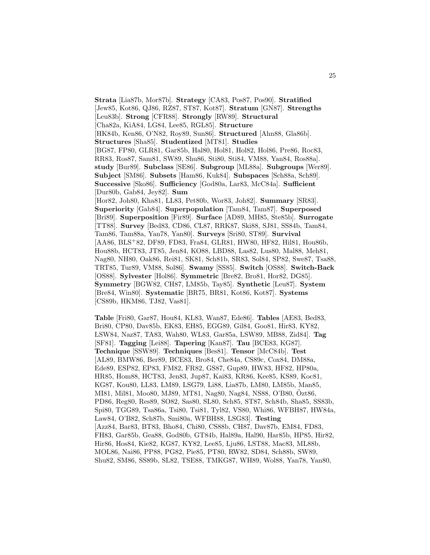**Strata** [Lia87b, Mor87b]. **Strategy** [CA83, Pos87, Pos90]. **Stratified** [Jew85, Kot86, QJ86, RZ87, ST87, Kot87]. **Stratum** [GN87]. **Strengths** [Leu83b]. **Strong** [CFR88]. **Strongly** [RW89]. **Structural** [Cha82a, KiA84, LG84, Lee85, RGL85]. **Structure** [HK84b, Ken86, O'N82, Roy89, Sun86]. **Structured** [Ahn88, Gla86b]. **Structures** [Sha85]. **Studentized** [MT81]. **Studies** [BG87, FP80, GLR81, Gar85b, Hal80, Hol81, Hol82, Hol86, Pre86, Roc83, RR83, Ros87, Sam81, SW89, Shu86, Sti80, Sti84, VM88, Yan84, Ros88a]. **study** [Bur89]. **Subclass** [SE86]. **Subgroup** [ML88a]. **Subgroups** [Wer89]. **Subject** [SM86]. **Subsets** [Ham86, Kuk84]. **Subspaces** [Sch88a, Sch89]. **Successive** [Sko86]. **Sufficiency** [God80a, Lar83, McC84a]. **Sufficient** [Dur80b, Gab84, Jey82]. **Sum** [Hor82, Joh80, Kha81, LL83, Pet80b, Wor83, Joh82]. **Summary** [SR83]. **Superiority** [Gab84]. **Superpopulation** [Tam84, Tam87]. **Superposed** [Bri89]. **Superposition** [Fir89]. **Surface** [AD89, MH85, Ste85b]. **Surrogate** [TT88]. **Survey** [Bed83, CD86, CL87, RRK87, Ski88, SJ81, SS84b, Tam84, Tam86, Tam88a, Yan78, Yan80]. **Surveys** [Sri80, ST89]. **Survival** [AA86, BLS<sup>+</sup>82, DF89, FD83, Fra84, GLR81, HW80, HF82, Hil81, Hou86b, Hou88b, HCT83, JT85, Jen84, KO88, LBD88, Las82, Lus80, Mal88, Meh81, Nag80, NH80, Oak86, Rei81, SK81, Sch81b, SR83, Sol84, SP82, Swe87, Tsa88, TRT85, Tur89, VM88, Sol86]. **Swamy** [SS85]. **Switch** [OS88]. **Switch-Back** [OS88]. **Sylvester** [Hol86]. **Symmetric** [Bre82, Bro81, Hor82, DG85]. **Symmetry** [BGW82, CH87, LM85b, Tay85]. **Synthetic** [Leu87]. **System** [Bre84, Win80]. **Systematic** [BR75, BR81, Kot86, Kot87]. **Systems** [CS89b, HKM86, TJ82, Vas81].

**Table** [Fri80, Gar87, Hou84, KL83, Wan87, Ede86]. **Tables** [AE83, Bed83, Bri80, CP80, Dav85b, EK83, EH85, EGG89, Gil84, Goo81, Hir83, KY82, LSW84, Naz87, TA83, Wah80, WL83, Gar85a, LSW89, MB88, Zid84]. **Tag** [SF81]. **Tagging** [Lei88]. **Tapering** [Kan87]. **Tau** [BCE83, KG87]. **Technique** [SSW89]. **Techniques** [Bes81]. **Tensor** [McC84b]. **Test** [AL89, BMW86, Ber89, BCE83, Bro84, Che84a, CS89c, Cox84, DM88a, Ede89, ESP82, EP83, FM82, FR82, GS87, Gup89, HW83, HF82, HP80a, HR85, Hom88, HCT83, Jen83, Jup87, Kai83, KR86, Kee85, KS89, Koc81, KG87, Kou80, LL83, LM89, LSG79, Li88, Lia87b, LM80, LM85b, Man85, MI81, Mil81, Moo80, MJ89, MT81, Nag80, Nag84, NS88, O'B80, Ozt86, ¨ PD86, Reg80, Res89, SO82, Sas80, SL80, Sch85, ST87, Sch84b, Sha85, SS83b, Spi80, TGG89, Tsa86a, Tsi80, Tsi81, Tyl82, VS80, Whi86, WFBH87, HW84a, Law84, O'B82, Sch87b, Smi80a, WFBH88, LSG83]. **Testing** [Azz84, Bar83, BT83, Bho84, Chi80, CS88b, CH87, Dav87b, EM84, FD83, FH83, Gar85b, Gea88, God80b, GT84b, Hal89a, Hal90, Har85b, HP85, Hir82, Hir86, Hos84, Kie82, KG87, KY82, Lee85, Lju86, LST88, Mac83, ML88b, MOL86, Nai86, PP88, PG82, Pie85, PT80, RW82, SD84, Sch88b, SW89, Shu82, SM86, SS89b, SL82, TSE88, TMKG87, WH89, Wol88, Yan78, Yan80,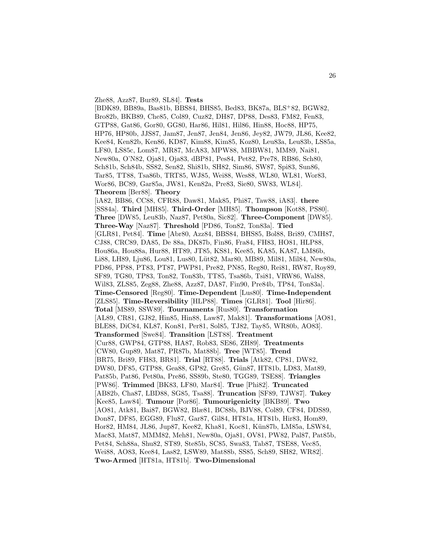#### Zhe88, Azz87, Bur89, SL84]. **Tests**

[BDK89, BB89a, Bas81b, BBS84, BHS85, Bed83, BK87a, BLS<sup>+</sup>82, BGW82, Bro82b, BKB89, Che85, Col89, Cuz82, DH87, DP88, Des83, FM82, Fen83, GTP88, Gat86, Gor80, GG80, Har86, Hil81, Hil86, Hin88, Hoc88, HP75, HP76, HP80b, JJS87, Jam87, Jen87, Jen84, Jen86, Jey82, JW79, JL86, Kee82, Kee84, Ken82b, Ken86, KD87, Kim88, Kim85, Koz80, Leu83a, Leu83b, LS85a, LF80, LS85c, Lom87, MR87, McA83, MPW88, MBBW81, MM89, Nai81, New80a, O'N82, Oja81, Oja83, dBP81, Pes84, Pet82, Pre78, RB86, Sch80, Sch81b, Sch84b, SS82, Sen82, Shi81b, SH82, Sim86, SW87, Spi83, Sun86, Tar85, TT88, Tsa86b, TRT85, WJ85, Wei88, Wes88, WL80, WL81, Wor83, Wor86, BC89, Gar85a, JW81, Ken82a, Pre83, Sie80, SW83, WL84]. **Theorem** [Ber88]. **Theory** [iA82, BB86, CC88, CFR88, Daw81, Mak85, Phi87, Taw88, iA83]. **there** [SS84a]. **Third** [MH85]. **Third-Order** [MH85]. **Thompson** [Kot88, PS80]. **Three** [DW85, Leu83b, Naz87, Pet80a, Sic82]. **Three-Component** [DW85]. **Three-Way** [Naz87]. **Threshold** [PD86, Ton82, Ton83a]. **Tied** [GLR81, Pet84]. **Time** [Abr80, Azz84, BBS84, BHS85, Bol88, Bri89, CMH87, CJ88, CRC89, DA85, De 88a, DK87b, Fin86, Fra84, FH83, HO81, HLP88, Hou86a, Hou88a, Hur88, HT89, JT85, KS81, Kee85, KA85, KA87, LM86b, Li88, LH89, Lju86, Lou81, Lus80, Lüt82, Mar80, MB89, Mil81, Mil84, New80a, PD86, PP88, PT83, PT87, PWP81, Pre82, PN85, Reg80, Rei81, RW87, Roy89, SF89, TG80, TP83, Ton82, Ton83b, TT85, Tsa86b, Tsi81, VRW86, Wal88, Wil83, ZLS85, Zeg88, Zhe88, Azz87, DA87, Fin90, Pre84b, TP84, Ton83a]. **Time-Censored** [Reg80]. **Time-Dependent** [Lus80]. **Time-Independent** [ZLS85]. **Time-Reversibility** [HLP88]. **Times** [GLR81]. **Tool** [Hir86]. **Total** [MS89, SSW89]. **Tournaments** [Rus80]. **Transformation** [AL89, CR81, GJ82, Hin85, Hin88, Law87, Mak81]. **Transformations** [AO81, BLE88, DiC84, KL87, Kon81, Per81, Sol85, TJ82, Tay85, WR80b, AO83]. **Transformed** [Swe84]. **Transition** [LST88]. **Treatment** [Cur88, GWP84, GTP88, HA87, Rob83, SE86, ZH89]. **Treatments** [CW80, Gup89, Mat87, PR87b, Mat88b]. **Tree** [WT85]. **Trend** [BR75, Bri89, FH83, BR81]. **Trial** [RT88]. **Trials** [Atk82, CP81, DW82, DW80, DF85, GTP88, Gea88, GP82, Gre85, Gün87, HT81b, LD83, Mat89, Pat85b, Pat86, Pet80a, Pre86, SS89b, Ste80, TGG89, TSE88]. **Triangles** [PW86]. **Trimmed** [BK83, LF80, Mar84]. **True** [Phi82]. **Truncated** [AB82b, Cha87, LBD88, SG85, Tsa88]. **Truncation** [SF89, TJW87]. **Tukey** [Kee85, Law84]. **Tumour** [Por86]. **Tumourigenicity** [BKB89]. **Two** [AO81, Atk81, Bai87, BGW82, Blæ81, BC88b, BJV88, Col89, CF84, DDS89, Don87, DF85, EGG89, Flu87, Gar87, Gil84, HT81a, HT81b, Hir83, Hom89, Hor82, HM84, JL86, Jup87, Kee82, Kha81, Koc81, Kün87b, LM85a, LSW84, Mac83, Mat87, MMM82, Meh81, New80a, Oja81, OV81, PW82, Pal87, Pat85b, Pet84, Sch88a, Shu82, ST89, Ste85b, SC85, Swa83, Tab87, TSE88, Vec85, Wei88, AO83, Kee84, Las82, LSW89, Mat88b, SS85, Sch89, SH82, WR82]. **Two-Armed** [HT81a, HT81b]. **Two-Dimensional**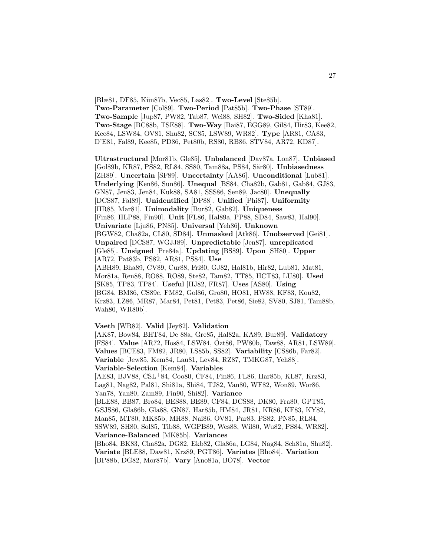[Blæ81, DF85, Kün87b, Vec85, Las82]. **Two-Level** [Ste85b]. **Two-Parameter** [Col89]. **Two-Period** [Pat85b]. **Two-Phase** [ST89]. **Two-Sample** [Jup87, PW82, Tab87, Wei88, SH82]. **Two-Sided** [Kha81]. **Two-Stage** [BC88b, TSE88]. **Two-Way** [Bai87, EGG89, Gil84, Hir83, Kee82, Kee84, LSW84, OV81, Shu82, SC85, LSW89, WR82]. **Type** [AR81, CA83, D'E81, Fal89, Kee85, PD86, Pet80b, RS80, RB86, STV84, AR72, KD87].

**Ultrastructural** [Mor81b, Gle85]. **Unbalanced** [Dav87a, Lon87]. **Unbiased** [Gol89b, KR87, PS82, RL84, SS80, Tam88a, PS84, Sär80]. **Unbiasedness** [ZH89]. **Uncertain** [SF89]. **Uncertainty** [AA86]. **Unconditional** [Lub81]. **Underlying** [Ken86, Sun86]. **Unequal** [BS84, Cha82b, Gab81, Gab84, GJ83, GN87, Jen83, Jen84, Kuk88, SA81, SSS86, Sen89, Jac80]. **Unequally** [DCS87, Fal89]. **Unidentified** [DP88]. **Unified** [Phi87]. **Uniformity** [HR85, Mar81]. **Unimodality** [Bur82, Gab82]. **Uniqueness** [Fin86, HLP88, Fin90]. **Unit** [FL86, Hal89a, PP88, SD84, Saw83, Hal90]. **Univariate** [Lju86, PN85]. **Universal** [Yeh86]. **Unknown** [BGW82, Cha82a, CL80, SD84]. **Unmasked** [Atk86]. **Unobserved** [Gei81]. **Unpaired** [DCS87, WGJJ89]. **Unpredictable** [Jen87]. **unreplicated** [Gle85]. **Unsigned** [Pre84a]. **Updating** [BS89]. **Upon** [SH80]. **Upper** [AR72, Pat83b, PS82, AR81, PS84]. **Use** [ABH89, Bha89, CV89, Cur88, Fri80, GJ82, Hal81b, Hir82, Lub81, Mat81, Mor81a, Ren88, RO88, RO89, Ste82, Tam82, TT85, HCT83, LU80]. **Used** [SK85, TP83, TP84]. **Useful** [HJ82, FR87]. **Uses** [AS80]. **Using** [BG84, BM86, CS89c, FM82, Gol86, Gro80, HO81, HW88, KF83, Kou82, Krz83, LZ86, MR87, Mar84, Pet81, Pet83, Pet86, Sie82, SV80, SJ81, Tam88b, Wah80, WR80b].

**Vaeth** [WR82]. **Valid** [Jey82]. **Validation**

[AK87, Bow84, BHT84, De 88a, Gre85, Hal82a, KA89, Bur89]. **Validatory** [FS84]. **Value** [AR72, Hos84, LSW84, Özt86, PW80b, Taw88, AR81, LSW89]. **Values** [BCE83, FM82, JR80, LS85b, SS82]. **Variability** [CS86b, Far82]. **Variable** [Jew85, Kem84, Lau81, Lev84, RZ87, TMKG87, Yeh88]. **Variable-Selection** [Kem84]. **Variables** [AE83, BJV88, CSL<sup>+</sup>84, Coo80, CF84, Fin86, FL86, Har85b, KL87, Krz83, Lag81, Nag82, Pal81, Shi81a, Shi84, TJ82, Van80, WF82, Won89, Wor86, Yan78, Yan80, Zam89, Fin90, Shi82]. **Variance** [BLE88, BB87, Bro84, BES88, BE89, CF84, DCS88, DK80, Fra80, GPT85, GSJS86, Gla86b, Gla88, GN87, Har85b, HM84, JR81, KR86, KF83, KY82, Man85, MT80, MK85b, MH88, Nai86, OV81, Par83, PS82, PN85, RL84, SSW89, SH80, Sol85, Tib88, WGPB89, Wes88, Wil80, Wu82, PS84, WR82]. **Variance-Balanced** [MK85b]. **Variances** [Bho84, BK83, Cha82a, DG82, Ekb82, Gla86a, LG84, Nag84, Sch81a, Shu82]. **Variate** [BLE88, Daw81, Krz89, PGT86]. **Variates** [Bho84]. **Variation** [BP88b, DG82, Mor87b]. **Vary** [Ano81a, BO78]. **Vector**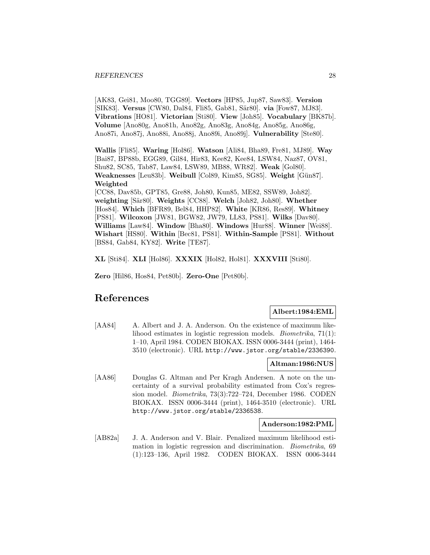[AK83, Gei81, Moo80, TGG89]. **Vectors** [HP85, Jup87, Saw83]. **Version** [SIK83]. **Versus** [CW80, Dal84, Fli85, Gab81, Sär80]. **via** [Fow87, MJ83]. **Vibrations** [HO81]. **Victorian** [Sti80]. **View** [Joh85]. **Vocabulary** [BK87b]. **Volume** [Ano80g, Ano81h, Ano82g, Ano83g, Ano84g, Ano85g, Ano86g, Ano87i, Ano87j, Ano88i, Ano88j, Ano89i, Ano89j]. **Vulnerability** [Ste80].

**Wallis** [Fli85]. **Waring** [Hol86]. **Watson** [Ali84, Bha89, Fre81, MJ89]. **Way** [Bai87, BP88b, EGG89, Gil84, Hir83, Kee82, Kee84, LSW84, Naz87, OV81, Shu82, SC85, Tab87, Law84, LSW89, MB88, WR82]. **Weak** [Gol80]. **Weaknesses** [Leu83b]. **Weibull** [Col89, Kim85, SG85]. **Weight** [Gün87]. **Weighted**

[CC88, Dav85b, GPT85, Gre88, Joh80, Kun85, ME82, SSW89, Joh82]. **weighting** [S¨ar80]. **Weights** [CC88]. **Welch** [Joh82, Joh80]. **Whether** [Hos84]. **Which** [BFR89, Bel84, HHP82]. **White** [KR86, Res89]. **Whitney** [PS81]. **Wilcoxon** [JW81, BGW82, JW79, LL83, PS81]. **Wilks** [Dav80]. **Williams** [Law84]. **Window** [Bha80]. **Windows** [Hur88]. **Winner** [Wei88]. **Wishart** [HS80]. **Within** [Bec81, PS81]. **Within-Sample** [PS81]. **Without** [BS84, Gab84, KY82]. **Write** [TE87].

**XL** [Sti84]. **XLI** [Hol86]. **XXXIX** [Hol82, Hol81]. **XXXVIII** [Sti80].

**Zero** [Hil86, Hos84, Pet80b]. **Zero-One** [Pet80b].

## **References**

## **Albert:1984:EML**

[AA84] A. Albert and J. A. Anderson. On the existence of maximum likelihood estimates in logistic regression models. Biometrika, 71(1): 1–10, April 1984. CODEN BIOKAX. ISSN 0006-3444 (print), 1464- 3510 (electronic). URL http://www.jstor.org/stable/2336390.

#### **Altman:1986:NUS**

[AA86] Douglas G. Altman and Per Kragh Andersen. A note on the uncertainty of a survival probability estimated from Cox's regression model. Biometrika, 73(3):722–724, December 1986. CODEN BIOKAX. ISSN 0006-3444 (print), 1464-3510 (electronic). URL http://www.jstor.org/stable/2336538.

#### **Anderson:1982:PML**

[AB82a] J. A. Anderson and V. Blair. Penalized maximum likelihood estimation in logistic regression and discrimination. Biometrika, 69 (1):123–136, April 1982. CODEN BIOKAX. ISSN 0006-3444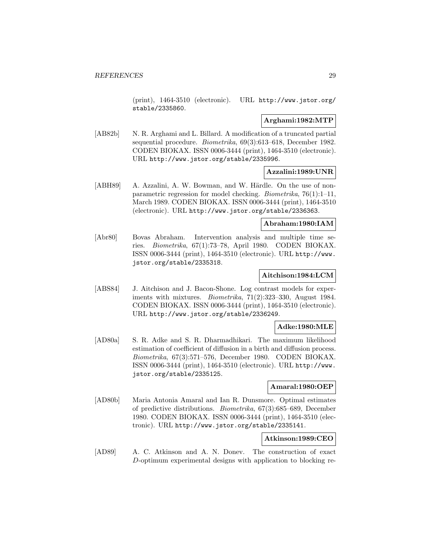(print), 1464-3510 (electronic). URL http://www.jstor.org/ stable/2335860.

## **Arghami:1982:MTP**

[AB82b] N. R. Arghami and L. Billard. A modification of a truncated partial sequential procedure. Biometrika, 69(3):613–618, December 1982. CODEN BIOKAX. ISSN 0006-3444 (print), 1464-3510 (electronic). URL http://www.jstor.org/stable/2335996.

## **Azzalini:1989:UNR**

[ABH89] A. Azzalini, A. W. Bowman, and W. Härdle. On the use of nonparametric regression for model checking. Biometrika, 76(1):1–11, March 1989. CODEN BIOKAX. ISSN 0006-3444 (print), 1464-3510 (electronic). URL http://www.jstor.org/stable/2336363.

## **Abraham:1980:IAM**

[Abr80] Bovas Abraham. Intervention analysis and multiple time series. Biometrika, 67(1):73–78, April 1980. CODEN BIOKAX. ISSN 0006-3444 (print), 1464-3510 (electronic). URL http://www. jstor.org/stable/2335318.

#### **Aitchison:1984:LCM**

[ABS84] J. Aitchison and J. Bacon-Shone. Log contrast models for experiments with mixtures. *Biometrika*, 71(2):323-330, August 1984. CODEN BIOKAX. ISSN 0006-3444 (print), 1464-3510 (electronic). URL http://www.jstor.org/stable/2336249.

## **Adke:1980:MLE**

[AD80a] S. R. Adke and S. R. Dharmadhikari. The maximum likelihood estimation of coefficient of diffusion in a birth and diffusion process. Biometrika, 67(3):571–576, December 1980. CODEN BIOKAX. ISSN 0006-3444 (print), 1464-3510 (electronic). URL http://www. jstor.org/stable/2335125.

## **Amaral:1980:OEP**

[AD80b] Maria Antonia Amaral and Ian R. Dunsmore. Optimal estimates of predictive distributions. Biometrika, 67(3):685–689, December 1980. CODEN BIOKAX. ISSN 0006-3444 (print), 1464-3510 (electronic). URL http://www.jstor.org/stable/2335141.

## **Atkinson:1989:CEO**

[AD89] A. C. Atkinson and A. N. Donev. The construction of exact D-optimum experimental designs with application to blocking re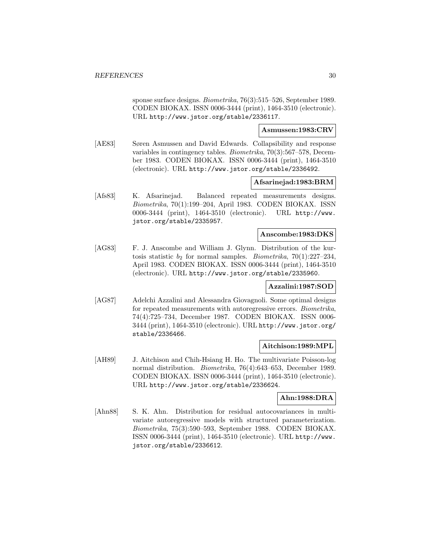sponse surface designs. Biometrika, 76(3):515–526, September 1989. CODEN BIOKAX. ISSN 0006-3444 (print), 1464-3510 (electronic). URL http://www.jstor.org/stable/2336117.

## **Asmussen:1983:CRV**

[AE83] Søren Asmussen and David Edwards. Collapsibility and response variables in contingency tables. Biometrika, 70(3):567–578, December 1983. CODEN BIOKAX. ISSN 0006-3444 (print), 1464-3510 (electronic). URL http://www.jstor.org/stable/2336492.

## **Afsarinejad:1983:BRM**

[Afs83] K. Afsarinejad. Balanced repeated measurements designs. Biometrika, 70(1):199–204, April 1983. CODEN BIOKAX. ISSN 0006-3444 (print), 1464-3510 (electronic). URL http://www. jstor.org/stable/2335957.

## **Anscombe:1983:DKS**

[AG83] F. J. Anscombe and William J. Glynn. Distribution of the kurtosis statistic  $b_2$  for normal samples. *Biometrika*, 70(1):227–234, April 1983. CODEN BIOKAX. ISSN 0006-3444 (print), 1464-3510 (electronic). URL http://www.jstor.org/stable/2335960.

#### **Azzalini:1987:SOD**

[AG87] Adelchi Azzalini and Alessandra Giovagnoli. Some optimal designs for repeated measurements with autoregressive errors. Biometrika, 74(4):725–734, December 1987. CODEN BIOKAX. ISSN 0006- 3444 (print), 1464-3510 (electronic). URL http://www.jstor.org/ stable/2336466.

#### **Aitchison:1989:MPL**

[AH89] J. Aitchison and Chih-Hsiang H. Ho. The multivariate Poisson-log normal distribution. Biometrika, 76(4):643–653, December 1989. CODEN BIOKAX. ISSN 0006-3444 (print), 1464-3510 (electronic). URL http://www.jstor.org/stable/2336624.

#### **Ahn:1988:DRA**

[Ahn88] S. K. Ahn. Distribution for residual autocovariances in multivariate autoregressive models with structured parameterization. Biometrika, 75(3):590–593, September 1988. CODEN BIOKAX. ISSN 0006-3444 (print), 1464-3510 (electronic). URL http://www. jstor.org/stable/2336612.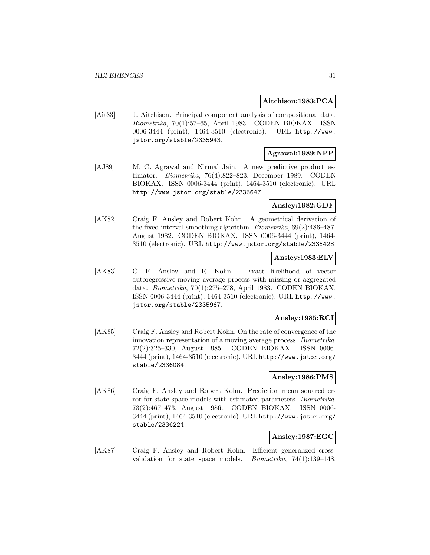## **Aitchison:1983:PCA**

[Ait83] J. Aitchison. Principal component analysis of compositional data. Biometrika, 70(1):57–65, April 1983. CODEN BIOKAX. ISSN 0006-3444 (print), 1464-3510 (electronic). URL http://www. jstor.org/stable/2335943.

## **Agrawal:1989:NPP**

[AJ89] M. C. Agrawal and Nirmal Jain. A new predictive product estimator. Biometrika, 76(4):822–823, December 1989. CODEN BIOKAX. ISSN 0006-3444 (print), 1464-3510 (electronic). URL http://www.jstor.org/stable/2336647.

#### **Ansley:1982:GDF**

[AK82] Craig F. Ansley and Robert Kohn. A geometrical derivation of the fixed interval smoothing algorithm. Biometrika, 69(2):486–487, August 1982. CODEN BIOKAX. ISSN 0006-3444 (print), 1464- 3510 (electronic). URL http://www.jstor.org/stable/2335428.

## **Ansley:1983:ELV**

[AK83] C. F. Ansley and R. Kohn. Exact likelihood of vector autoregressive-moving average process with missing or aggregated data. Biometrika, 70(1):275–278, April 1983. CODEN BIOKAX. ISSN 0006-3444 (print), 1464-3510 (electronic). URL http://www. jstor.org/stable/2335967.

## **Ansley:1985:RCI**

[AK85] Craig F. Ansley and Robert Kohn. On the rate of convergence of the innovation representation of a moving average process. Biometrika, 72(2):325–330, August 1985. CODEN BIOKAX. ISSN 0006- 3444 (print), 1464-3510 (electronic). URL http://www.jstor.org/ stable/2336084.

## **Ansley:1986:PMS**

[AK86] Craig F. Ansley and Robert Kohn. Prediction mean squared error for state space models with estimated parameters. Biometrika, 73(2):467–473, August 1986. CODEN BIOKAX. ISSN 0006- 3444 (print), 1464-3510 (electronic). URL http://www.jstor.org/ stable/2336224.

## **Ansley:1987:EGC**

[AK87] Craig F. Ansley and Robert Kohn. Efficient generalized crossvalidation for state space models. Biometrika, 74(1):139–148,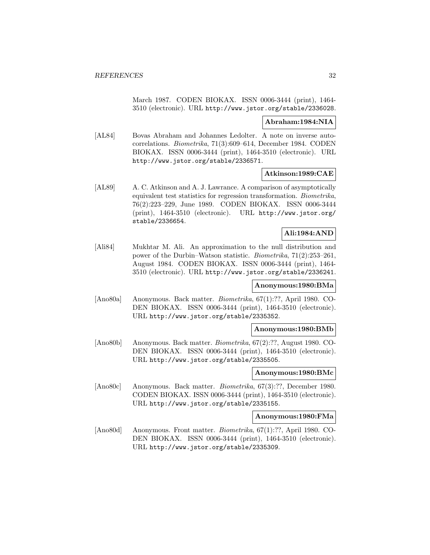March 1987. CODEN BIOKAX. ISSN 0006-3444 (print), 1464- 3510 (electronic). URL http://www.jstor.org/stable/2336028.

## **Abraham:1984:NIA**

[AL84] Bovas Abraham and Johannes Ledolter. A note on inverse autocorrelations. Biometrika, 71(3):609–614, December 1984. CODEN BIOKAX. ISSN 0006-3444 (print), 1464-3510 (electronic). URL http://www.jstor.org/stable/2336571.

## **Atkinson:1989:CAE**

[AL89] A. C. Atkinson and A. J. Lawrance. A comparison of asymptotically equivalent test statistics for regression transformation. Biometrika, 76(2):223–229, June 1989. CODEN BIOKAX. ISSN 0006-3444 (print), 1464-3510 (electronic). URL http://www.jstor.org/ stable/2336654.

## **Ali:1984:AND**

[Ali84] Mukhtar M. Ali. An approximation to the null distribution and power of the Durbin–Watson statistic. Biometrika, 71(2):253–261, August 1984. CODEN BIOKAX. ISSN 0006-3444 (print), 1464- 3510 (electronic). URL http://www.jstor.org/stable/2336241.

## **Anonymous:1980:BMa**

[Ano80a] Anonymous. Back matter. Biometrika, 67(1):??, April 1980. CO-DEN BIOKAX. ISSN 0006-3444 (print), 1464-3510 (electronic). URL http://www.jstor.org/stable/2335352.

#### **Anonymous:1980:BMb**

[Ano80b] Anonymous. Back matter. Biometrika, 67(2):??, August 1980. CO-DEN BIOKAX. ISSN 0006-3444 (print), 1464-3510 (electronic). URL http://www.jstor.org/stable/2335505.

## **Anonymous:1980:BMc**

[Ano80c] Anonymous. Back matter. Biometrika, 67(3):??, December 1980. CODEN BIOKAX. ISSN 0006-3444 (print), 1464-3510 (electronic). URL http://www.jstor.org/stable/2335155.

#### **Anonymous:1980:FMa**

[Ano80d] Anonymous. Front matter. Biometrika, 67(1):??, April 1980. CO-DEN BIOKAX. ISSN 0006-3444 (print), 1464-3510 (electronic). URL http://www.jstor.org/stable/2335309.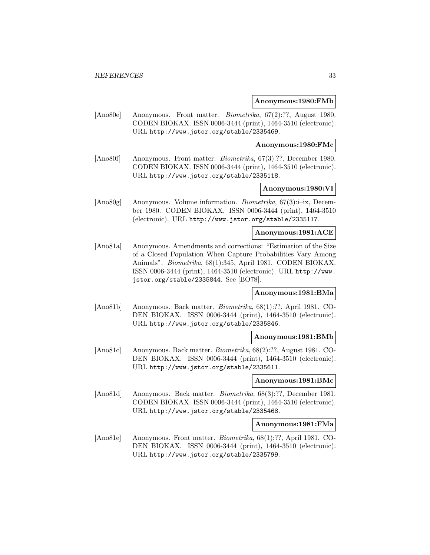#### **Anonymous:1980:FMb**

[Ano80e] Anonymous. Front matter. Biometrika, 67(2):??, August 1980. CODEN BIOKAX. ISSN 0006-3444 (print), 1464-3510 (electronic). URL http://www.jstor.org/stable/2335469.

**Anonymous:1980:FMc**

[Ano80f] Anonymous. Front matter. Biometrika, 67(3):??, December 1980. CODEN BIOKAX. ISSN 0006-3444 (print), 1464-3510 (electronic). URL http://www.jstor.org/stable/2335118.

## **Anonymous:1980:VI**

[Ano80g] Anonymous. Volume information. Biometrika, 67(3):i–ix, December 1980. CODEN BIOKAX. ISSN 0006-3444 (print), 1464-3510 (electronic). URL http://www.jstor.org/stable/2335117.

#### **Anonymous:1981:ACE**

[Ano81a] Anonymous. Amendments and corrections: "Estimation of the Size of a Closed Population When Capture Probabilities Vary Among Animals". Biometrika, 68(1):345, April 1981. CODEN BIOKAX. ISSN 0006-3444 (print), 1464-3510 (electronic). URL http://www. jstor.org/stable/2335844. See [BO78].

## **Anonymous:1981:BMa**

[Ano81b] Anonymous. Back matter. Biometrika, 68(1):??, April 1981. CO-DEN BIOKAX. ISSN 0006-3444 (print), 1464-3510 (electronic). URL http://www.jstor.org/stable/2335846.

#### **Anonymous:1981:BMb**

[Ano81c] Anonymous. Back matter. Biometrika, 68(2):??, August 1981. CO-DEN BIOKAX. ISSN 0006-3444 (print), 1464-3510 (electronic). URL http://www.jstor.org/stable/2335611.

#### **Anonymous:1981:BMc**

[Ano81d] Anonymous. Back matter. *Biometrika*, 68(3):??, December 1981. CODEN BIOKAX. ISSN 0006-3444 (print), 1464-3510 (electronic). URL http://www.jstor.org/stable/2335468.

#### **Anonymous:1981:FMa**

[Ano81e] Anonymous. Front matter. Biometrika, 68(1):??, April 1981. CO-DEN BIOKAX. ISSN 0006-3444 (print), 1464-3510 (electronic). URL http://www.jstor.org/stable/2335799.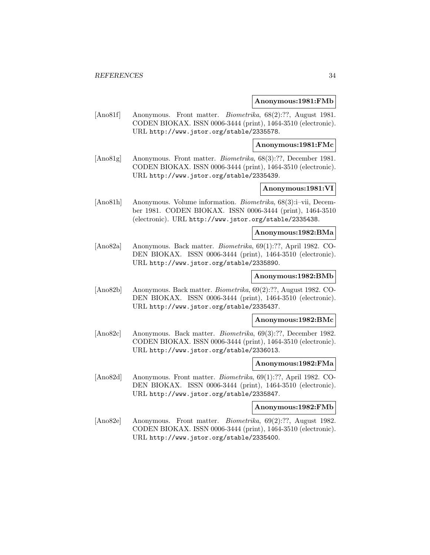#### **Anonymous:1981:FMb**

[Ano81f] Anonymous. Front matter. *Biometrika*, 68(2):??, August 1981. CODEN BIOKAX. ISSN 0006-3444 (print), 1464-3510 (electronic). URL http://www.jstor.org/stable/2335578.

**Anonymous:1981:FMc**

[Ano81g] Anonymous. Front matter. Biometrika, 68(3):??, December 1981. CODEN BIOKAX. ISSN 0006-3444 (print), 1464-3510 (electronic). URL http://www.jstor.org/stable/2335439.

## **Anonymous:1981:VI**

[Ano81h] Anonymous. Volume information. Biometrika, 68(3):i–vii, December 1981. CODEN BIOKAX. ISSN 0006-3444 (print), 1464-3510 (electronic). URL http://www.jstor.org/stable/2335438.

#### **Anonymous:1982:BMa**

[Ano82a] Anonymous. Back matter. Biometrika, 69(1):??, April 1982. CO-DEN BIOKAX. ISSN 0006-3444 (print), 1464-3510 (electronic). URL http://www.jstor.org/stable/2335890.

## **Anonymous:1982:BMb**

[Ano82b] Anonymous. Back matter. Biometrika, 69(2):??, August 1982. CO-DEN BIOKAX. ISSN 0006-3444 (print), 1464-3510 (electronic). URL http://www.jstor.org/stable/2335437.

#### **Anonymous:1982:BMc**

[Ano82c] Anonymous. Back matter. Biometrika, 69(3):??, December 1982. CODEN BIOKAX. ISSN 0006-3444 (print), 1464-3510 (electronic). URL http://www.jstor.org/stable/2336013.

#### **Anonymous:1982:FMa**

[Ano82d] Anonymous. Front matter. Biometrika, 69(1):??, April 1982. CO-DEN BIOKAX. ISSN 0006-3444 (print), 1464-3510 (electronic). URL http://www.jstor.org/stable/2335847.

**Anonymous:1982:FMb**

[Ano82e] Anonymous. Front matter. Biometrika, 69(2):??, August 1982. CODEN BIOKAX. ISSN 0006-3444 (print), 1464-3510 (electronic). URL http://www.jstor.org/stable/2335400.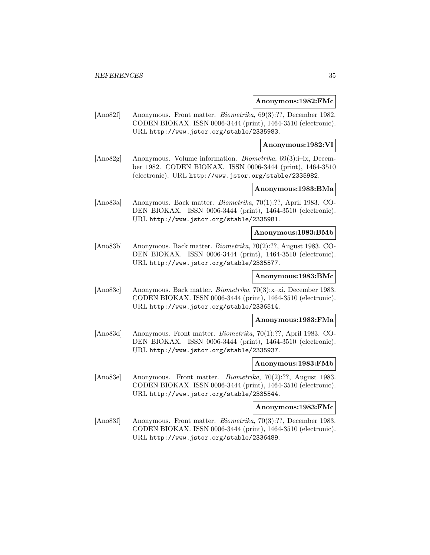#### **Anonymous:1982:FMc**

[Ano82f] Anonymous. Front matter. *Biometrika*, 69(3):??, December 1982. CODEN BIOKAX. ISSN 0006-3444 (print), 1464-3510 (electronic). URL http://www.jstor.org/stable/2335983.

**Anonymous:1982:VI**

[Ano82g] Anonymous. Volume information. Biometrika, 69(3):i–ix, December 1982. CODEN BIOKAX. ISSN 0006-3444 (print), 1464-3510 (electronic). URL http://www.jstor.org/stable/2335982.

## **Anonymous:1983:BMa**

[Ano83a] Anonymous. Back matter. Biometrika, 70(1):??, April 1983. CO-DEN BIOKAX. ISSN 0006-3444 (print), 1464-3510 (electronic). URL http://www.jstor.org/stable/2335981.

#### **Anonymous:1983:BMb**

[Ano83b] Anonymous. Back matter. Biometrika, 70(2):??, August 1983. CO-DEN BIOKAX. ISSN 0006-3444 (print), 1464-3510 (electronic). URL http://www.jstor.org/stable/2335577.

## **Anonymous:1983:BMc**

[Ano83c] Anonymous. Back matter. Biometrika, 70(3):x–xi, December 1983. CODEN BIOKAX. ISSN 0006-3444 (print), 1464-3510 (electronic). URL http://www.jstor.org/stable/2336514.

#### **Anonymous:1983:FMa**

[Ano83d] Anonymous. Front matter. Biometrika, 70(1):??, April 1983. CO-DEN BIOKAX. ISSN 0006-3444 (print), 1464-3510 (electronic). URL http://www.jstor.org/stable/2335937.

#### **Anonymous:1983:FMb**

[Ano83e] Anonymous. Front matter. Biometrika, 70(2):??, August 1983. CODEN BIOKAX. ISSN 0006-3444 (print), 1464-3510 (electronic). URL http://www.jstor.org/stable/2335544.

**Anonymous:1983:FMc**

[Ano83f] Anonymous. Front matter. *Biometrika*, 70(3):??, December 1983. CODEN BIOKAX. ISSN 0006-3444 (print), 1464-3510 (electronic). URL http://www.jstor.org/stable/2336489.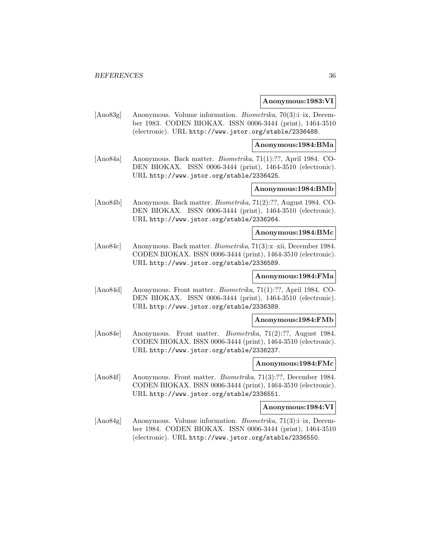#### **Anonymous:1983:VI**

[Ano83g] Anonymous. Volume information. Biometrika, 70(3):i–ix, December 1983. CODEN BIOKAX. ISSN 0006-3444 (print), 1464-3510 (electronic). URL http://www.jstor.org/stable/2336488.

**Anonymous:1984:BMa**

[Ano84a] Anonymous. Back matter. Biometrika, 71(1):??, April 1984. CO-DEN BIOKAX. ISSN 0006-3444 (print), 1464-3510 (electronic). URL http://www.jstor.org/stable/2336425.

## **Anonymous:1984:BMb**

[Ano84b] Anonymous. Back matter. Biometrika, 71(2):??, August 1984. CO-DEN BIOKAX. ISSN 0006-3444 (print), 1464-3510 (electronic). URL http://www.jstor.org/stable/2336264.

#### **Anonymous:1984:BMc**

[Ano84c] Anonymous. Back matter. Biometrika, 71(3):x–xii, December 1984. CODEN BIOKAX. ISSN 0006-3444 (print), 1464-3510 (electronic). URL http://www.jstor.org/stable/2336589.

## **Anonymous:1984:FMa**

[Ano84d] Anonymous. Front matter. Biometrika, 71(1):??, April 1984. CO-DEN BIOKAX. ISSN 0006-3444 (print), 1464-3510 (electronic). URL http://www.jstor.org/stable/2336389.

#### **Anonymous:1984:FMb**

[Ano84e] Anonymous. Front matter. Biometrika, 71(2):??, August 1984. CODEN BIOKAX. ISSN 0006-3444 (print), 1464-3510 (electronic). URL http://www.jstor.org/stable/2336237.

#### **Anonymous:1984:FMc**

[Ano84f] Anonymous. Front matter. Biometrika, 71(3):??, December 1984. CODEN BIOKAX. ISSN 0006-3444 (print), 1464-3510 (electronic). URL http://www.jstor.org/stable/2336551.

**Anonymous:1984:VI**

[Ano84g] Anonymous. Volume information. *Biometrika*, 71(3):i–ix, December 1984. CODEN BIOKAX. ISSN 0006-3444 (print), 1464-3510 (electronic). URL http://www.jstor.org/stable/2336550.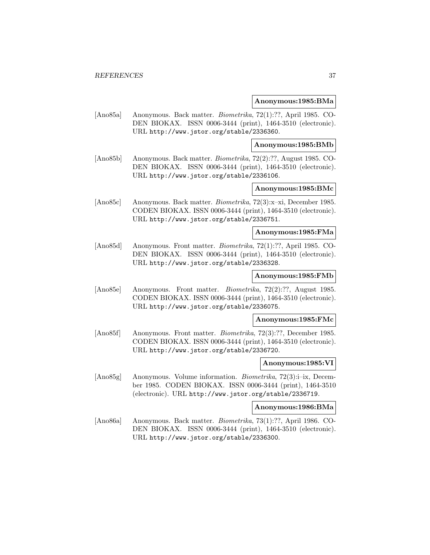#### **Anonymous:1985:BMa**

[Ano85a] Anonymous. Back matter. Biometrika, 72(1):??, April 1985. CO-DEN BIOKAX. ISSN 0006-3444 (print), 1464-3510 (electronic). URL http://www.jstor.org/stable/2336360.

#### **Anonymous:1985:BMb**

[Ano85b] Anonymous. Back matter. Biometrika, 72(2):??, August 1985. CO-DEN BIOKAX. ISSN 0006-3444 (print), 1464-3510 (electronic). URL http://www.jstor.org/stable/2336106.

# **Anonymous:1985:BMc**

[Ano85c] Anonymous. Back matter. Biometrika, 72(3):x–xi, December 1985. CODEN BIOKAX. ISSN 0006-3444 (print), 1464-3510 (electronic). URL http://www.jstor.org/stable/2336751.

# **Anonymous:1985:FMa**

[Ano85d] Anonymous. Front matter. Biometrika, 72(1):??, April 1985. CO-DEN BIOKAX. ISSN 0006-3444 (print), 1464-3510 (electronic). URL http://www.jstor.org/stable/2336328.

# **Anonymous:1985:FMb**

[Ano85e] Anonymous. Front matter. Biometrika, 72(2):??, August 1985. CODEN BIOKAX. ISSN 0006-3444 (print), 1464-3510 (electronic). URL http://www.jstor.org/stable/2336075.

### **Anonymous:1985:FMc**

[Ano85f] Anonymous. Front matter. Biometrika, 72(3):??, December 1985. CODEN BIOKAX. ISSN 0006-3444 (print), 1464-3510 (electronic). URL http://www.jstor.org/stable/2336720.

### **Anonymous:1985:VI**

[Ano85g] Anonymous. Volume information. Biometrika, 72(3):i–ix, December 1985. CODEN BIOKAX. ISSN 0006-3444 (print), 1464-3510 (electronic). URL http://www.jstor.org/stable/2336719.

## **Anonymous:1986:BMa**

[Ano86a] Anonymous. Back matter. Biometrika, 73(1):??, April 1986. CO-DEN BIOKAX. ISSN 0006-3444 (print), 1464-3510 (electronic). URL http://www.jstor.org/stable/2336300.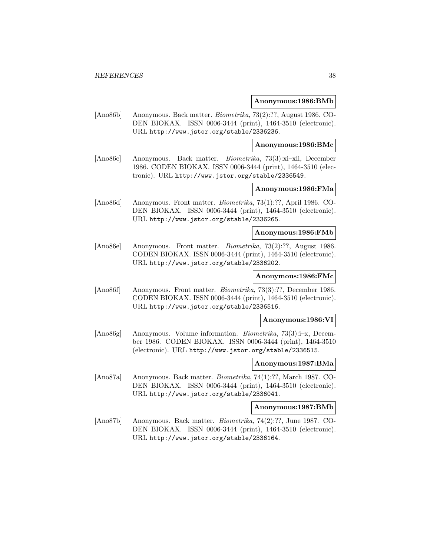#### **Anonymous:1986:BMb**

[Ano86b] Anonymous. Back matter. Biometrika, 73(2):??, August 1986. CO-DEN BIOKAX. ISSN 0006-3444 (print), 1464-3510 (electronic). URL http://www.jstor.org/stable/2336236.

**Anonymous:1986:BMc**

[Ano86c] Anonymous. Back matter. Biometrika, 73(3):xi–xii, December 1986. CODEN BIOKAX. ISSN 0006-3444 (print), 1464-3510 (electronic). URL http://www.jstor.org/stable/2336549.

### **Anonymous:1986:FMa**

[Ano86d] Anonymous. Front matter. Biometrika, 73(1):??, April 1986. CO-DEN BIOKAX. ISSN 0006-3444 (print), 1464-3510 (electronic). URL http://www.jstor.org/stable/2336265.

#### **Anonymous:1986:FMb**

[Ano86e] Anonymous. Front matter. Biometrika, 73(2):??, August 1986. CODEN BIOKAX. ISSN 0006-3444 (print), 1464-3510 (electronic). URL http://www.jstor.org/stable/2336202.

### **Anonymous:1986:FMc**

[Ano86f] Anonymous. Front matter. Biometrika, 73(3):??, December 1986. CODEN BIOKAX. ISSN 0006-3444 (print), 1464-3510 (electronic). URL http://www.jstor.org/stable/2336516.

### **Anonymous:1986:VI**

[Ano86g] Anonymous. Volume information. Biometrika, 73(3):i–x, December 1986. CODEN BIOKAX. ISSN 0006-3444 (print), 1464-3510 (electronic). URL http://www.jstor.org/stable/2336515.

#### **Anonymous:1987:BMa**

[Ano87a] Anonymous. Back matter. Biometrika, 74(1):??, March 1987. CO-DEN BIOKAX. ISSN 0006-3444 (print), 1464-3510 (electronic). URL http://www.jstor.org/stable/2336041.

## **Anonymous:1987:BMb**

[Ano87b] Anonymous. Back matter. Biometrika, 74(2):??, June 1987. CO-DEN BIOKAX. ISSN 0006-3444 (print), 1464-3510 (electronic). URL http://www.jstor.org/stable/2336164.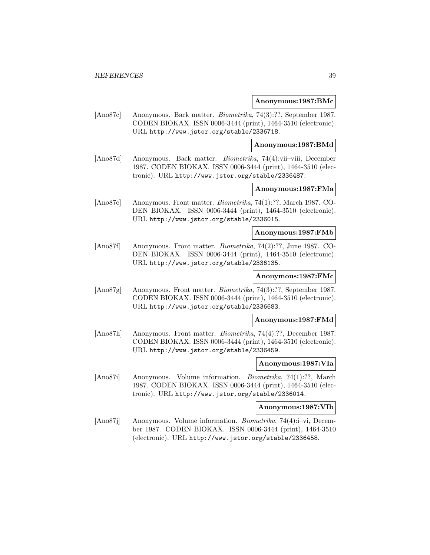#### **Anonymous:1987:BMc**

[Ano87c] Anonymous. Back matter. Biometrika, 74(3):??, September 1987. CODEN BIOKAX. ISSN 0006-3444 (print), 1464-3510 (electronic). URL http://www.jstor.org/stable/2336718.

#### **Anonymous:1987:BMd**

[Ano87d] Anonymous. Back matter. Biometrika, 74(4):vii–viii, December 1987. CODEN BIOKAX. ISSN 0006-3444 (print), 1464-3510 (electronic). URL http://www.jstor.org/stable/2336487.

# **Anonymous:1987:FMa**

[Ano87e] Anonymous. Front matter. Biometrika, 74(1):??, March 1987. CO-DEN BIOKAX. ISSN 0006-3444 (print), 1464-3510 (electronic). URL http://www.jstor.org/stable/2336015.

### **Anonymous:1987:FMb**

[Ano87f] Anonymous. Front matter. Biometrika, 74(2):??, June 1987. CO-DEN BIOKAX. ISSN 0006-3444 (print), 1464-3510 (electronic). URL http://www.jstor.org/stable/2336135.

# **Anonymous:1987:FMc**

[Ano87g] Anonymous. Front matter. Biometrika, 74(3):??, September 1987. CODEN BIOKAX. ISSN 0006-3444 (print), 1464-3510 (electronic). URL http://www.jstor.org/stable/2336683.

#### **Anonymous:1987:FMd**

[Ano87h] Anonymous. Front matter. Biometrika, 74(4):??, December 1987. CODEN BIOKAX. ISSN 0006-3444 (print), 1464-3510 (electronic). URL http://www.jstor.org/stable/2336459.

#### **Anonymous:1987:VIa**

[Ano87i] Anonymous. Volume information. Biometrika, 74(1):??, March 1987. CODEN BIOKAX. ISSN 0006-3444 (print), 1464-3510 (electronic). URL http://www.jstor.org/stable/2336014.

### **Anonymous:1987:VIb**

[Ano87j] Anonymous. Volume information. Biometrika, 74(4):i–vi, December 1987. CODEN BIOKAX. ISSN 0006-3444 (print), 1464-3510 (electronic). URL http://www.jstor.org/stable/2336458.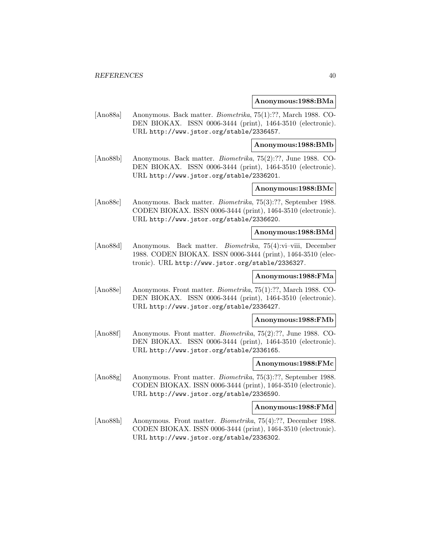#### **Anonymous:1988:BMa**

[Ano88a] Anonymous. Back matter. Biometrika, 75(1):??, March 1988. CO-DEN BIOKAX. ISSN 0006-3444 (print), 1464-3510 (electronic). URL http://www.jstor.org/stable/2336457.

#### **Anonymous:1988:BMb**

[Ano88b] Anonymous. Back matter. Biometrika, 75(2):??, June 1988. CO-DEN BIOKAX. ISSN 0006-3444 (print), 1464-3510 (electronic). URL http://www.jstor.org/stable/2336201.

# **Anonymous:1988:BMc**

[Ano88c] Anonymous. Back matter. Biometrika, 75(3):??, September 1988. CODEN BIOKAX. ISSN 0006-3444 (print), 1464-3510 (electronic). URL http://www.jstor.org/stable/2336620.

# **Anonymous:1988:BMd**

[Ano88d] Anonymous. Back matter. Biometrika, 75(4):vi–viii, December 1988. CODEN BIOKAX. ISSN 0006-3444 (print), 1464-3510 (electronic). URL http://www.jstor.org/stable/2336327.

# **Anonymous:1988:FMa**

[Ano88e] Anonymous. Front matter. Biometrika, 75(1):??, March 1988. CO-DEN BIOKAX. ISSN 0006-3444 (print), 1464-3510 (electronic). URL http://www.jstor.org/stable/2336427.

#### **Anonymous:1988:FMb**

[Ano88f] Anonymous. Front matter. Biometrika, 75(2):??, June 1988. CO-DEN BIOKAX. ISSN 0006-3444 (print), 1464-3510 (electronic). URL http://www.jstor.org/stable/2336165.

#### **Anonymous:1988:FMc**

[Ano88g] Anonymous. Front matter. Biometrika, 75(3):??, September 1988. CODEN BIOKAX. ISSN 0006-3444 (print), 1464-3510 (electronic). URL http://www.jstor.org/stable/2336590.

**Anonymous:1988:FMd**

[Ano88h] Anonymous. Front matter. Biometrika, 75(4):??, December 1988. CODEN BIOKAX. ISSN 0006-3444 (print), 1464-3510 (electronic). URL http://www.jstor.org/stable/2336302.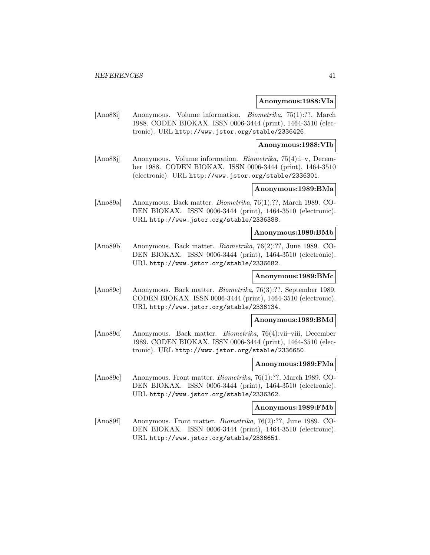#### **Anonymous:1988:VIa**

[Ano88i] Anonymous. Volume information. Biometrika, 75(1):??, March 1988. CODEN BIOKAX. ISSN 0006-3444 (print), 1464-3510 (electronic). URL http://www.jstor.org/stable/2336426.

**Anonymous:1988:VIb**

[Ano88j] Anonymous. Volume information. Biometrika, 75(4):i–v, December 1988. CODEN BIOKAX. ISSN 0006-3444 (print), 1464-3510 (electronic). URL http://www.jstor.org/stable/2336301.

### **Anonymous:1989:BMa**

[Ano89a] Anonymous. Back matter. Biometrika, 76(1):??, March 1989. CO-DEN BIOKAX. ISSN 0006-3444 (print), 1464-3510 (electronic). URL http://www.jstor.org/stable/2336388.

#### **Anonymous:1989:BMb**

[Ano89b] Anonymous. Back matter. Biometrika, 76(2):??, June 1989. CO-DEN BIOKAX. ISSN 0006-3444 (print), 1464-3510 (electronic). URL http://www.jstor.org/stable/2336682.

# **Anonymous:1989:BMc**

[Ano89c] Anonymous. Back matter. Biometrika, 76(3):??, September 1989. CODEN BIOKAX. ISSN 0006-3444 (print), 1464-3510 (electronic). URL http://www.jstor.org/stable/2336134.

#### **Anonymous:1989:BMd**

[Ano89d] Anonymous. Back matter. Biometrika, 76(4):vii–viii, December 1989. CODEN BIOKAX. ISSN 0006-3444 (print), 1464-3510 (electronic). URL http://www.jstor.org/stable/2336650.

#### **Anonymous:1989:FMa**

[Ano89e] Anonymous. Front matter. Biometrika, 76(1):??, March 1989. CO-DEN BIOKAX. ISSN 0006-3444 (print), 1464-3510 (electronic). URL http://www.jstor.org/stable/2336362.

## **Anonymous:1989:FMb**

[Ano89f] Anonymous. Front matter. Biometrika, 76(2):??, June 1989. CO-DEN BIOKAX. ISSN 0006-3444 (print), 1464-3510 (electronic). URL http://www.jstor.org/stable/2336651.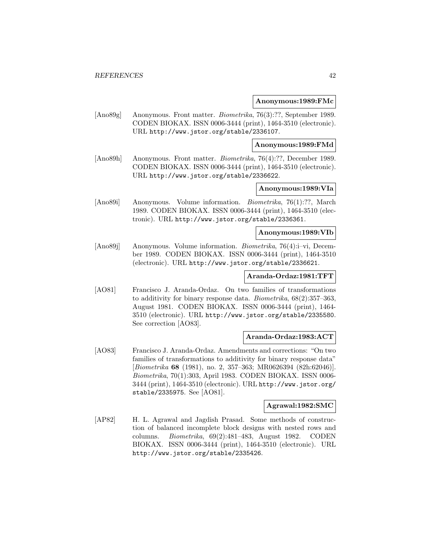#### **Anonymous:1989:FMc**

[Ano89g] Anonymous. Front matter. Biometrika, 76(3):??, September 1989. CODEN BIOKAX. ISSN 0006-3444 (print), 1464-3510 (electronic). URL http://www.jstor.org/stable/2336107.

**Anonymous:1989:FMd**

[Ano89h] Anonymous. Front matter. Biometrika, 76(4):??, December 1989. CODEN BIOKAX. ISSN 0006-3444 (print), 1464-3510 (electronic). URL http://www.jstor.org/stable/2336622.

### **Anonymous:1989:VIa**

[Ano89i] Anonymous. Volume information. Biometrika, 76(1):??, March 1989. CODEN BIOKAX. ISSN 0006-3444 (print), 1464-3510 (electronic). URL http://www.jstor.org/stable/2336361.

#### **Anonymous:1989:VIb**

[Ano89j] Anonymous. Volume information. Biometrika, 76(4):i–vi, December 1989. CODEN BIOKAX. ISSN 0006-3444 (print), 1464-3510 (electronic). URL http://www.jstor.org/stable/2336621.

# **Aranda-Ordaz:1981:TFT**

[AO81] Francisco J. Aranda-Ordaz. On two families of transformations to additivity for binary response data. Biometrika, 68(2):357–363, August 1981. CODEN BIOKAX. ISSN 0006-3444 (print), 1464- 3510 (electronic). URL http://www.jstor.org/stable/2335580. See correction [AO83].

### **Aranda-Ordaz:1983:ACT**

[AO83] Francisco J. Aranda-Ordaz. Amendments and corrections: "On two families of transformations to additivity for binary response data" [Biometrika **68** (1981), no. 2, 357–363; MR0626394 (82h:62046)]. Biometrika, 70(1):303, April 1983. CODEN BIOKAX. ISSN 0006- 3444 (print), 1464-3510 (electronic). URL http://www.jstor.org/ stable/2335975. See [AO81].

# **Agrawal:1982:SMC**

[AP82] H. L. Agrawal and Jagdish Prasad. Some methods of construction of balanced incomplete block designs with nested rows and columns. Biometrika, 69(2):481–483, August 1982. CODEN BIOKAX. ISSN 0006-3444 (print), 1464-3510 (electronic). URL http://www.jstor.org/stable/2335426.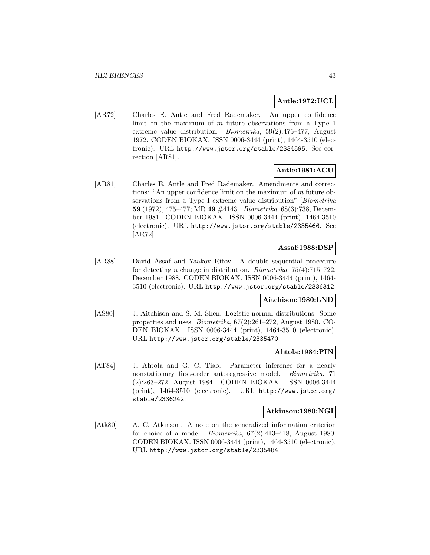# **Antle:1972:UCL**

[AR72] Charles E. Antle and Fred Rademaker. An upper confidence limit on the maximum of  $m$  future observations from a Type 1 extreme value distribution. Biometrika, 59(2):475–477, August 1972. CODEN BIOKAX. ISSN 0006-3444 (print), 1464-3510 (electronic). URL http://www.jstor.org/stable/2334595. See correction [AR81].

# **Antle:1981:ACU**

[AR81] Charles E. Antle and Fred Rademaker. Amendments and corrections: "An upper confidence limit on the maximum of m future observations from a Type I extreme value distribution" [Biometrika **59** (1972), 475–477; MR **49** #4143]. Biometrika, 68(3):738, December 1981. CODEN BIOKAX. ISSN 0006-3444 (print), 1464-3510 (electronic). URL http://www.jstor.org/stable/2335466. See [AR72].

# **Assaf:1988:DSP**

[AR88] David Assaf and Yaakov Ritov. A double sequential procedure for detecting a change in distribution. Biometrika, 75(4):715–722, December 1988. CODEN BIOKAX. ISSN 0006-3444 (print), 1464- 3510 (electronic). URL http://www.jstor.org/stable/2336312.

# **Aitchison:1980:LND**

[AS80] J. Aitchison and S. M. Shen. Logistic-normal distributions: Some properties and uses. Biometrika, 67(2):261–272, August 1980. CO-DEN BIOKAX. ISSN 0006-3444 (print), 1464-3510 (electronic). URL http://www.jstor.org/stable/2335470.

### **Ahtola:1984:PIN**

[AT84] J. Ahtola and G. C. Tiao. Parameter inference for a nearly nonstationary first-order autoregressive model. Biometrika, 71 (2):263–272, August 1984. CODEN BIOKAX. ISSN 0006-3444 (print), 1464-3510 (electronic). URL http://www.jstor.org/ stable/2336242.

#### **Atkinson:1980:NGI**

[Atk80] A. C. Atkinson. A note on the generalized information criterion for choice of a model. Biometrika, 67(2):413–418, August 1980. CODEN BIOKAX. ISSN 0006-3444 (print), 1464-3510 (electronic). URL http://www.jstor.org/stable/2335484.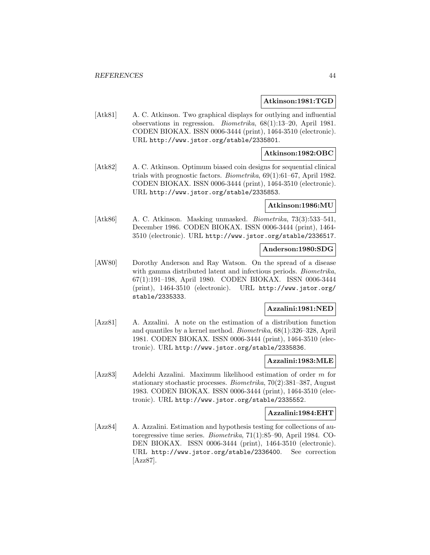#### **Atkinson:1981:TGD**

[Atk81] A. C. Atkinson. Two graphical displays for outlying and influential observations in regression. Biometrika, 68(1):13–20, April 1981. CODEN BIOKAX. ISSN 0006-3444 (print), 1464-3510 (electronic). URL http://www.jstor.org/stable/2335801.

### **Atkinson:1982:OBC**

[Atk82] A. C. Atkinson. Optimum biased coin designs for sequential clinical trials with prognostic factors. Biometrika, 69(1):61–67, April 1982. CODEN BIOKAX. ISSN 0006-3444 (print), 1464-3510 (electronic). URL http://www.jstor.org/stable/2335853.

#### **Atkinson:1986:MU**

[Atk86] A. C. Atkinson. Masking unmasked. *Biometrika*, 73(3):533-541, December 1986. CODEN BIOKAX. ISSN 0006-3444 (print), 1464- 3510 (electronic). URL http://www.jstor.org/stable/2336517.

#### **Anderson:1980:SDG**

[AW80] Dorothy Anderson and Ray Watson. On the spread of a disease with gamma distributed latent and infectious periods. *Biometrika*, 67(1):191–198, April 1980. CODEN BIOKAX. ISSN 0006-3444 (print), 1464-3510 (electronic). URL http://www.jstor.org/ stable/2335333.

### **Azzalini:1981:NED**

[Azz81] A. Azzalini. A note on the estimation of a distribution function and quantiles by a kernel method. Biometrika, 68(1):326–328, April 1981. CODEN BIOKAX. ISSN 0006-3444 (print), 1464-3510 (electronic). URL http://www.jstor.org/stable/2335836.

#### **Azzalini:1983:MLE**

[Azz83] Adelchi Azzalini. Maximum likelihood estimation of order m for stationary stochastic processes. Biometrika, 70(2):381–387, August 1983. CODEN BIOKAX. ISSN 0006-3444 (print), 1464-3510 (electronic). URL http://www.jstor.org/stable/2335552.

### **Azzalini:1984:EHT**

[Azz84] A. Azzalini. Estimation and hypothesis testing for collections of autoregressive time series. Biometrika, 71(1):85–90, April 1984. CO-DEN BIOKAX. ISSN 0006-3444 (print), 1464-3510 (electronic). URL http://www.jstor.org/stable/2336400. See correction [Azz87].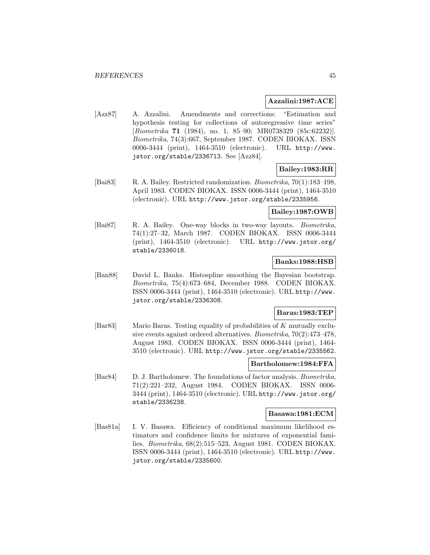### **Azzalini:1987:ACE**

[Azz87] A. Azzalini. Amendments and corrections: "Estimation and hypothesis testing for collections of autoregressive time series" [Biometrika **71** (1984), no. 1, 85–90; MR0738329 (85c:62232)]. Biometrika, 74(3):667, September 1987. CODEN BIOKAX. ISSN 0006-3444 (print), 1464-3510 (electronic). URL http://www. jstor.org/stable/2336713. See [Azz84].

# **Bailey:1983:RR**

[Bai83] R. A. Bailey. Restricted randomization. Biometrika, 70(1):183–198, April 1983. CODEN BIOKAX. ISSN 0006-3444 (print), 1464-3510 (electronic). URL http://www.jstor.org/stable/2335956.

## **Bailey:1987:OWB**

[Bai87] R. A. Bailey. One-way blocks in two-way layouts. Biometrika, 74(1):27–32, March 1987. CODEN BIOKAX. ISSN 0006-3444 (print), 1464-3510 (electronic). URL http://www.jstor.org/ stable/2336018.

### **Banks:1988:HSB**

[Ban88] David L. Banks. Histospline smoothing the Bayesian bootstrap. Biometrika, 75(4):673–684, December 1988. CODEN BIOKAX. ISSN 0006-3444 (print), 1464-3510 (electronic). URL http://www. jstor.org/stable/2336308.

# **Baras:1983:TEP**

[Bar83] Mario Baras. Testing equality of probabilities of K mutually exclusive events against ordered alternatives. Biometrika, 70(2):473–478, August 1983. CODEN BIOKAX. ISSN 0006-3444 (print), 1464- 3510 (electronic). URL http://www.jstor.org/stable/2335562.

### **Bartholomew:1984:FFA**

[Bar84] D. J. Bartholomew. The foundations of factor analysis. Biometrika, 71(2):221–232, August 1984. CODEN BIOKAX. ISSN 0006- 3444 (print), 1464-3510 (electronic). URL http://www.jstor.org/ stable/2336238.

### **Basawa:1981:ECM**

[Bas81a] I. V. Basawa. Efficiency of conditional maximum likelihood estimators and confidence limits for mixtures of exponential families. Biometrika, 68(2):515–523, August 1981. CODEN BIOKAX. ISSN 0006-3444 (print), 1464-3510 (electronic). URL http://www. jstor.org/stable/2335600.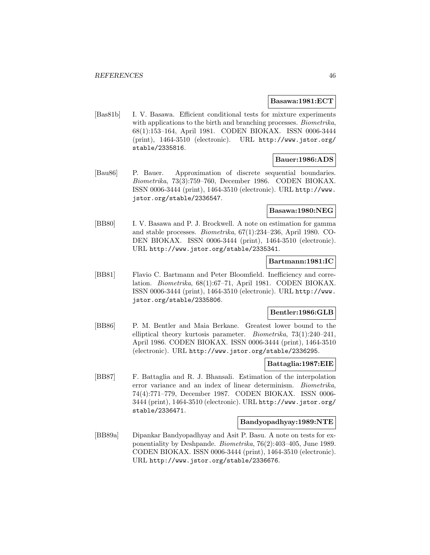#### **Basawa:1981:ECT**

[Bas81b] I. V. Basawa. Efficient conditional tests for mixture experiments with applications to the birth and branching processes. *Biometrika*, 68(1):153–164, April 1981. CODEN BIOKAX. ISSN 0006-3444 (print), 1464-3510 (electronic). URL http://www.jstor.org/ stable/2335816.

# **Bauer:1986:ADS**

[Bau86] P. Bauer. Approximation of discrete sequential boundaries. Biometrika, 73(3):759–760, December 1986. CODEN BIOKAX. ISSN 0006-3444 (print), 1464-3510 (electronic). URL http://www. jstor.org/stable/2336547.

#### **Basawa:1980:NEG**

[BB80] I. V. Basawa and P. J. Brockwell. A note on estimation for gamma and stable processes. Biometrika, 67(1):234–236, April 1980. CO-DEN BIOKAX. ISSN 0006-3444 (print), 1464-3510 (electronic). URL http://www.jstor.org/stable/2335341.

### **Bartmann:1981:IC**

[BB81] Flavio C. Bartmann and Peter Bloomfield. Inefficiency and correlation. Biometrika, 68(1):67–71, April 1981. CODEN BIOKAX. ISSN 0006-3444 (print), 1464-3510 (electronic). URL http://www. jstor.org/stable/2335806.

## **Bentler:1986:GLB**

[BB86] P. M. Bentler and Maia Berkane. Greatest lower bound to the elliptical theory kurtosis parameter. Biometrika, 73(1):240–241, April 1986. CODEN BIOKAX. ISSN 0006-3444 (print), 1464-3510 (electronic). URL http://www.jstor.org/stable/2336295.

#### **Battaglia:1987:EIE**

[BB87] F. Battaglia and R. J. Bhansali. Estimation of the interpolation error variance and an index of linear determinism. Biometrika, 74(4):771–779, December 1987. CODEN BIOKAX. ISSN 0006- 3444 (print), 1464-3510 (electronic). URL http://www.jstor.org/ stable/2336471.

### **Bandyopadhyay:1989:NTE**

[BB89a] Dipankar Bandyopadhyay and Asit P. Basu. A note on tests for exponentiality by Deshpande. Biometrika, 76(2):403–405, June 1989. CODEN BIOKAX. ISSN 0006-3444 (print), 1464-3510 (electronic). URL http://www.jstor.org/stable/2336676.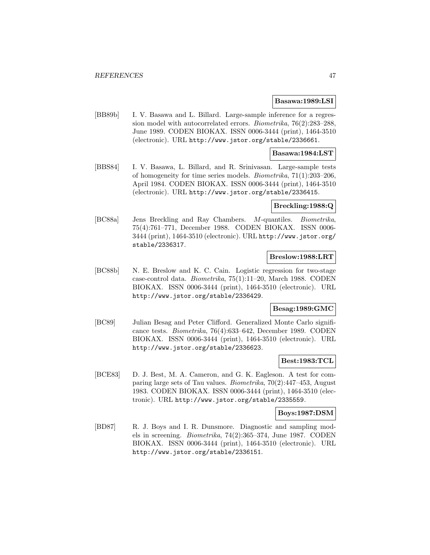#### **Basawa:1989:LSI**

[BB89b] I. V. Basawa and L. Billard. Large-sample inference for a regression model with autocorrelated errors. Biometrika, 76(2):283–288, June 1989. CODEN BIOKAX. ISSN 0006-3444 (print), 1464-3510 (electronic). URL http://www.jstor.org/stable/2336661.

### **Basawa:1984:LST**

[BBS84] I. V. Basawa, L. Billard, and R. Srinivasan. Large-sample tests of homogeneity for time series models. Biometrika, 71(1):203–206, April 1984. CODEN BIOKAX. ISSN 0006-3444 (print), 1464-3510 (electronic). URL http://www.jstor.org/stable/2336415.

### **Breckling:1988:Q**

[BC88a] Jens Breckling and Ray Chambers. M-quantiles. Biometrika, 75(4):761–771, December 1988. CODEN BIOKAX. ISSN 0006- 3444 (print), 1464-3510 (electronic). URL http://www.jstor.org/ stable/2336317.

#### **Breslow:1988:LRT**

[BC88b] N. E. Breslow and K. C. Cain. Logistic regression for two-stage case-control data. Biometrika, 75(1):11–20, March 1988. CODEN BIOKAX. ISSN 0006-3444 (print), 1464-3510 (electronic). URL http://www.jstor.org/stable/2336429.

# **Besag:1989:GMC**

[BC89] Julian Besag and Peter Clifford. Generalized Monte Carlo significance tests. Biometrika, 76(4):633–642, December 1989. CODEN BIOKAX. ISSN 0006-3444 (print), 1464-3510 (electronic). URL http://www.jstor.org/stable/2336623.

### **Best:1983:TCL**

[BCE83] D. J. Best, M. A. Cameron, and G. K. Eagleson. A test for comparing large sets of Tau values. Biometrika, 70(2):447–453, August 1983. CODEN BIOKAX. ISSN 0006-3444 (print), 1464-3510 (electronic). URL http://www.jstor.org/stable/2335559.

#### **Boys:1987:DSM**

[BD87] R. J. Boys and I. R. Dunsmore. Diagnostic and sampling models in screening. Biometrika, 74(2):365–374, June 1987. CODEN BIOKAX. ISSN 0006-3444 (print), 1464-3510 (electronic). URL http://www.jstor.org/stable/2336151.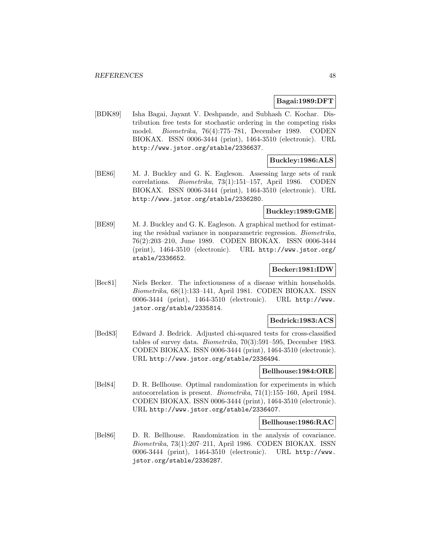## **Bagai:1989:DFT**

[BDK89] Isha Bagai, Jayant V. Deshpande, and Subhash C. Kochar. Distribution free tests for stochastic ordering in the competing risks model. Biometrika, 76(4):775–781, December 1989. CODEN BIOKAX. ISSN 0006-3444 (print), 1464-3510 (electronic). URL http://www.jstor.org/stable/2336637.

## **Buckley:1986:ALS**

[BE86] M. J. Buckley and G. K. Eagleson. Assessing large sets of rank correlations. Biometrika, 73(1):151–157, April 1986. CODEN BIOKAX. ISSN 0006-3444 (print), 1464-3510 (electronic). URL http://www.jstor.org/stable/2336280.

# **Buckley:1989:GME**

[BE89] M. J. Buckley and G. K. Eagleson. A graphical method for estimating the residual variance in nonparametric regression. Biometrika, 76(2):203–210, June 1989. CODEN BIOKAX. ISSN 0006-3444 (print), 1464-3510 (electronic). URL http://www.jstor.org/ stable/2336652.

# **Becker:1981:IDW**

[Bec81] Niels Becker. The infectiousness of a disease within households. Biometrika, 68(1):133–141, April 1981. CODEN BIOKAX. ISSN 0006-3444 (print), 1464-3510 (electronic). URL http://www. jstor.org/stable/2335814.

#### **Bedrick:1983:ACS**

[Bed83] Edward J. Bedrick. Adjusted chi-squared tests for cross-classified tables of survey data. Biometrika, 70(3):591–595, December 1983. CODEN BIOKAX. ISSN 0006-3444 (print), 1464-3510 (electronic). URL http://www.jstor.org/stable/2336494.

#### **Bellhouse:1984:ORE**

[Bel84] D. R. Bellhouse. Optimal randomization for experiments in which autocorrelation is present. Biometrika, 71(1):155–160, April 1984. CODEN BIOKAX. ISSN 0006-3444 (print), 1464-3510 (electronic). URL http://www.jstor.org/stable/2336407.

#### **Bellhouse:1986:RAC**

[Bel86] D. R. Bellhouse. Randomization in the analysis of covariance. Biometrika, 73(1):207–211, April 1986. CODEN BIOKAX. ISSN 0006-3444 (print), 1464-3510 (electronic). URL http://www. jstor.org/stable/2336287.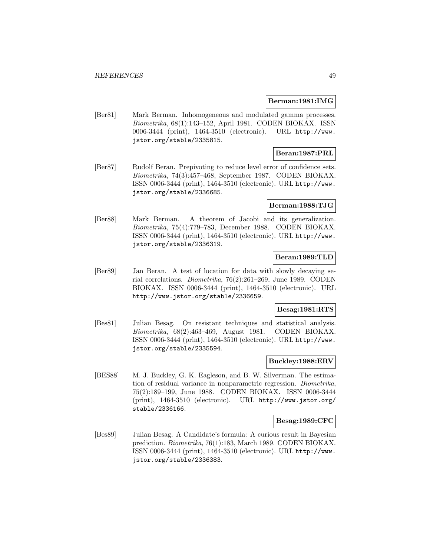#### **Berman:1981:IMG**

[Ber81] Mark Berman. Inhomogeneous and modulated gamma processes. Biometrika, 68(1):143–152, April 1981. CODEN BIOKAX. ISSN 0006-3444 (print), 1464-3510 (electronic). URL http://www. jstor.org/stable/2335815.

# **Beran:1987:PRL**

[Ber87] Rudolf Beran. Prepivoting to reduce level error of confidence sets. Biometrika, 74(3):457–468, September 1987. CODEN BIOKAX. ISSN 0006-3444 (print), 1464-3510 (electronic). URL http://www. jstor.org/stable/2336685.

### **Berman:1988:TJG**

[Ber88] Mark Berman. A theorem of Jacobi and its generalization. Biometrika, 75(4):779–783, December 1988. CODEN BIOKAX. ISSN 0006-3444 (print), 1464-3510 (electronic). URL http://www. jstor.org/stable/2336319.

# **Beran:1989:TLD**

[Ber89] Jan Beran. A test of location for data with slowly decaying serial correlations. Biometrika, 76(2):261–269, June 1989. CODEN BIOKAX. ISSN 0006-3444 (print), 1464-3510 (electronic). URL http://www.jstor.org/stable/2336659.

### **Besag:1981:RTS**

[Bes81] Julian Besag. On resistant techniques and statistical analysis. Biometrika, 68(2):463–469, August 1981. CODEN BIOKAX. ISSN 0006-3444 (print), 1464-3510 (electronic). URL http://www. jstor.org/stable/2335594.

# **Buckley:1988:ERV**

[BES88] M. J. Buckley, G. K. Eagleson, and B. W. Silverman. The estimation of residual variance in nonparametric regression. Biometrika, 75(2):189–199, June 1988. CODEN BIOKAX. ISSN 0006-3444 (print), 1464-3510 (electronic). URL http://www.jstor.org/ stable/2336166.

### **Besag:1989:CFC**

[Bes89] Julian Besag. A Candidate's formula: A curious result in Bayesian prediction. Biometrika, 76(1):183, March 1989. CODEN BIOKAX. ISSN 0006-3444 (print), 1464-3510 (electronic). URL http://www. jstor.org/stable/2336383.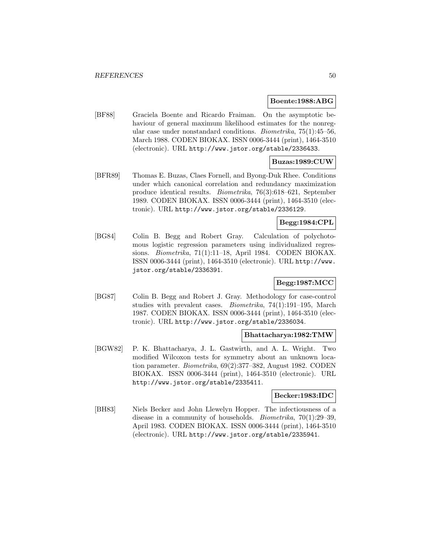#### **Boente:1988:ABG**

[BF88] Graciela Boente and Ricardo Fraiman. On the asymptotic behaviour of general maximum likelihood estimates for the nonregular case under nonstandard conditions. Biometrika, 75(1):45–56, March 1988. CODEN BIOKAX. ISSN 0006-3444 (print), 1464-3510 (electronic). URL http://www.jstor.org/stable/2336433.

# **Buzas:1989:CUW**

[BFR89] Thomas E. Buzas, Claes Fornell, and Byong-Duk Rhee. Conditions under which canonical correlation and redundancy maximization produce identical results. Biometrika, 76(3):618–621, September 1989. CODEN BIOKAX. ISSN 0006-3444 (print), 1464-3510 (electronic). URL http://www.jstor.org/stable/2336129.

# **Begg:1984:CPL**

[BG84] Colin B. Begg and Robert Gray. Calculation of polychotomous logistic regression parameters using individualized regressions. Biometrika, 71(1):11–18, April 1984. CODEN BIOKAX. ISSN 0006-3444 (print), 1464-3510 (electronic). URL http://www. jstor.org/stable/2336391.

# **Begg:1987:MCC**

[BG87] Colin B. Begg and Robert J. Gray. Methodology for case-control studies with prevalent cases. Biometrika, 74(1):191–195, March 1987. CODEN BIOKAX. ISSN 0006-3444 (print), 1464-3510 (electronic). URL http://www.jstor.org/stable/2336034.

### **Bhattacharya:1982:TMW**

[BGW82] P. K. Bhattacharya, J. L. Gastwirth, and A. L. Wright. Two modified Wilcoxon tests for symmetry about an unknown location parameter. Biometrika, 69(2):377–382, August 1982. CODEN BIOKAX. ISSN 0006-3444 (print), 1464-3510 (electronic). URL http://www.jstor.org/stable/2335411.

### **Becker:1983:IDC**

[BH83] Niels Becker and John Llewelyn Hopper. The infectiousness of a disease in a community of households. *Biometrika*, 70(1):29–39, April 1983. CODEN BIOKAX. ISSN 0006-3444 (print), 1464-3510 (electronic). URL http://www.jstor.org/stable/2335941.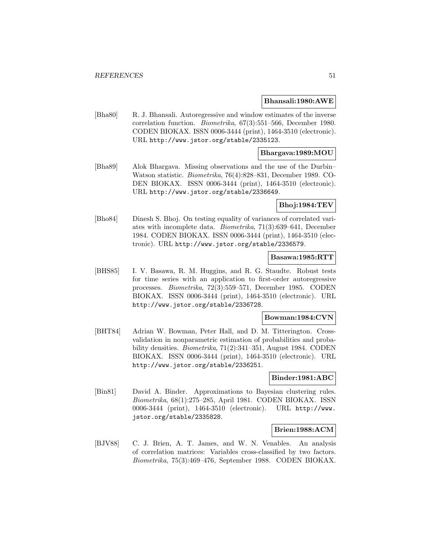#### **Bhansali:1980:AWE**

[Bha80] R. J. Bhansali. Autoregressive and window estimates of the inverse correlation function. Biometrika, 67(3):551–566, December 1980. CODEN BIOKAX. ISSN 0006-3444 (print), 1464-3510 (electronic). URL http://www.jstor.org/stable/2335123.

### **Bhargava:1989:MOU**

[Bha89] Alok Bhargava. Missing observations and the use of the Durbin– Watson statistic. Biometrika, 76(4):828–831, December 1989. CO-DEN BIOKAX. ISSN 0006-3444 (print), 1464-3510 (electronic). URL http://www.jstor.org/stable/2336649.

**Bhoj:1984:TEV**

[Bho84] Dinesh S. Bhoj. On testing equality of variances of correlated variates with incomplete data. Biometrika, 71(3):639–641, December 1984. CODEN BIOKAX. ISSN 0006-3444 (print), 1464-3510 (electronic). URL http://www.jstor.org/stable/2336579.

#### **Basawa:1985:RTT**

[BHS85] I. V. Basawa, R. M. Huggins, and R. G. Staudte. Robust tests for time series with an application to first-order autoregressive processes. Biometrika, 72(3):559–571, December 1985. CODEN BIOKAX. ISSN 0006-3444 (print), 1464-3510 (electronic). URL http://www.jstor.org/stable/2336728.

#### **Bowman:1984:CVN**

[BHT84] Adrian W. Bowman, Peter Hall, and D. M. Titterington. Crossvalidation in nonparametric estimation of probabilities and probability densities. Biometrika, 71(2):341–351, August 1984. CODEN BIOKAX. ISSN 0006-3444 (print), 1464-3510 (electronic). URL http://www.jstor.org/stable/2336251.

# **Binder:1981:ABC**

[Bin81] David A. Binder. Approximations to Bayesian clustering rules. Biometrika, 68(1):275–285, April 1981. CODEN BIOKAX. ISSN 0006-3444 (print), 1464-3510 (electronic). URL http://www. jstor.org/stable/2335828.

# **Brien:1988:ACM**

[BJV88] C. J. Brien, A. T. James, and W. N. Venables. An analysis of correlation matrices: Variables cross-classified by two factors. Biometrika, 75(3):469–476, September 1988. CODEN BIOKAX.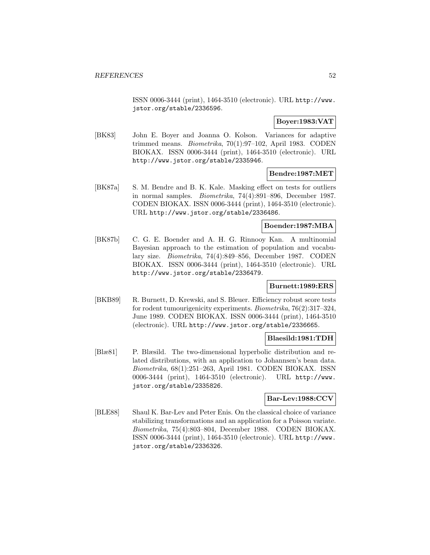ISSN 0006-3444 (print), 1464-3510 (electronic). URL http://www. jstor.org/stable/2336596.

# **Boyer:1983:VAT**

[BK83] John E. Boyer and Joanna O. Kolson. Variances for adaptive trimmed means. Biometrika, 70(1):97–102, April 1983. CODEN BIOKAX. ISSN 0006-3444 (print), 1464-3510 (electronic). URL http://www.jstor.org/stable/2335946.

### **Bendre:1987:MET**

[BK87a] S. M. Bendre and B. K. Kale. Masking effect on tests for outliers in normal samples. Biometrika, 74(4):891–896, December 1987. CODEN BIOKAX. ISSN 0006-3444 (print), 1464-3510 (electronic). URL http://www.jstor.org/stable/2336486.

### **Boender:1987:MBA**

[BK87b] C. G. E. Boender and A. H. G. Rinnooy Kan. A multinomial Bayesian approach to the estimation of population and vocabulary size. Biometrika, 74(4):849–856, December 1987. CODEN BIOKAX. ISSN 0006-3444 (print), 1464-3510 (electronic). URL http://www.jstor.org/stable/2336479.

### **Burnett:1989:ERS**

[BKB89] R. Burnett, D. Krewski, and S. Bleuer. Efficiency robust score tests for rodent tumourigenicity experiments. Biometrika, 76(2):317–324, June 1989. CODEN BIOKAX. ISSN 0006-3444 (print), 1464-3510 (electronic). URL http://www.jstor.org/stable/2336665.

### **Blaesild:1981:TDH**

[Blæ81] P. Blæsild. The two-dimensional hyperbolic distribution and related distributions, with an application to Johannsen's bean data. Biometrika, 68(1):251–263, April 1981. CODEN BIOKAX. ISSN 0006-3444 (print), 1464-3510 (electronic). URL http://www. jstor.org/stable/2335826.

### **Bar-Lev:1988:CCV**

[BLE88] Shaul K. Bar-Lev and Peter Enis. On the classical choice of variance stabilizing transformations and an application for a Poisson variate. Biometrika, 75(4):803–804, December 1988. CODEN BIOKAX. ISSN 0006-3444 (print), 1464-3510 (electronic). URL http://www. jstor.org/stable/2336326.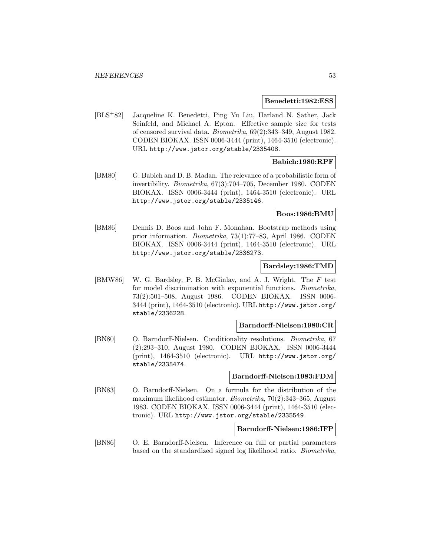#### **Benedetti:1982:ESS**

[BLS<sup>+</sup>82] Jacqueline K. Benedetti, Ping Yu Liu, Harland N. Sather, Jack Seinfeld, and Michael A. Epton. Effective sample size for tests of censored survival data. Biometrika, 69(2):343–349, August 1982. CODEN BIOKAX. ISSN 0006-3444 (print), 1464-3510 (electronic). URL http://www.jstor.org/stable/2335408.

# **Babich:1980:RPF**

[BM80] G. Babich and D. B. Madan. The relevance of a probabilistic form of invertibility. Biometrika, 67(3):704–705, December 1980. CODEN BIOKAX. ISSN 0006-3444 (print), 1464-3510 (electronic). URL http://www.jstor.org/stable/2335146.

#### **Boos:1986:BMU**

[BM86] Dennis D. Boos and John F. Monahan. Bootstrap methods using prior information. Biometrika, 73(1):77–83, April 1986. CODEN BIOKAX. ISSN 0006-3444 (print), 1464-3510 (electronic). URL http://www.jstor.org/stable/2336273.

#### **Bardsley:1986:TMD**

[BMW86] W. G. Bardsley, P. B. McGinlay, and A. J. Wright. The F test for model discrimination with exponential functions. Biometrika, 73(2):501–508, August 1986. CODEN BIOKAX. ISSN 0006- 3444 (print), 1464-3510 (electronic). URL http://www.jstor.org/ stable/2336228.

### **Barndorff-Nielsen:1980:CR**

[BN80] O. Barndorff-Nielsen. Conditionality resolutions. Biometrika, 67 (2):293–310, August 1980. CODEN BIOKAX. ISSN 0006-3444 (print), 1464-3510 (electronic). URL http://www.jstor.org/ stable/2335474.

#### **Barndorff-Nielsen:1983:FDM**

[BN83] O. Barndorff-Nielsen. On a formula for the distribution of the maximum likelihood estimator. Biometrika, 70(2):343–365, August 1983. CODEN BIOKAX. ISSN 0006-3444 (print), 1464-3510 (electronic). URL http://www.jstor.org/stable/2335549.

#### **Barndorff-Nielsen:1986:IFP**

[BN86] O. E. Barndorff-Nielsen. Inference on full or partial parameters based on the standardized signed log likelihood ratio. Biometrika,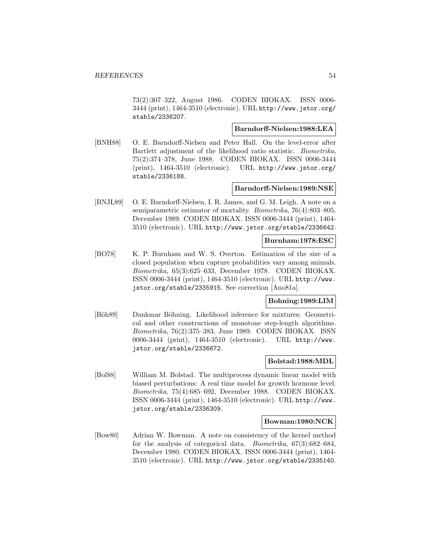73(2):307–322, August 1986. CODEN BIOKAX. ISSN 0006- 3444 (print), 1464-3510 (electronic). URL http://www.jstor.org/ stable/2336207.

### **Barndorff-Nielsen:1988:LEA**

[BNH88] O. E. Barndorff-Nielsen and Peter Hall. On the level-error after Bartlett adjustment of the likelihood ratio statistic. Biometrika, 75(2):374–378, June 1988. CODEN BIOKAX. ISSN 0006-3444 (print), 1464-3510 (electronic). URL http://www.jstor.org/ stable/2336188.

### **Barndorff-Nielsen:1989:NSE**

[BNJL89] O. E. Barndorff-Nielsen, I. R. James, and G. M. Leigh. A note on a semiparametric estimator of mortality. Biometrika, 76(4):803–805, December 1989. CODEN BIOKAX. ISSN 0006-3444 (print), 1464- 3510 (electronic). URL http://www.jstor.org/stable/2336642.

#### **Burnham:1978:ESC**

[BO78] K. P. Burnham and W. S. Overton. Estimation of the size of a closed population when capture probabilities vary among animals. Biometrika, 65(3):625–633, December 1978. CODEN BIOKAX. ISSN 0006-3444 (print), 1464-3510 (electronic). URL http://www. jstor.org/stable/2335915. See correction [Ano81a].

# **Bohning:1989:LIM**

[Böh89] Dankmar Böhning. Likelihood inference for mixtures: Geometrical and other constructions of monotone step-length algorithms. Biometrika, 76(2):375–383, June 1989. CODEN BIOKAX. ISSN 0006-3444 (print), 1464-3510 (electronic). URL http://www. jstor.org/stable/2336672.

### **Bolstad:1988:MDL**

[Bol88] William M. Bolstad. The multiprocess dynamic linear model with biased perturbations: A real time model for growth hormone level. Biometrika, 75(4):685–692, December 1988. CODEN BIOKAX. ISSN 0006-3444 (print), 1464-3510 (electronic). URL http://www. jstor.org/stable/2336309.

#### **Bowman:1980:NCK**

[Bow80] Adrian W. Bowman. A note on consistency of the kernel method for the analysis of categorical data. Biometrika, 67(3):682–684, December 1980. CODEN BIOKAX. ISSN 0006-3444 (print), 1464- 3510 (electronic). URL http://www.jstor.org/stable/2335140.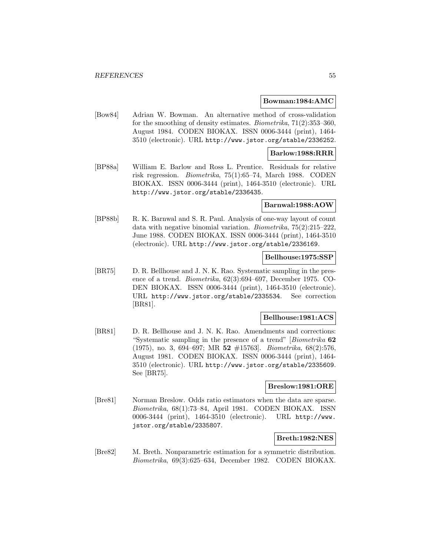#### **Bowman:1984:AMC**

[Bow84] Adrian W. Bowman. An alternative method of cross-validation for the smoothing of density estimates. Biometrika, 71(2):353–360, August 1984. CODEN BIOKAX. ISSN 0006-3444 (print), 1464- 3510 (electronic). URL http://www.jstor.org/stable/2336252.

### **Barlow:1988:RRR**

[BP88a] William E. Barlow and Ross L. Prentice. Residuals for relative risk regression. Biometrika, 75(1):65–74, March 1988. CODEN BIOKAX. ISSN 0006-3444 (print), 1464-3510 (electronic). URL http://www.jstor.org/stable/2336435.

#### **Barnwal:1988:AOW**

[BP88b] R. K. Barnwal and S. R. Paul. Analysis of one-way layout of count data with negative binomial variation. Biometrika, 75(2):215–222, June 1988. CODEN BIOKAX. ISSN 0006-3444 (print), 1464-3510 (electronic). URL http://www.jstor.org/stable/2336169.

#### **Bellhouse:1975:SSP**

[BR75] D. R. Bellhouse and J. N. K. Rao. Systematic sampling in the presence of a trend. Biometrika, 62(3):694–697, December 1975. CO-DEN BIOKAX. ISSN 0006-3444 (print), 1464-3510 (electronic). URL http://www.jstor.org/stable/2335534. See correction [BR81].

#### **Bellhouse:1981:ACS**

[BR81] D. R. Bellhouse and J. N. K. Rao. Amendments and corrections: "Systematic sampling in the presence of a trend" [Biometrika **62** (1975), no. 3, 694–697; MR **52** #15763]. Biometrika, 68(2):576, August 1981. CODEN BIOKAX. ISSN 0006-3444 (print), 1464- 3510 (electronic). URL http://www.jstor.org/stable/2335609. See [BR75].

#### **Breslow:1981:ORE**

[Bre81] Norman Breslow. Odds ratio estimators when the data are sparse. Biometrika, 68(1):73–84, April 1981. CODEN BIOKAX. ISSN 0006-3444 (print), 1464-3510 (electronic). URL http://www. jstor.org/stable/2335807.

### **Breth:1982:NES**

[Bre82] M. Breth. Nonparametric estimation for a symmetric distribution. Biometrika, 69(3):625–634, December 1982. CODEN BIOKAX.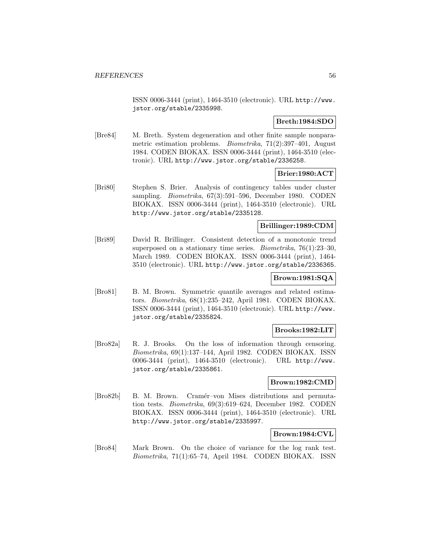ISSN 0006-3444 (print), 1464-3510 (electronic). URL http://www. jstor.org/stable/2335998.

# **Breth:1984:SDO**

[Bre84] M. Breth. System degeneration and other finite sample nonparametric estimation problems. Biometrika, 71(2):397–401, August 1984. CODEN BIOKAX. ISSN 0006-3444 (print), 1464-3510 (electronic). URL http://www.jstor.org/stable/2336258.

**Brier:1980:ACT**

[Bri80] Stephen S. Brier. Analysis of contingency tables under cluster sampling. Biometrika, 67(3):591–596, December 1980. CODEN BIOKAX. ISSN 0006-3444 (print), 1464-3510 (electronic). URL http://www.jstor.org/stable/2335128.

### **Brillinger:1989:CDM**

[Bri89] David R. Brillinger. Consistent detection of a monotonic trend superposed on a stationary time series. Biometrika, 76(1):23–30, March 1989. CODEN BIOKAX. ISSN 0006-3444 (print), 1464- 3510 (electronic). URL http://www.jstor.org/stable/2336365.

# **Brown:1981:SQA**

[Bro81] B. M. Brown. Symmetric quantile averages and related estimators. Biometrika, 68(1):235–242, April 1981. CODEN BIOKAX. ISSN 0006-3444 (print), 1464-3510 (electronic). URL http://www. jstor.org/stable/2335824.

## **Brooks:1982:LIT**

[Bro82a] R. J. Brooks. On the loss of information through censoring. Biometrika, 69(1):137–144, April 1982. CODEN BIOKAX. ISSN 0006-3444 (print), 1464-3510 (electronic). URL http://www. jstor.org/stable/2335861.

#### **Brown:1982:CMD**

[Bro82b] B. M. Brown. Cramér–von Mises distributions and permutation tests. Biometrika, 69(3):619–624, December 1982. CODEN BIOKAX. ISSN 0006-3444 (print), 1464-3510 (electronic). URL http://www.jstor.org/stable/2335997.

### **Brown:1984:CVL**

[Bro84] Mark Brown. On the choice of variance for the log rank test. Biometrika, 71(1):65–74, April 1984. CODEN BIOKAX. ISSN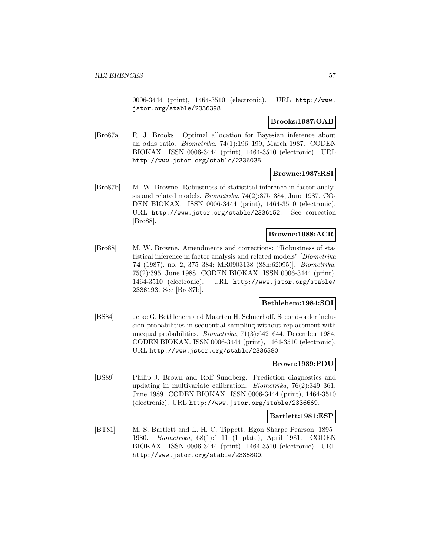0006-3444 (print), 1464-3510 (electronic). URL http://www. jstor.org/stable/2336398.

#### **Brooks:1987:OAB**

[Bro87a] R. J. Brooks. Optimal allocation for Bayesian inference about an odds ratio. Biometrika, 74(1):196–199, March 1987. CODEN BIOKAX. ISSN 0006-3444 (print), 1464-3510 (electronic). URL http://www.jstor.org/stable/2336035.

### **Browne:1987:RSI**

[Bro87b] M. W. Browne. Robustness of statistical inference in factor analysis and related models. Biometrika, 74(2):375–384, June 1987. CO-DEN BIOKAX. ISSN 0006-3444 (print), 1464-3510 (electronic). URL http://www.jstor.org/stable/2336152. See correction [Bro88].

## **Browne:1988:ACR**

[Bro88] M. W. Browne. Amendments and corrections: "Robustness of statistical inference in factor analysis and related models" [Biometrika **74** (1987), no. 2, 375–384; MR0903138 (88h:62095)]. Biometrika, 75(2):395, June 1988. CODEN BIOKAX. ISSN 0006-3444 (print), 1464-3510 (electronic). URL http://www.jstor.org/stable/ 2336193. See [Bro87b].

# **Bethlehem:1984:SOI**

[BS84] Jelke G. Bethlehem and Maarten H. Schuerhoff. Second-order inclusion probabilities in sequential sampling without replacement with unequal probabilities. Biometrika, 71(3):642–644, December 1984. CODEN BIOKAX. ISSN 0006-3444 (print), 1464-3510 (electronic). URL http://www.jstor.org/stable/2336580.

#### **Brown:1989:PDU**

[BS89] Philip J. Brown and Rolf Sundberg. Prediction diagnostics and updating in multivariate calibration. Biometrika, 76(2):349–361, June 1989. CODEN BIOKAX. ISSN 0006-3444 (print), 1464-3510 (electronic). URL http://www.jstor.org/stable/2336669.

### **Bartlett:1981:ESP**

[BT81] M. S. Bartlett and L. H. C. Tippett. Egon Sharpe Pearson, 1895– 1980. Biometrika, 68(1):1–11 (1 plate), April 1981. CODEN BIOKAX. ISSN 0006-3444 (print), 1464-3510 (electronic). URL http://www.jstor.org/stable/2335800.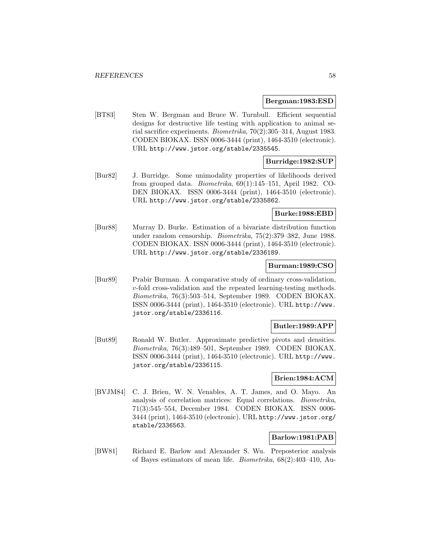#### **Bergman:1983:ESD**

[BT83] Sten W. Bergman and Bruce W. Turnbull. Efficient sequential designs for destructive life testing with application to animal serial sacrifice experiments. Biometrika, 70(2):305–314, August 1983. CODEN BIOKAX. ISSN 0006-3444 (print), 1464-3510 (electronic). URL http://www.jstor.org/stable/2335545.

# **Burridge:1982:SUP**

[Bur82] J. Burridge. Some unimodality properties of likelihoods derived from grouped data. Biometrika, 69(1):145–151, April 1982. CO-DEN BIOKAX. ISSN 0006-3444 (print), 1464-3510 (electronic). URL http://www.jstor.org/stable/2335862.

### **Burke:1988:EBD**

[Bur88] Murray D. Burke. Estimation of a bivariate distribution function under random censorship. Biometrika, 75(2):379–382, June 1988. CODEN BIOKAX. ISSN 0006-3444 (print), 1464-3510 (electronic). URL http://www.jstor.org/stable/2336189.

#### **Burman:1989:CSO**

[Bur89] Prabir Burman. A comparative study of ordinary cross-validation, v-fold cross-validation and the repeated learning-testing methods. Biometrika, 76(3):503–514, September 1989. CODEN BIOKAX. ISSN 0006-3444 (print), 1464-3510 (electronic). URL http://www. jstor.org/stable/2336116.

### **Butler:1989:APP**

[But89] Ronald W. Butler. Approximate predictive pivots and densities. Biometrika, 76(3):489–501, September 1989. CODEN BIOKAX. ISSN 0006-3444 (print), 1464-3510 (electronic). URL http://www. jstor.org/stable/2336115.

### **Brien:1984:ACM**

[BVJM84] C. J. Brien, W. N. Venables, A. T. James, and O. Mayo. An analysis of correlation matrices: Equal correlations. Biometrika, 71(3):545–554, December 1984. CODEN BIOKAX. ISSN 0006- 3444 (print), 1464-3510 (electronic). URL http://www.jstor.org/ stable/2336563.

### **Barlow:1981:PAB**

[BW81] Richard E. Barlow and Alexander S. Wu. Preposterior analysis of Bayes estimators of mean life. Biometrika, 68(2):403–410, Au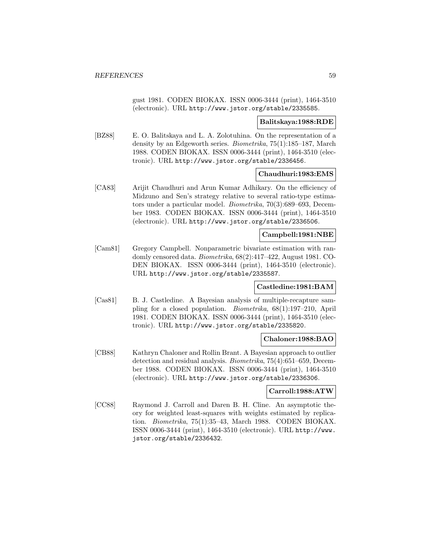gust 1981. CODEN BIOKAX. ISSN 0006-3444 (print), 1464-3510 (electronic). URL http://www.jstor.org/stable/2335585.

#### **Balitskaya:1988:RDE**

[BZ88] E. O. Balitskaya and L. A. Zolotuhina. On the representation of a density by an Edgeworth series. Biometrika, 75(1):185–187, March 1988. CODEN BIOKAX. ISSN 0006-3444 (print), 1464-3510 (electronic). URL http://www.jstor.org/stable/2336456.

### **Chaudhuri:1983:EMS**

[CA83] Arijit Chaudhuri and Arun Kumar Adhikary. On the efficiency of Midzuno and Sen's strategy relative to several ratio-type estimators under a particular model. Biometrika, 70(3):689–693, December 1983. CODEN BIOKAX. ISSN 0006-3444 (print), 1464-3510 (electronic). URL http://www.jstor.org/stable/2336506.

# **Campbell:1981:NBE**

[Cam81] Gregory Campbell. Nonparametric bivariate estimation with randomly censored data. Biometrika, 68(2):417–422, August 1981. CO-DEN BIOKAX. ISSN 0006-3444 (print), 1464-3510 (electronic). URL http://www.jstor.org/stable/2335587.

#### **Castledine:1981:BAM**

[Cas81] B. J. Castledine. A Bayesian analysis of multiple-recapture sampling for a closed population. Biometrika, 68(1):197–210, April 1981. CODEN BIOKAX. ISSN 0006-3444 (print), 1464-3510 (electronic). URL http://www.jstor.org/stable/2335820.

### **Chaloner:1988:BAO**

[CB88] Kathryn Chaloner and Rollin Brant. A Bayesian approach to outlier detection and residual analysis. Biometrika, 75(4):651–659, December 1988. CODEN BIOKAX. ISSN 0006-3444 (print), 1464-3510 (electronic). URL http://www.jstor.org/stable/2336306.

#### **Carroll:1988:ATW**

[CC88] Raymond J. Carroll and Daren B. H. Cline. An asymptotic theory for weighted least-squares with weights estimated by replication. Biometrika, 75(1):35–43, March 1988. CODEN BIOKAX. ISSN 0006-3444 (print), 1464-3510 (electronic). URL http://www. jstor.org/stable/2336432.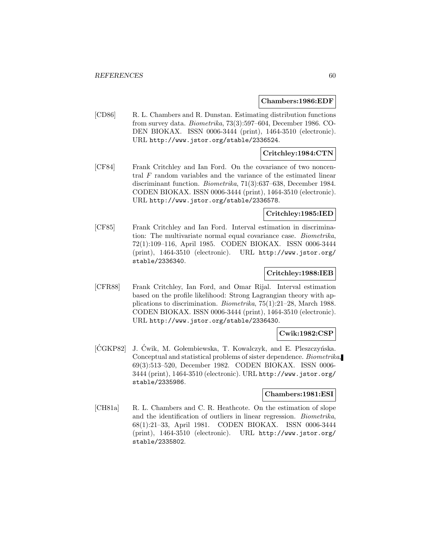#### **Chambers:1986:EDF**

[CD86] R. L. Chambers and R. Dunstan. Estimating distribution functions from survey data. Biometrika, 73(3):597–604, December 1986. CO-DEN BIOKAX. ISSN 0006-3444 (print), 1464-3510 (electronic). URL http://www.jstor.org/stable/2336524.

### **Critchley:1984:CTN**

[CF84] Frank Critchley and Ian Ford. On the covariance of two noncentral F random variables and the variance of the estimated linear discriminant function. Biometrika, 71(3):637–638, December 1984. CODEN BIOKAX. ISSN 0006-3444 (print), 1464-3510 (electronic). URL http://www.jstor.org/stable/2336578.

### **Critchley:1985:IED**

[CF85] Frank Critchley and Ian Ford. Interval estimation in discrimination: The multivariate normal equal covariance case. Biometrika, 72(1):109–116, April 1985. CODEN BIOKAX. ISSN 0006-3444 (print), 1464-3510 (electronic). URL http://www.jstor.org/ stable/2336340.

### **Critchley:1988:IEB**

[CFR88] Frank Critchley, Ian Ford, and Omar Rijal. Interval estimation based on the profile likelihood: Strong Lagrangian theory with applications to discrimination. Biometrika, 75(1):21–28, March 1988. CODEN BIOKAX. ISSN 0006-3444 (print), 1464-3510 (electronic). URL http://www.jstor.org/stable/2336430.

### **Cwik:1982:CSP**

[CGKP82] J. Ćwik, M. Gołembiewska, T. Kowalczyk, and E. Pleszczyńska. Conceptual and statistical problems of sister dependence. Biometrika, 69(3):513–520, December 1982. CODEN BIOKAX. ISSN 0006- 3444 (print), 1464-3510 (electronic). URL http://www.jstor.org/ stable/2335986.

### **Chambers:1981:ESI**

[CH81a] R. L. Chambers and C. R. Heathcote. On the estimation of slope and the identification of outliers in linear regression. Biometrika, 68(1):21–33, April 1981. CODEN BIOKAX. ISSN 0006-3444 (print), 1464-3510 (electronic). URL http://www.jstor.org/ stable/2335802.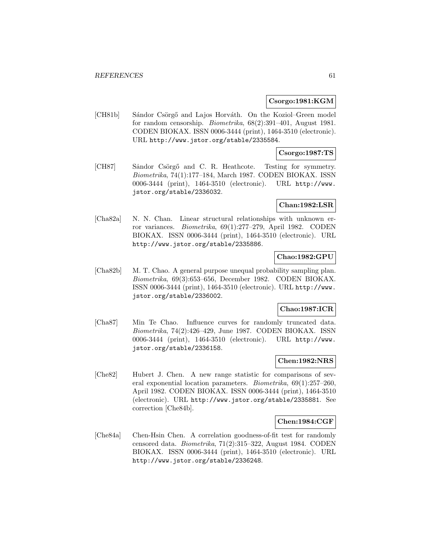### **Csorgo:1981:KGM**

[CH81b] Sándor Csörgő and Lajos Horváth. On the Koziol–Green model for random censorship. Biometrika, 68(2):391–401, August 1981. CODEN BIOKAX. ISSN 0006-3444 (print), 1464-3510 (electronic). URL http://www.jstor.org/stable/2335584.

# **Csorgo:1987:TS**

[CH87] Sandor Csörgő and C. R. Heathcote. Testing for symmetry. Biometrika, 74(1):177–184, March 1987. CODEN BIOKAX. ISSN 0006-3444 (print), 1464-3510 (electronic). URL http://www. jstor.org/stable/2336032.

### **Chan:1982:LSR**

[Cha82a] N. N. Chan. Linear structural relationships with unknown error variances. Biometrika, 69(1):277–279, April 1982. CODEN BIOKAX. ISSN 0006-3444 (print), 1464-3510 (electronic). URL http://www.jstor.org/stable/2335886.

# **Chao:1982:GPU**

[Cha82b] M. T. Chao. A general purpose unequal probability sampling plan. Biometrika, 69(3):653–656, December 1982. CODEN BIOKAX. ISSN 0006-3444 (print), 1464-3510 (electronic). URL http://www. jstor.org/stable/2336002.

# **Chao:1987:ICR**

[Cha87] Min Te Chao. Influence curves for randomly truncated data. Biometrika, 74(2):426–429, June 1987. CODEN BIOKAX. ISSN 0006-3444 (print), 1464-3510 (electronic). URL http://www. jstor.org/stable/2336158.

### **Chen:1982:NRS**

[Che82] Hubert J. Chen. A new range statistic for comparisons of several exponential location parameters. Biometrika, 69(1):257–260, April 1982. CODEN BIOKAX. ISSN 0006-3444 (print), 1464-3510 (electronic). URL http://www.jstor.org/stable/2335881. See correction [Che84b].

#### **Chen:1984:CGF**

[Che84a] Chen-Hsin Chen. A correlation goodness-of-fit test for randomly censored data. Biometrika, 71(2):315–322, August 1984. CODEN BIOKAX. ISSN 0006-3444 (print), 1464-3510 (electronic). URL http://www.jstor.org/stable/2336248.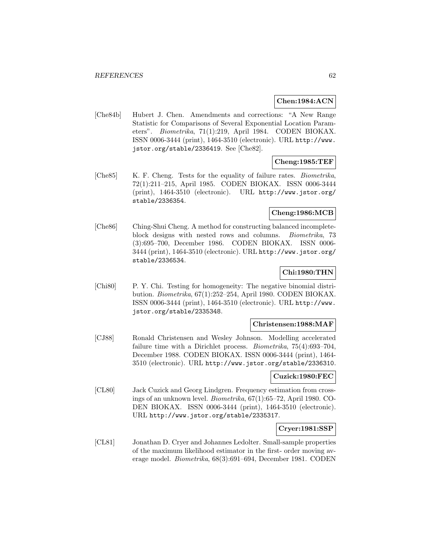### **Chen:1984:ACN**

[Che84b] Hubert J. Chen. Amendments and corrections: "A New Range Statistic for Comparisons of Several Exponential Location Parameters". Biometrika, 71(1):219, April 1984. CODEN BIOKAX. ISSN 0006-3444 (print), 1464-3510 (electronic). URL http://www. jstor.org/stable/2336419. See [Che82].

# **Cheng:1985:TEF**

[Che85] K. F. Cheng. Tests for the equality of failure rates. Biometrika, 72(1):211–215, April 1985. CODEN BIOKAX. ISSN 0006-3444 (print), 1464-3510 (electronic). URL http://www.jstor.org/ stable/2336354.

# **Cheng:1986:MCB**

[Che86] Ching-Shui Cheng. A method for constructing balanced incompleteblock designs with nested rows and columns. Biometrika, 73 (3):695–700, December 1986. CODEN BIOKAX. ISSN 0006- 3444 (print), 1464-3510 (electronic). URL http://www.jstor.org/ stable/2336534.

# **Chi:1980:THN**

[Chi80] P. Y. Chi. Testing for homogeneity: The negative binomial distribution. Biometrika, 67(1):252–254, April 1980. CODEN BIOKAX. ISSN 0006-3444 (print), 1464-3510 (electronic). URL http://www. jstor.org/stable/2335348.

#### **Christensen:1988:MAF**

[CJ88] Ronald Christensen and Wesley Johnson. Modelling accelerated failure time with a Dirichlet process. Biometrika, 75(4):693–704, December 1988. CODEN BIOKAX. ISSN 0006-3444 (print), 1464- 3510 (electronic). URL http://www.jstor.org/stable/2336310.

#### **Cuzick:1980:FEC**

[CL80] Jack Cuzick and Georg Lindgren. Frequency estimation from crossings of an unknown level. Biometrika, 67(1):65–72, April 1980. CO-DEN BIOKAX. ISSN 0006-3444 (print), 1464-3510 (electronic). URL http://www.jstor.org/stable/2335317.

#### **Cryer:1981:SSP**

[CL81] Jonathan D. Cryer and Johannes Ledolter. Small-sample properties of the maximum likelihood estimator in the first- order moving average model. Biometrika, 68(3):691–694, December 1981. CODEN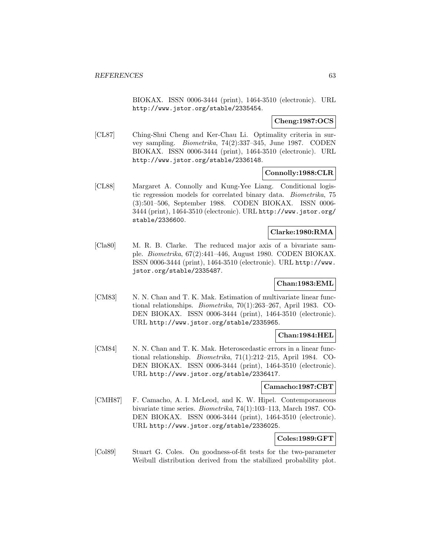BIOKAX. ISSN 0006-3444 (print), 1464-3510 (electronic). URL http://www.jstor.org/stable/2335454.

### **Cheng:1987:OCS**

[CL87] Ching-Shui Cheng and Ker-Chau Li. Optimality criteria in survey sampling. Biometrika, 74(2):337–345, June 1987. CODEN BIOKAX. ISSN 0006-3444 (print), 1464-3510 (electronic). URL http://www.jstor.org/stable/2336148.

# **Connolly:1988:CLR**

[CL88] Margaret A. Connolly and Kung-Yee Liang. Conditional logistic regression models for correlated binary data. Biometrika, 75 (3):501–506, September 1988. CODEN BIOKAX. ISSN 0006- 3444 (print), 1464-3510 (electronic). URL http://www.jstor.org/ stable/2336600.

# **Clarke:1980:RMA**

[Cla80] M. R. B. Clarke. The reduced major axis of a bivariate sample. Biometrika, 67(2):441–446, August 1980. CODEN BIOKAX. ISSN 0006-3444 (print), 1464-3510 (electronic). URL http://www. jstor.org/stable/2335487.

# **Chan:1983:EML**

[CM83] N. N. Chan and T. K. Mak. Estimation of multivariate linear functional relationships. Biometrika, 70(1):263–267, April 1983. CO-DEN BIOKAX. ISSN 0006-3444 (print), 1464-3510 (electronic). URL http://www.jstor.org/stable/2335965.

### **Chan:1984:HEL**

[CM84] N. N. Chan and T. K. Mak. Heteroscedastic errors in a linear functional relationship. Biometrika, 71(1):212–215, April 1984. CO-DEN BIOKAX. ISSN 0006-3444 (print), 1464-3510 (electronic). URL http://www.jstor.org/stable/2336417.

# **Camacho:1987:CBT**

[CMH87] F. Camacho, A. I. McLeod, and K. W. Hipel. Contemporaneous bivariate time series. Biometrika, 74(1):103–113, March 1987. CO-DEN BIOKAX. ISSN 0006-3444 (print), 1464-3510 (electronic). URL http://www.jstor.org/stable/2336025.

# **Coles:1989:GFT**

[Col89] Stuart G. Coles. On goodness-of-fit tests for the two-parameter Weibull distribution derived from the stabilized probability plot.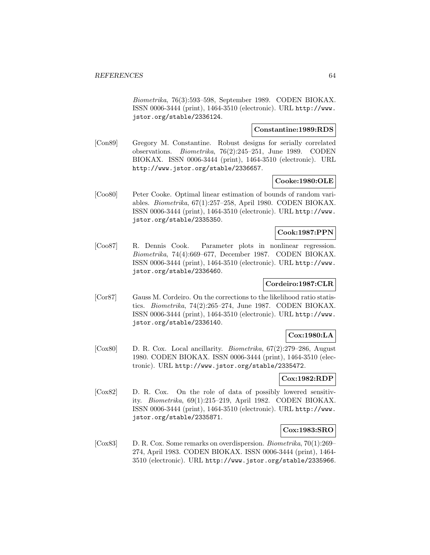Biometrika, 76(3):593–598, September 1989. CODEN BIOKAX. ISSN 0006-3444 (print), 1464-3510 (electronic). URL http://www. jstor.org/stable/2336124.

# **Constantine:1989:RDS**

[Con89] Gregory M. Constantine. Robust designs for serially correlated observations. Biometrika, 76(2):245–251, June 1989. CODEN BIOKAX. ISSN 0006-3444 (print), 1464-3510 (electronic). URL http://www.jstor.org/stable/2336657.

#### **Cooke:1980:OLE**

[Coo80] Peter Cooke. Optimal linear estimation of bounds of random variables. Biometrika, 67(1):257–258, April 1980. CODEN BIOKAX. ISSN 0006-3444 (print), 1464-3510 (electronic). URL http://www. jstor.org/stable/2335350.

### **Cook:1987:PPN**

[Coo87] R. Dennis Cook. Parameter plots in nonlinear regression. Biometrika, 74(4):669–677, December 1987. CODEN BIOKAX. ISSN 0006-3444 (print), 1464-3510 (electronic). URL http://www. jstor.org/stable/2336460.

# **Cordeiro:1987:CLR**

[Cor87] Gauss M. Cordeiro. On the corrections to the likelihood ratio statistics. Biometrika, 74(2):265–274, June 1987. CODEN BIOKAX. ISSN 0006-3444 (print), 1464-3510 (electronic). URL http://www. jstor.org/stable/2336140.

### **Cox:1980:LA**

[Cox80] D. R. Cox. Local ancillarity. Biometrika, 67(2):279–286, August 1980. CODEN BIOKAX. ISSN 0006-3444 (print), 1464-3510 (electronic). URL http://www.jstor.org/stable/2335472.

### **Cox:1982:RDP**

[Cox82] D. R. Cox. On the role of data of possibly lowered sensitivity. Biometrika, 69(1):215–219, April 1982. CODEN BIOKAX. ISSN 0006-3444 (print), 1464-3510 (electronic). URL http://www. jstor.org/stable/2335871.

#### **Cox:1983:SRO**

[Cox83] D. R. Cox. Some remarks on overdispersion. Biometrika, 70(1):269– 274, April 1983. CODEN BIOKAX. ISSN 0006-3444 (print), 1464- 3510 (electronic). URL http://www.jstor.org/stable/2335966.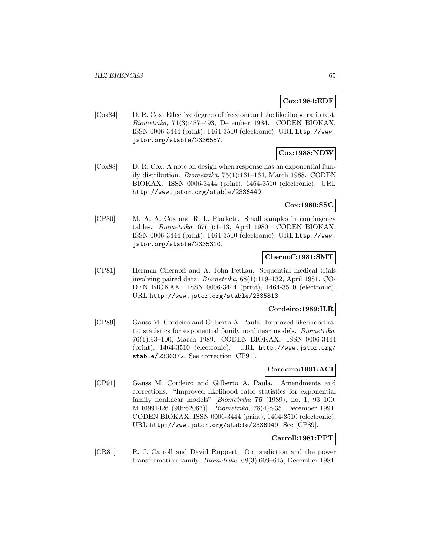## **Cox:1984:EDF**

[Cox84] D. R. Cox. Effective degrees of freedom and the likelihood ratio test. Biometrika, 71(3):487–493, December 1984. CODEN BIOKAX. ISSN 0006-3444 (print), 1464-3510 (electronic). URL http://www. jstor.org/stable/2336557.

# **Cox:1988:NDW**

[Cox88] D. R. Cox. A note on design when response has an exponential family distribution. Biometrika, 75(1):161–164, March 1988. CODEN BIOKAX. ISSN 0006-3444 (print), 1464-3510 (electronic). URL http://www.jstor.org/stable/2336449.

### **Cox:1980:SSC**

[CP80] M. A. A. Cox and R. L. Plackett. Small samples in contingency tables. Biometrika, 67(1):1–13, April 1980. CODEN BIOKAX. ISSN 0006-3444 (print), 1464-3510 (electronic). URL http://www. jstor.org/stable/2335310.

# **Chernoff:1981:SMT**

[CP81] Herman Chernoff and A. John Petkau. Sequential medical trials involving paired data. Biometrika, 68(1):119–132, April 1981. CO-DEN BIOKAX. ISSN 0006-3444 (print), 1464-3510 (electronic). URL http://www.jstor.org/stable/2335813.

### **Cordeiro:1989:ILR**

[CP89] Gauss M. Cordeiro and Gilberto A. Paula. Improved likelihood ratio statistics for exponential family nonlinear models. Biometrika, 76(1):93–100, March 1989. CODEN BIOKAX. ISSN 0006-3444 (print), 1464-3510 (electronic). URL http://www.jstor.org/ stable/2336372. See correction [CP91].

# **Cordeiro:1991:ACI**

[CP91] Gauss M. Cordeiro and Gilberto A. Paula. Amendments and corrections: "Improved likelihood ratio statistics for exponential family nonlinear models" [Biometrika **76** (1989), no. 1, 93–100; MR0991426 (90f:62067)]. Biometrika, 78(4):935, December 1991. CODEN BIOKAX. ISSN 0006-3444 (print), 1464-3510 (electronic). URL http://www.jstor.org/stable/2336949. See [CP89].

# **Carroll:1981:PPT**

[CR81] R. J. Carroll and David Ruppert. On prediction and the power transformation family. Biometrika, 68(3):609–615, December 1981.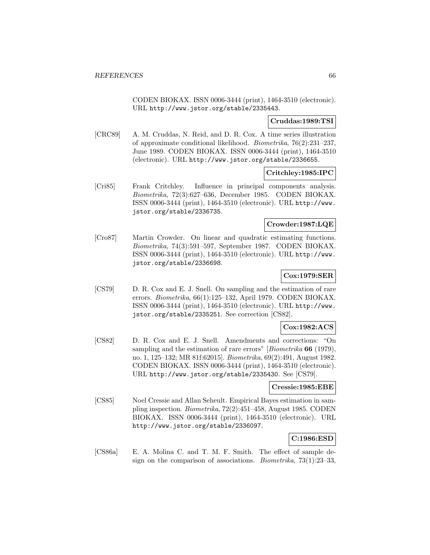CODEN BIOKAX. ISSN 0006-3444 (print), 1464-3510 (electronic). URL http://www.jstor.org/stable/2335443.

## **Cruddas:1989:TSI**

[CRC89] A. M. Cruddas, N. Reid, and D. R. Cox. A time series illustration of approximate conditional likelihood. Biometrika, 76(2):231–237, June 1989. CODEN BIOKAX. ISSN 0006-3444 (print), 1464-3510 (electronic). URL http://www.jstor.org/stable/2336655.

# **Critchley:1985:IPC**

[Cri85] Frank Critchley. Influence in principal components analysis. Biometrika, 72(3):627–636, December 1985. CODEN BIOKAX. ISSN 0006-3444 (print), 1464-3510 (electronic). URL http://www. jstor.org/stable/2336735.

# **Crowder:1987:LQE**

[Cro87] Martin Crowder. On linear and quadratic estimating functions. Biometrika, 74(3):591–597, September 1987. CODEN BIOKAX. ISSN 0006-3444 (print), 1464-3510 (electronic). URL http://www. jstor.org/stable/2336698.

# **Cox:1979:SER**

[CS79] D. R. Cox and E. J. Snell. On sampling and the estimation of rare errors. Biometrika, 66(1):125–132, April 1979. CODEN BIOKAX. ISSN 0006-3444 (print), 1464-3510 (electronic). URL http://www. jstor.org/stable/2335251. See correction [CS82].

# **Cox:1982:ACS**

[CS82] D. R. Cox and E. J. Snell. Amendments and corrections: "On sampling and the estimation of rare errors" [Biometrika **66** (1979), no. 1, 125–132; MR 81f:62015]. Biometrika, 69(2):491, August 1982. CODEN BIOKAX. ISSN 0006-3444 (print), 1464-3510 (electronic). URL http://www.jstor.org/stable/2335430. See [CS79].

### **Cressie:1985:EBE**

[CS85] Noel Cressie and Allan Seheult. Empirical Bayes estimation in sampling inspection. Biometrika, 72(2):451–458, August 1985. CODEN BIOKAX. ISSN 0006-3444 (print), 1464-3510 (electronic). URL http://www.jstor.org/stable/2336097.

# **C:1986:ESD**

[CS86a] E. A. Molina C. and T. M. F. Smith. The effect of sample design on the comparison of associations. Biometrika, 73(1):23–33,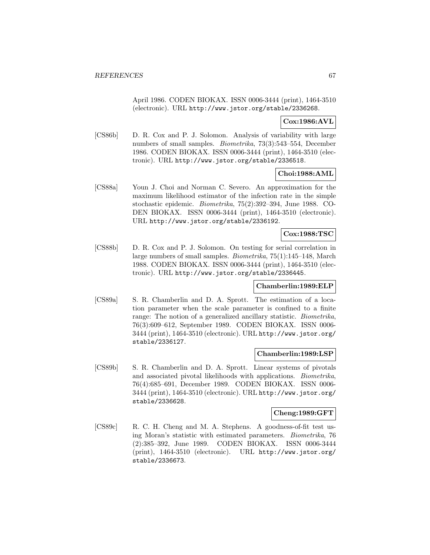April 1986. CODEN BIOKAX. ISSN 0006-3444 (print), 1464-3510 (electronic). URL http://www.jstor.org/stable/2336268.

# **Cox:1986:AVL**

[CS86b] D. R. Cox and P. J. Solomon. Analysis of variability with large numbers of small samples. Biometrika, 73(3):543–554, December 1986. CODEN BIOKAX. ISSN 0006-3444 (print), 1464-3510 (electronic). URL http://www.jstor.org/stable/2336518.

### **Choi:1988:AML**

[CS88a] Youn J. Choi and Norman C. Severo. An approximation for the maximum likelihood estimator of the infection rate in the simple stochastic epidemic. Biometrika, 75(2):392–394, June 1988. CO-DEN BIOKAX. ISSN 0006-3444 (print), 1464-3510 (electronic). URL http://www.jstor.org/stable/2336192.

# **Cox:1988:TSC**

[CS88b] D. R. Cox and P. J. Solomon. On testing for serial correlation in large numbers of small samples. Biometrika, 75(1):145–148, March 1988. CODEN BIOKAX. ISSN 0006-3444 (print), 1464-3510 (electronic). URL http://www.jstor.org/stable/2336445.

### **Chamberlin:1989:ELP**

[CS89a] S. R. Chamberlin and D. A. Sprott. The estimation of a location parameter when the scale parameter is confined to a finite range: The notion of a generalized ancillary statistic. Biometrika, 76(3):609–612, September 1989. CODEN BIOKAX. ISSN 0006- 3444 (print), 1464-3510 (electronic). URL http://www.jstor.org/ stable/2336127.

### **Chamberlin:1989:LSP**

[CS89b] S. R. Chamberlin and D. A. Sprott. Linear systems of pivotals and associated pivotal likelihoods with applications. Biometrika, 76(4):685–691, December 1989. CODEN BIOKAX. ISSN 0006- 3444 (print), 1464-3510 (electronic). URL http://www.jstor.org/ stable/2336628.

#### **Cheng:1989:GFT**

[CS89c] R. C. H. Cheng and M. A. Stephens. A goodness-of-fit test using Moran's statistic with estimated parameters. Biometrika, 76 (2):385–392, June 1989. CODEN BIOKAX. ISSN 0006-3444 (print), 1464-3510 (electronic). URL http://www.jstor.org/ stable/2336673.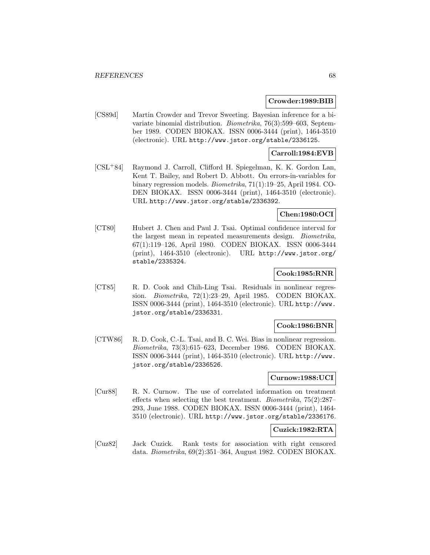#### **Crowder:1989:BIB**

[CS89d] Martin Crowder and Trevor Sweeting. Bayesian inference for a bivariate binomial distribution. Biometrika, 76(3):599–603, September 1989. CODEN BIOKAX. ISSN 0006-3444 (print), 1464-3510 (electronic). URL http://www.jstor.org/stable/2336125.

# **Carroll:1984:EVB**

[CSL<sup>+</sup>84] Raymond J. Carroll, Clifford H. Spiegelman, K. K. Gordon Lan, Kent T. Bailey, and Robert D. Abbott. On errors-in-variables for binary regression models. Biometrika, 71(1):19–25, April 1984. CO-DEN BIOKAX. ISSN 0006-3444 (print), 1464-3510 (electronic). URL http://www.jstor.org/stable/2336392.

#### **Chen:1980:OCI**

[CT80] Hubert J. Chen and Paul J. Tsai. Optimal confidence interval for the largest mean in repeated measurements design. Biometrika, 67(1):119–126, April 1980. CODEN BIOKAX. ISSN 0006-3444 (print), 1464-3510 (electronic). URL http://www.jstor.org/ stable/2335324.

### **Cook:1985:RNR**

[CT85] R. D. Cook and Chih-Ling Tsai. Residuals in nonlinear regression. Biometrika, 72(1):23–29, April 1985. CODEN BIOKAX. ISSN 0006-3444 (print), 1464-3510 (electronic). URL http://www. jstor.org/stable/2336331.

#### **Cook:1986:BNR**

[CTW86] R. D. Cook, C.-L. Tsai, and B. C. Wei. Bias in nonlinear regression. Biometrika, 73(3):615–623, December 1986. CODEN BIOKAX. ISSN 0006-3444 (print), 1464-3510 (electronic). URL http://www. jstor.org/stable/2336526.

#### **Curnow:1988:UCI**

[Cur88] R. N. Curnow. The use of correlated information on treatment effects when selecting the best treatment. Biometrika, 75(2):287– 293, June 1988. CODEN BIOKAX. ISSN 0006-3444 (print), 1464- 3510 (electronic). URL http://www.jstor.org/stable/2336176.

### **Cuzick:1982:RTA**

[Cuz82] Jack Cuzick. Rank tests for association with right censored data. Biometrika, 69(2):351–364, August 1982. CODEN BIOKAX.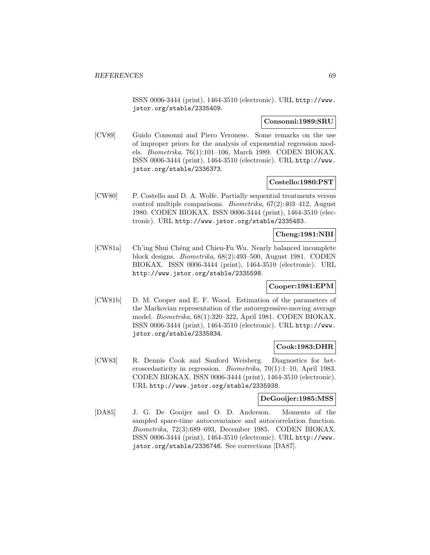ISSN 0006-3444 (print), 1464-3510 (electronic). URL http://www. jstor.org/stable/2335409.

### **Consonni:1989:SRU**

[CV89] Guido Consonni and Piero Veronese. Some remarks on the use of improper priors for the analysis of exponential regression models. Biometrika, 76(1):101–106, March 1989. CODEN BIOKAX. ISSN 0006-3444 (print), 1464-3510 (electronic). URL http://www. jstor.org/stable/2336373.

#### **Costello:1980:PST**

[CW80] P. Costello and D. A. Wolfe. Partially sequential treatments versus control multiple comparisons. Biometrika, 67(2):403–412, August 1980. CODEN BIOKAX. ISSN 0006-3444 (print), 1464-3510 (electronic). URL http://www.jstor.org/stable/2335483.

## **Cheng:1981:NBI**

[CW81a] Ch'ing Shui Chêng and Chien-Fu Wu. Nearly balanced incomplete block designs. Biometrika, 68(2):493–500, August 1981. CODEN BIOKAX. ISSN 0006-3444 (print), 1464-3510 (electronic). URL http://www.jstor.org/stable/2335598.

# **Cooper:1981:EPM**

[CW81b] D. M. Cooper and E. F. Wood. Estimation of the parameters of the Markovian representation of the autoregressive-moving average model. Biometrika, 68(1):320–322, April 1981. CODEN BIOKAX. ISSN 0006-3444 (print), 1464-3510 (electronic). URL http://www. jstor.org/stable/2335834.

## **Cook:1983:DHR**

[CW83] R. Dennis Cook and Sanford Weisberg. Diagnostics for heteroscedasticity in regression. Biometrika, 70(1):1–10, April 1983. CODEN BIOKAX. ISSN 0006-3444 (print), 1464-3510 (electronic). URL http://www.jstor.org/stable/2335938.

#### **DeGooijer:1985:MSS**

[DA85] J. G. De Gooijer and O. D. Anderson. Moments of the sampled space-time autocovariance and autocorrelation function. Biometrika, 72(3):689–693, December 1985. CODEN BIOKAX. ISSN 0006-3444 (print), 1464-3510 (electronic). URL http://www. jstor.org/stable/2336746. See corrections [DA87].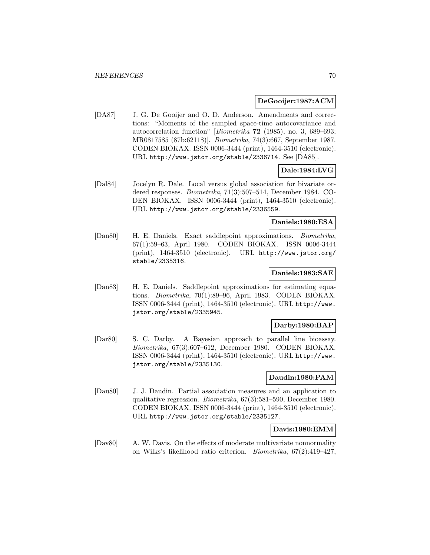### **DeGooijer:1987:ACM**

[DA87] J. G. De Gooijer and O. D. Anderson. Amendments and corrections: "Moments of the sampled space-time autocovariance and autocorrelation function" [Biometrika **72** (1985), no. 3, 689–693; MR0817585 (87b:62118)]. Biometrika, 74(3):667, September 1987. CODEN BIOKAX. ISSN 0006-3444 (print), 1464-3510 (electronic). URL http://www.jstor.org/stable/2336714. See [DA85].

# **Dale:1984:LVG**

[Dal84] Jocelyn R. Dale. Local versus global association for bivariate ordered responses. Biometrika, 71(3):507–514, December 1984. CO-DEN BIOKAX. ISSN 0006-3444 (print), 1464-3510 (electronic). URL http://www.jstor.org/stable/2336559.

# **Daniels:1980:ESA**

[Dan80] H. E. Daniels. Exact saddlepoint approximations. Biometrika, 67(1):59–63, April 1980. CODEN BIOKAX. ISSN 0006-3444 (print), 1464-3510 (electronic). URL http://www.jstor.org/ stable/2335316.

### **Daniels:1983:SAE**

[Dan83] H. E. Daniels. Saddlepoint approximations for estimating equations. Biometrika, 70(1):89–96, April 1983. CODEN BIOKAX. ISSN 0006-3444 (print), 1464-3510 (electronic). URL http://www. jstor.org/stable/2335945.

#### **Darby:1980:BAP**

[Dar80] S. C. Darby. A Bayesian approach to parallel line bioassay. Biometrika, 67(3):607–612, December 1980. CODEN BIOKAX. ISSN 0006-3444 (print), 1464-3510 (electronic). URL http://www. jstor.org/stable/2335130.

#### **Daudin:1980:PAM**

[Dau80] J. J. Daudin. Partial association measures and an application to qualitative regression. Biometrika, 67(3):581–590, December 1980. CODEN BIOKAX. ISSN 0006-3444 (print), 1464-3510 (electronic). URL http://www.jstor.org/stable/2335127.

### **Davis:1980:EMM**

[Dav80] A. W. Davis. On the effects of moderate multivariate nonnormality on Wilks's likelihood ratio criterion. Biometrika, 67(2):419–427,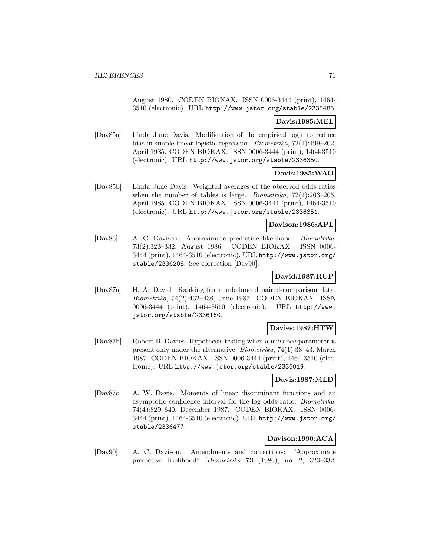August 1980. CODEN BIOKAX. ISSN 0006-3444 (print), 1464- 3510 (electronic). URL http://www.jstor.org/stable/2335485.

### **Davis:1985:MEL**

[Dav85a] Linda June Davis. Modification of the empirical logit to reduce bias in simple linear logistic regression. Biometrika, 72(1):199–202, April 1985. CODEN BIOKAX. ISSN 0006-3444 (print), 1464-3510 (electronic). URL http://www.jstor.org/stable/2336350.

# **Davis:1985:WAO**

[Dav85b] Linda June Davis. Weighted averages of the observed odds ratios when the number of tables is large. *Biometrika*,  $72(1):203-205$ , April 1985. CODEN BIOKAX. ISSN 0006-3444 (print), 1464-3510 (electronic). URL http://www.jstor.org/stable/2336351.

### **Davison:1986:APL**

[Dav86] A. C. Davison. Approximate predictive likelihood. Biometrika, 73(2):323–332, August 1986. CODEN BIOKAX. ISSN 0006- 3444 (print), 1464-3510 (electronic). URL http://www.jstor.org/ stable/2336208. See correction [Dav90].

# **David:1987:RUP**

[Dav87a] H. A. David. Ranking from unbalanced paired-comparison data. Biometrika, 74(2):432–436, June 1987. CODEN BIOKAX. ISSN 0006-3444 (print), 1464-3510 (electronic). URL http://www. jstor.org/stable/2336160.

# **Davies:1987:HTW**

[Dav87b] Robert B. Davies. Hypothesis testing when a nuisance parameter is present only under the alternative. Biometrika, 74(1):33–43, March 1987. CODEN BIOKAX. ISSN 0006-3444 (print), 1464-3510 (electronic). URL http://www.jstor.org/stable/2336019.

# **Davis:1987:MLD**

[Dav87c] A. W. Davis. Moments of linear discriminant functions and an asymptotic confidence interval for the log odds ratio. Biometrika, 74(4):829–840, December 1987. CODEN BIOKAX. ISSN 0006- 3444 (print), 1464-3510 (electronic). URL http://www.jstor.org/ stable/2336477.

# **Davison:1990:ACA**

[Dav90] A. C. Davison. Amendments and corrections: "Approximate predictive likelihood" [Biometrika **73** (1986), no. 2, 323–332;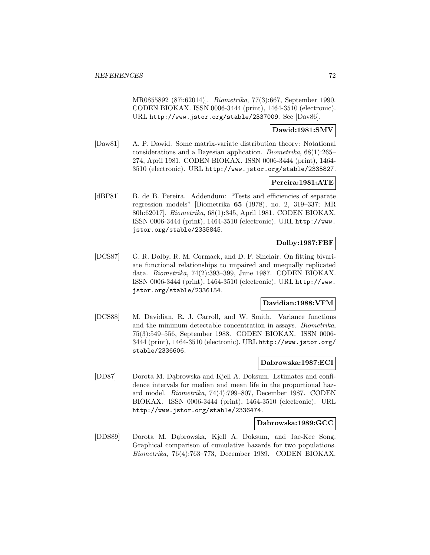MR0855892 (87i:62014)]. Biometrika, 77(3):667, September 1990. CODEN BIOKAX. ISSN 0006-3444 (print), 1464-3510 (electronic). URL http://www.jstor.org/stable/2337009. See [Dav86].

### **Dawid:1981:SMV**

[Daw81] A. P. Dawid. Some matrix-variate distribution theory: Notational considerations and a Bayesian application. Biometrika, 68(1):265– 274, April 1981. CODEN BIOKAX. ISSN 0006-3444 (print), 1464- 3510 (electronic). URL http://www.jstor.org/stable/2335827.

# **Pereira:1981:ATE**

[dBP81] B. de B. Pereira. Addendum: "Tests and efficiencies of separate regression models" [Biometrika **65** (1978), no. 2, 319–337; MR 80h:62017]. Biometrika, 68(1):345, April 1981. CODEN BIOKAX. ISSN 0006-3444 (print), 1464-3510 (electronic). URL http://www. jstor.org/stable/2335845.

# **Dolby:1987:FBF**

[DCS87] G. R. Dolby, R. M. Cormack, and D. F. Sinclair. On fitting bivariate functional relationships to unpaired and unequally replicated data. Biometrika, 74(2):393–399, June 1987. CODEN BIOKAX. ISSN 0006-3444 (print), 1464-3510 (electronic). URL http://www. jstor.org/stable/2336154.

### **Davidian:1988:VFM**

[DCS88] M. Davidian, R. J. Carroll, and W. Smith. Variance functions and the minimum detectable concentration in assays. Biometrika, 75(3):549–556, September 1988. CODEN BIOKAX. ISSN 0006- 3444 (print), 1464-3510 (electronic). URL http://www.jstor.org/ stable/2336606.

### **Dabrowska:1987:ECI**

[DD87] Dorota M. Dąbrowska and Kjell A. Doksum. Estimates and confidence intervals for median and mean life in the proportional hazard model. Biometrika, 74(4):799–807, December 1987. CODEN BIOKAX. ISSN 0006-3444 (print), 1464-3510 (electronic). URL http://www.jstor.org/stable/2336474.

### **Dabrowska:1989:GCC**

[DDS89] Dorota M. D¸abrowska, Kjell A. Doksum, and Jae-Kee Song. Graphical comparison of cumulative hazards for two populations. Biometrika, 76(4):763–773, December 1989. CODEN BIOKAX.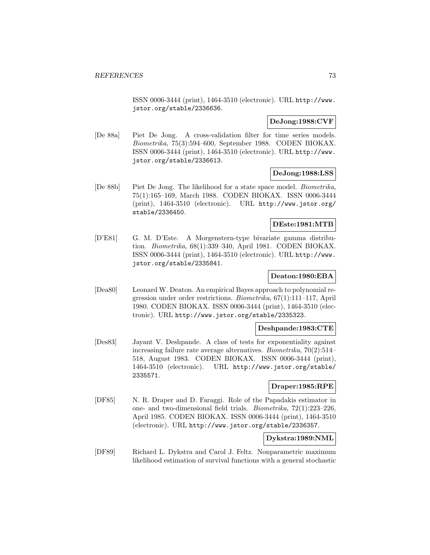ISSN 0006-3444 (print), 1464-3510 (electronic). URL http://www. jstor.org/stable/2336636.

### **DeJong:1988:CVF**

[De 88a] Piet De Jong. A cross-validation filter for time series models. Biometrika, 75(3):594–600, September 1988. CODEN BIOKAX. ISSN 0006-3444 (print), 1464-3510 (electronic). URL http://www. jstor.org/stable/2336613.

### **DeJong:1988:LSS**

[De 88b] Piet De Jong. The likelihood for a state space model. Biometrika, 75(1):165–169, March 1988. CODEN BIOKAX. ISSN 0006-3444 (print), 1464-3510 (electronic). URL http://www.jstor.org/ stable/2336450.

### **DEste:1981:MTB**

[D'E81] G. M. D'Este. A Morgenstern-type bivariate gamma distribution. Biometrika, 68(1):339–340, April 1981. CODEN BIOKAX. ISSN 0006-3444 (print), 1464-3510 (electronic). URL http://www. jstor.org/stable/2335841.

#### **Deaton:1980:EBA**

[Dea80] Leonard W. Deaton. An empirical Bayes approach to polynomial regression under order restrictions. Biometrika, 67(1):111–117, April 1980. CODEN BIOKAX. ISSN 0006-3444 (print), 1464-3510 (electronic). URL http://www.jstor.org/stable/2335323.

### **Deshpande:1983:CTE**

[Des83] Jayant V. Deshpande. A class of tests for exponentiality against increasing failure rate average alternatives. Biometrika, 70(2):514– 518, August 1983. CODEN BIOKAX. ISSN 0006-3444 (print), 1464-3510 (electronic). URL http://www.jstor.org/stable/ 2335571.

#### **Draper:1985:RPE**

[DF85] N. R. Draper and D. Faraggi. Role of the Papadakis estimator in one- and two-dimensional field trials. Biometrika, 72(1):223–226, April 1985. CODEN BIOKAX. ISSN 0006-3444 (print), 1464-3510 (electronic). URL http://www.jstor.org/stable/2336357.

# **Dykstra:1989:NML**

[DF89] Richard L. Dykstra and Carol J. Feltz. Nonparametric maximum likelihood estimation of survival functions with a general stochastic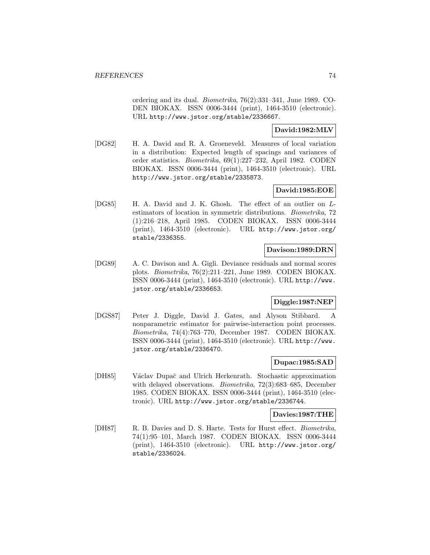ordering and its dual. Biometrika, 76(2):331–341, June 1989. CO-DEN BIOKAX. ISSN 0006-3444 (print), 1464-3510 (electronic). URL http://www.jstor.org/stable/2336667.

## **David:1982:MLV**

[DG82] H. A. David and R. A. Groeneveld. Measures of local variation in a distribution: Expected length of spacings and variances of order statistics. Biometrika, 69(1):227–232, April 1982. CODEN BIOKAX. ISSN 0006-3444 (print), 1464-3510 (electronic). URL http://www.jstor.org/stable/2335873.

# **David:1985:EOE**

[DG85] H. A. David and J. K. Ghosh. The effect of an outlier on Lestimators of location in symmetric distributions. Biometrika, 72 (1):216–218, April 1985. CODEN BIOKAX. ISSN 0006-3444 (print), 1464-3510 (electronic). URL http://www.jstor.org/ stable/2336355.

# **Davison:1989:DRN**

[DG89] A. C. Davison and A. Gigli. Deviance residuals and normal scores plots. Biometrika, 76(2):211–221, June 1989. CODEN BIOKAX. ISSN 0006-3444 (print), 1464-3510 (electronic). URL http://www. jstor.org/stable/2336653.

# **Diggle:1987:NEP**

[DGS87] Peter J. Diggle, David J. Gates, and Alyson Stibbard. A nonparametric estimator for pairwise-interaction point processes. Biometrika, 74(4):763–770, December 1987. CODEN BIOKAX. ISSN 0006-3444 (print), 1464-3510 (electronic). URL http://www. jstor.org/stable/2336470.

### **Dupac:1985:SAD**

[DH85] Václav Dupač and Ulrich Herkenrath. Stochastic approximation with delayed observations. Biometrika, 72(3):683–685, December 1985. CODEN BIOKAX. ISSN 0006-3444 (print), 1464-3510 (electronic). URL http://www.jstor.org/stable/2336744.

### **Davies:1987:THE**

[DH87] R. B. Davies and D. S. Harte. Tests for Hurst effect. *Biometrika*, 74(1):95–101, March 1987. CODEN BIOKAX. ISSN 0006-3444 (print), 1464-3510 (electronic). URL http://www.jstor.org/ stable/2336024.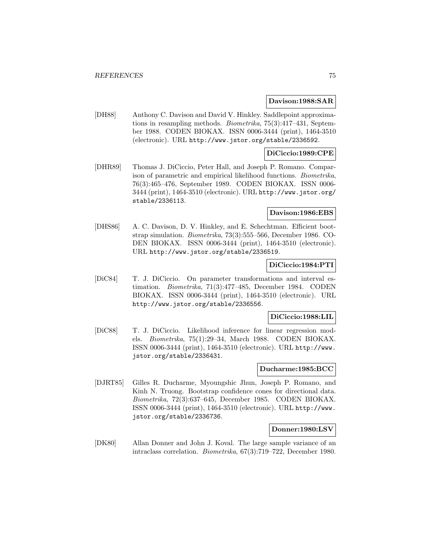#### **Davison:1988:SAR**

[DH88] Anthony C. Davison and David V. Hinkley. Saddlepoint approximations in resampling methods. Biometrika, 75(3):417–431, September 1988. CODEN BIOKAX. ISSN 0006-3444 (print), 1464-3510 (electronic). URL http://www.jstor.org/stable/2336592.

### **DiCiccio:1989:CPE**

[DHR89] Thomas J. DiCiccio, Peter Hall, and Joseph P. Romano. Comparison of parametric and empirical likelihood functions. Biometrika, 76(3):465–476, September 1989. CODEN BIOKAX. ISSN 0006- 3444 (print), 1464-3510 (electronic). URL http://www.jstor.org/ stable/2336113.

#### **Davison:1986:EBS**

[DHS86] A. C. Davison, D. V. Hinkley, and E. Schechtman. Efficient bootstrap simulation. Biometrika, 73(3):555–566, December 1986. CO-DEN BIOKAX. ISSN 0006-3444 (print), 1464-3510 (electronic). URL http://www.jstor.org/stable/2336519.

## **DiCiccio:1984:PTI**

[DiC84] T. J. DiCiccio. On parameter transformations and interval estimation. Biometrika, 71(3):477–485, December 1984. CODEN BIOKAX. ISSN 0006-3444 (print), 1464-3510 (electronic). URL http://www.jstor.org/stable/2336556.

#### **DiCiccio:1988:LIL**

[DiC88] T. J. DiCiccio. Likelihood inference for linear regression models. Biometrika, 75(1):29–34, March 1988. CODEN BIOKAX. ISSN 0006-3444 (print), 1464-3510 (electronic). URL http://www. jstor.org/stable/2336431.

### **Ducharme:1985:BCC**

[DJRT85] Gilles R. Ducharme, Myoungshic Jhun, Joseph P. Romano, and Kinh N. Truong. Bootstrap confidence cones for directional data. Biometrika, 72(3):637–645, December 1985. CODEN BIOKAX. ISSN 0006-3444 (print), 1464-3510 (electronic). URL http://www. jstor.org/stable/2336736.

#### **Donner:1980:LSV**

[DK80] Allan Donner and John J. Koval. The large sample variance of an intraclass correlation. Biometrika, 67(3):719–722, December 1980.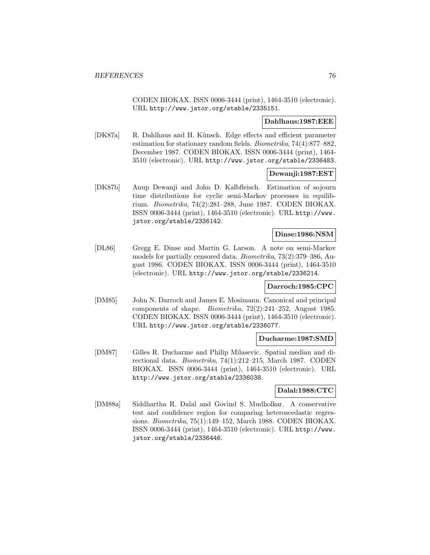CODEN BIOKAX. ISSN 0006-3444 (print), 1464-3510 (electronic). URL http://www.jstor.org/stable/2335151.

#### **Dahlhaus:1987:EEE**

[DK87a] R. Dahlhaus and H. Künsch. Edge effects and efficient parameter estimation for stationary random fields. Biometrika, 74(4):877–882, December 1987. CODEN BIOKAX. ISSN 0006-3444 (print), 1464- 3510 (electronic). URL http://www.jstor.org/stable/2336483.

#### **Dewanji:1987:EST**

[DK87b] Anup Dewanji and John D. Kalbfleisch. Estimation of sojourn time distributions for cyclic semi-Markov processes in equilibrium. Biometrika, 74(2):281–288, June 1987. CODEN BIOKAX. ISSN 0006-3444 (print), 1464-3510 (electronic). URL http://www. jstor.org/stable/2336142.

### **Dinse:1986:NSM**

[DL86] Gregg E. Dinse and Martin G. Larson. A note on semi-Markov models for partially censored data. Biometrika, 73(2):379–386, August 1986. CODEN BIOKAX. ISSN 0006-3444 (print), 1464-3510 (electronic). URL http://www.jstor.org/stable/2336214.

#### **Darroch:1985:CPC**

[DM85] John N. Darroch and James E. Mosimann. Canonical and principal components of shape. Biometrika, 72(2):241–252, August 1985. CODEN BIOKAX. ISSN 0006-3444 (print), 1464-3510 (electronic). URL http://www.jstor.org/stable/2336077.

#### **Ducharme:1987:SMD**

[DM87] Gilles R. Ducharme and Philip Milasevic. Spatial median and directional data. Biometrika, 74(1):212–215, March 1987. CODEN BIOKAX. ISSN 0006-3444 (print), 1464-3510 (electronic). URL http://www.jstor.org/stable/2336038.

### **Dalal:1988:CTC**

[DM88a] Siddhartha R. Dalal and Govind S. Mudholkar. A conservative test and confidence region for comparing heteroscedastic regressions. Biometrika, 75(1):149–152, March 1988. CODEN BIOKAX. ISSN 0006-3444 (print), 1464-3510 (electronic). URL http://www. jstor.org/stable/2336446.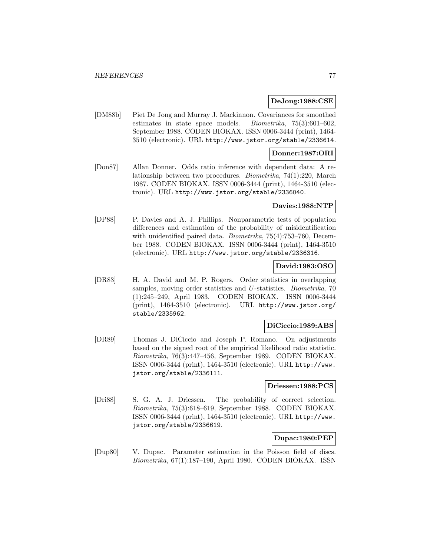### **DeJong:1988:CSE**

[DM88b] Piet De Jong and Murray J. Mackinnon. Covariances for smoothed estimates in state space models. Biometrika, 75(3):601–602, September 1988. CODEN BIOKAX. ISSN 0006-3444 (print), 1464- 3510 (electronic). URL http://www.jstor.org/stable/2336614.

### **Donner:1987:ORI**

[Don87] Allan Donner. Odds ratio inference with dependent data: A relationship between two procedures. Biometrika, 74(1):220, March 1987. CODEN BIOKAX. ISSN 0006-3444 (print), 1464-3510 (electronic). URL http://www.jstor.org/stable/2336040.

#### **Davies:1988:NTP**

[DP88] P. Davies and A. J. Phillips. Nonparametric tests of population differences and estimation of the probability of misidentification with unidentified paired data. *Biometrika*, 75(4):753–760, December 1988. CODEN BIOKAX. ISSN 0006-3444 (print), 1464-3510 (electronic). URL http://www.jstor.org/stable/2336316.

### **David:1983:OSO**

[DR83] H. A. David and M. P. Rogers. Order statistics in overlapping samples, moving order statistics and U-statistics. *Biometrika*, 70 (1):245–249, April 1983. CODEN BIOKAX. ISSN 0006-3444 (print), 1464-3510 (electronic). URL http://www.jstor.org/ stable/2335962.

### **DiCiccio:1989:ABS**

[DR89] Thomas J. DiCiccio and Joseph P. Romano. On adjustments based on the signed root of the empirical likelihood ratio statistic. Biometrika, 76(3):447–456, September 1989. CODEN BIOKAX. ISSN 0006-3444 (print), 1464-3510 (electronic). URL http://www. jstor.org/stable/2336111.

### **Driessen:1988:PCS**

[Dri88] S. G. A. J. Driessen. The probability of correct selection. Biometrika, 75(3):618–619, September 1988. CODEN BIOKAX. ISSN 0006-3444 (print), 1464-3510 (electronic). URL http://www. jstor.org/stable/2336619.

### **Dupac:1980:PEP**

[Dup80] V. Dupac. Parameter estimation in the Poisson field of discs. Biometrika, 67(1):187–190, April 1980. CODEN BIOKAX. ISSN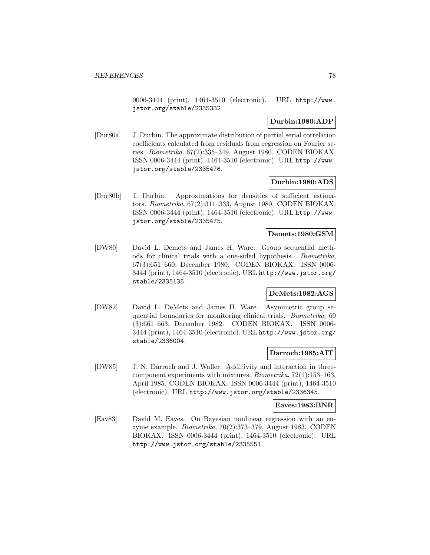0006-3444 (print), 1464-3510 (electronic). URL http://www. jstor.org/stable/2335332.

### **Durbin:1980:ADP**

[Dur80a] J. Durbin. The approximate distribution of partial serial correlation coefficients calculated from residuals from regression on Fourier series. Biometrika, 67(2):335–349, August 1980. CODEN BIOKAX. ISSN 0006-3444 (print), 1464-3510 (electronic). URL http://www. jstor.org/stable/2335476.

### **Durbin:1980:ADS**

[Dur80b] J. Durbin. Approximations for densities of sufficient estimators. Biometrika, 67(2):311–333, August 1980. CODEN BIOKAX. ISSN 0006-3444 (print), 1464-3510 (electronic). URL http://www. jstor.org/stable/2335475.

#### **Demets:1980:GSM**

[DW80] David L. Demets and James H. Ware. Group sequential methods for clinical trials with a one-sided hypothesis. Biometrika, 67(3):651–660, December 1980. CODEN BIOKAX. ISSN 0006- 3444 (print), 1464-3510 (electronic). URL http://www.jstor.org/ stable/2335135.

#### **DeMets:1982:AGS**

[DW82] David L. DeMets and James H. Ware. Asymmetric group sequential boundaries for monitoring clinical trials. Biometrika, 69 (3):661–663, December 1982. CODEN BIOKAX. ISSN 0006- 3444 (print), 1464-3510 (electronic). URL http://www.jstor.org/ stable/2336004.

### **Darroch:1985:AIT**

[DW85] J. N. Darroch and J. Waller. Additivity and interaction in threecomponent experiments with mixtures. Biometrika, 72(1):153–163, April 1985. CODEN BIOKAX. ISSN 0006-3444 (print), 1464-3510 (electronic). URL http://www.jstor.org/stable/2336345.

#### **Eaves:1983:BNR**

[Eav83] David M. Eaves. On Bayesian nonlinear regression with an enzyme example. Biometrika, 70(2):373–379, August 1983. CODEN BIOKAX. ISSN 0006-3444 (print), 1464-3510 (electronic). URL http://www.jstor.org/stable/2335551.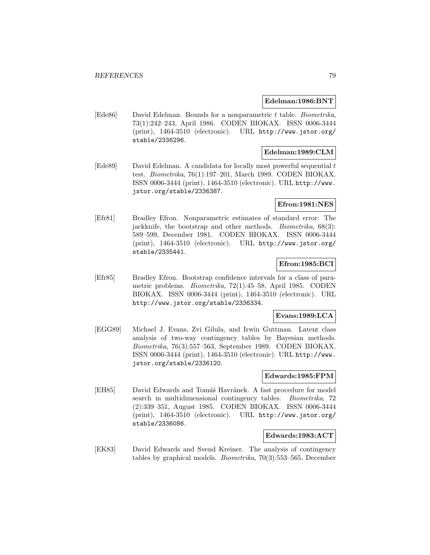#### **Edelman:1986:BNT**

[Ede86] David Edelman. Bounds for a nonparametric t table. Biometrika, 73(1):242–243, April 1986. CODEN BIOKAX. ISSN 0006-3444 (print), 1464-3510 (electronic). URL http://www.jstor.org/ stable/2336296.

# **Edelman:1989:CLM**

[Ede89] David Edelman. A candidata for locally most powerful sequential t test. Biometrika, 76(1):197–201, March 1989. CODEN BIOKAX. ISSN 0006-3444 (print), 1464-3510 (electronic). URL http://www. jstor.org/stable/2336387.

### **Efron:1981:NES**

[Efr81] Bradley Efron. Nonparametric estimates of standard error: The jackknife, the bootstrap and other methods. *Biometrika*, 68(3): 589–599, December 1981. CODEN BIOKAX. ISSN 0006-3444 (print), 1464-3510 (electronic). URL http://www.jstor.org/ stable/2335441.

### **Efron:1985:BCI**

[Efr85] Bradley Efron. Bootstrap confidence intervals for a class of parametric problems. Biometrika, 72(1):45–58, April 1985. CODEN BIOKAX. ISSN 0006-3444 (print), 1464-3510 (electronic). URL http://www.jstor.org/stable/2336334.

### **Evans:1989:LCA**

[EGG89] Michael J. Evans, Zvi Gilula, and Irwin Guttman. Latent class analysis of two-way contingency tables by Bayesian methods. Biometrika, 76(3):557–563, September 1989. CODEN BIOKAX. ISSN 0006-3444 (print), 1464-3510 (electronic). URL http://www. jstor.org/stable/2336120.

### **Edwards:1985:FPM**

[EH85] David Edwards and Tomáš Havránek. A fast procedure for model search in multidimensional contingency tables. Biometrika, 72 (2):339–351, August 1985. CODEN BIOKAX. ISSN 0006-3444 (print), 1464-3510 (electronic). URL http://www.jstor.org/ stable/2336086.

### **Edwards:1983:ACT**

[EK83] David Edwards and Svend Kreiner. The analysis of contingency tables by graphical models. Biometrika, 70(3):553–565, December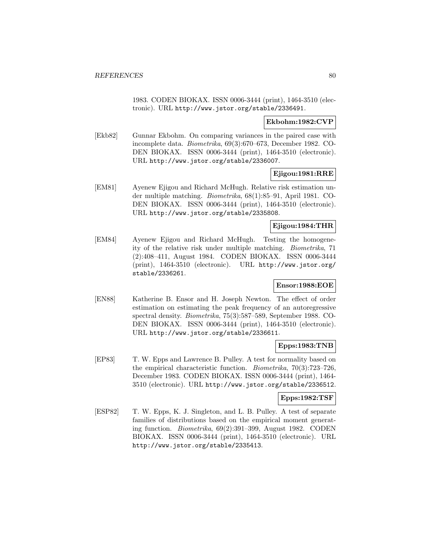1983. CODEN BIOKAX. ISSN 0006-3444 (print), 1464-3510 (electronic). URL http://www.jstor.org/stable/2336491.

### **Ekbohm:1982:CVP**

[Ekb82] Gunnar Ekbohm. On comparing variances in the paired case with incomplete data. Biometrika, 69(3):670–673, December 1982. CO-DEN BIOKAX. ISSN 0006-3444 (print), 1464-3510 (electronic). URL http://www.jstor.org/stable/2336007.

### **Ejigou:1981:RRE**

[EM81] Ayenew Ejigou and Richard McHugh. Relative risk estimation under multiple matching. Biometrika, 68(1):85–91, April 1981. CO-DEN BIOKAX. ISSN 0006-3444 (print), 1464-3510 (electronic). URL http://www.jstor.org/stable/2335808.

### **Ejigou:1984:THR**

[EM84] Ayenew Ejigou and Richard McHugh. Testing the homogeneity of the relative risk under multiple matching. Biometrika, 71 (2):408–411, August 1984. CODEN BIOKAX. ISSN 0006-3444 (print), 1464-3510 (electronic). URL http://www.jstor.org/ stable/2336261.

## **Ensor:1988:EOE**

[EN88] Katherine B. Ensor and H. Joseph Newton. The effect of order estimation on estimating the peak frequency of an autoregressive spectral density. Biometrika, 75(3):587–589, September 1988. CO-DEN BIOKAX. ISSN 0006-3444 (print), 1464-3510 (electronic). URL http://www.jstor.org/stable/2336611.

# **Epps:1983:TNB**

[EP83] T. W. Epps and Lawrence B. Pulley. A test for normality based on the empirical characteristic function. Biometrika, 70(3):723–726, December 1983. CODEN BIOKAX. ISSN 0006-3444 (print), 1464- 3510 (electronic). URL http://www.jstor.org/stable/2336512.

### **Epps:1982:TSF**

[ESP82] T. W. Epps, K. J. Singleton, and L. B. Pulley. A test of separate families of distributions based on the empirical moment generating function. Biometrika, 69(2):391–399, August 1982. CODEN BIOKAX. ISSN 0006-3444 (print), 1464-3510 (electronic). URL http://www.jstor.org/stable/2335413.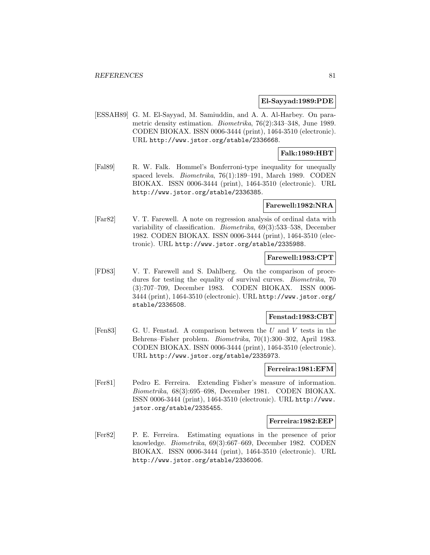#### **El-Sayyad:1989:PDE**

[ESSAH89] G. M. El-Sayyad, M. Samiuddin, and A. A. Al-Harbey. On parametric density estimation. Biometrika, 76(2):343–348, June 1989. CODEN BIOKAX. ISSN 0006-3444 (print), 1464-3510 (electronic). URL http://www.jstor.org/stable/2336668.

# **Falk:1989:HBT**

[Fal89] R. W. Falk. Hommel's Bonferroni-type inequality for unequally spaced levels. Biometrika, 76(1):189–191, March 1989. CODEN BIOKAX. ISSN 0006-3444 (print), 1464-3510 (electronic). URL http://www.jstor.org/stable/2336385.

#### **Farewell:1982:NRA**

[Far82] V. T. Farewell. A note on regression analysis of ordinal data with variability of classification. Biometrika, 69(3):533–538, December 1982. CODEN BIOKAX. ISSN 0006-3444 (print), 1464-3510 (electronic). URL http://www.jstor.org/stable/2335988.

# **Farewell:1983:CPT**

[FD83] V. T. Farewell and S. Dahlberg. On the comparison of procedures for testing the equality of survival curves. *Biometrika*, 70 (3):707–709, December 1983. CODEN BIOKAX. ISSN 0006- 3444 (print), 1464-3510 (electronic). URL http://www.jstor.org/ stable/2336508.

#### **Fenstad:1983:CBT**

[Fen83] G. U. Fenstad. A comparison between the U and V tests in the Behrens–Fisher problem. Biometrika, 70(1):300–302, April 1983. CODEN BIOKAX. ISSN 0006-3444 (print), 1464-3510 (electronic). URL http://www.jstor.org/stable/2335973.

## **Ferreira:1981:EFM**

[Fer81] Pedro E. Ferreira. Extending Fisher's measure of information. Biometrika, 68(3):695–698, December 1981. CODEN BIOKAX. ISSN 0006-3444 (print), 1464-3510 (electronic). URL http://www. jstor.org/stable/2335455.

#### **Ferreira:1982:EEP**

[Fer82] P. E. Ferreira. Estimating equations in the presence of prior knowledge. Biometrika, 69(3):667–669, December 1982. CODEN BIOKAX. ISSN 0006-3444 (print), 1464-3510 (electronic). URL http://www.jstor.org/stable/2336006.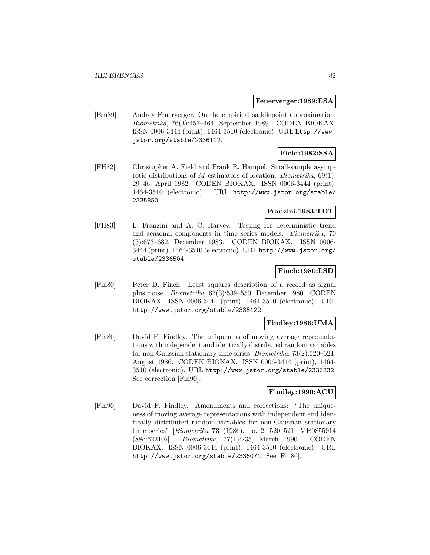#### **Feuerverger:1989:ESA**

[Feu89] Andrey Feuerverger. On the empirical saddlepoint approximation. Biometrika, 76(3):457–464, September 1989. CODEN BIOKAX. ISSN 0006-3444 (print), 1464-3510 (electronic). URL http://www. jstor.org/stable/2336112.

### **Field:1982:SSA**

[FH82] Christopher A. Field and Frank R. Hampel. Small-sample asymptotic distributions of M-estimators of location. *Biometrika*,  $69(1)$ : 29–46, April 1982. CODEN BIOKAX. ISSN 0006-3444 (print), 1464-3510 (electronic). URL http://www.jstor.org/stable/ 2335850.

## **Franzini:1983:TDT**

[FH83] L. Franzini and A. C. Harvey. Testing for deterministic trend and seasonal components in time series models. Biometrika, 70 (3):673–682, December 1983. CODEN BIOKAX. ISSN 0006- 3444 (print), 1464-3510 (electronic). URL http://www.jstor.org/ stable/2336504.

### **Finch:1980:LSD**

[Fin80] Peter D. Finch. Least squares description of a record as signal plus noise. Biometrika, 67(3):539–550, December 1980. CODEN BIOKAX. ISSN 0006-3444 (print), 1464-3510 (electronic). URL http://www.jstor.org/stable/2335122.

### **Findley:1986:UMA**

[Fin86] David F. Findley. The uniqueness of moving average representations with independent and identically distributed random variables for non-Gaussian stationary time series. Biometrika, 73(2):520–521, August 1986. CODEN BIOKAX. ISSN 0006-3444 (print), 1464- 3510 (electronic). URL http://www.jstor.org/stable/2336232. See correction [Fin90].

### **Findley:1990:ACU**

[Fin90] David F. Findley. Amendments and corrections: "The uniqueness of moving average representations with independent and identically distributed random variables for non-Gaussian stationary time series" [Biometrika **73** (1986), no. 2, 520–521; MR0855914 (88e:62210)]. Biometrika, 77(1):235, March 1990. CODEN BIOKAX. ISSN 0006-3444 (print), 1464-3510 (electronic). URL http://www.jstor.org/stable/2336071. See [Fin86].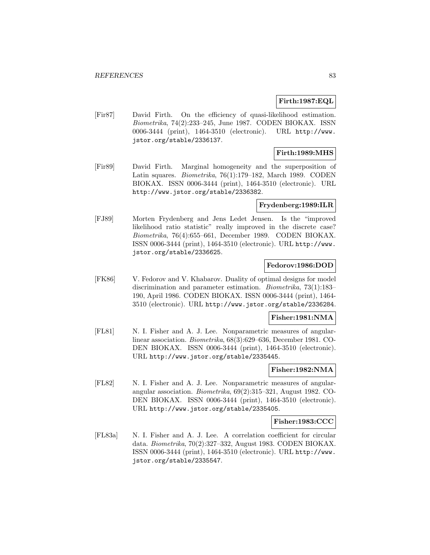### **Firth:1987:EQL**

[Fir87] David Firth. On the efficiency of quasi-likelihood estimation. Biometrika, 74(2):233–245, June 1987. CODEN BIOKAX. ISSN 0006-3444 (print), 1464-3510 (electronic). URL http://www. jstor.org/stable/2336137.

# **Firth:1989:MHS**

[Fir89] David Firth. Marginal homogeneity and the superposition of Latin squares. Biometrika, 76(1):179–182, March 1989. CODEN BIOKAX. ISSN 0006-3444 (print), 1464-3510 (electronic). URL http://www.jstor.org/stable/2336382.

#### **Frydenberg:1989:ILR**

[FJ89] Morten Frydenberg and Jens Ledet Jensen. Is the "improved likelihood ratio statistic" really improved in the discrete case? Biometrika, 76(4):655–661, December 1989. CODEN BIOKAX. ISSN 0006-3444 (print), 1464-3510 (electronic). URL http://www. jstor.org/stable/2336625.

### **Fedorov:1986:DOD**

[FK86] V. Fedorov and V. Khabarov. Duality of optimal designs for model discrimination and parameter estimation. Biometrika, 73(1):183– 190, April 1986. CODEN BIOKAX. ISSN 0006-3444 (print), 1464- 3510 (electronic). URL http://www.jstor.org/stable/2336284.

### **Fisher:1981:NMA**

[FL81] N. I. Fisher and A. J. Lee. Nonparametric measures of angularlinear association. Biometrika, 68(3):629–636, December 1981. CO-DEN BIOKAX. ISSN 0006-3444 (print), 1464-3510 (electronic). URL http://www.jstor.org/stable/2335445.

### **Fisher:1982:NMA**

[FL82] N. I. Fisher and A. J. Lee. Nonparametric measures of angularangular association. Biometrika, 69(2):315–321, August 1982. CO-DEN BIOKAX. ISSN 0006-3444 (print), 1464-3510 (electronic). URL http://www.jstor.org/stable/2335405.

### **Fisher:1983:CCC**

[FL83a] N. I. Fisher and A. J. Lee. A correlation coefficient for circular data. Biometrika, 70(2):327–332, August 1983. CODEN BIOKAX. ISSN 0006-3444 (print), 1464-3510 (electronic). URL http://www. jstor.org/stable/2335547.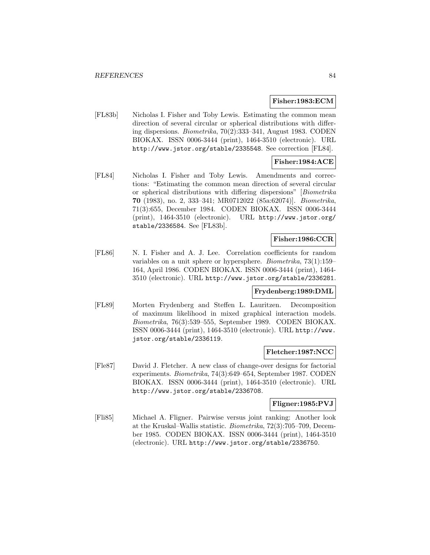#### **Fisher:1983:ECM**

[FL83b] Nicholas I. Fisher and Toby Lewis. Estimating the common mean direction of several circular or spherical distributions with differing dispersions. Biometrika, 70(2):333–341, August 1983. CODEN BIOKAX. ISSN 0006-3444 (print), 1464-3510 (electronic). URL http://www.jstor.org/stable/2335548. See correction [FL84].

# **Fisher:1984:ACE**

[FL84] Nicholas I. Fisher and Toby Lewis. Amendments and corrections: "Estimating the common mean direction of several circular or spherical distributions with differing dispersions" [Biometrika **70** (1983), no. 2, 333–341; MR0712022 (85a:62074)]. Biometrika, 71(3):655, December 1984. CODEN BIOKAX. ISSN 0006-3444 (print), 1464-3510 (electronic). URL http://www.jstor.org/ stable/2336584. See [FL83b].

## **Fisher:1986:CCR**

[FL86] N. I. Fisher and A. J. Lee. Correlation coefficients for random variables on a unit sphere or hypersphere. Biometrika, 73(1):159– 164, April 1986. CODEN BIOKAX. ISSN 0006-3444 (print), 1464- 3510 (electronic). URL http://www.jstor.org/stable/2336281.

### **Frydenberg:1989:DML**

[FL89] Morten Frydenberg and Steffen L. Lauritzen. Decomposition of maximum likelihood in mixed graphical interaction models. Biometrika, 76(3):539–555, September 1989. CODEN BIOKAX. ISSN 0006-3444 (print), 1464-3510 (electronic). URL http://www. jstor.org/stable/2336119.

### **Fletcher:1987:NCC**

[Fle87] David J. Fletcher. A new class of change-over designs for factorial experiments. Biometrika, 74(3):649–654, September 1987. CODEN BIOKAX. ISSN 0006-3444 (print), 1464-3510 (electronic). URL http://www.jstor.org/stable/2336708.

## **Fligner:1985:PVJ**

[Fli85] Michael A. Fligner. Pairwise versus joint ranking: Another look at the Kruskal–Wallis statistic. Biometrika, 72(3):705–709, December 1985. CODEN BIOKAX. ISSN 0006-3444 (print), 1464-3510 (electronic). URL http://www.jstor.org/stable/2336750.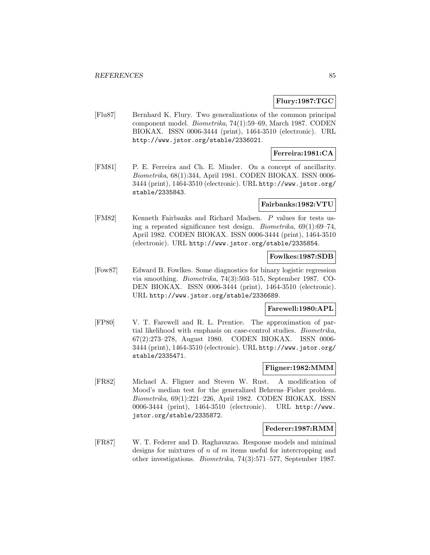### **Flury:1987:TGC**

[Flu87] Bernhard K. Flury. Two generalizations of the common principal component model. Biometrika, 74(1):59–69, March 1987. CODEN BIOKAX. ISSN 0006-3444 (print), 1464-3510 (electronic). URL http://www.jstor.org/stable/2336021.

### **Ferreira:1981:CA**

[FM81] P. E. Ferreira and Ch. E. Minder. On a concept of ancillarity. Biometrika, 68(1):344, April 1981. CODEN BIOKAX. ISSN 0006- 3444 (print), 1464-3510 (electronic). URL http://www.jstor.org/ stable/2335843.

#### **Fairbanks:1982:VTU**

[FM82] Kenneth Fairbanks and Richard Madsen. P values for tests using a repeated significance test design. Biometrika, 69(1):69–74, April 1982. CODEN BIOKAX. ISSN 0006-3444 (print), 1464-3510 (electronic). URL http://www.jstor.org/stable/2335854.

### **Fowlkes:1987:SDB**

[Fow87] Edward B. Fowlkes. Some diagnostics for binary logistic regression via smoothing. Biometrika, 74(3):503–515, September 1987. CO-DEN BIOKAX. ISSN 0006-3444 (print), 1464-3510 (electronic). URL http://www.jstor.org/stable/2336689.

### **Farewell:1980:APL**

[FP80] V. T. Farewell and R. L. Prentice. The approximation of partial likelihood with emphasis on case-control studies. Biometrika, 67(2):273–278, August 1980. CODEN BIOKAX. ISSN 0006- 3444 (print), 1464-3510 (electronic). URL http://www.jstor.org/ stable/2335471.

### **Fligner:1982:MMM**

[FR82] Michael A. Fligner and Steven W. Rust. A modification of Mood's median test for the generalized Behrens–Fisher problem. Biometrika, 69(1):221–226, April 1982. CODEN BIOKAX. ISSN 0006-3444 (print), 1464-3510 (electronic). URL http://www. jstor.org/stable/2335872.

#### **Federer:1987:RMM**

[FR87] W. T. Federer and D. Raghavarao. Response models and minimal designs for mixtures of  $n$  of  $m$  items useful for intercropping and other investigations. Biometrika, 74(3):571–577, September 1987.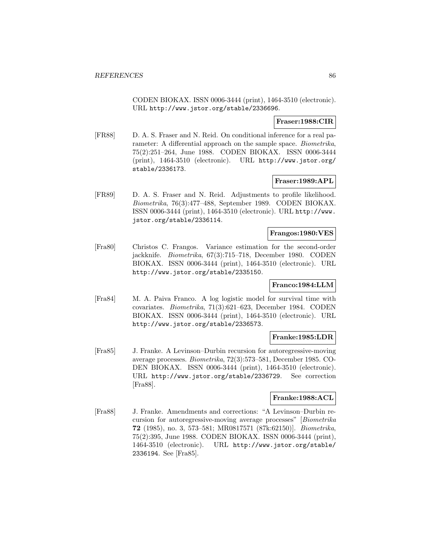CODEN BIOKAX. ISSN 0006-3444 (print), 1464-3510 (electronic). URL http://www.jstor.org/stable/2336696.

### **Fraser:1988:CIR**

[FR88] D. A. S. Fraser and N. Reid. On conditional inference for a real parameter: A differential approach on the sample space. Biometrika, 75(2):251–264, June 1988. CODEN BIOKAX. ISSN 0006-3444 (print), 1464-3510 (electronic). URL http://www.jstor.org/ stable/2336173.

### **Fraser:1989:APL**

[FR89] D. A. S. Fraser and N. Reid. Adjustments to profile likelihood. Biometrika, 76(3):477–488, September 1989. CODEN BIOKAX. ISSN 0006-3444 (print), 1464-3510 (electronic). URL http://www. jstor.org/stable/2336114.

#### **Frangos:1980:VES**

[Fra80] Christos C. Frangos. Variance estimation for the second-order jackknife. Biometrika, 67(3):715–718, December 1980. CODEN BIOKAX. ISSN 0006-3444 (print), 1464-3510 (electronic). URL http://www.jstor.org/stable/2335150.

## **Franco:1984:LLM**

[Fra84] M. A. Paiva Franco. A log logistic model for survival time with covariates. Biometrika, 71(3):621–623, December 1984. CODEN BIOKAX. ISSN 0006-3444 (print), 1464-3510 (electronic). URL http://www.jstor.org/stable/2336573.

### **Franke:1985:LDR**

[Fra85] J. Franke. A Levinson–Durbin recursion for autoregressive-moving average processes. Biometrika, 72(3):573–581, December 1985. CO-DEN BIOKAX. ISSN 0006-3444 (print), 1464-3510 (electronic). URL http://www.jstor.org/stable/2336729. See correction [Fra88].

### **Franke:1988:ACL**

[Fra88] J. Franke. Amendments and corrections: "A Levinson–Durbin recursion for autoregressive-moving average processes" [Biometrika **72** (1985), no. 3, 573–581; MR0817571 (87k:62150)]. Biometrika, 75(2):395, June 1988. CODEN BIOKAX. ISSN 0006-3444 (print), 1464-3510 (electronic). URL http://www.jstor.org/stable/ 2336194. See [Fra85].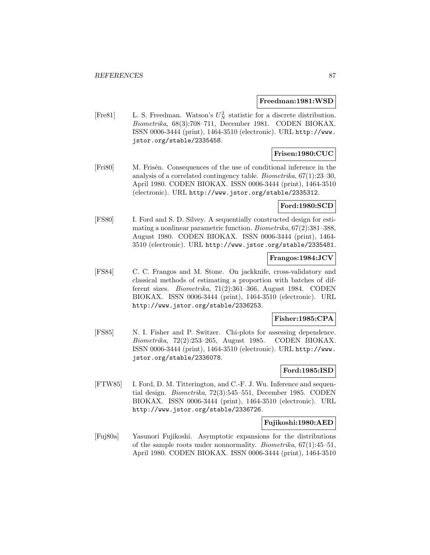#### **Freedman:1981:WSD**

[Fre81] L. S. Freedman. Watson's  $U_N^2$  statistic for a discrete distribution. Biometrika, 68(3):708–711, December 1981. CODEN BIOKAX. ISSN 0006-3444 (print), 1464-3510 (electronic). URL http://www. jstor.org/stable/2335458.

# **Frisen:1980:CUC**

[Fri80] M. Fristing Consequences of the use of conditional inference in the analysis of a correlated contingency table. Biometrika, 67(1):23–30, April 1980. CODEN BIOKAX. ISSN 0006-3444 (print), 1464-3510 (electronic). URL http://www.jstor.org/stable/2335312.

#### **Ford:1980:SCD**

[FS80] I. Ford and S. D. Silvey. A sequentially constructed design for estimating a nonlinear parametric function. Biometrika, 67(2):381–388, August 1980. CODEN BIOKAX. ISSN 0006-3444 (print), 1464- 3510 (electronic). URL http://www.jstor.org/stable/2335481.

### **Frangos:1984:JCV**

[FS84] C. C. Frangos and M. Stone. On jackknife, cross-validatory and classical methods of estimating a proportion with batches of different sizes. Biometrika, 71(2):361–366, August 1984. CODEN BIOKAX. ISSN 0006-3444 (print), 1464-3510 (electronic). URL http://www.jstor.org/stable/2336253.

### **Fisher:1985:CPA**

[FS85] N. I. Fisher and P. Switzer. Chi-plots for assessing dependence. Biometrika, 72(2):253–265, August 1985. CODEN BIOKAX. ISSN 0006-3444 (print), 1464-3510 (electronic). URL http://www. jstor.org/stable/2336078.

# **Ford:1985:ISD**

[FTW85] I. Ford, D. M. Titterington, and C.-F. J. Wu. Inference and sequential design. Biometrika, 72(3):545–551, December 1985. CODEN BIOKAX. ISSN 0006-3444 (print), 1464-3510 (electronic). URL http://www.jstor.org/stable/2336726.

#### **Fujikoshi:1980:AED**

[Fuj80a] Yasunori Fujikoshi. Asymptotic expansions for the distributions of the sample roots under nonnormality. Biometrika, 67(1):45–51, April 1980. CODEN BIOKAX. ISSN 0006-3444 (print), 1464-3510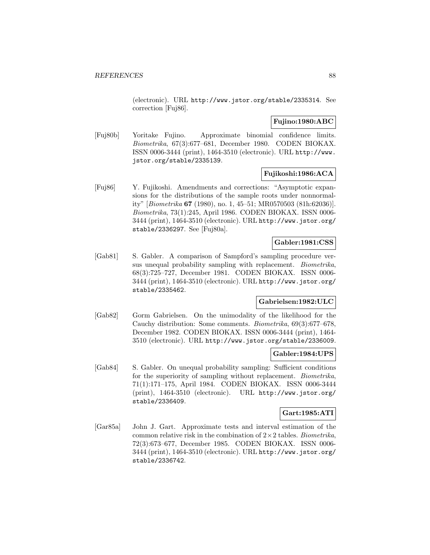(electronic). URL http://www.jstor.org/stable/2335314. See correction [Fuj86].

### **Fujino:1980:ABC**

[Fuj80b] Yoritake Fujino. Approximate binomial confidence limits. Biometrika, 67(3):677–681, December 1980. CODEN BIOKAX. ISSN 0006-3444 (print), 1464-3510 (electronic). URL http://www. jstor.org/stable/2335139.

### **Fujikoshi:1986:ACA**

[Fuj86] Y. Fujikoshi. Amendments and corrections: "Asymptotic expansions for the distributions of the sample roots under nonnormality" [Biometrika **67** (1980), no. 1, 45–51; MR0570503 (81h:62036)]. Biometrika, 73(1):245, April 1986. CODEN BIOKAX. ISSN 0006- 3444 (print), 1464-3510 (electronic). URL http://www.jstor.org/ stable/2336297. See [Fuj80a].

# **Gabler:1981:CSS**

[Gab81] S. Gabler. A comparison of Sampford's sampling procedure versus unequal probability sampling with replacement. Biometrika, 68(3):725–727, December 1981. CODEN BIOKAX. ISSN 0006- 3444 (print), 1464-3510 (electronic). URL http://www.jstor.org/ stable/2335462.

## **Gabrielsen:1982:ULC**

[Gab82] Gorm Gabrielsen. On the unimodality of the likelihood for the Cauchy distribution: Some comments. Biometrika, 69(3):677–678, December 1982. CODEN BIOKAX. ISSN 0006-3444 (print), 1464- 3510 (electronic). URL http://www.jstor.org/stable/2336009.

### **Gabler:1984:UPS**

[Gab84] S. Gabler. On unequal probability sampling: Sufficient conditions for the superiority of sampling without replacement. Biometrika, 71(1):171–175, April 1984. CODEN BIOKAX. ISSN 0006-3444 (print), 1464-3510 (electronic). URL http://www.jstor.org/ stable/2336409.

### **Gart:1985:ATI**

[Gar85a] John J. Gart. Approximate tests and interval estimation of the common relative risk in the combination of  $2 \times 2$  tables. Biometrika, 72(3):673–677, December 1985. CODEN BIOKAX. ISSN 0006- 3444 (print), 1464-3510 (electronic). URL http://www.jstor.org/ stable/2336742.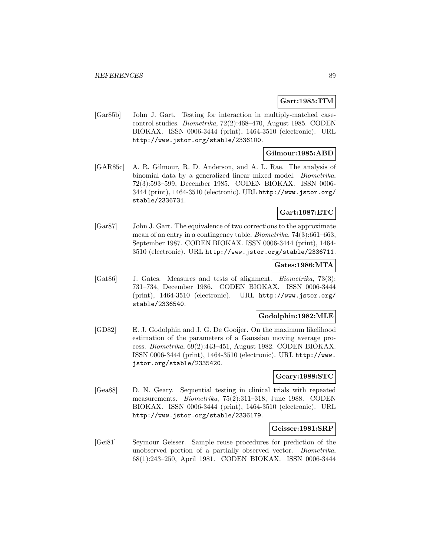### **Gart:1985:TIM**

[Gar85b] John J. Gart. Testing for interaction in multiply-matched casecontrol studies. Biometrika, 72(2):468–470, August 1985. CODEN BIOKAX. ISSN 0006-3444 (print), 1464-3510 (electronic). URL http://www.jstor.org/stable/2336100.

### **Gilmour:1985:ABD**

[GAR85c] A. R. Gilmour, R. D. Anderson, and A. L. Rae. The analysis of binomial data by a generalized linear mixed model. Biometrika, 72(3):593–599, December 1985. CODEN BIOKAX. ISSN 0006- 3444 (print), 1464-3510 (electronic). URL http://www.jstor.org/ stable/2336731.

### **Gart:1987:ETC**

[Gar87] John J. Gart. The equivalence of two corrections to the approximate mean of an entry in a contingency table. Biometrika, 74(3):661–663, September 1987. CODEN BIOKAX. ISSN 0006-3444 (print), 1464- 3510 (electronic). URL http://www.jstor.org/stable/2336711.

# **Gates:1986:MTA**

[Gat86] J. Gates. Measures and tests of alignment. Biometrika, 73(3): 731–734, December 1986. CODEN BIOKAX. ISSN 0006-3444 (print), 1464-3510 (electronic). URL http://www.jstor.org/ stable/2336540.

#### **Godolphin:1982:MLE**

[GD82] E. J. Godolphin and J. G. De Gooijer. On the maximum likelihood estimation of the parameters of a Gaussian moving average process. Biometrika, 69(2):443–451, August 1982. CODEN BIOKAX. ISSN 0006-3444 (print), 1464-3510 (electronic). URL http://www. jstor.org/stable/2335420.

### **Geary:1988:STC**

[Gea88] D. N. Geary. Sequential testing in clinical trials with repeated measurements. Biometrika, 75(2):311–318, June 1988. CODEN BIOKAX. ISSN 0006-3444 (print), 1464-3510 (electronic). URL http://www.jstor.org/stable/2336179.

#### **Geisser:1981:SRP**

[Gei81] Seymour Geisser. Sample reuse procedures for prediction of the unobserved portion of a partially observed vector. Biometrika, 68(1):243–250, April 1981. CODEN BIOKAX. ISSN 0006-3444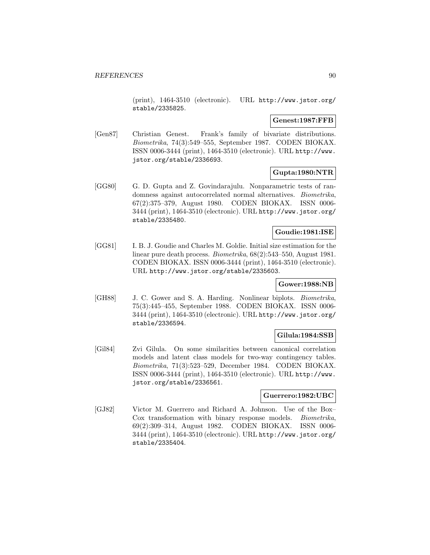(print), 1464-3510 (electronic). URL http://www.jstor.org/ stable/2335825.

#### **Genest:1987:FFB**

[Gen87] Christian Genest. Frank's family of bivariate distributions. Biometrika, 74(3):549–555, September 1987. CODEN BIOKAX. ISSN 0006-3444 (print), 1464-3510 (electronic). URL http://www. jstor.org/stable/2336693.

# **Gupta:1980:NTR**

[GG80] G. D. Gupta and Z. Govindarajulu. Nonparametric tests of randomness against autocorrelated normal alternatives. Biometrika, 67(2):375–379, August 1980. CODEN BIOKAX. ISSN 0006- 3444 (print), 1464-3510 (electronic). URL http://www.jstor.org/ stable/2335480.

# **Goudie:1981:ISE**

[GG81] I. B. J. Goudie and Charles M. Goldie. Initial size estimation for the linear pure death process. Biometrika, 68(2):543–550, August 1981. CODEN BIOKAX. ISSN 0006-3444 (print), 1464-3510 (electronic). URL http://www.jstor.org/stable/2335603.

## **Gower:1988:NB**

[GH88] J. C. Gower and S. A. Harding. Nonlinear biplots. Biometrika, 75(3):445–455, September 1988. CODEN BIOKAX. ISSN 0006- 3444 (print), 1464-3510 (electronic). URL http://www.jstor.org/ stable/2336594.

# **Gilula:1984:SSB**

[Gil84] Zvi Gilula. On some similarities between canonical correlation models and latent class models for two-way contingency tables. Biometrika, 71(3):523–529, December 1984. CODEN BIOKAX. ISSN 0006-3444 (print), 1464-3510 (electronic). URL http://www. jstor.org/stable/2336561.

### **Guerrero:1982:UBC**

[GJ82] Victor M. Guerrero and Richard A. Johnson. Use of the Box– Cox transformation with binary response models. Biometrika, 69(2):309–314, August 1982. CODEN BIOKAX. ISSN 0006- 3444 (print), 1464-3510 (electronic). URL http://www.jstor.org/ stable/2335404.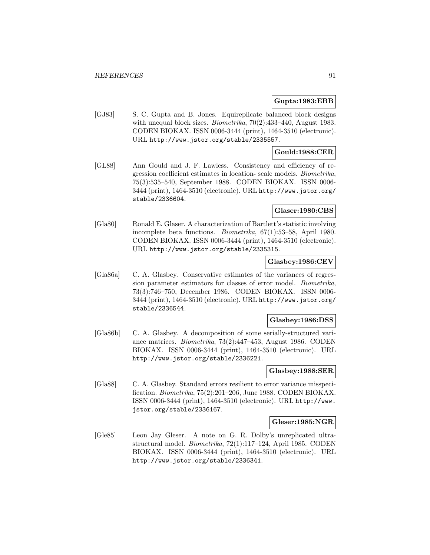### **Gupta:1983:EBB**

[GJ83] S. C. Gupta and B. Jones. Equireplicate balanced block designs with unequal block sizes. Biometrika, 70(2):433–440, August 1983. CODEN BIOKAX. ISSN 0006-3444 (print), 1464-3510 (electronic). URL http://www.jstor.org/stable/2335557.

# **Gould:1988:CER**

[GL88] Ann Gould and J. F. Lawless. Consistency and efficiency of regression coefficient estimates in location- scale models. Biometrika, 75(3):535–540, September 1988. CODEN BIOKAX. ISSN 0006- 3444 (print), 1464-3510 (electronic). URL http://www.jstor.org/ stable/2336604.

### **Glaser:1980:CBS**

[Gla80] Ronald E. Glaser. A characterization of Bartlett's statistic involving incomplete beta functions. Biometrika, 67(1):53–58, April 1980. CODEN BIOKAX. ISSN 0006-3444 (print), 1464-3510 (electronic). URL http://www.jstor.org/stable/2335315.

### **Glasbey:1986:CEV**

[Gla86a] C. A. Glasbey. Conservative estimates of the variances of regression parameter estimators for classes of error model. Biometrika, 73(3):746–750, December 1986. CODEN BIOKAX. ISSN 0006- 3444 (print), 1464-3510 (electronic). URL http://www.jstor.org/ stable/2336544.

### **Glasbey:1986:DSS**

[Gla86b] C. A. Glasbey. A decomposition of some serially-structured variance matrices. Biometrika, 73(2):447–453, August 1986. CODEN BIOKAX. ISSN 0006-3444 (print), 1464-3510 (electronic). URL http://www.jstor.org/stable/2336221.

### **Glasbey:1988:SER**

[Gla88] C. A. Glasbey. Standard errors resilient to error variance misspecification. Biometrika, 75(2):201–206, June 1988. CODEN BIOKAX. ISSN 0006-3444 (print), 1464-3510 (electronic). URL http://www. jstor.org/stable/2336167.

### **Gleser:1985:NGR**

[Gle85] Leon Jay Gleser. A note on G. R. Dolby's unreplicated ultrastructural model. Biometrika, 72(1):117–124, April 1985. CODEN BIOKAX. ISSN 0006-3444 (print), 1464-3510 (electronic). URL http://www.jstor.org/stable/2336341.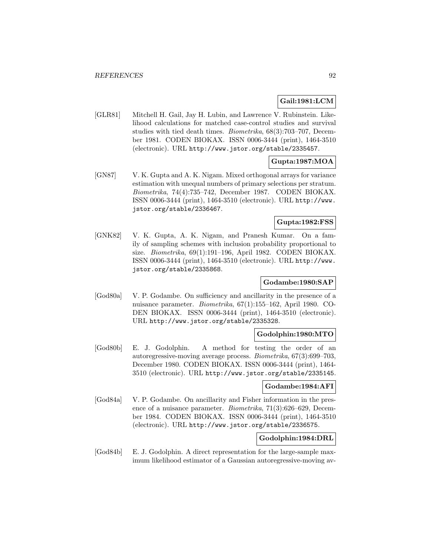# **Gail:1981:LCM**

[GLR81] Mitchell H. Gail, Jay H. Lubin, and Lawrence V. Rubinstein. Likelihood calculations for matched case-control studies and survival studies with tied death times. Biometrika, 68(3):703–707, December 1981. CODEN BIOKAX. ISSN 0006-3444 (print), 1464-3510 (electronic). URL http://www.jstor.org/stable/2335457.

# **Gupta:1987:MOA**

[GN87] V. K. Gupta and A. K. Nigam. Mixed orthogonal arrays for variance estimation with unequal numbers of primary selections per stratum. Biometrika, 74(4):735–742, December 1987. CODEN BIOKAX. ISSN 0006-3444 (print), 1464-3510 (electronic). URL http://www. jstor.org/stable/2336467.

# **Gupta:1982:FSS**

[GNK82] V. K. Gupta, A. K. Nigam, and Pranesh Kumar. On a family of sampling schemes with inclusion probability proportional to size. Biometrika, 69(1):191–196, April 1982. CODEN BIOKAX. ISSN 0006-3444 (print), 1464-3510 (electronic). URL http://www. jstor.org/stable/2335868.

# **Godambe:1980:SAP**

[God80a] V. P. Godambe. On sufficiency and ancillarity in the presence of a nuisance parameter. Biometrika, 67(1):155–162, April 1980. CO-DEN BIOKAX. ISSN 0006-3444 (print), 1464-3510 (electronic). URL http://www.jstor.org/stable/2335328.

## **Godolphin:1980:MTO**

[God80b] E. J. Godolphin. A method for testing the order of an autoregressive-moving average process. Biometrika, 67(3):699–703, December 1980. CODEN BIOKAX. ISSN 0006-3444 (print), 1464- 3510 (electronic). URL http://www.jstor.org/stable/2335145.

### **Godambe:1984:AFI**

[God84a] V. P. Godambe. On ancillarity and Fisher information in the presence of a nuisance parameter. Biometrika, 71(3):626–629, December 1984. CODEN BIOKAX. ISSN 0006-3444 (print), 1464-3510 (electronic). URL http://www.jstor.org/stable/2336575.

### **Godolphin:1984:DRL**

[God84b] E. J. Godolphin. A direct representation for the large-sample maximum likelihood estimator of a Gaussian autoregressive-moving av-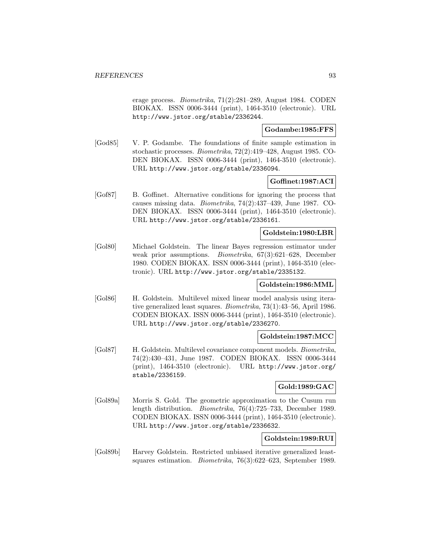erage process. Biometrika, 71(2):281–289, August 1984. CODEN BIOKAX. ISSN 0006-3444 (print), 1464-3510 (electronic). URL http://www.jstor.org/stable/2336244.

## **Godambe:1985:FFS**

[God85] V. P. Godambe. The foundations of finite sample estimation in stochastic processes. Biometrika, 72(2):419–428, August 1985. CO-DEN BIOKAX. ISSN 0006-3444 (print), 1464-3510 (electronic). URL http://www.jstor.org/stable/2336094.

### **Goffinet:1987:ACI**

[Gof87] B. Goffinet. Alternative conditions for ignoring the process that causes missing data. Biometrika, 74(2):437–439, June 1987. CO-DEN BIOKAX. ISSN 0006-3444 (print), 1464-3510 (electronic). URL http://www.jstor.org/stable/2336161.

### **Goldstein:1980:LBR**

[Gol80] Michael Goldstein. The linear Bayes regression estimator under weak prior assumptions. Biometrika, 67(3):621–628, December 1980. CODEN BIOKAX. ISSN 0006-3444 (print), 1464-3510 (electronic). URL http://www.jstor.org/stable/2335132.

### **Goldstein:1986:MML**

[Gol86] H. Goldstein. Multilevel mixed linear model analysis using iterative generalized least squares. Biometrika, 73(1):43–56, April 1986. CODEN BIOKAX. ISSN 0006-3444 (print), 1464-3510 (electronic). URL http://www.jstor.org/stable/2336270.

### **Goldstein:1987:MCC**

[Gol87] H. Goldstein. Multilevel covariance component models. Biometrika, 74(2):430–431, June 1987. CODEN BIOKAX. ISSN 0006-3444 (print), 1464-3510 (electronic). URL http://www.jstor.org/ stable/2336159.

### **Gold:1989:GAC**

[Gol89a] Morris S. Gold. The geometric approximation to the Cusum run length distribution. Biometrika, 76(4):725–733, December 1989. CODEN BIOKAX. ISSN 0006-3444 (print), 1464-3510 (electronic). URL http://www.jstor.org/stable/2336632.

### **Goldstein:1989:RUI**

[Gol89b] Harvey Goldstein. Restricted unbiased iterative generalized leastsquares estimation. Biometrika, 76(3):622–623, September 1989.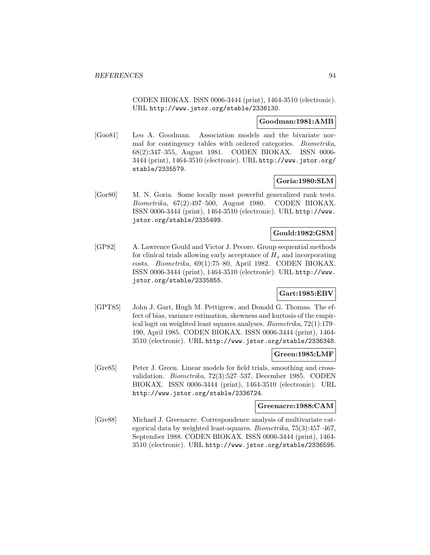CODEN BIOKAX. ISSN 0006-3444 (print), 1464-3510 (electronic). URL http://www.jstor.org/stable/2336130.

#### **Goodman:1981:AMB**

[Goo81] Leo A. Goodman. Association models and the bivariate normal for contingency tables with ordered categories. Biometrika, 68(2):347–355, August 1981. CODEN BIOKAX. ISSN 0006- 3444 (print), 1464-3510 (electronic). URL http://www.jstor.org/ stable/2335579.

### **Goria:1980:SLM**

[Gor80] M. N. Goria. Some locally most powerful generalized rank tests. Biometrika, 67(2):497–500, August 1980. CODEN BIOKAX. ISSN 0006-3444 (print), 1464-3510 (electronic). URL http://www. jstor.org/stable/2335499.

## **Gould:1982:GSM**

[GP82] A. Lawrence Gould and Victor J. Pecore. Group sequential methods for clinical trials allowing early acceptance of  $H<sub>o</sub>$  and incorporating costs. Biometrika, 69(1):75–80, April 1982. CODEN BIOKAX. ISSN 0006-3444 (print), 1464-3510 (electronic). URL http://www. jstor.org/stable/2335855.

## **Gart:1985:EBV**

[GPT85] John J. Gart, Hugh M. Pettigrew, and Donald G. Thomas. The effect of bias, variance estimation, skewness and kurtosis of the empirical logit on weighted least squares analyses. Biometrika, 72(1):179– 190, April 1985. CODEN BIOKAX. ISSN 0006-3444 (print), 1464- 3510 (electronic). URL http://www.jstor.org/stable/2336348.

#### **Green:1985:LMF**

[Gre85] Peter J. Green. Linear models for field trials, smoothing and crossvalidation. Biometrika, 72(3):527–537, December 1985. CODEN BIOKAX. ISSN 0006-3444 (print), 1464-3510 (electronic). URL http://www.jstor.org/stable/2336724.

#### **Greenacre:1988:CAM**

[Gre88] Michael J. Greenacre. Correspondence analysis of multivariate categorical data by weighted least-squares. Biometrika, 75(3):457–467, September 1988. CODEN BIOKAX. ISSN 0006-3444 (print), 1464- 3510 (electronic). URL http://www.jstor.org/stable/2336595.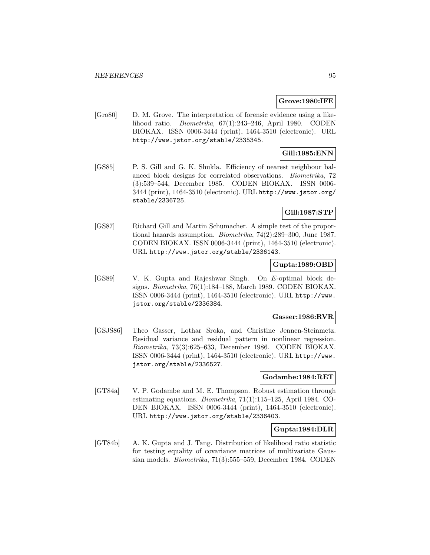#### **Grove:1980:IFE**

[Gro80] D. M. Grove. The interpretation of forensic evidence using a likelihood ratio. Biometrika, 67(1):243–246, April 1980. CODEN BIOKAX. ISSN 0006-3444 (print), 1464-3510 (electronic). URL http://www.jstor.org/stable/2335345.

## **Gill:1985:ENN**

[GS85] P. S. Gill and G. K. Shukla. Efficiency of nearest neighbour balanced block designs for correlated observations. Biometrika, 72 (3):539–544, December 1985. CODEN BIOKAX. ISSN 0006- 3444 (print), 1464-3510 (electronic). URL http://www.jstor.org/ stable/2336725.

## **Gill:1987:STP**

[GS87] Richard Gill and Martin Schumacher. A simple test of the proportional hazards assumption. Biometrika, 74(2):289–300, June 1987. CODEN BIOKAX. ISSN 0006-3444 (print), 1464-3510 (electronic). URL http://www.jstor.org/stable/2336143.

# **Gupta:1989:OBD**

[GS89] V. K. Gupta and Rajeshwar Singh. On E-optimal block designs. Biometrika, 76(1):184–188, March 1989. CODEN BIOKAX. ISSN 0006-3444 (print), 1464-3510 (electronic). URL http://www. jstor.org/stable/2336384.

### **Gasser:1986:RVR**

[GSJS86] Theo Gasser, Lothar Sroka, and Christine Jennen-Steinmetz. Residual variance and residual pattern in nonlinear regression. Biometrika, 73(3):625–633, December 1986. CODEN BIOKAX. ISSN 0006-3444 (print), 1464-3510 (electronic). URL http://www. jstor.org/stable/2336527.

#### **Godambe:1984:RET**

[GT84a] V. P. Godambe and M. E. Thompson. Robust estimation through estimating equations. Biometrika, 71(1):115–125, April 1984. CO-DEN BIOKAX. ISSN 0006-3444 (print), 1464-3510 (electronic). URL http://www.jstor.org/stable/2336403.

**Gupta:1984:DLR**

[GT84b] A. K. Gupta and J. Tang. Distribution of likelihood ratio statistic for testing equality of covariance matrices of multivariate Gaussian models. Biometrika, 71(3):555–559, December 1984. CODEN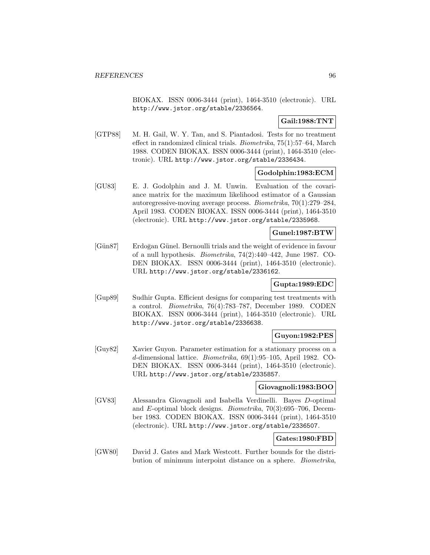BIOKAX. ISSN 0006-3444 (print), 1464-3510 (electronic). URL http://www.jstor.org/stable/2336564.

# **Gail:1988:TNT**

[GTP88] M. H. Gail, W. Y. Tan, and S. Piantadosi. Tests for no treatment effect in randomized clinical trials. Biometrika, 75(1):57–64, March 1988. CODEN BIOKAX. ISSN 0006-3444 (print), 1464-3510 (electronic). URL http://www.jstor.org/stable/2336434.

# **Godolphin:1983:ECM**

[GU83] E. J. Godolphin and J. M. Unwin. Evaluation of the covariance matrix for the maximum likelihood estimator of a Gaussian autoregressive-moving average process. Biometrika, 70(1):279–284, April 1983. CODEN BIOKAX. ISSN 0006-3444 (print), 1464-3510 (electronic). URL http://www.jstor.org/stable/2335968.

### **Gunel:1987:BTW**

[Gün87] Erdoğan Günel. Bernoulli trials and the weight of evidence in favour of a null hypothesis. Biometrika, 74(2):440–442, June 1987. CO-DEN BIOKAX. ISSN 0006-3444 (print), 1464-3510 (electronic). URL http://www.jstor.org/stable/2336162.

## **Gupta:1989:EDC**

[Gup89] Sudhir Gupta. Efficient designs for comparing test treatments with a control. Biometrika, 76(4):783–787, December 1989. CODEN BIOKAX. ISSN 0006-3444 (print), 1464-3510 (electronic). URL http://www.jstor.org/stable/2336638.

# **Guyon:1982:PES**

[Guy82] Xavier Guyon. Parameter estimation for a stationary process on a d-dimensional lattice. Biometrika, 69(1):95–105, April 1982. CO-DEN BIOKAX. ISSN 0006-3444 (print), 1464-3510 (electronic). URL http://www.jstor.org/stable/2335857.

### **Giovagnoli:1983:BOO**

[GV83] Alessandra Giovagnoli and Isabella Verdinelli. Bayes D-optimal and E-optimal block designs. Biometrika, 70(3):695–706, December 1983. CODEN BIOKAX. ISSN 0006-3444 (print), 1464-3510 (electronic). URL http://www.jstor.org/stable/2336507.

# **Gates:1980:FBD**

[GW80] David J. Gates and Mark Westcott. Further bounds for the distribution of minimum interpoint distance on a sphere. Biometrika,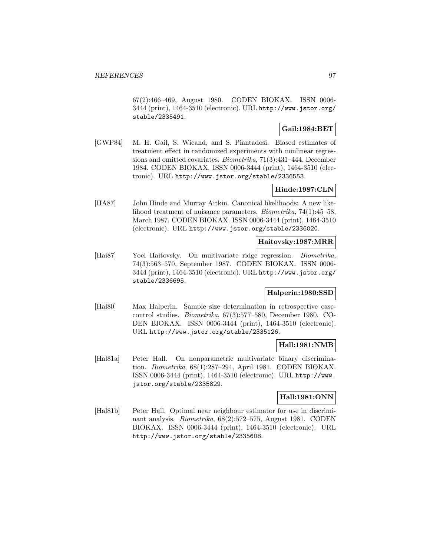67(2):466–469, August 1980. CODEN BIOKAX. ISSN 0006- 3444 (print), 1464-3510 (electronic). URL http://www.jstor.org/ stable/2335491.

## **Gail:1984:BET**

[GWP84] M. H. Gail, S. Wieand, and S. Piantadosi. Biased estimates of treatment effect in randomized experiments with nonlinear regressions and omitted covariates. Biometrika, 71(3):431–444, December 1984. CODEN BIOKAX. ISSN 0006-3444 (print), 1464-3510 (electronic). URL http://www.jstor.org/stable/2336553.

# **Hinde:1987:CLN**

[HA87] John Hinde and Murray Aitkin. Canonical likelihoods: A new likelihood treatment of nuisance parameters. Biometrika, 74(1):45–58, March 1987. CODEN BIOKAX. ISSN 0006-3444 (print), 1464-3510 (electronic). URL http://www.jstor.org/stable/2336020.

### **Haitovsky:1987:MRR**

[Hai87] Yoel Haitovsky. On multivariate ridge regression. Biometrika, 74(3):563–570, September 1987. CODEN BIOKAX. ISSN 0006- 3444 (print), 1464-3510 (electronic). URL http://www.jstor.org/ stable/2336695.

### **Halperin:1980:SSD**

[Hal80] Max Halperin. Sample size determination in retrospective casecontrol studies. Biometrika, 67(3):577–580, December 1980. CO-DEN BIOKAX. ISSN 0006-3444 (print), 1464-3510 (electronic). URL http://www.jstor.org/stable/2335126.

### **Hall:1981:NMB**

[Hal81a] Peter Hall. On nonparametric multivariate binary discrimination. Biometrika, 68(1):287–294, April 1981. CODEN BIOKAX. ISSN 0006-3444 (print), 1464-3510 (electronic). URL http://www. jstor.org/stable/2335829.

### **Hall:1981:ONN**

[Hal81b] Peter Hall. Optimal near neighbour estimator for use in discriminant analysis. Biometrika, 68(2):572–575, August 1981. CODEN BIOKAX. ISSN 0006-3444 (print), 1464-3510 (electronic). URL http://www.jstor.org/stable/2335608.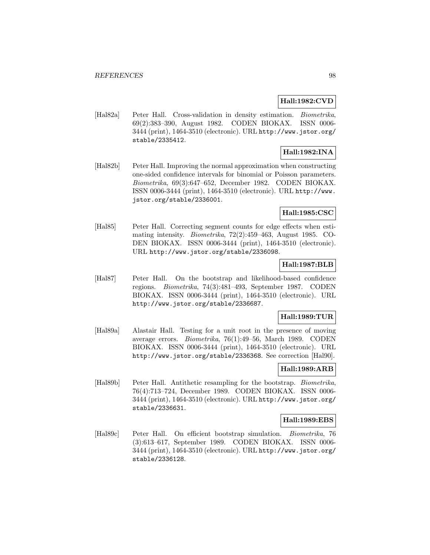### **Hall:1982:CVD**

[Hal82a] Peter Hall. Cross-validation in density estimation. Biometrika, 69(2):383–390, August 1982. CODEN BIOKAX. ISSN 0006- 3444 (print), 1464-3510 (electronic). URL http://www.jstor.org/ stable/2335412.

# **Hall:1982:INA**

[Hal82b] Peter Hall. Improving the normal approximation when constructing one-sided confidence intervals for binomial or Poisson parameters. Biometrika, 69(3):647–652, December 1982. CODEN BIOKAX. ISSN 0006-3444 (print), 1464-3510 (electronic). URL http://www. jstor.org/stable/2336001.

# **Hall:1985:CSC**

[Hal85] Peter Hall. Correcting segment counts for edge effects when estimating intensity. Biometrika, 72(2):459–463, August 1985. CO-DEN BIOKAX. ISSN 0006-3444 (print), 1464-3510 (electronic). URL http://www.jstor.org/stable/2336098.

# **Hall:1987:BLB**

[Hal87] Peter Hall. On the bootstrap and likelihood-based confidence regions. Biometrika, 74(3):481–493, September 1987. CODEN BIOKAX. ISSN 0006-3444 (print), 1464-3510 (electronic). URL http://www.jstor.org/stable/2336687.

### **Hall:1989:TUR**

[Hal89a] Alastair Hall. Testing for a unit root in the presence of moving average errors. Biometrika, 76(1):49–56, March 1989. CODEN BIOKAX. ISSN 0006-3444 (print), 1464-3510 (electronic). URL http://www.jstor.org/stable/2336368. See correction [Hal90].

# **Hall:1989:ARB**

[Hal89b] Peter Hall. Antithetic resampling for the bootstrap. Biometrika, 76(4):713–724, December 1989. CODEN BIOKAX. ISSN 0006- 3444 (print), 1464-3510 (electronic). URL http://www.jstor.org/ stable/2336631.

### **Hall:1989:EBS**

[Hal89c] Peter Hall. On efficient bootstrap simulation. Biometrika, 76 (3):613–617, September 1989. CODEN BIOKAX. ISSN 0006- 3444 (print), 1464-3510 (electronic). URL http://www.jstor.org/ stable/2336128.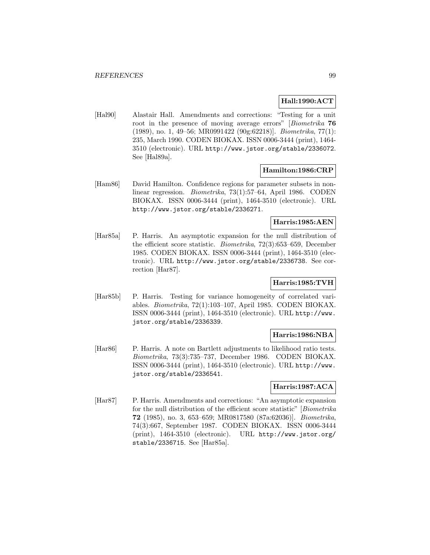## **Hall:1990:ACT**

[Hal90] Alastair Hall. Amendments and corrections: "Testing for a unit root in the presence of moving average errors" [Biometrika **76** (1989), no. 1, 49–56; MR0991422 (90g:62218)]. Biometrika, 77(1): 235, March 1990. CODEN BIOKAX. ISSN 0006-3444 (print), 1464- 3510 (electronic). URL http://www.jstor.org/stable/2336072. See [Hal89a].

### **Hamilton:1986:CRP**

[Ham86] David Hamilton. Confidence regions for parameter subsets in nonlinear regression. Biometrika, 73(1):57–64, April 1986. CODEN BIOKAX. ISSN 0006-3444 (print), 1464-3510 (electronic). URL http://www.jstor.org/stable/2336271.

# **Harris:1985:AEN**

[Har85a] P. Harris. An asymptotic expansion for the null distribution of the efficient score statistic. Biometrika, 72(3):653–659, December 1985. CODEN BIOKAX. ISSN 0006-3444 (print), 1464-3510 (electronic). URL http://www.jstor.org/stable/2336738. See correction [Har87].

# **Harris:1985:TVH**

[Har85b] P. Harris. Testing for variance homogeneity of correlated variables. Biometrika, 72(1):103–107, April 1985. CODEN BIOKAX. ISSN 0006-3444 (print), 1464-3510 (electronic). URL http://www. jstor.org/stable/2336339.

# **Harris:1986:NBA**

[Har86] P. Harris. A note on Bartlett adjustments to likelihood ratio tests. Biometrika, 73(3):735–737, December 1986. CODEN BIOKAX. ISSN 0006-3444 (print), 1464-3510 (electronic). URL http://www. jstor.org/stable/2336541.

## **Harris:1987:ACA**

[Har87] P. Harris. Amendments and corrections: "An asymptotic expansion for the null distribution of the efficient score statistic" [Biometrika **72** (1985), no. 3, 653–659; MR0817580 (87a:62036)]. Biometrika, 74(3):667, September 1987. CODEN BIOKAX. ISSN 0006-3444 (print), 1464-3510 (electronic). URL http://www.jstor.org/ stable/2336715. See [Har85a].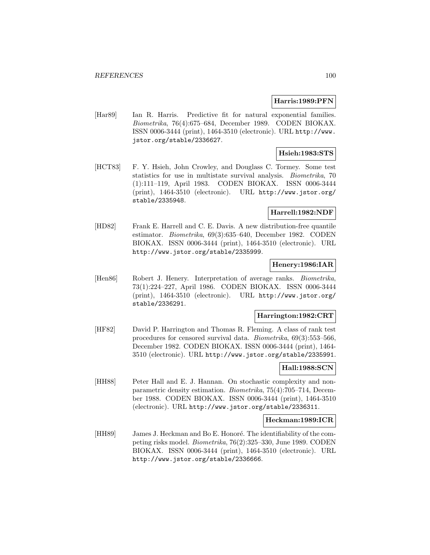#### **Harris:1989:PFN**

[Har89] Ian R. Harris. Predictive fit for natural exponential families. Biometrika, 76(4):675–684, December 1989. CODEN BIOKAX. ISSN 0006-3444 (print), 1464-3510 (electronic). URL http://www. jstor.org/stable/2336627.

### **Hsieh:1983:STS**

[HCT83] F. Y. Hsieh, John Crowley, and Douglass C. Tormey. Some test statistics for use in multistate survival analysis. Biometrika, 70 (1):111–119, April 1983. CODEN BIOKAX. ISSN 0006-3444 (print), 1464-3510 (electronic). URL http://www.jstor.org/ stable/2335948.

### **Harrell:1982:NDF**

[HD82] Frank E. Harrell and C. E. Davis. A new distribution-free quantile estimator. Biometrika, 69(3):635–640, December 1982. CODEN BIOKAX. ISSN 0006-3444 (print), 1464-3510 (electronic). URL http://www.jstor.org/stable/2335999.

## **Henery:1986:IAR**

[Hen86] Robert J. Henery. Interpretation of average ranks. Biometrika, 73(1):224–227, April 1986. CODEN BIOKAX. ISSN 0006-3444 (print), 1464-3510 (electronic). URL http://www.jstor.org/ stable/2336291.

### **Harrington:1982:CRT**

[HF82] David P. Harrington and Thomas R. Fleming. A class of rank test procedures for censored survival data. Biometrika, 69(3):553–566, December 1982. CODEN BIOKAX. ISSN 0006-3444 (print), 1464- 3510 (electronic). URL http://www.jstor.org/stable/2335991.

### **Hall:1988:SCN**

[HH88] Peter Hall and E. J. Hannan. On stochastic complexity and nonparametric density estimation. Biometrika, 75(4):705–714, December 1988. CODEN BIOKAX. ISSN 0006-3444 (print), 1464-3510 (electronic). URL http://www.jstor.org/stable/2336311.

### **Heckman:1989:ICR**

[HH89] James J. Heckman and Bo E. Honoré. The identifiability of the competing risks model. Biometrika, 76(2):325–330, June 1989. CODEN BIOKAX. ISSN 0006-3444 (print), 1464-3510 (electronic). URL http://www.jstor.org/stable/2336666.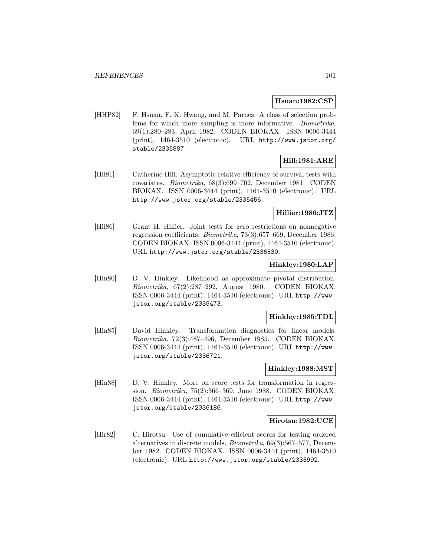#### **Hsuan:1982:CSP**

[HHP82] F. Hsuan, F. K. Hwang, and M. Parnes. A class of selection problems for which more sampling is more informative. Biometrika, 69(1):280–283, April 1982. CODEN BIOKAX. ISSN 0006-3444 (print), 1464-3510 (electronic). URL http://www.jstor.org/ stable/2335887.

# **Hill:1981:ARE**

[Hil81] Catherine Hill. Asymptotic relative efficiency of survival tests with covariates. Biometrika, 68(3):699–702, December 1981. CODEN BIOKAX. ISSN 0006-3444 (print), 1464-3510 (electronic). URL http://www.jstor.org/stable/2335456.

## **Hillier:1986:JTZ**

[Hil86] Grant H. Hillier. Joint tests for zero restrictions on nonnegative regression coefficients. Biometrika, 73(3):657–669, December 1986. CODEN BIOKAX. ISSN 0006-3444 (print), 1464-3510 (electronic). URL http://www.jstor.org/stable/2336530.

## **Hinkley:1980:LAP**

[Hin80] D. V. Hinkley. Likelihood as approximate pivotal distribution. Biometrika, 67(2):287–292, August 1980. CODEN BIOKAX. ISSN 0006-3444 (print), 1464-3510 (electronic). URL http://www. jstor.org/stable/2335473.

### **Hinkley:1985:TDL**

[Hin85] David Hinkley. Transformation diagnostics for linear models. Biometrika, 72(3):487–496, December 1985. CODEN BIOKAX. ISSN 0006-3444 (print), 1464-3510 (electronic). URL http://www. jstor.org/stable/2336721.

## **Hinkley:1988:MST**

[Hin88] D. V. Hinkley. More on score tests for transformation in regression. Biometrika, 75(2):366–369, June 1988. CODEN BIOKAX. ISSN 0006-3444 (print), 1464-3510 (electronic). URL http://www. jstor.org/stable/2336186.

#### **Hirotsu:1982:UCE**

[Hir82] C. Hirotsu. Use of cumulative efficient scores for testing ordered alternatives in discrete models. Biometrika, 69(3):567–577, December 1982. CODEN BIOKAX. ISSN 0006-3444 (print), 1464-3510 (electronic). URL http://www.jstor.org/stable/2335992.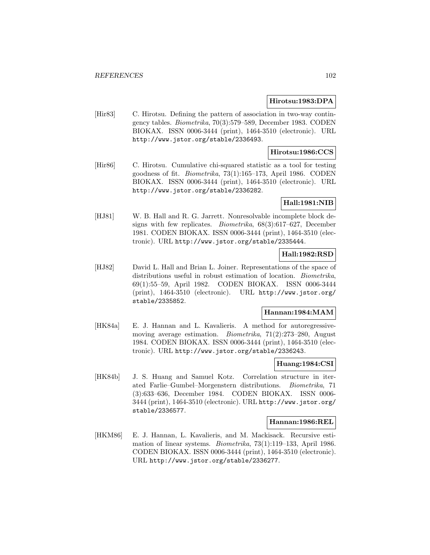### **Hirotsu:1983:DPA**

[Hir83] C. Hirotsu. Defining the pattern of association in two-way contingency tables. Biometrika, 70(3):579–589, December 1983. CODEN BIOKAX. ISSN 0006-3444 (print), 1464-3510 (electronic). URL http://www.jstor.org/stable/2336493.

### **Hirotsu:1986:CCS**

[Hir86] C. Hirotsu. Cumulative chi-squared statistic as a tool for testing goodness of fit. Biometrika, 73(1):165–173, April 1986. CODEN BIOKAX. ISSN 0006-3444 (print), 1464-3510 (electronic). URL http://www.jstor.org/stable/2336282.

# **Hall:1981:NIB**

[HJ81] W. B. Hall and R. G. Jarrett. Nonresolvable incomplete block designs with few replicates. Biometrika, 68(3):617–627, December 1981. CODEN BIOKAX. ISSN 0006-3444 (print), 1464-3510 (electronic). URL http://www.jstor.org/stable/2335444.

# **Hall:1982:RSD**

[HJ82] David L. Hall and Brian L. Joiner. Representations of the space of distributions useful in robust estimation of location. *Biometrika*, 69(1):55–59, April 1982. CODEN BIOKAX. ISSN 0006-3444 (print), 1464-3510 (electronic). URL http://www.jstor.org/ stable/2335852.

## **Hannan:1984:MAM**

[HK84a] E. J. Hannan and L. Kavalieris. A method for autoregressivemoving average estimation. Biometrika, 71(2):273–280, August 1984. CODEN BIOKAX. ISSN 0006-3444 (print), 1464-3510 (electronic). URL http://www.jstor.org/stable/2336243.

### **Huang:1984:CSI**

[HK84b] J. S. Huang and Samuel Kotz. Correlation structure in iterated Farlie–Gumbel–Morgenstern distributions. Biometrika, 71 (3):633–636, December 1984. CODEN BIOKAX. ISSN 0006- 3444 (print), 1464-3510 (electronic). URL http://www.jstor.org/ stable/2336577.

### **Hannan:1986:REL**

[HKM86] E. J. Hannan, L. Kavalieris, and M. Mackisack. Recursive estimation of linear systems. Biometrika, 73(1):119–133, April 1986. CODEN BIOKAX. ISSN 0006-3444 (print), 1464-3510 (electronic). URL http://www.jstor.org/stable/2336277.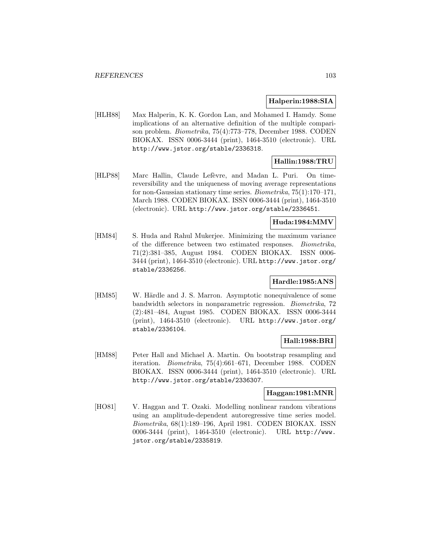### **Halperin:1988:SIA**

[HLH88] Max Halperin, K. K. Gordon Lan, and Mohamed I. Hamdy. Some implications of an alternative definition of the multiple comparison problem. Biometrika, 75(4):773–778, December 1988. CODEN BIOKAX. ISSN 0006-3444 (print), 1464-3510 (electronic). URL http://www.jstor.org/stable/2336318.

# **Hallin:1988:TRU**

[HLP88] Marc Hallin, Claude Lefèvre, and Madan L. Puri. On timereversibility and the uniqueness of moving average representations for non-Gaussian stationary time series. Biometrika, 75(1):170–171, March 1988. CODEN BIOKAX. ISSN 0006-3444 (print), 1464-3510 (electronic). URL http://www.jstor.org/stable/2336451.

## **Huda:1984:MMV**

[HM84] S. Huda and Rahul Mukerjee. Minimizing the maximum variance of the difference between two estimated responses. Biometrika, 71(2):381–385, August 1984. CODEN BIOKAX. ISSN 0006- 3444 (print), 1464-3510 (electronic). URL http://www.jstor.org/ stable/2336256.

# **Hardle:1985:ANS**

[HM85] W. Härdle and J. S. Marron. Asymptotic nonequivalence of some bandwidth selectors in nonparametric regression. Biometrika, 72 (2):481–484, August 1985. CODEN BIOKAX. ISSN 0006-3444 (print), 1464-3510 (electronic). URL http://www.jstor.org/ stable/2336104.

# **Hall:1988:BRI**

[HM88] Peter Hall and Michael A. Martin. On bootstrap resampling and iteration. Biometrika, 75(4):661–671, December 1988. CODEN BIOKAX. ISSN 0006-3444 (print), 1464-3510 (electronic). URL http://www.jstor.org/stable/2336307.

# **Haggan:1981:MNR**

[HO81] V. Haggan and T. Ozaki. Modelling nonlinear random vibrations using an amplitude-dependent autoregressive time series model. Biometrika, 68(1):189–196, April 1981. CODEN BIOKAX. ISSN 0006-3444 (print), 1464-3510 (electronic). URL http://www. jstor.org/stable/2335819.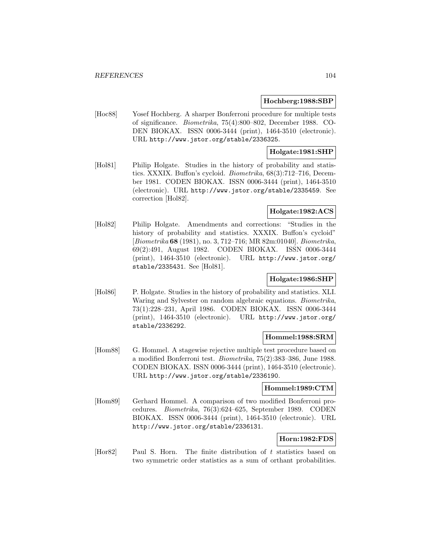#### **Hochberg:1988:SBP**

[Hoc88] Yosef Hochberg. A sharper Bonferroni procedure for multiple tests of significance. Biometrika, 75(4):800–802, December 1988. CO-DEN BIOKAX. ISSN 0006-3444 (print), 1464-3510 (electronic). URL http://www.jstor.org/stable/2336325.

### **Holgate:1981:SHP**

[Hol81] Philip Holgate. Studies in the history of probability and statistics. XXXIX. Buffon's cycloid. Biometrika, 68(3):712–716, December 1981. CODEN BIOKAX. ISSN 0006-3444 (print), 1464-3510 (electronic). URL http://www.jstor.org/stable/2335459. See correction [Hol82].

## **Holgate:1982:ACS**

[Hol82] Philip Holgate. Amendments and corrections: "Studies in the history of probability and statistics. XXXIX. Buffon's cycloid" [Biometrika **68** (1981), no. 3, 712–716; MR 82m:01040]. Biometrika, 69(2):491, August 1982. CODEN BIOKAX. ISSN 0006-3444 (print), 1464-3510 (electronic). URL http://www.jstor.org/ stable/2335431. See [Hol81].

### **Holgate:1986:SHP**

[Hol86] P. Holgate. Studies in the history of probability and statistics. XLI. Waring and Sylvester on random algebraic equations. Biometrika, 73(1):228–231, April 1986. CODEN BIOKAX. ISSN 0006-3444 (print), 1464-3510 (electronic). URL http://www.jstor.org/ stable/2336292.

# **Hommel:1988:SRM**

[Hom88] G. Hommel. A stagewise rejective multiple test procedure based on a modified Bonferroni test. Biometrika, 75(2):383–386, June 1988. CODEN BIOKAX. ISSN 0006-3444 (print), 1464-3510 (electronic). URL http://www.jstor.org/stable/2336190.

#### **Hommel:1989:CTM**

[Hom89] Gerhard Hommel. A comparison of two modified Bonferroni procedures. Biometrika, 76(3):624–625, September 1989. CODEN BIOKAX. ISSN 0006-3444 (print), 1464-3510 (electronic). URL http://www.jstor.org/stable/2336131.

## **Horn:1982:FDS**

[Hor82] Paul S. Horn. The finite distribution of t statistics based on two symmetric order statistics as a sum of orthant probabilities.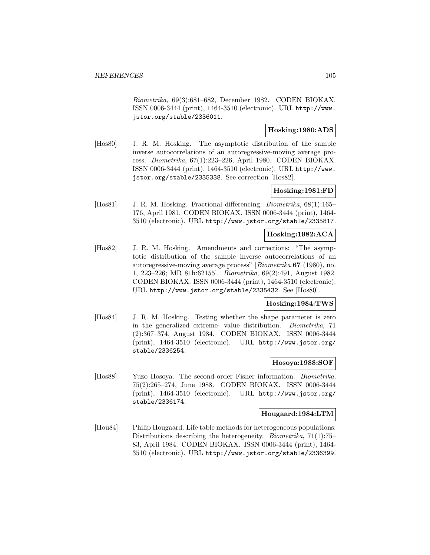Biometrika, 69(3):681–682, December 1982. CODEN BIOKAX. ISSN 0006-3444 (print), 1464-3510 (electronic). URL http://www. jstor.org/stable/2336011.

## **Hosking:1980:ADS**

[Hos80] J. R. M. Hosking. The asymptotic distribution of the sample inverse autocorrelations of an autoregressive-moving average process. Biometrika, 67(1):223–226, April 1980. CODEN BIOKAX. ISSN 0006-3444 (print), 1464-3510 (electronic). URL http://www. jstor.org/stable/2335338. See correction [Hos82].

# **Hosking:1981:FD**

[Hos81] J. R. M. Hosking. Fractional differencing. *Biometrika*, 68(1):165– 176, April 1981. CODEN BIOKAX. ISSN 0006-3444 (print), 1464- 3510 (electronic). URL http://www.jstor.org/stable/2335817.

# **Hosking:1982:ACA**

[Hos82] J. R. M. Hosking. Amendments and corrections: "The asymptotic distribution of the sample inverse autocorrelations of an autoregressive-moving average process" [Biometrika **67** (1980), no. 1, 223–226; MR 81h:62155]. Biometrika, 69(2):491, August 1982. CODEN BIOKAX. ISSN 0006-3444 (print), 1464-3510 (electronic). URL http://www.jstor.org/stable/2335432. See [Hos80].

## **Hosking:1984:TWS**

[Hos84] J. R. M. Hosking. Testing whether the shape parameter is zero in the generalized extreme- value distribution. Biometrika, 71 (2):367–374, August 1984. CODEN BIOKAX. ISSN 0006-3444 (print), 1464-3510 (electronic). URL http://www.jstor.org/ stable/2336254.

#### **Hosoya:1988:SOF**

[Hos88] Yuzo Hosoya. The second-order Fisher information. *Biometrika*, 75(2):265–274, June 1988. CODEN BIOKAX. ISSN 0006-3444 (print), 1464-3510 (electronic). URL http://www.jstor.org/ stable/2336174.

#### **Hougaard:1984:LTM**

[Hou84] Philip Hougaard. Life table methods for heterogeneous populations: Distributions describing the heterogeneity. Biometrika, 71(1):75– 83, April 1984. CODEN BIOKAX. ISSN 0006-3444 (print), 1464- 3510 (electronic). URL http://www.jstor.org/stable/2336399.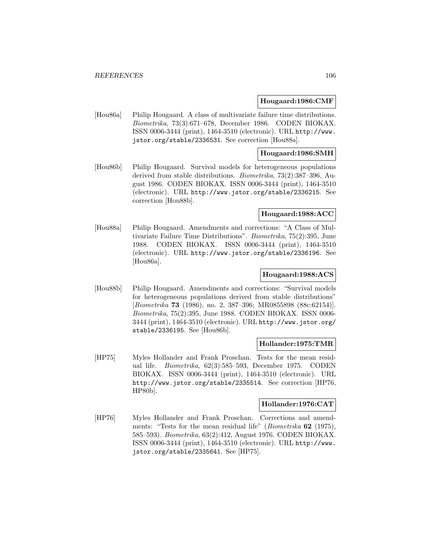#### **Hougaard:1986:CMF**

[Hou86a] Philip Hougaard. A class of multivariate failure time distributions. Biometrika, 73(3):671–678, December 1986. CODEN BIOKAX. ISSN 0006-3444 (print), 1464-3510 (electronic). URL http://www. jstor.org/stable/2336531. See correction [Hou88a].

#### **Hougaard:1986:SMH**

[Hou86b] Philip Hougaard. Survival models for heterogeneous populations derived from stable distributions. Biometrika, 73(2):387–396, August 1986. CODEN BIOKAX. ISSN 0006-3444 (print), 1464-3510 (electronic). URL http://www.jstor.org/stable/2336215. See correction [Hou88b].

#### **Hougaard:1988:ACC**

[Hou88a] Philip Hougaard. Amendments and corrections: "A Class of Multivariate Failure Time Distributions". Biometrika, 75(2):395, June 1988. CODEN BIOKAX. ISSN 0006-3444 (print), 1464-3510 (electronic). URL http://www.jstor.org/stable/2336196. See [Hou86a].

### **Hougaard:1988:ACS**

[Hou88b] Philip Hougaard. Amendments and corrections: "Survival models for heterogeneous populations derived from stable distributions" [Biometrika **73** (1986), no. 2, 387–396; MR0855898 (88c:62154)]. Biometrika, 75(2):395, June 1988. CODEN BIOKAX. ISSN 0006- 3444 (print), 1464-3510 (electronic). URL http://www.jstor.org/ stable/2336195. See [Hou86b].

#### **Hollander:1975:TMR**

[HP75] Myles Hollander and Frank Proschan. Tests for the mean residual life. Biometrika, 62(3):585–593, December 1975. CODEN BIOKAX. ISSN 0006-3444 (print), 1464-3510 (electronic). URL http://www.jstor.org/stable/2335514. See correction [HP76, HP80b].

# **Hollander:1976:CAT**

[HP76] Myles Hollander and Frank Proschan. Corrections and amendments: "Tests for the mean residual life" (Biometrika **62** (1975), 585–593). Biometrika, 63(2):412, August 1976. CODEN BIOKAX. ISSN 0006-3444 (print), 1464-3510 (electronic). URL http://www. jstor.org/stable/2335641. See [HP75].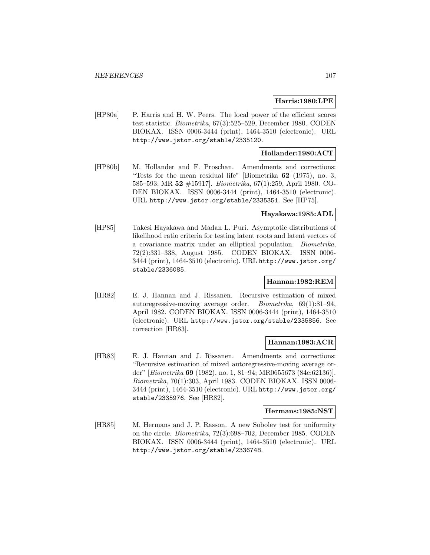### **Harris:1980:LPE**

[HP80a] P. Harris and H. W. Peers. The local power of the efficient scores test statistic. Biometrika, 67(3):525–529, December 1980. CODEN BIOKAX. ISSN 0006-3444 (print), 1464-3510 (electronic). URL http://www.jstor.org/stable/2335120.

### **Hollander:1980:ACT**

[HP80b] M. Hollander and F. Proschan. Amendments and corrections: "Tests for the mean residual life" [Biometrika **62** (1975), no. 3, 585–593; MR **52** #15917]. Biometrika, 67(1):259, April 1980. CO-DEN BIOKAX. ISSN 0006-3444 (print), 1464-3510 (electronic). URL http://www.jstor.org/stable/2335351. See [HP75].

### **Hayakawa:1985:ADL**

[HP85] Takesi Hayakawa and Madan L. Puri. Asymptotic distributions of likelihood ratio criteria for testing latent roots and latent vectors of a covariance matrix under an elliptical population. Biometrika, 72(2):331–338, August 1985. CODEN BIOKAX. ISSN 0006- 3444 (print), 1464-3510 (electronic). URL http://www.jstor.org/ stable/2336085.

# **Hannan:1982:REM**

[HR82] E. J. Hannan and J. Rissanen. Recursive estimation of mixed autoregressive-moving average order. Biometrika, 69(1):81–94, April 1982. CODEN BIOKAX. ISSN 0006-3444 (print), 1464-3510 (electronic). URL http://www.jstor.org/stable/2335856. See correction [HR83].

### **Hannan:1983:ACR**

[HR83] E. J. Hannan and J. Rissanen. Amendments and corrections: "Recursive estimation of mixed autoregressive-moving average order" [Biometrika **69** (1982), no. 1, 81–94; MR0655673 (84e:62136)]. Biometrika, 70(1):303, April 1983. CODEN BIOKAX. ISSN 0006- 3444 (print), 1464-3510 (electronic). URL http://www.jstor.org/ stable/2335976. See [HR82].

#### **Hermans:1985:NST**

[HR85] M. Hermans and J. P. Rasson. A new Sobolev test for uniformity on the circle. Biometrika, 72(3):698–702, December 1985. CODEN BIOKAX. ISSN 0006-3444 (print), 1464-3510 (electronic). URL http://www.jstor.org/stable/2336748.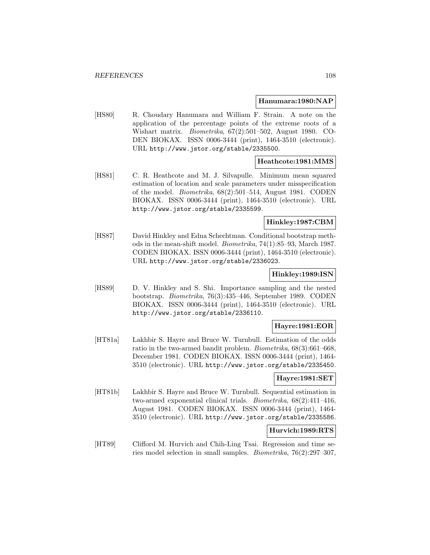#### **Hanumara:1980:NAP**

[HS80] R. Choudary Hanumara and William F. Strain. A note on the application of the percentage points of the extreme roots of a Wishart matrix. Biometrika, 67(2):501–502, August 1980. CO-DEN BIOKAX. ISSN 0006-3444 (print), 1464-3510 (electronic). URL http://www.jstor.org/stable/2335500.

# **Heathcote:1981:MMS**

[HS81] C. R. Heathcote and M. J. Silvapulle. Minimum mean squared estimation of location and scale parameters under misspecification of the model. Biometrika, 68(2):501–514, August 1981. CODEN BIOKAX. ISSN 0006-3444 (print), 1464-3510 (electronic). URL http://www.jstor.org/stable/2335599.

### **Hinkley:1987:CBM**

[HS87] David Hinkley and Edna Schechtman. Conditional bootstrap methods in the mean-shift model. Biometrika, 74(1):85–93, March 1987. CODEN BIOKAX. ISSN 0006-3444 (print), 1464-3510 (electronic). URL http://www.jstor.org/stable/2336023.

### **Hinkley:1989:ISN**

[HS89] D. V. Hinkley and S. Shi. Importance sampling and the nested bootstrap. Biometrika, 76(3):435–446, September 1989. CODEN BIOKAX. ISSN 0006-3444 (print), 1464-3510 (electronic). URL http://www.jstor.org/stable/2336110.

## **Hayre:1981:EOR**

[HT81a] Lakhbir S. Hayre and Bruce W. Turnbull. Estimation of the odds ratio in the two-armed bandit problem. Biometrika, 68(3):661–668, December 1981. CODEN BIOKAX. ISSN 0006-3444 (print), 1464- 3510 (electronic). URL http://www.jstor.org/stable/2335450.

#### **Hayre:1981:SET**

[HT81b] Lakhbir S. Hayre and Bruce W. Turnbull. Sequential estimation in two-armed exponential clinical trials. Biometrika, 68(2):411–416, August 1981. CODEN BIOKAX. ISSN 0006-3444 (print), 1464- 3510 (electronic). URL http://www.jstor.org/stable/2335586.

#### **Hurvich:1989:RTS**

[HT89] Clifford M. Hurvich and Chih-Ling Tsai. Regression and time series model selection in small samples. Biometrika, 76(2):297–307,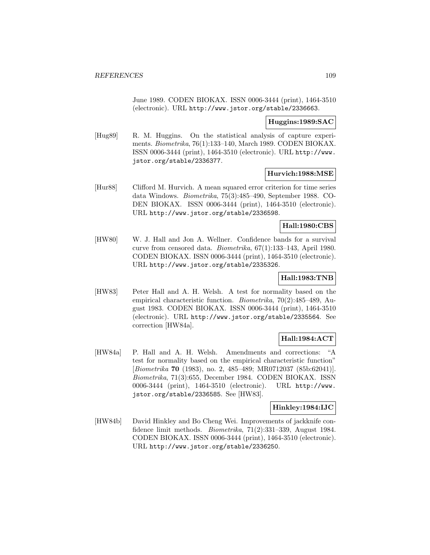June 1989. CODEN BIOKAX. ISSN 0006-3444 (print), 1464-3510 (electronic). URL http://www.jstor.org/stable/2336663.

### **Huggins:1989:SAC**

[Hug89] R. M. Huggins. On the statistical analysis of capture experiments. Biometrika, 76(1):133–140, March 1989. CODEN BIOKAX. ISSN 0006-3444 (print), 1464-3510 (electronic). URL http://www. jstor.org/stable/2336377.

## **Hurvich:1988:MSE**

[Hur88] Clifford M. Hurvich. A mean squared error criterion for time series data Windows. Biometrika, 75(3):485–490, September 1988. CO-DEN BIOKAX. ISSN 0006-3444 (print), 1464-3510 (electronic). URL http://www.jstor.org/stable/2336598.

## **Hall:1980:CBS**

[HW80] W. J. Hall and Jon A. Wellner. Confidence bands for a survival curve from censored data. Biometrika, 67(1):133–143, April 1980. CODEN BIOKAX. ISSN 0006-3444 (print), 1464-3510 (electronic). URL http://www.jstor.org/stable/2335326.

# **Hall:1983:TNB**

[HW83] Peter Hall and A. H. Welsh. A test for normality based on the empirical characteristic function. Biometrika, 70(2):485–489, August 1983. CODEN BIOKAX. ISSN 0006-3444 (print), 1464-3510 (electronic). URL http://www.jstor.org/stable/2335564. See correction [HW84a].

## **Hall:1984:ACT**

[HW84a] P. Hall and A. H. Welsh. Amendments and corrections: "A test for normality based on the empirical characteristic function" [Biometrika **70** (1983), no. 2, 485-489; MR0712037 (85b:62041)]. Biometrika, 71(3):655, December 1984. CODEN BIOKAX. ISSN 0006-3444 (print), 1464-3510 (electronic). URL http://www. jstor.org/stable/2336585. See [HW83].

## **Hinkley:1984:IJC**

[HW84b] David Hinkley and Bo Cheng Wei. Improvements of jackknife confidence limit methods. Biometrika, 71(2):331–339, August 1984. CODEN BIOKAX. ISSN 0006-3444 (print), 1464-3510 (electronic). URL http://www.jstor.org/stable/2336250.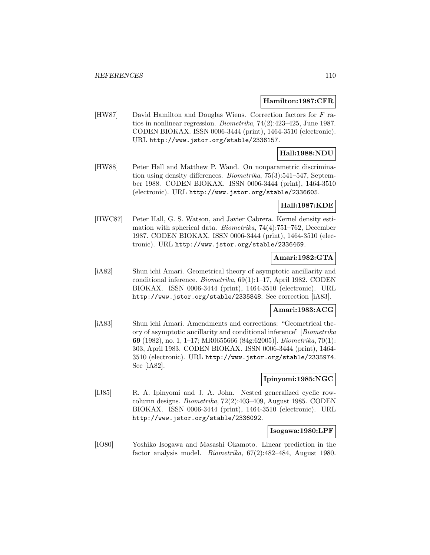### **Hamilton:1987:CFR**

[HW87] David Hamilton and Douglas Wiens. Correction factors for F ratios in nonlinear regression. Biometrika, 74(2):423–425, June 1987. CODEN BIOKAX. ISSN 0006-3444 (print), 1464-3510 (electronic). URL http://www.jstor.org/stable/2336157.

# **Hall:1988:NDU**

[HW88] Peter Hall and Matthew P. Wand. On nonparametric discrimination using density differences. Biometrika, 75(3):541–547, September 1988. CODEN BIOKAX. ISSN 0006-3444 (print), 1464-3510 (electronic). URL http://www.jstor.org/stable/2336605.

### **Hall:1987:KDE**

[HWC87] Peter Hall, G. S. Watson, and Javier Cabrera. Kernel density estimation with spherical data. Biometrika, 74(4):751–762, December 1987. CODEN BIOKAX. ISSN 0006-3444 (print), 1464-3510 (electronic). URL http://www.jstor.org/stable/2336469.

## **Amari:1982:GTA**

[iA82] Shun ichi Amari. Geometrical theory of asymptotic ancillarity and conditional inference. Biometrika, 69(1):1–17, April 1982. CODEN BIOKAX. ISSN 0006-3444 (print), 1464-3510 (electronic). URL http://www.jstor.org/stable/2335848. See correction [iA83].

## **Amari:1983:ACG**

[iA83] Shun ichi Amari. Amendments and corrections: "Geometrical theory of asymptotic ancillarity and conditional inference" [Biometrika **69** (1982), no. 1, 1–17; MR0655666 (84g:62005)]. Biometrika, 70(1): 303, April 1983. CODEN BIOKAX. ISSN 0006-3444 (print), 1464- 3510 (electronic). URL http://www.jstor.org/stable/2335974. See [iA82].

## **Ipinyomi:1985:NGC**

[IJ85] R. A. Ipinyomi and J. A. John. Nested generalized cyclic rowcolumn designs. Biometrika, 72(2):403–409, August 1985. CODEN BIOKAX. ISSN 0006-3444 (print), 1464-3510 (electronic). URL http://www.jstor.org/stable/2336092.

## **Isogawa:1980:LPF**

[IO80] Yoshiko Isogawa and Masashi Okamoto. Linear prediction in the factor analysis model. Biometrika, 67(2):482–484, August 1980.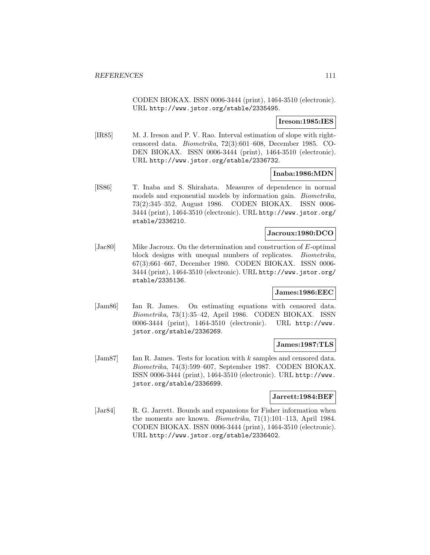CODEN BIOKAX. ISSN 0006-3444 (print), 1464-3510 (electronic). URL http://www.jstor.org/stable/2335495.

**Ireson:1985:IES**

[IR85] M. J. Ireson and P. V. Rao. Interval estimation of slope with rightcensored data. Biometrika, 72(3):601–608, December 1985. CO-DEN BIOKAX. ISSN 0006-3444 (print), 1464-3510 (electronic). URL http://www.jstor.org/stable/2336732.

**Inaba:1986:MDN**

[IS86] T. Inaba and S. Shirahata. Measures of dependence in normal models and exponential models by information gain. Biometrika, 73(2):345–352, August 1986. CODEN BIOKAX. ISSN 0006- 3444 (print), 1464-3510 (electronic). URL http://www.jstor.org/ stable/2336210.

## **Jacroux:1980:DCO**

[Jac80] Mike Jacroux. On the determination and construction of E-optimal block designs with unequal numbers of replicates. Biometrika, 67(3):661–667, December 1980. CODEN BIOKAX. ISSN 0006- 3444 (print), 1464-3510 (electronic). URL http://www.jstor.org/ stable/2335136.

## **James:1986:EEC**

[Jam86] Ian R. James. On estimating equations with censored data. Biometrika, 73(1):35–42, April 1986. CODEN BIOKAX. ISSN 0006-3444 (print), 1464-3510 (electronic). URL http://www. jstor.org/stable/2336269.

## **James:1987:TLS**

[Jam87] Ian R. James. Tests for location with k samples and censored data. Biometrika, 74(3):599–607, September 1987. CODEN BIOKAX. ISSN 0006-3444 (print), 1464-3510 (electronic). URL http://www. jstor.org/stable/2336699.

## **Jarrett:1984:BEF**

[Jar84] R. G. Jarrett. Bounds and expansions for Fisher information when the moments are known. Biometrika, 71(1):101–113, April 1984. CODEN BIOKAX. ISSN 0006-3444 (print), 1464-3510 (electronic). URL http://www.jstor.org/stable/2336402.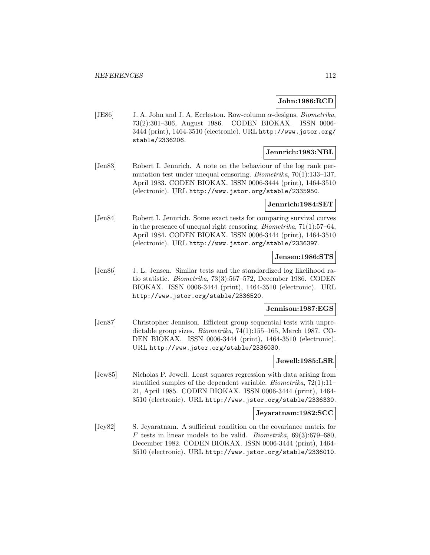## **John:1986:RCD**

[JE86] J. A. John and J. A. Eccleston. Row-column  $\alpha$ -designs. *Biometrika*, 73(2):301–306, August 1986. CODEN BIOKAX. ISSN 0006- 3444 (print), 1464-3510 (electronic). URL http://www.jstor.org/ stable/2336206.

# **Jennrich:1983:NBL**

[Jen83] Robert I. Jennrich. A note on the behaviour of the log rank permutation test under unequal censoring. Biometrika, 70(1):133–137, April 1983. CODEN BIOKAX. ISSN 0006-3444 (print), 1464-3510 (electronic). URL http://www.jstor.org/stable/2335950.

### **Jennrich:1984:SET**

[Jen84] Robert I. Jennrich. Some exact tests for comparing survival curves in the presence of unequal right censoring. Biometrika, 71(1):57–64, April 1984. CODEN BIOKAX. ISSN 0006-3444 (print), 1464-3510 (electronic). URL http://www.jstor.org/stable/2336397.

### **Jensen:1986:STS**

[Jen86] J. L. Jensen. Similar tests and the standardized log likelihood ratio statistic. Biometrika, 73(3):567–572, December 1986. CODEN BIOKAX. ISSN 0006-3444 (print), 1464-3510 (electronic). URL http://www.jstor.org/stable/2336520.

## **Jennison:1987:EGS**

[Jen87] Christopher Jennison. Efficient group sequential tests with unpredictable group sizes. Biometrika, 74(1):155–165, March 1987. CO-DEN BIOKAX. ISSN 0006-3444 (print), 1464-3510 (electronic). URL http://www.jstor.org/stable/2336030.

## **Jewell:1985:LSR**

[Jew85] Nicholas P. Jewell. Least squares regression with data arising from stratified samples of the dependent variable. Biometrika, 72(1):11– 21, April 1985. CODEN BIOKAX. ISSN 0006-3444 (print), 1464- 3510 (electronic). URL http://www.jstor.org/stable/2336330.

### **Jeyaratnam:1982:SCC**

[Jey82] S. Jeyaratnam. A sufficient condition on the covariance matrix for F tests in linear models to be valid. Biometrika,  $69(3):679-680$ , December 1982. CODEN BIOKAX. ISSN 0006-3444 (print), 1464- 3510 (electronic). URL http://www.jstor.org/stable/2336010.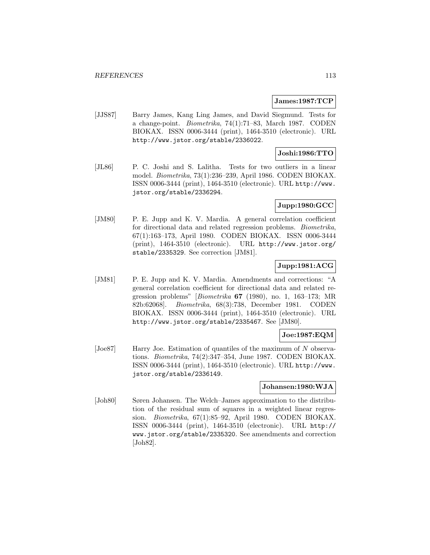### **James:1987:TCP**

[JJS87] Barry James, Kang Ling James, and David Siegmund. Tests for a change-point. Biometrika, 74(1):71–83, March 1987. CODEN BIOKAX. ISSN 0006-3444 (print), 1464-3510 (electronic). URL http://www.jstor.org/stable/2336022.

# **Joshi:1986:TTO**

[JL86] P. C. Joshi and S. Lalitha. Tests for two outliers in a linear model. Biometrika, 73(1):236–239, April 1986. CODEN BIOKAX. ISSN 0006-3444 (print), 1464-3510 (electronic). URL http://www. jstor.org/stable/2336294.

## **Jupp:1980:GCC**

[JM80] P. E. Jupp and K. V. Mardia. A general correlation coefficient for directional data and related regression problems. Biometrika, 67(1):163–173, April 1980. CODEN BIOKAX. ISSN 0006-3444 (print), 1464-3510 (electronic). URL http://www.jstor.org/ stable/2335329. See correction [JM81].

# **Jupp:1981:ACG**

[JM81] P. E. Jupp and K. V. Mardia. Amendments and corrections: "A general correlation coefficient for directional data and related regression problems" [Biometrika **67** (1980), no. 1, 163–173; MR 82b:62068]. Biometrika, 68(3):738, December 1981. CODEN BIOKAX. ISSN 0006-3444 (print), 1464-3510 (electronic). URL http://www.jstor.org/stable/2335467. See [JM80].

# **Joe:1987:EQM**

[Joe87] Harry Joe. Estimation of quantiles of the maximum of N observations. Biometrika, 74(2):347–354, June 1987. CODEN BIOKAX. ISSN 0006-3444 (print), 1464-3510 (electronic). URL http://www. jstor.org/stable/2336149.

## **Johansen:1980:WJA**

[Joh80] Søren Johansen. The Welch–James approximation to the distribution of the residual sum of squares in a weighted linear regression. Biometrika, 67(1):85–92, April 1980. CODEN BIOKAX. ISSN 0006-3444 (print), 1464-3510 (electronic). URL http:// www.jstor.org/stable/2335320. See amendments and correction [Joh82].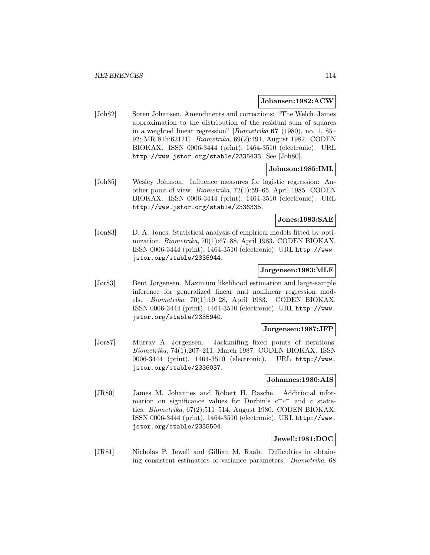#### **Johansen:1982:ACW**

[Joh82] Søren Johansen. Amendments and corrections: "The Welch–James approximation to the distribution of the residual sum of squares in a weighted linear regression" [Biometrika **67** (1980), no. 1, 85– 92; MR 81h:62121]. Biometrika, 69(2):491, August 1982. CODEN BIOKAX. ISSN 0006-3444 (print), 1464-3510 (electronic). URL http://www.jstor.org/stable/2335433. See [Joh80].

## **Johnson:1985:IML**

[Joh85] Wesley Johnson. Influence measures for logistic regression: Another point of view. Biometrika, 72(1):59–65, April 1985. CODEN BIOKAX. ISSN 0006-3444 (print), 1464-3510 (electronic). URL http://www.jstor.org/stable/2336335.

# **Jones:1983:SAE**

[Jon83] D. A. Jones. Statistical analysis of empirical models fitted by optimization. Biometrika, 70(1):67–88, April 1983. CODEN BIOKAX. ISSN 0006-3444 (print), 1464-3510 (electronic). URL http://www. jstor.org/stable/2335944.

## **Jorgensen:1983:MLE**

[Jør83] Bent Jørgensen. Maximum likelihood estimation and large-sample inference for generalized linear and nonlinear regression models. Biometrika, 70(1):19–28, April 1983. CODEN BIOKAX. ISSN 0006-3444 (print), 1464-3510 (electronic). URL http://www. jstor.org/stable/2335940.

### **Jorgensen:1987:JFP**

[Jor87] Murray A. Jorgensen. Jackknifing fixed points of iterations. Biometrika, 74(1):207–211, March 1987. CODEN BIOKAX. ISSN 0006-3444 (print), 1464-3510 (electronic). URL http://www. jstor.org/stable/2336037.

### **Johannes:1980:AIS**

[JR80] James M. Johannes and Robert H. Rasche. Additional information on significance values for Durbin's  $c^+c^-$  and c statistics. Biometrika, 67(2):511–514, August 1980. CODEN BIOKAX. ISSN 0006-3444 (print), 1464-3510 (electronic). URL http://www. jstor.org/stable/2335504.

# **Jewell:1981:DOC**

[JR81] Nicholas P. Jewell and Gillian M. Raab. Difficulties in obtaining consistent estimators of variance parameters. Biometrika, 68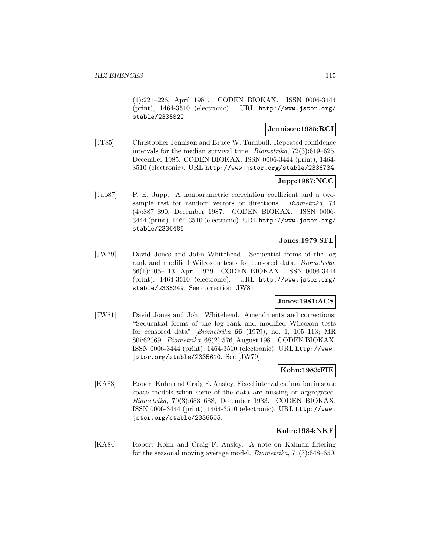(1):221–226, April 1981. CODEN BIOKAX. ISSN 0006-3444 (print), 1464-3510 (electronic). URL http://www.jstor.org/ stable/2335822.

## **Jennison:1985:RCI**

[JT85] Christopher Jennison and Bruce W. Turnbull. Repeated confidence intervals for the median survival time. Biometrika, 72(3):619–625, December 1985. CODEN BIOKAX. ISSN 0006-3444 (print), 1464- 3510 (electronic). URL http://www.jstor.org/stable/2336734.

# **Jupp:1987:NCC**

[Jup87] P. E. Jupp. A nonparametric correlation coefficient and a twosample test for random vectors or directions. Biometrika, 74 (4):887–890, December 1987. CODEN BIOKAX. ISSN 0006- 3444 (print), 1464-3510 (electronic). URL http://www.jstor.org/ stable/2336485.

## **Jones:1979:SFL**

[JW79] David Jones and John Whitehead. Sequential forms of the log rank and modified Wilcoxon tests for censored data. Biometrika, 66(1):105–113, April 1979. CODEN BIOKAX. ISSN 0006-3444 (print), 1464-3510 (electronic). URL http://www.jstor.org/ stable/2335249. See correction [JW81].

# **Jones:1981:ACS**

[JW81] David Jones and John Whitehead. Amendments and corrections: "Sequential forms of the log rank and modified Wilcoxon tests for censored data" [Biometrika **66** (1979), no. 1, 105–113; MR 80i:62069]. Biometrika, 68(2):576, August 1981. CODEN BIOKAX. ISSN 0006-3444 (print), 1464-3510 (electronic). URL http://www. jstor.org/stable/2335610. See [JW79].

## **Kohn:1983:FIE**

[KA83] Robert Kohn and Craig F. Ansley. Fixed interval estimation in state space models when some of the data are missing or aggregated. Biometrika, 70(3):683–688, December 1983. CODEN BIOKAX. ISSN 0006-3444 (print), 1464-3510 (electronic). URL http://www. jstor.org/stable/2336505.

## **Kohn:1984:NKF**

[KA84] Robert Kohn and Craig F. Ansley. A note on Kalman filtering for the seasonal moving average model. Biometrika, 71(3):648–650,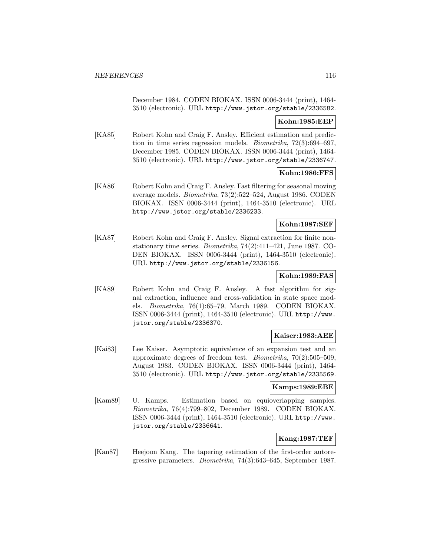December 1984. CODEN BIOKAX. ISSN 0006-3444 (print), 1464- 3510 (electronic). URL http://www.jstor.org/stable/2336582.

## **Kohn:1985:EEP**

[KA85] Robert Kohn and Craig F. Ansley. Efficient estimation and prediction in time series regression models. Biometrika, 72(3):694–697, December 1985. CODEN BIOKAX. ISSN 0006-3444 (print), 1464- 3510 (electronic). URL http://www.jstor.org/stable/2336747.

# **Kohn:1986:FFS**

[KA86] Robert Kohn and Craig F. Ansley. Fast filtering for seasonal moving average models. Biometrika, 73(2):522–524, August 1986. CODEN BIOKAX. ISSN 0006-3444 (print), 1464-3510 (electronic). URL http://www.jstor.org/stable/2336233.

# **Kohn:1987:SEF**

[KA87] Robert Kohn and Craig F. Ansley. Signal extraction for finite nonstationary time series. Biometrika, 74(2):411–421, June 1987. CO-DEN BIOKAX. ISSN 0006-3444 (print), 1464-3510 (electronic). URL http://www.jstor.org/stable/2336156.

# **Kohn:1989:FAS**

[KA89] Robert Kohn and Craig F. Ansley. A fast algorithm for signal extraction, influence and cross-validation in state space models. Biometrika, 76(1):65–79, March 1989. CODEN BIOKAX. ISSN 0006-3444 (print), 1464-3510 (electronic). URL http://www. jstor.org/stable/2336370.

## **Kaiser:1983:AEE**

[Kai83] Lee Kaiser. Asymptotic equivalence of an expansion test and an approximate degrees of freedom test. Biometrika, 70(2):505–509, August 1983. CODEN BIOKAX. ISSN 0006-3444 (print), 1464- 3510 (electronic). URL http://www.jstor.org/stable/2335569.

## **Kamps:1989:EBE**

[Kam89] U. Kamps. Estimation based on equioverlapping samples. Biometrika, 76(4):799–802, December 1989. CODEN BIOKAX. ISSN 0006-3444 (print), 1464-3510 (electronic). URL http://www. jstor.org/stable/2336641.

# **Kang:1987:TEF**

[Kan87] Heejoon Kang. The tapering estimation of the first-order autoregressive parameters. Biometrika, 74(3):643–645, September 1987.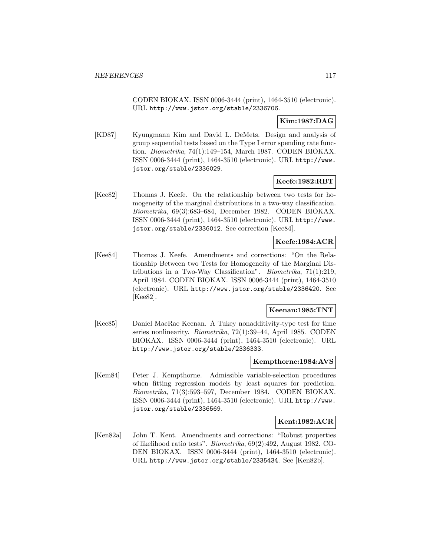CODEN BIOKAX. ISSN 0006-3444 (print), 1464-3510 (electronic). URL http://www.jstor.org/stable/2336706.

## **Kim:1987:DAG**

[KD87] Kyungmann Kim and David L. DeMets. Design and analysis of group sequential tests based on the Type I error spending rate function. Biometrika, 74(1):149–154, March 1987. CODEN BIOKAX. ISSN 0006-3444 (print), 1464-3510 (electronic). URL http://www. jstor.org/stable/2336029.

# **Keefe:1982:RBT**

[Kee82] Thomas J. Keefe. On the relationship between two tests for homogeneity of the marginal distributions in a two-way classification. Biometrika, 69(3):683–684, December 1982. CODEN BIOKAX. ISSN 0006-3444 (print), 1464-3510 (electronic). URL http://www. jstor.org/stable/2336012. See correction [Kee84].

# **Keefe:1984:ACR**

[Kee84] Thomas J. Keefe. Amendments and corrections: "On the Relationship Between two Tests for Homogeneity of the Marginal Distributions in a Two-Way Classification". Biometrika, 71(1):219, April 1984. CODEN BIOKAX. ISSN 0006-3444 (print), 1464-3510 (electronic). URL http://www.jstor.org/stable/2336420. See [Kee82].

#### **Keenan:1985:TNT**

[Kee85] Daniel MacRae Keenan. A Tukey nonadditivity-type test for time series nonlinearity. Biometrika, 72(1):39–44, April 1985. CODEN BIOKAX. ISSN 0006-3444 (print), 1464-3510 (electronic). URL http://www.jstor.org/stable/2336333.

### **Kempthorne:1984:AVS**

[Kem84] Peter J. Kempthorne. Admissible variable-selection procedures when fitting regression models by least squares for prediction. Biometrika, 71(3):593–597, December 1984. CODEN BIOKAX. ISSN 0006-3444 (print), 1464-3510 (electronic). URL http://www. jstor.org/stable/2336569.

## **Kent:1982:ACR**

[Ken82a] John T. Kent. Amendments and corrections: "Robust properties of likelihood ratio tests". Biometrika, 69(2):492, August 1982. CO-DEN BIOKAX. ISSN 0006-3444 (print), 1464-3510 (electronic). URL http://www.jstor.org/stable/2335434. See [Ken82b].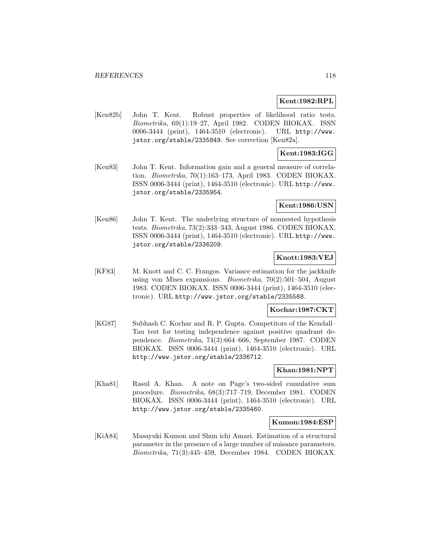### **Kent:1982:RPL**

[Ken82b] John T. Kent. Robust properties of likelihood ratio tests. Biometrika, 69(1):19–27, April 1982. CODEN BIOKAX. ISSN 0006-3444 (print), 1464-3510 (electronic). URL http://www. jstor.org/stable/2335849. See correction [Ken82a].

## **Kent:1983:IGG**

[Ken83] John T. Kent. Information gain and a general measure of correlation. Biometrika, 70(1):163–173, April 1983. CODEN BIOKAX. ISSN 0006-3444 (print), 1464-3510 (electronic). URL http://www. jstor.org/stable/2335954.

### **Kent:1986:USN**

[Ken86] John T. Kent. The underlying structure of nonnested hypothesis tests. Biometrika, 73(2):333–343, August 1986. CODEN BIOKAX. ISSN 0006-3444 (print), 1464-3510 (electronic). URL http://www. jstor.org/stable/2336209.

# **Knott:1983:VEJ**

[KF83] M. Knott and C. C. Frangos. Variance estimation for the jackknife using von Mises expansions. Biometrika, 70(2):501–504, August 1983. CODEN BIOKAX. ISSN 0006-3444 (print), 1464-3510 (electronic). URL http://www.jstor.org/stable/2335568.

#### **Kochar:1987:CKT**

[KG87] Subhash C. Kochar and R. P. Gupta. Competitors of the Kendall– Tau test for testing independence against positive quadrant dependence. Biometrika, 74(3):664–666, September 1987. CODEN BIOKAX. ISSN 0006-3444 (print), 1464-3510 (electronic). URL http://www.jstor.org/stable/2336712.

## **Khan:1981:NPT**

[Kha81] Rasul A. Khan. A note on Page's two-sided cumulative sum procedure. Biometrika, 68(3):717–719, December 1981. CODEN BIOKAX. ISSN 0006-3444 (print), 1464-3510 (electronic). URL http://www.jstor.org/stable/2335460.

#### **Kumon:1984:ESP**

[KiA84] Masayuki Kumon and Shun ichi Amari. Estimation of a structural parameter in the presence of a large number of nuisance parameters. Biometrika, 71(3):445–459, December 1984. CODEN BIOKAX.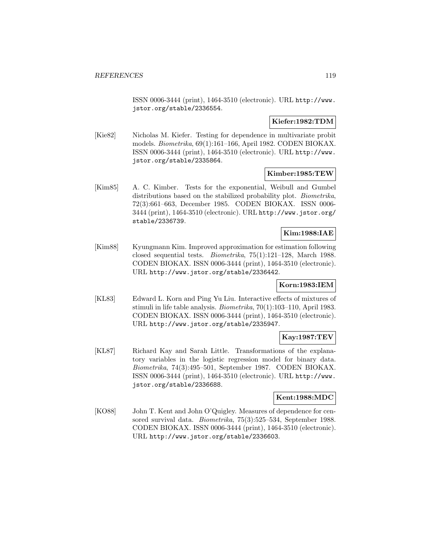ISSN 0006-3444 (print), 1464-3510 (electronic). URL http://www. jstor.org/stable/2336554.

# **Kiefer:1982:TDM**

[Kie82] Nicholas M. Kiefer. Testing for dependence in multivariate probit models. Biometrika, 69(1):161–166, April 1982. CODEN BIOKAX. ISSN 0006-3444 (print), 1464-3510 (electronic). URL http://www. jstor.org/stable/2335864.

## **Kimber:1985:TEW**

[Kim85] A. C. Kimber. Tests for the exponential, Weibull and Gumbel distributions based on the stabilized probability plot. *Biometrika*, 72(3):661–663, December 1985. CODEN BIOKAX. ISSN 0006- 3444 (print), 1464-3510 (electronic). URL http://www.jstor.org/ stable/2336739.

# **Kim:1988:IAE**

[Kim88] Kyungmann Kim. Improved approximation for estimation following closed sequential tests. Biometrika, 75(1):121–128, March 1988. CODEN BIOKAX. ISSN 0006-3444 (print), 1464-3510 (electronic). URL http://www.jstor.org/stable/2336442.

# **Korn:1983:IEM**

[KL83] Edward L. Korn and Ping Yu Liu. Interactive effects of mixtures of stimuli in life table analysis. Biometrika, 70(1):103–110, April 1983. CODEN BIOKAX. ISSN 0006-3444 (print), 1464-3510 (electronic). URL http://www.jstor.org/stable/2335947.

# **Kay:1987:TEV**

[KL87] Richard Kay and Sarah Little. Transformations of the explanatory variables in the logistic regression model for binary data. Biometrika, 74(3):495–501, September 1987. CODEN BIOKAX. ISSN 0006-3444 (print), 1464-3510 (electronic). URL http://www. jstor.org/stable/2336688.

## **Kent:1988:MDC**

[KO88] John T. Kent and John O'Quigley. Measures of dependence for censored survival data. Biometrika, 75(3):525–534, September 1988. CODEN BIOKAX. ISSN 0006-3444 (print), 1464-3510 (electronic). URL http://www.jstor.org/stable/2336603.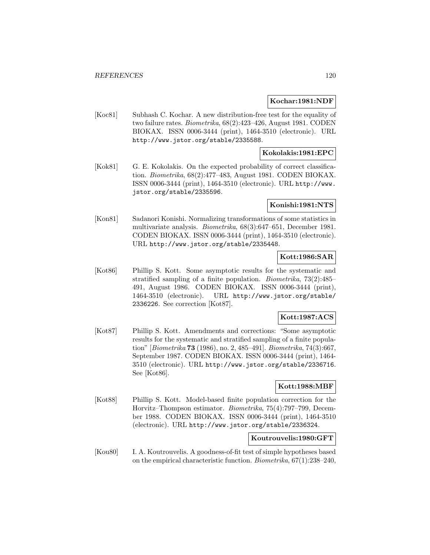### **Kochar:1981:NDF**

[Koc81] Subhash C. Kochar. A new distribution-free test for the equality of two failure rates. Biometrika, 68(2):423–426, August 1981. CODEN BIOKAX. ISSN 0006-3444 (print), 1464-3510 (electronic). URL http://www.jstor.org/stable/2335588.

## **Kokolakis:1981:EPC**

[Kok81] G. E. Kokolakis. On the expected probability of correct classification. Biometrika, 68(2):477–483, August 1981. CODEN BIOKAX. ISSN 0006-3444 (print), 1464-3510 (electronic). URL http://www. jstor.org/stable/2335596.

### **Konishi:1981:NTS**

[Kon81] Sadanori Konishi. Normalizing transformations of some statistics in multivariate analysis. Biometrika, 68(3):647–651, December 1981. CODEN BIOKAX. ISSN 0006-3444 (print), 1464-3510 (electronic). URL http://www.jstor.org/stable/2335448.

## **Kott:1986:SAR**

[Kot86] Phillip S. Kott. Some asymptotic results for the systematic and stratified sampling of a finite population. Biometrika, 73(2):485– 491, August 1986. CODEN BIOKAX. ISSN 0006-3444 (print), 1464-3510 (electronic). URL http://www.jstor.org/stable/ 2336226. See correction [Kot87].

## **Kott:1987:ACS**

[Kot87] Phillip S. Kott. Amendments and corrections: "Some asymptotic results for the systematic and stratified sampling of a finite population" [Biometrika **73** (1986), no. 2, 485–491]. Biometrika, 74(3):667, September 1987. CODEN BIOKAX. ISSN 0006-3444 (print), 1464- 3510 (electronic). URL http://www.jstor.org/stable/2336716. See [Kot86].

## **Kott:1988:MBF**

[Kot88] Phillip S. Kott. Model-based finite population correction for the Horvitz–Thompson estimator. Biometrika, 75(4):797–799, December 1988. CODEN BIOKAX. ISSN 0006-3444 (print), 1464-3510 (electronic). URL http://www.jstor.org/stable/2336324.

## **Koutrouvelis:1980:GFT**

[Kou80] I. A. Koutrouvelis. A goodness-of-fit test of simple hypotheses based on the empirical characteristic function. Biometrika, 67(1):238–240,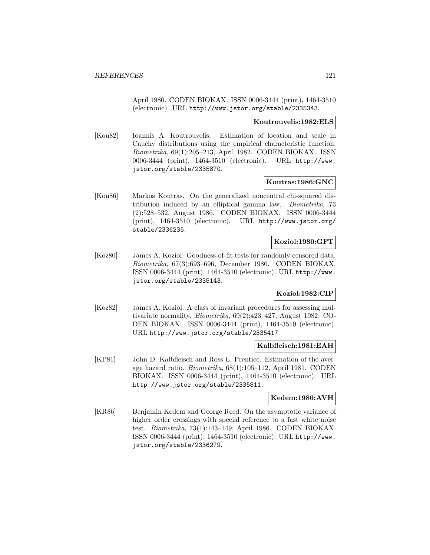April 1980. CODEN BIOKAX. ISSN 0006-3444 (print), 1464-3510 (electronic). URL http://www.jstor.org/stable/2335343.

### **Koutrouvelis:1982:ELS**

[Kou82] Ioannis A. Koutrouvelis. Estimation of location and scale in Cauchy distributions using the empirical characteristic function. Biometrika, 69(1):205–213, April 1982. CODEN BIOKAX. ISSN 0006-3444 (print), 1464-3510 (electronic). URL http://www. jstor.org/stable/2335870.

## **Koutras:1986:GNC**

[Kou86] Markos Koutras. On the generalized noncentral chi-squared distribution induced by an elliptical gamma law. Biometrika, 73 (2):528–532, August 1986. CODEN BIOKAX. ISSN 0006-3444 (print), 1464-3510 (electronic). URL http://www.jstor.org/ stable/2336235.

## **Koziol:1980:GFT**

[Koz80] James A. Koziol. Goodness-of-fit tests for randomly censored data. Biometrika, 67(3):693–696, December 1980. CODEN BIOKAX. ISSN 0006-3444 (print), 1464-3510 (electronic). URL http://www. jstor.org/stable/2335143.

## **Koziol:1982:CIP**

[Koz82] James A. Koziol. A class of invariant procedures for assessing multivariate normality. Biometrika, 69(2):423–427, August 1982. CO-DEN BIOKAX. ISSN 0006-3444 (print), 1464-3510 (electronic). URL http://www.jstor.org/stable/2335417.

# **Kalbfleisch:1981:EAH**

[KP81] John D. Kalbfleisch and Ross L. Prentice. Estimation of the average hazard ratio. Biometrika, 68(1):105–112, April 1981. CODEN BIOKAX. ISSN 0006-3444 (print), 1464-3510 (electronic). URL http://www.jstor.org/stable/2335811.

#### **Kedem:1986:AVH**

[KR86] Benjamin Kedem and George Reed. On the asymptotic variance of higher order crossings with special reference to a fast white noise test. Biometrika, 73(1):143–149, April 1986. CODEN BIOKAX. ISSN 0006-3444 (print), 1464-3510 (electronic). URL http://www. jstor.org/stable/2336279.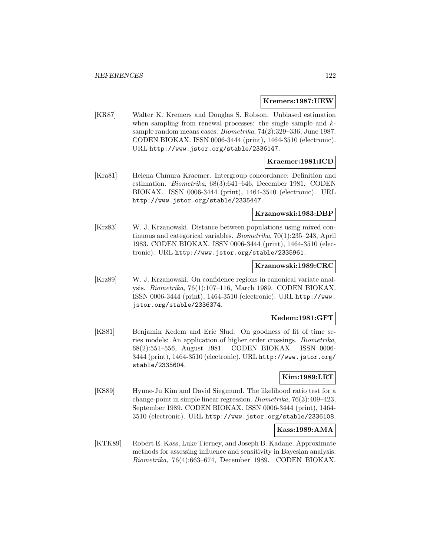### **Kremers:1987:UEW**

[KR87] Walter K. Kremers and Douglas S. Robson. Unbiased estimation when sampling from renewal processes: the single sample and  $k$ sample random means cases. Biometrika, 74(2):329–336, June 1987. CODEN BIOKAX. ISSN 0006-3444 (print), 1464-3510 (electronic). URL http://www.jstor.org/stable/2336147.

# **Kraemer:1981:ICD**

[Kra81] Helena Chmura Kraemer. Intergroup concordance: Definition and estimation. Biometrika, 68(3):641–646, December 1981. CODEN BIOKAX. ISSN 0006-3444 (print), 1464-3510 (electronic). URL http://www.jstor.org/stable/2335447.

### **Krzanowski:1983:DBP**

[Krz83] W. J. Krzanowski. Distance between populations using mixed continuous and categorical variables. Biometrika, 70(1):235–243, April 1983. CODEN BIOKAX. ISSN 0006-3444 (print), 1464-3510 (electronic). URL http://www.jstor.org/stable/2335961.

### **Krzanowski:1989:CRC**

[Krz89] W. J. Krzanowski. On confidence regions in canonical variate analysis. Biometrika, 76(1):107–116, March 1989. CODEN BIOKAX. ISSN 0006-3444 (print), 1464-3510 (electronic). URL http://www. jstor.org/stable/2336374.

## **Kedem:1981:GFT**

[KS81] Benjamin Kedem and Eric Slud. On goodness of fit of time series models: An application of higher order crossings. Biometrika, 68(2):551–556, August 1981. CODEN BIOKAX. ISSN 0006- 3444 (print), 1464-3510 (electronic). URL http://www.jstor.org/ stable/2335604.

## **Kim:1989:LRT**

[KS89] Hyune-Ju Kim and David Siegmund. The likelihood ratio test for a change-point in simple linear regression. Biometrika, 76(3):409–423, September 1989. CODEN BIOKAX. ISSN 0006-3444 (print), 1464- 3510 (electronic). URL http://www.jstor.org/stable/2336108.

## **Kass:1989:AMA**

[KTK89] Robert E. Kass, Luke Tierney, and Joseph B. Kadane. Approximate methods for assessing influence and sensitivity in Bayesian analysis. Biometrika, 76(4):663–674, December 1989. CODEN BIOKAX.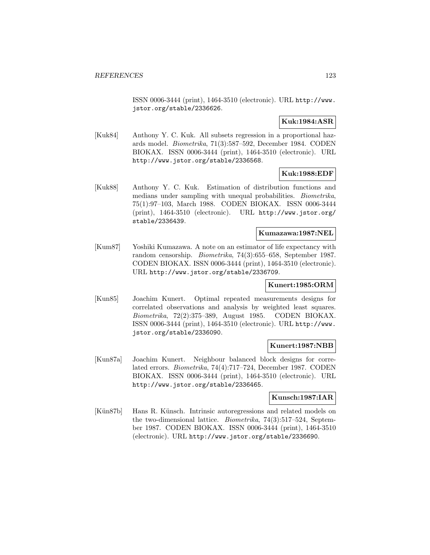ISSN 0006-3444 (print), 1464-3510 (electronic). URL http://www. jstor.org/stable/2336626.

## **Kuk:1984:ASR**

[Kuk84] Anthony Y. C. Kuk. All subsets regression in a proportional hazards model. Biometrika, 71(3):587–592, December 1984. CODEN BIOKAX. ISSN 0006-3444 (print), 1464-3510 (electronic). URL http://www.jstor.org/stable/2336568.

## **Kuk:1988:EDF**

[Kuk88] Anthony Y. C. Kuk. Estimation of distribution functions and medians under sampling with unequal probabilities. Biometrika, 75(1):97–103, March 1988. CODEN BIOKAX. ISSN 0006-3444 (print), 1464-3510 (electronic). URL http://www.jstor.org/ stable/2336439.

## **Kumazawa:1987:NEL**

[Kum87] Yoshiki Kumazawa. A note on an estimator of life expectancy with random censorship. Biometrika, 74(3):655–658, September 1987. CODEN BIOKAX. ISSN 0006-3444 (print), 1464-3510 (electronic). URL http://www.jstor.org/stable/2336709.

## **Kunert:1985:ORM**

[Kun85] Joachim Kunert. Optimal repeated measurements designs for correlated observations and analysis by weighted least squares. Biometrika, 72(2):375–389, August 1985. CODEN BIOKAX. ISSN 0006-3444 (print), 1464-3510 (electronic). URL http://www. jstor.org/stable/2336090.

#### **Kunert:1987:NBB**

[Kun87a] Joachim Kunert. Neighbour balanced block designs for correlated errors. Biometrika, 74(4):717–724, December 1987. CODEN BIOKAX. ISSN 0006-3444 (print), 1464-3510 (electronic). URL http://www.jstor.org/stable/2336465.

#### **Kunsch:1987:IAR**

[Kün87b] Hans R. Künsch. Intrinsic autoregressions and related models on the two-dimensional lattice. Biometrika, 74(3):517–524, September 1987. CODEN BIOKAX. ISSN 0006-3444 (print), 1464-3510 (electronic). URL http://www.jstor.org/stable/2336690.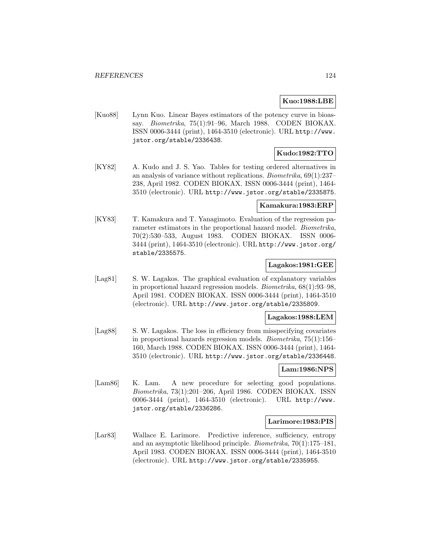## **Kuo:1988:LBE**

[Kuo88] Lynn Kuo. Linear Bayes estimators of the potency curve in bioassay. Biometrika, 75(1):91–96, March 1988. CODEN BIOKAX. ISSN 0006-3444 (print), 1464-3510 (electronic). URL http://www. jstor.org/stable/2336438.

# **Kudo:1982:TTO**

[KY82] A. Kudo and J. S. Yao. Tables for testing ordered alternatives in an analysis of variance without replications. Biometrika, 69(1):237– 238, April 1982. CODEN BIOKAX. ISSN 0006-3444 (print), 1464- 3510 (electronic). URL http://www.jstor.org/stable/2335875.

## **Kamakura:1983:ERP**

[KY83] T. Kamakura and T. Yanagimoto. Evaluation of the regression parameter estimators in the proportional hazard model. Biometrika, 70(2):530–533, August 1983. CODEN BIOKAX. ISSN 0006- 3444 (print), 1464-3510 (electronic). URL http://www.jstor.org/ stable/2335575.

## **Lagakos:1981:GEE**

[Lag81] S. W. Lagakos. The graphical evaluation of explanatory variables in proportional hazard regression models. Biometrika, 68(1):93–98, April 1981. CODEN BIOKAX. ISSN 0006-3444 (print), 1464-3510 (electronic). URL http://www.jstor.org/stable/2335809.

#### **Lagakos:1988:LEM**

[Lag88] S. W. Lagakos. The loss in efficiency from misspecifying covariates in proportional hazards regression models. Biometrika, 75(1):156– 160, March 1988. CODEN BIOKAX. ISSN 0006-3444 (print), 1464- 3510 (electronic). URL http://www.jstor.org/stable/2336448.

# **Lam:1986:NPS**

[Lam86] K. Lam. A new procedure for selecting good populations. Biometrika, 73(1):201–206, April 1986. CODEN BIOKAX. ISSN 0006-3444 (print), 1464-3510 (electronic). URL http://www. jstor.org/stable/2336286.

#### **Larimore:1983:PIS**

[Lar83] Wallace E. Larimore. Predictive inference, sufficiency, entropy and an asymptotic likelihood principle. Biometrika, 70(1):175–181, April 1983. CODEN BIOKAX. ISSN 0006-3444 (print), 1464-3510 (electronic). URL http://www.jstor.org/stable/2335955.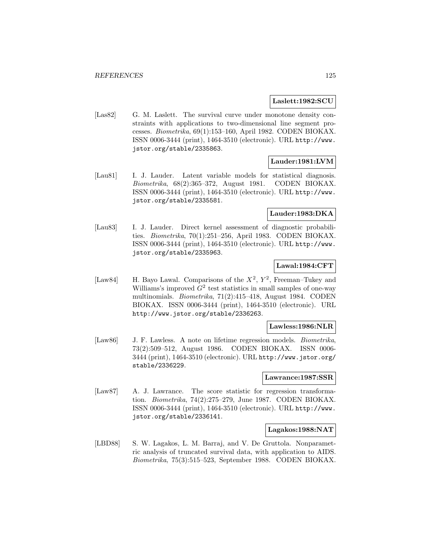### **Laslett:1982:SCU**

[Las82] G. M. Laslett. The survival curve under monotone density constraints with applications to two-dimensional line segment processes. Biometrika, 69(1):153–160, April 1982. CODEN BIOKAX. ISSN 0006-3444 (print), 1464-3510 (electronic). URL http://www. jstor.org/stable/2335863.

## **Lauder:1981:LVM**

[Lau81] I. J. Lauder. Latent variable models for statistical diagnosis. Biometrika, 68(2):365–372, August 1981. CODEN BIOKAX. ISSN 0006-3444 (print), 1464-3510 (electronic). URL http://www. jstor.org/stable/2335581.

## **Lauder:1983:DKA**

[Lau83] I. J. Lauder. Direct kernel assessment of diagnostic probabilities. Biometrika, 70(1):251–256, April 1983. CODEN BIOKAX. ISSN 0006-3444 (print), 1464-3510 (electronic). URL http://www. jstor.org/stable/2335963.

## **Lawal:1984:CFT**

[Law84] H. Bayo Lawal. Comparisons of the  $X^2$ ,  $Y^2$ , Freeman–Tukey and Williams's improved  $G^2$  test statistics in small samples of one-way multinomials. Biometrika, 71(2):415–418, August 1984. CODEN BIOKAX. ISSN 0006-3444 (print), 1464-3510 (electronic). URL http://www.jstor.org/stable/2336263.

#### **Lawless:1986:NLR**

[Law86] J. F. Lawless. A note on lifetime regression models. Biometrika, 73(2):509–512, August 1986. CODEN BIOKAX. ISSN 0006- 3444 (print), 1464-3510 (electronic). URL http://www.jstor.org/ stable/2336229.

## **Lawrance:1987:SSR**

[Law87] A. J. Lawrance. The score statistic for regression transformation. Biometrika, 74(2):275–279, June 1987. CODEN BIOKAX. ISSN 0006-3444 (print), 1464-3510 (electronic). URL http://www. jstor.org/stable/2336141.

### **Lagakos:1988:NAT**

[LBD88] S. W. Lagakos, L. M. Barraj, and V. De Gruttola. Nonparametric analysis of truncated survival data, with application to AIDS. Biometrika, 75(3):515–523, September 1988. CODEN BIOKAX.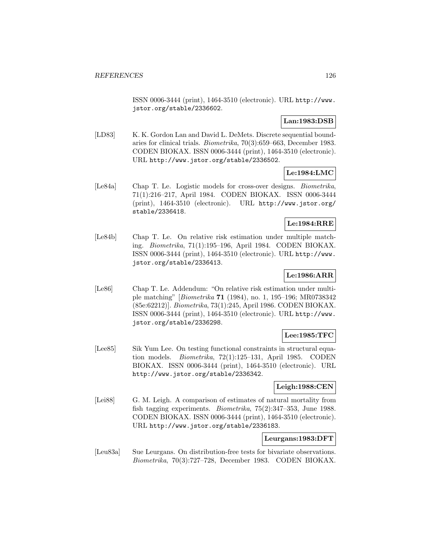ISSN 0006-3444 (print), 1464-3510 (electronic). URL http://www. jstor.org/stable/2336602.

# **Lan:1983:DSB**

[LD83] K. K. Gordon Lan and David L. DeMets. Discrete sequential boundaries for clinical trials. Biometrika, 70(3):659–663, December 1983. CODEN BIOKAX. ISSN 0006-3444 (print), 1464-3510 (electronic). URL http://www.jstor.org/stable/2336502.

# **Le:1984:LMC**

[Le84a] Chap T. Le. Logistic models for cross-over designs. Biometrika, 71(1):216–217, April 1984. CODEN BIOKAX. ISSN 0006-3444 (print), 1464-3510 (electronic). URL http://www.jstor.org/ stable/2336418.

## **Le:1984:RRE**

[Le84b] Chap T. Le. On relative risk estimation under multiple matching. Biometrika, 71(1):195–196, April 1984. CODEN BIOKAX. ISSN 0006-3444 (print), 1464-3510 (electronic). URL http://www. jstor.org/stable/2336413.

# **Le:1986:ARR**

[Le86] Chap T. Le. Addendum: "On relative risk estimation under multiple matching" [Biometrika **71** (1984), no. 1, 195–196; MR0738342 (85e:62212)]. Biometrika, 73(1):245, April 1986. CODEN BIOKAX. ISSN 0006-3444 (print), 1464-3510 (electronic). URL http://www. jstor.org/stable/2336298.

# **Lee:1985:TFC**

[Lee85] Sik Yum Lee. On testing functional constraints in structural equation models. Biometrika, 72(1):125–131, April 1985. CODEN BIOKAX. ISSN 0006-3444 (print), 1464-3510 (electronic). URL http://www.jstor.org/stable/2336342.

# **Leigh:1988:CEN**

[Lei88] G. M. Leigh. A comparison of estimates of natural mortality from fish tagging experiments. Biometrika, 75(2):347–353, June 1988. CODEN BIOKAX. ISSN 0006-3444 (print), 1464-3510 (electronic). URL http://www.jstor.org/stable/2336183.

## **Leurgans:1983:DFT**

[Leu83a] Sue Leurgans. On distribution-free tests for bivariate observations. Biometrika, 70(3):727–728, December 1983. CODEN BIOKAX.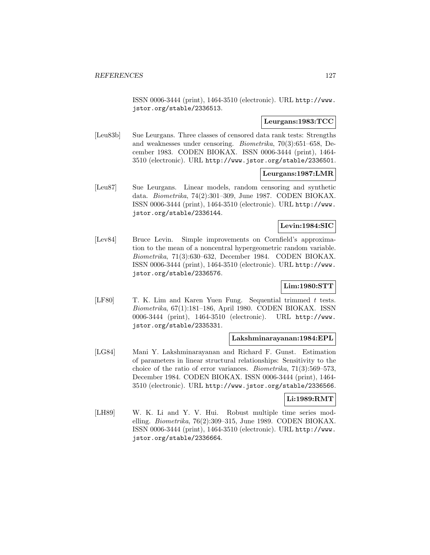ISSN 0006-3444 (print), 1464-3510 (electronic). URL http://www. jstor.org/stable/2336513.

## **Leurgans:1983:TCC**

[Leu83b] Sue Leurgans. Three classes of censored data rank tests: Strengths and weaknesses under censoring. Biometrika, 70(3):651–658, December 1983. CODEN BIOKAX. ISSN 0006-3444 (print), 1464- 3510 (electronic). URL http://www.jstor.org/stable/2336501.

## **Leurgans:1987:LMR**

[Leu87] Sue Leurgans. Linear models, random censoring and synthetic data. Biometrika, 74(2):301–309, June 1987. CODEN BIOKAX. ISSN 0006-3444 (print), 1464-3510 (electronic). URL http://www. jstor.org/stable/2336144.

## **Levin:1984:SIC**

[Lev84] Bruce Levin. Simple improvements on Cornfield's approximation to the mean of a noncentral hypergeometric random variable. Biometrika, 71(3):630–632, December 1984. CODEN BIOKAX. ISSN 0006-3444 (print), 1464-3510 (electronic). URL http://www. jstor.org/stable/2336576.

# **Lim:1980:STT**

[LF80] T. K. Lim and Karen Yuen Fung. Sequential trimmed t tests. Biometrika, 67(1):181–186, April 1980. CODEN BIOKAX. ISSN 0006-3444 (print), 1464-3510 (electronic). URL http://www. jstor.org/stable/2335331.

## **Lakshminarayanan:1984:EPL**

[LG84] Mani Y. Lakshminarayanan and Richard F. Gunst. Estimation of parameters in linear structural relationships: Sensitivity to the choice of the ratio of error variances. Biometrika, 71(3):569–573, December 1984. CODEN BIOKAX. ISSN 0006-3444 (print), 1464- 3510 (electronic). URL http://www.jstor.org/stable/2336566.

## **Li:1989:RMT**

[LH89] W. K. Li and Y. V. Hui. Robust multiple time series modelling. Biometrika, 76(2):309–315, June 1989. CODEN BIOKAX. ISSN 0006-3444 (print), 1464-3510 (electronic). URL http://www. jstor.org/stable/2336664.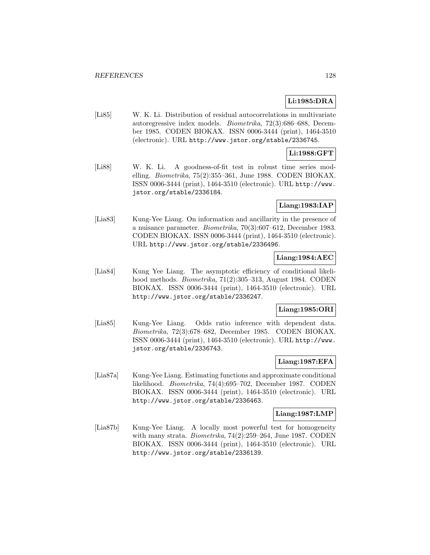# **Li:1985:DRA**

[Li85] W. K. Li. Distribution of residual autocorrelations in multivariate autoregressive index models. Biometrika, 72(3):686–688, December 1985. CODEN BIOKAX. ISSN 0006-3444 (print), 1464-3510 (electronic). URL http://www.jstor.org/stable/2336745.

## **Li:1988:GFT**

[Li88] W. K. Li. A goodness-of-fit test in robust time series modelling. Biometrika, 75(2):355–361, June 1988. CODEN BIOKAX. ISSN 0006-3444 (print), 1464-3510 (electronic). URL http://www. jstor.org/stable/2336184.

## **Liang:1983:IAP**

[Lia83] Kung-Yee Liang. On information and ancillarity in the presence of a nuisance parameter. Biometrika, 70(3):607–612, December 1983. CODEN BIOKAX. ISSN 0006-3444 (print), 1464-3510 (electronic). URL http://www.jstor.org/stable/2336496.

## **Liang:1984:AEC**

[Lia84] Kung Yee Liang. The asymptotic efficiency of conditional likelihood methods. Biometrika, 71(2):305–313, August 1984. CODEN BIOKAX. ISSN 0006-3444 (print), 1464-3510 (electronic). URL http://www.jstor.org/stable/2336247.

## **Liang:1985:ORI**

[Lia85] Kung-Yee Liang. Odds ratio inference with dependent data. Biometrika, 72(3):678–682, December 1985. CODEN BIOKAX. ISSN 0006-3444 (print), 1464-3510 (electronic). URL http://www. jstor.org/stable/2336743.

## **Liang:1987:EFA**

[Lia87a] Kung-Yee Liang. Estimating functions and approximate conditional likelihood. Biometrika, 74(4):695–702, December 1987. CODEN BIOKAX. ISSN 0006-3444 (print), 1464-3510 (electronic). URL http://www.jstor.org/stable/2336463.

#### **Liang:1987:LMP**

[Lia87b] Kung-Yee Liang. A locally most powerful test for homogeneity with many strata. Biometrika, 74(2):259–264, June 1987. CODEN BIOKAX. ISSN 0006-3444 (print), 1464-3510 (electronic). URL http://www.jstor.org/stable/2336139.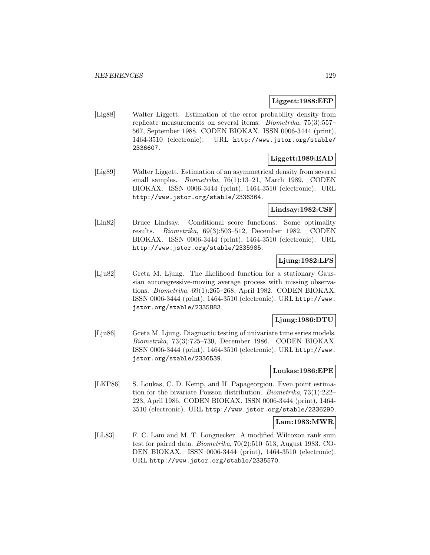## **Liggett:1988:EEP**

[Lig88] Walter Liggett. Estimation of the error probability density from replicate measurements on several items. Biometrika, 75(3):557– 567, September 1988. CODEN BIOKAX. ISSN 0006-3444 (print), 1464-3510 (electronic). URL http://www.jstor.org/stable/ 2336607.

## **Liggett:1989:EAD**

[Lig89] Walter Liggett. Estimation of an asymmetrical density from several small samples. *Biometrika*, 76(1):13-21, March 1989. CODEN BIOKAX. ISSN 0006-3444 (print), 1464-3510 (electronic). URL http://www.jstor.org/stable/2336364.

## **Lindsay:1982:CSF**

[Lin82] Bruce Lindsay. Conditional score functions: Some optimality results. Biometrika, 69(3):503–512, December 1982. CODEN BIOKAX. ISSN 0006-3444 (print), 1464-3510 (electronic). URL http://www.jstor.org/stable/2335985.

# **Ljung:1982:LFS**

[Lju82] Greta M. Ljung. The likelihood function for a stationary Gaussian autoregressive-moving average process with missing observations. Biometrika, 69(1):265–268, April 1982. CODEN BIOKAX. ISSN 0006-3444 (print), 1464-3510 (electronic). URL http://www. jstor.org/stable/2335883.

## **Ljung:1986:DTU**

[Lju86] Greta M. Ljung. Diagnostic testing of univariate time series models. Biometrika, 73(3):725–730, December 1986. CODEN BIOKAX. ISSN 0006-3444 (print), 1464-3510 (electronic). URL http://www. jstor.org/stable/2336539.

# **Loukas:1986:EPE**

[LKP86] S. Loukas, C. D. Kemp, and H. Papageorgiou. Even point estimation for the bivariate Poisson distribution. Biometrika, 73(1):222– 223, April 1986. CODEN BIOKAX. ISSN 0006-3444 (print), 1464- 3510 (electronic). URL http://www.jstor.org/stable/2336290.

## **Lam:1983:MWR**

[LL83] F. C. Lam and M. T. Longnecker. A modified Wilcoxon rank sum test for paired data. Biometrika, 70(2):510–513, August 1983. CO-DEN BIOKAX. ISSN 0006-3444 (print), 1464-3510 (electronic). URL http://www.jstor.org/stable/2335570.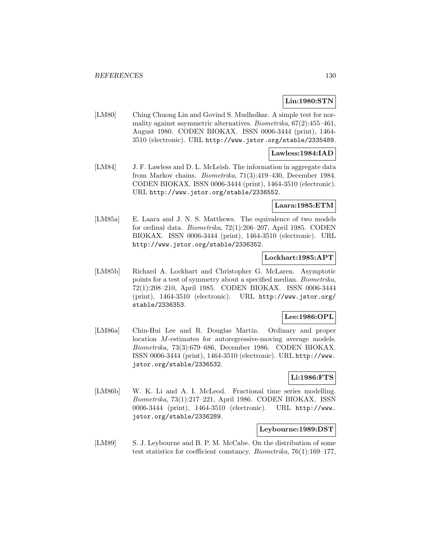# **Lin:1980:STN**

[LM80] Ching Chuong Lin and Govind S. Mudholkar. A simple test for normality against asymmetric alternatives. Biometrika,  $67(2)$ :455-461, August 1980. CODEN BIOKAX. ISSN 0006-3444 (print), 1464- 3510 (electronic). URL http://www.jstor.org/stable/2335489.

## **Lawless:1984:IAD**

[LM84] J. F. Lawless and D. L. McLeish. The information in aggregate data from Markov chains. Biometrika, 71(3):419–430, December 1984. CODEN BIOKAX. ISSN 0006-3444 (print), 1464-3510 (electronic). URL http://www.jstor.org/stable/2336552.

### **Laara:1985:ETM**

[LM85a] E. Laara and J. N. S. Matthews. The equivalence of two models for ordinal data. Biometrika, 72(1):206–207, April 1985. CODEN BIOKAX. ISSN 0006-3444 (print), 1464-3510 (electronic). URL http://www.jstor.org/stable/2336352.

# **Lockhart:1985:APT**

[LM85b] Richard A. Lockhart and Christopher G. McLaren. Asymptotic points for a test of symmetry about a specified median. Biometrika, 72(1):208–210, April 1985. CODEN BIOKAX. ISSN 0006-3444 (print), 1464-3510 (electronic). URL http://www.jstor.org/ stable/2336353.

## **Lee:1986:OPL**

[LM86a] Chin-Hui Lee and R. Douglas Martin. Ordinary and proper location M-estimates for autoregressive-moving average models. Biometrika, 73(3):679–686, December 1986. CODEN BIOKAX. ISSN 0006-3444 (print), 1464-3510 (electronic). URL http://www. jstor.org/stable/2336532.

## **Li:1986:FTS**

[LM86b] W. K. Li and A. I. McLeod. Fractional time series modelling. Biometrika, 73(1):217–221, April 1986. CODEN BIOKAX. ISSN 0006-3444 (print), 1464-3510 (electronic). URL http://www. jstor.org/stable/2336289.

## **Leybourne:1989:DST**

[LM89] S. J. Leybourne and B. P. M. McCabe. On the distribution of some test statistics for coefficient constancy. Biometrika, 76(1):169–177,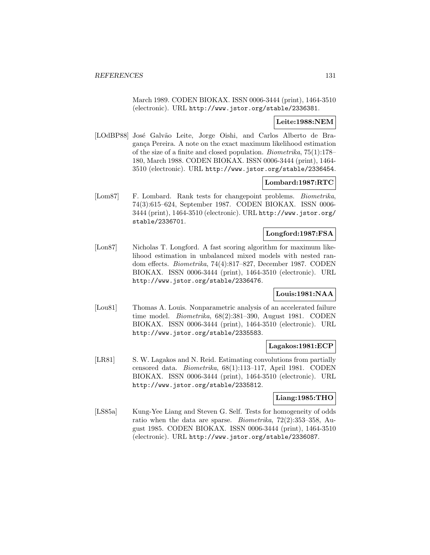March 1989. CODEN BIOKAX. ISSN 0006-3444 (print), 1464-3510 (electronic). URL http://www.jstor.org/stable/2336381.

# **Leite:1988:NEM**

[LOdBP88] José Galvão Leite, Jorge Oishi, and Carlos Alberto de Bragança Pereira. A note on the exact maximum likelihood estimation of the size of a finite and closed population. Biometrika, 75(1):178– 180, March 1988. CODEN BIOKAX. ISSN 0006-3444 (print), 1464- 3510 (electronic). URL http://www.jstor.org/stable/2336454.

## **Lombard:1987:RTC**

[Lom87] F. Lombard. Rank tests for changepoint problems. Biometrika, 74(3):615–624, September 1987. CODEN BIOKAX. ISSN 0006- 3444 (print), 1464-3510 (electronic). URL http://www.jstor.org/ stable/2336701.

# **Longford:1987:FSA**

[Lon87] Nicholas T. Longford. A fast scoring algorithm for maximum likelihood estimation in unbalanced mixed models with nested random effects. Biometrika, 74(4):817–827, December 1987. CODEN BIOKAX. ISSN 0006-3444 (print), 1464-3510 (electronic). URL http://www.jstor.org/stable/2336476.

# **Louis:1981:NAA**

[Lou81] Thomas A. Louis. Nonparametric analysis of an accelerated failure time model. Biometrika, 68(2):381–390, August 1981. CODEN BIOKAX. ISSN 0006-3444 (print), 1464-3510 (electronic). URL http://www.jstor.org/stable/2335583.

# **Lagakos:1981:ECP**

[LR81] S. W. Lagakos and N. Reid. Estimating convolutions from partially censored data. Biometrika, 68(1):113–117, April 1981. CODEN BIOKAX. ISSN 0006-3444 (print), 1464-3510 (electronic). URL http://www.jstor.org/stable/2335812.

### **Liang:1985:THO**

[LS85a] Kung-Yee Liang and Steven G. Self. Tests for homogeneity of odds ratio when the data are sparse. Biometrika, 72(2):353–358, August 1985. CODEN BIOKAX. ISSN 0006-3444 (print), 1464-3510 (electronic). URL http://www.jstor.org/stable/2336087.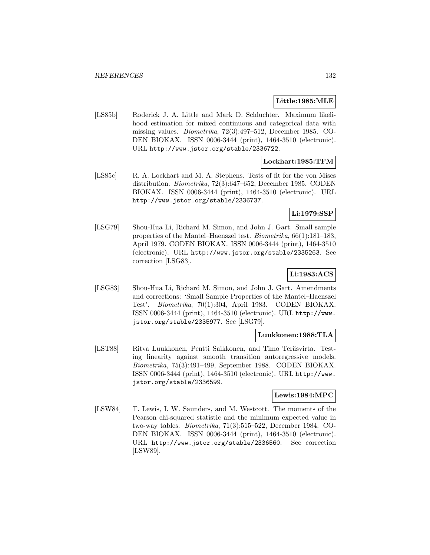## **Little:1985:MLE**

[LS85b] Roderick J. A. Little and Mark D. Schluchter. Maximum likelihood estimation for mixed continuous and categorical data with missing values. Biometrika, 72(3):497–512, December 1985. CO-DEN BIOKAX. ISSN 0006-3444 (print), 1464-3510 (electronic). URL http://www.jstor.org/stable/2336722.

## **Lockhart:1985:TFM**

[LS85c] R. A. Lockhart and M. A. Stephens. Tests of fit for the von Mises distribution. Biometrika, 72(3):647–652, December 1985. CODEN BIOKAX. ISSN 0006-3444 (print), 1464-3510 (electronic). URL http://www.jstor.org/stable/2336737.

## **Li:1979:SSP**

[LSG79] Shou-Hua Li, Richard M. Simon, and John J. Gart. Small sample properties of the Mantel–Haenszel test. Biometrika, 66(1):181–183, April 1979. CODEN BIOKAX. ISSN 0006-3444 (print), 1464-3510 (electronic). URL http://www.jstor.org/stable/2335263. See correction [LSG83].

# **Li:1983:ACS**

[LSG83] Shou-Hua Li, Richard M. Simon, and John J. Gart. Amendments and corrections: 'Small Sample Properties of the Mantel–Haenszel Test'. Biometrika, 70(1):304, April 1983. CODEN BIOKAX. ISSN 0006-3444 (print), 1464-3510 (electronic). URL http://www. jstor.org/stable/2335977. See [LSG79].

## **Luukkonen:1988:TLA**

[LST88] Ritva Luukkonen, Pentti Saikkonen, and Timo Teräsvirta. Testing linearity against smooth transition autoregressive models. Biometrika, 75(3):491–499, September 1988. CODEN BIOKAX. ISSN 0006-3444 (print), 1464-3510 (electronic). URL http://www. jstor.org/stable/2336599.

## **Lewis:1984:MPC**

[LSW84] T. Lewis, I. W. Saunders, and M. Westcott. The moments of the Pearson chi-squared statistic and the minimum expected value in two-way tables. Biometrika, 71(3):515–522, December 1984. CO-DEN BIOKAX. ISSN 0006-3444 (print), 1464-3510 (electronic). URL http://www.jstor.org/stable/2336560. See correction [LSW89].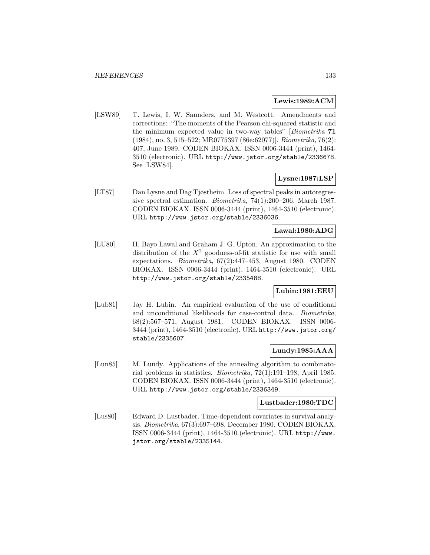### **Lewis:1989:ACM**

[LSW89] T. Lewis, I. W. Saunders, and M. Westcott. Amendments and corrections: "The moments of the Pearson chi-squared statistic and the minimum expected value in two-way tables" [Biometrika **71** (1984), no. 3, 515–522; MR0775397 (86e:62077)]. Biometrika, 76(2): 407, June 1989. CODEN BIOKAX. ISSN 0006-3444 (print), 1464- 3510 (electronic). URL http://www.jstor.org/stable/2336678. See [LSW84].

### **Lysne:1987:LSP**

[LT87] Dan Lysne and Dag Tjøstheim. Loss of spectral peaks in autoregressive spectral estimation. Biometrika, 74(1):200–206, March 1987. CODEN BIOKAX. ISSN 0006-3444 (print), 1464-3510 (electronic). URL http://www.jstor.org/stable/2336036.

# **Lawal:1980:ADG**

[LU80] H. Bayo Lawal and Graham J. G. Upton. An approximation to the distribution of the  $X^2$  goodness-of-fit statistic for use with small expectations. Biometrika, 67(2):447–453, August 1980. CODEN BIOKAX. ISSN 0006-3444 (print), 1464-3510 (electronic). URL http://www.jstor.org/stable/2335488.

# **Lubin:1981:EEU**

[Lub81] Jay H. Lubin. An empirical evaluation of the use of conditional and unconditional likelihoods for case-control data. Biometrika, 68(2):567–571, August 1981. CODEN BIOKAX. ISSN 0006- 3444 (print), 1464-3510 (electronic). URL http://www.jstor.org/ stable/2335607.

# **Lundy:1985:AAA**

[Lun85] M. Lundy. Applications of the annealing algorithm to combinatorial problems in statistics. Biometrika, 72(1):191–198, April 1985. CODEN BIOKAX. ISSN 0006-3444 (print), 1464-3510 (electronic). URL http://www.jstor.org/stable/2336349.

## **Lustbader:1980:TDC**

[Lus80] Edward D. Lustbader. Time-dependent covariates in survival analysis. Biometrika, 67(3):697–698, December 1980. CODEN BIOKAX. ISSN 0006-3444 (print), 1464-3510 (electronic). URL http://www. jstor.org/stable/2335144.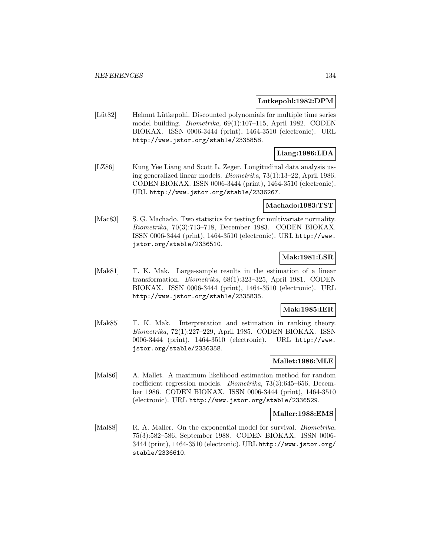## **Lutkepohl:1982:DPM**

[Lüt82] Helmut Lütkepohl. Discounted polynomials for multiple time series model building. Biometrika, 69(1):107–115, April 1982. CODEN BIOKAX. ISSN 0006-3444 (print), 1464-3510 (electronic). URL http://www.jstor.org/stable/2335858.

## **Liang:1986:LDA**

[LZ86] Kung Yee Liang and Scott L. Zeger. Longitudinal data analysis using generalized linear models. Biometrika, 73(1):13–22, April 1986. CODEN BIOKAX. ISSN 0006-3444 (print), 1464-3510 (electronic). URL http://www.jstor.org/stable/2336267.

#### **Machado:1983:TST**

[Mac83] S. G. Machado. Two statistics for testing for multivariate normality. Biometrika, 70(3):713–718, December 1983. CODEN BIOKAX. ISSN 0006-3444 (print), 1464-3510 (electronic). URL http://www. jstor.org/stable/2336510.

## **Mak:1981:LSR**

[Mak81] T. K. Mak. Large-sample results in the estimation of a linear transformation. Biometrika, 68(1):323–325, April 1981. CODEN BIOKAX. ISSN 0006-3444 (print), 1464-3510 (electronic). URL http://www.jstor.org/stable/2335835.

## **Mak:1985:IER**

[Mak85] T. K. Mak. Interpretation and estimation in ranking theory. Biometrika, 72(1):227–229, April 1985. CODEN BIOKAX. ISSN 0006-3444 (print), 1464-3510 (electronic). URL http://www. jstor.org/stable/2336358.

## **Mallet:1986:MLE**

[Mal86] A. Mallet. A maximum likelihood estimation method for random coefficient regression models. Biometrika, 73(3):645–656, December 1986. CODEN BIOKAX. ISSN 0006-3444 (print), 1464-3510 (electronic). URL http://www.jstor.org/stable/2336529.

#### **Maller:1988:EMS**

[Mal88] R. A. Maller. On the exponential model for survival. *Biometrika*, 75(3):582–586, September 1988. CODEN BIOKAX. ISSN 0006- 3444 (print), 1464-3510 (electronic). URL http://www.jstor.org/ stable/2336610.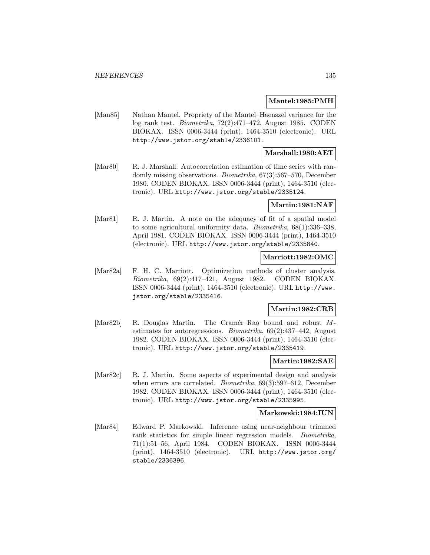### **Mantel:1985:PMH**

[Man85] Nathan Mantel. Propriety of the Mantel–Haenszel variance for the log rank test. Biometrika, 72(2):471–472, August 1985. CODEN BIOKAX. ISSN 0006-3444 (print), 1464-3510 (electronic). URL http://www.jstor.org/stable/2336101.

## **Marshall:1980:AET**

[Mar80] R. J. Marshall. Autocorrelation estimation of time series with randomly missing observations. Biometrika, 67(3):567–570, December 1980. CODEN BIOKAX. ISSN 0006-3444 (print), 1464-3510 (electronic). URL http://www.jstor.org/stable/2335124.

### **Martin:1981:NAF**

[Mar81] R. J. Martin. A note on the adequacy of fit of a spatial model to some agricultural uniformity data. Biometrika, 68(1):336–338, April 1981. CODEN BIOKAX. ISSN 0006-3444 (print), 1464-3510 (electronic). URL http://www.jstor.org/stable/2335840.

### **Marriott:1982:OMC**

[Mar82a] F. H. C. Marriott. Optimization methods of cluster analysis. Biometrika, 69(2):417–421, August 1982. CODEN BIOKAX. ISSN 0006-3444 (print), 1464-3510 (electronic). URL http://www. jstor.org/stable/2335416.

### **Martin:1982:CRB**

[Mar82b] R. Douglas Martin. The Cramér–Rao bound and robust Mestimates for autoregressions. Biometrika, 69(2):437–442, August 1982. CODEN BIOKAX. ISSN 0006-3444 (print), 1464-3510 (electronic). URL http://www.jstor.org/stable/2335419.

### **Martin:1982:SAE**

[Mar82c] R. J. Martin. Some aspects of experimental design and analysis when errors are correlated. *Biometrika*, 69(3):597–612, December 1982. CODEN BIOKAX. ISSN 0006-3444 (print), 1464-3510 (electronic). URL http://www.jstor.org/stable/2335995.

#### **Markowski:1984:IUN**

[Mar84] Edward P. Markowski. Inference using near-neighbour trimmed rank statistics for simple linear regression models. Biometrika, 71(1):51–56, April 1984. CODEN BIOKAX. ISSN 0006-3444 (print), 1464-3510 (electronic). URL http://www.jstor.org/ stable/2336396.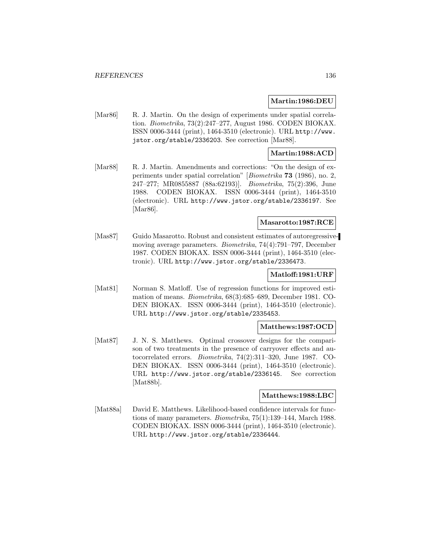#### **Martin:1986:DEU**

[Mar86] R. J. Martin. On the design of experiments under spatial correlation. Biometrika, 73(2):247–277, August 1986. CODEN BIOKAX. ISSN 0006-3444 (print), 1464-3510 (electronic). URL http://www. jstor.org/stable/2336203. See correction [Mar88].

## **Martin:1988:ACD**

[Mar88] R. J. Martin. Amendments and corrections: "On the design of experiments under spatial correlation" [Biometrika **73** (1986), no. 2, 247–277; MR0855887 (88a:62193)]. Biometrika, 75(2):396, June 1988. CODEN BIOKAX. ISSN 0006-3444 (print), 1464-3510 (electronic). URL http://www.jstor.org/stable/2336197. See [Mar86].

## **Masarotto:1987:RCE**

[Mas87] Guido Masarotto. Robust and consistent estimates of autoregressivemoving average parameters. Biometrika, 74(4):791–797, December 1987. CODEN BIOKAX. ISSN 0006-3444 (print), 1464-3510 (electronic). URL http://www.jstor.org/stable/2336473.

### **Matloff:1981:URF**

[Mat81] Norman S. Matloff. Use of regression functions for improved estimation of means. Biometrika, 68(3):685–689, December 1981. CO-DEN BIOKAX. ISSN 0006-3444 (print), 1464-3510 (electronic). URL http://www.jstor.org/stable/2335453.

#### **Matthews:1987:OCD**

[Mat87] J. N. S. Matthews. Optimal crossover designs for the comparison of two treatments in the presence of carryover effects and autocorrelated errors. Biometrika, 74(2):311–320, June 1987. CO-DEN BIOKAX. ISSN 0006-3444 (print), 1464-3510 (electronic). URL http://www.jstor.org/stable/2336145. See correction [Mat88b].

#### **Matthews:1988:LBC**

[Mat88a] David E. Matthews. Likelihood-based confidence intervals for functions of many parameters. Biometrika, 75(1):139–144, March 1988. CODEN BIOKAX. ISSN 0006-3444 (print), 1464-3510 (electronic). URL http://www.jstor.org/stable/2336444.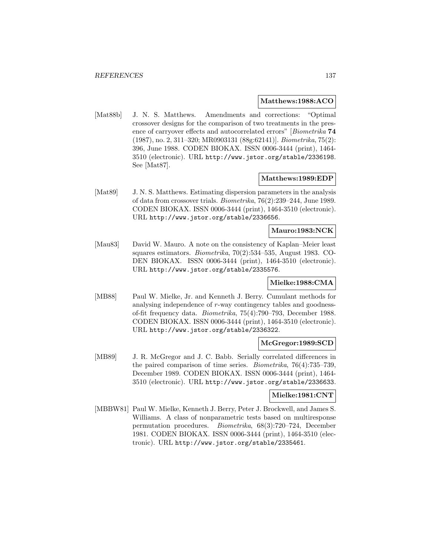### **Matthews:1988:ACO**

[Mat88b] J. N. S. Matthews. Amendments and corrections: "Optimal crossover designs for the comparison of two treatments in the presence of carryover effects and autocorrelated errors" [Biometrika **74** (1987), no. 2, 311–320; MR0903131 (88g:62141)]. Biometrika, 75(2): 396, June 1988. CODEN BIOKAX. ISSN 0006-3444 (print), 1464- 3510 (electronic). URL http://www.jstor.org/stable/2336198. See [Mat87].

### **Matthews:1989:EDP**

[Mat89] J. N. S. Matthews. Estimating dispersion parameters in the analysis of data from crossover trials. Biometrika, 76(2):239–244, June 1989. CODEN BIOKAX. ISSN 0006-3444 (print), 1464-3510 (electronic). URL http://www.jstor.org/stable/2336656.

## **Mauro:1983:NCK**

[Mau83] David W. Mauro. A note on the consistency of Kaplan–Meier least squares estimators. Biometrika, 70(2):534–535, August 1983. CO-DEN BIOKAX. ISSN 0006-3444 (print), 1464-3510 (electronic). URL http://www.jstor.org/stable/2335576.

## **Mielke:1988:CMA**

[MB88] Paul W. Mielke, Jr. and Kenneth J. Berry. Cumulant methods for analysing independence of r-way contingency tables and goodnessof-fit frequency data. Biometrika, 75(4):790–793, December 1988. CODEN BIOKAX. ISSN 0006-3444 (print), 1464-3510 (electronic). URL http://www.jstor.org/stable/2336322.

### **McGregor:1989:SCD**

[MB89] J. R. McGregor and J. C. Babb. Serially correlated differences in the paired comparison of time series. Biometrika, 76(4):735–739, December 1989. CODEN BIOKAX. ISSN 0006-3444 (print), 1464- 3510 (electronic). URL http://www.jstor.org/stable/2336633.

## **Mielke:1981:CNT**

[MBBW81] Paul W. Mielke, Kenneth J. Berry, Peter J. Brockwell, and James S. Williams. A class of nonparametric tests based on multiresponse permutation procedures. Biometrika, 68(3):720–724, December 1981. CODEN BIOKAX. ISSN 0006-3444 (print), 1464-3510 (electronic). URL http://www.jstor.org/stable/2335461.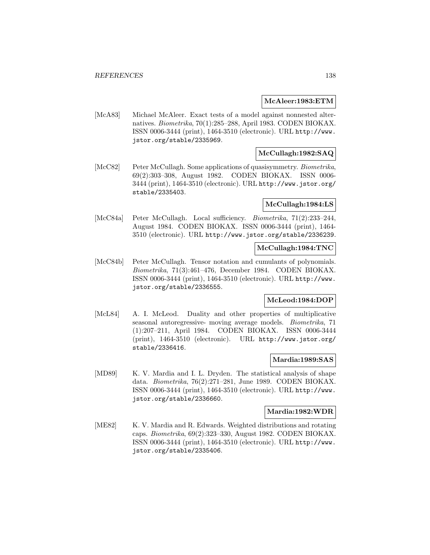### **McAleer:1983:ETM**

[McA83] Michael McAleer. Exact tests of a model against nonnested alternatives. Biometrika, 70(1):285–288, April 1983. CODEN BIOKAX. ISSN 0006-3444 (print), 1464-3510 (electronic). URL http://www. jstor.org/stable/2335969.

## **McCullagh:1982:SAQ**

[McC82] Peter McCullagh. Some applications of quasisymmetry. *Biometrika*, 69(2):303–308, August 1982. CODEN BIOKAX. ISSN 0006- 3444 (print), 1464-3510 (electronic). URL http://www.jstor.org/ stable/2335403.

## **McCullagh:1984:LS**

[McC84a] Peter McCullagh. Local sufficiency. Biometrika, 71(2):233–244, August 1984. CODEN BIOKAX. ISSN 0006-3444 (print), 1464- 3510 (electronic). URL http://www.jstor.org/stable/2336239.

# **McCullagh:1984:TNC**

[McC84b] Peter McCullagh. Tensor notation and cumulants of polynomials. Biometrika, 71(3):461–476, December 1984. CODEN BIOKAX. ISSN 0006-3444 (print), 1464-3510 (electronic). URL http://www. jstor.org/stable/2336555.

## **McLeod:1984:DOP**

[McL84] A. I. McLeod. Duality and other properties of multiplicative seasonal autoregressive- moving average models. Biometrika, 71 (1):207–211, April 1984. CODEN BIOKAX. ISSN 0006-3444 (print), 1464-3510 (electronic). URL http://www.jstor.org/ stable/2336416.

#### **Mardia:1989:SAS**

[MD89] K. V. Mardia and I. L. Dryden. The statistical analysis of shape data. Biometrika, 76(2):271–281, June 1989. CODEN BIOKAX. ISSN 0006-3444 (print), 1464-3510 (electronic). URL http://www. jstor.org/stable/2336660.

#### **Mardia:1982:WDR**

[ME82] K. V. Mardia and R. Edwards. Weighted distributions and rotating caps. Biometrika, 69(2):323–330, August 1982. CODEN BIOKAX. ISSN 0006-3444 (print), 1464-3510 (electronic). URL http://www. jstor.org/stable/2335406.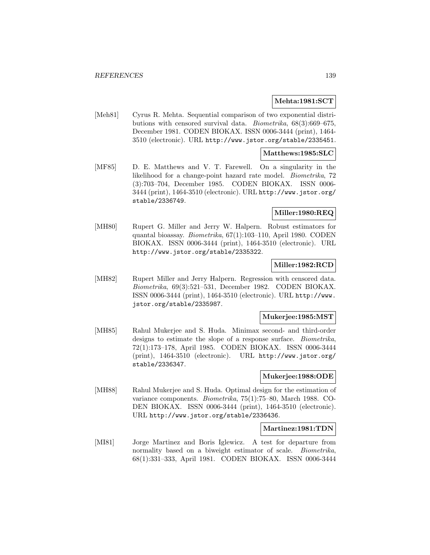### **Mehta:1981:SCT**

[Meh81] Cyrus R. Mehta. Sequential comparison of two exponential distributions with censored survival data. Biometrika, 68(3):669–675, December 1981. CODEN BIOKAX. ISSN 0006-3444 (print), 1464- 3510 (electronic). URL http://www.jstor.org/stable/2335451.

## **Matthews:1985:SLC**

[MF85] D. E. Matthews and V. T. Farewell. On a singularity in the likelihood for a change-point hazard rate model. Biometrika, 72 (3):703–704, December 1985. CODEN BIOKAX. ISSN 0006- 3444 (print), 1464-3510 (electronic). URL http://www.jstor.org/ stable/2336749.

# **Miller:1980:REQ**

[MH80] Rupert G. Miller and Jerry W. Halpern. Robust estimators for quantal bioassay. Biometrika, 67(1):103–110, April 1980. CODEN BIOKAX. ISSN 0006-3444 (print), 1464-3510 (electronic). URL http://www.jstor.org/stable/2335322.

# **Miller:1982:RCD**

[MH82] Rupert Miller and Jerry Halpern. Regression with censored data. Biometrika, 69(3):521–531, December 1982. CODEN BIOKAX. ISSN 0006-3444 (print), 1464-3510 (electronic). URL http://www. jstor.org/stable/2335987.

#### **Mukerjee:1985:MST**

[MH85] Rahul Mukerjee and S. Huda. Minimax second- and third-order designs to estimate the slope of a response surface. Biometrika, 72(1):173–178, April 1985. CODEN BIOKAX. ISSN 0006-3444 (print), 1464-3510 (electronic). URL http://www.jstor.org/ stable/2336347.

## **Mukerjee:1988:ODE**

[MH88] Rahul Mukerjee and S. Huda. Optimal design for the estimation of variance components. Biometrika, 75(1):75–80, March 1988. CO-DEN BIOKAX. ISSN 0006-3444 (print), 1464-3510 (electronic). URL http://www.jstor.org/stable/2336436.

#### **Martinez:1981:TDN**

[MI81] Jorge Martinez and Boris Iglewicz. A test for departure from normality based on a biweight estimator of scale. *Biometrika*, 68(1):331–333, April 1981. CODEN BIOKAX. ISSN 0006-3444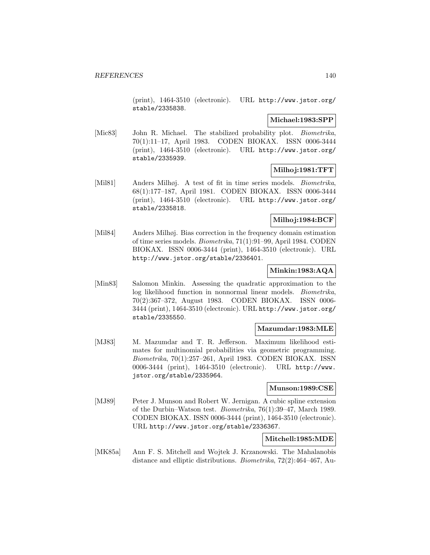(print), 1464-3510 (electronic). URL http://www.jstor.org/ stable/2335838.

## **Michael:1983:SPP**

[Mic83] John R. Michael. The stabilized probability plot. *Biometrika*, 70(1):11–17, April 1983. CODEN BIOKAX. ISSN 0006-3444 (print), 1464-3510 (electronic). URL http://www.jstor.org/ stable/2335939.

## **Milhoj:1981:TFT**

[Mil81] Anders Milhøj. A test of fit in time series models. Biometrika, 68(1):177–187, April 1981. CODEN BIOKAX. ISSN 0006-3444 (print), 1464-3510 (electronic). URL http://www.jstor.org/ stable/2335818.

# **Milhoj:1984:BCF**

[Mil84] Anders Milhøj. Bias correction in the frequency domain estimation of time series models. Biometrika, 71(1):91–99, April 1984. CODEN BIOKAX. ISSN 0006-3444 (print), 1464-3510 (electronic). URL http://www.jstor.org/stable/2336401.

# **Minkin:1983:AQA**

[Min83] Salomon Minkin. Assessing the quadratic approximation to the log likelihood function in nonnormal linear models. Biometrika, 70(2):367–372, August 1983. CODEN BIOKAX. ISSN 0006- 3444 (print), 1464-3510 (electronic). URL http://www.jstor.org/ stable/2335550.

## **Mazumdar:1983:MLE**

[MJ83] M. Mazumdar and T. R. Jefferson. Maximum likelihood estimates for multinomial probabilities via geometric programming. Biometrika, 70(1):257–261, April 1983. CODEN BIOKAX. ISSN 0006-3444 (print), 1464-3510 (electronic). URL http://www. jstor.org/stable/2335964.

## **Munson:1989:CSE**

[MJ89] Peter J. Munson and Robert W. Jernigan. A cubic spline extension of the Durbin–Watson test. Biometrika, 76(1):39–47, March 1989. CODEN BIOKAX. ISSN 0006-3444 (print), 1464-3510 (electronic). URL http://www.jstor.org/stable/2336367.

## **Mitchell:1985:MDE**

[MK85a] Ann F. S. Mitchell and Wojtek J. Krzanowski. The Mahalanobis distance and elliptic distributions. Biometrika, 72(2):464–467, Au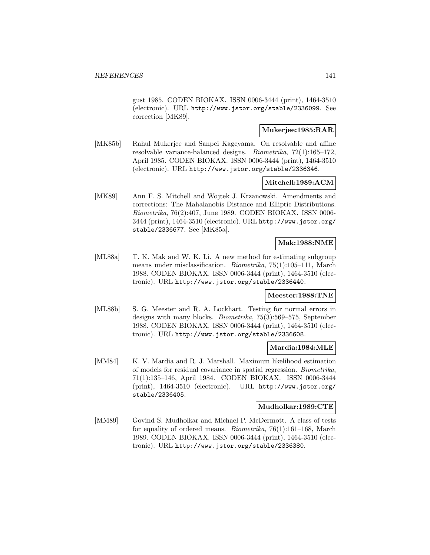gust 1985. CODEN BIOKAX. ISSN 0006-3444 (print), 1464-3510 (electronic). URL http://www.jstor.org/stable/2336099. See correction [MK89].

# **Mukerjee:1985:RAR**

[MK85b] Rahul Mukerjee and Sanpei Kageyama. On resolvable and affine resolvable variance-balanced designs. Biometrika, 72(1):165–172, April 1985. CODEN BIOKAX. ISSN 0006-3444 (print), 1464-3510 (electronic). URL http://www.jstor.org/stable/2336346.

### **Mitchell:1989:ACM**

[MK89] Ann F. S. Mitchell and Wojtek J. Krzanowski. Amendments and corrections: The Mahalanobis Distance and Elliptic Distributions. Biometrika, 76(2):407, June 1989. CODEN BIOKAX. ISSN 0006- 3444 (print), 1464-3510 (electronic). URL http://www.jstor.org/ stable/2336677. See [MK85a].

## **Mak:1988:NME**

[ML88a] T. K. Mak and W. K. Li. A new method for estimating subgroup means under misclassification. Biometrika, 75(1):105–111, March 1988. CODEN BIOKAX. ISSN 0006-3444 (print), 1464-3510 (electronic). URL http://www.jstor.org/stable/2336440.

#### **Meester:1988:TNE**

[ML88b] S. G. Meester and R. A. Lockhart. Testing for normal errors in designs with many blocks. Biometrika, 75(3):569–575, September 1988. CODEN BIOKAX. ISSN 0006-3444 (print), 1464-3510 (electronic). URL http://www.jstor.org/stable/2336608.

## **Mardia:1984:MLE**

[MM84] K. V. Mardia and R. J. Marshall. Maximum likelihood estimation of models for residual covariance in spatial regression. Biometrika, 71(1):135–146, April 1984. CODEN BIOKAX. ISSN 0006-3444 (print), 1464-3510 (electronic). URL http://www.jstor.org/ stable/2336405.

## **Mudholkar:1989:CTE**

[MM89] Govind S. Mudholkar and Michael P. McDermott. A class of tests for equality of ordered means. Biometrika, 76(1):161–168, March 1989. CODEN BIOKAX. ISSN 0006-3444 (print), 1464-3510 (electronic). URL http://www.jstor.org/stable/2336380.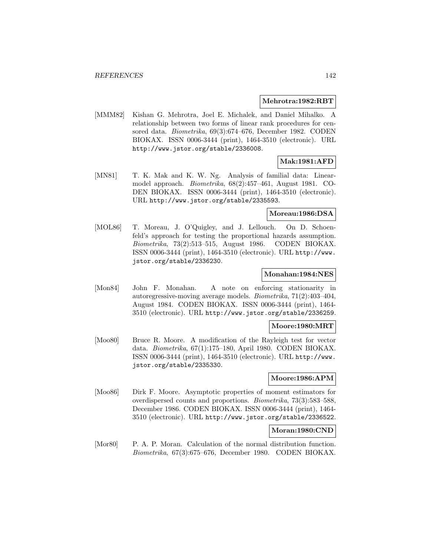#### **Mehrotra:1982:RBT**

[MMM82] Kishan G. Mehrotra, Joel E. Michalek, and Daniel Mihalko. A relationship between two forms of linear rank procedures for censored data. Biometrika, 69(3):674–676, December 1982. CODEN BIOKAX. ISSN 0006-3444 (print), 1464-3510 (electronic). URL http://www.jstor.org/stable/2336008.

# **Mak:1981:AFD**

[MN81] T. K. Mak and K. W. Ng. Analysis of familial data: Linearmodel approach. Biometrika, 68(2):457–461, August 1981. CO-DEN BIOKAX. ISSN 0006-3444 (print), 1464-3510 (electronic). URL http://www.jstor.org/stable/2335593.

### **Moreau:1986:DSA**

[MOL86] T. Moreau, J. O'Quigley, and J. Lellouch. On D. Schoenfeld's approach for testing the proportional hazards assumption. Biometrika, 73(2):513–515, August 1986. CODEN BIOKAX. ISSN 0006-3444 (print), 1464-3510 (electronic). URL http://www. jstor.org/stable/2336230.

### **Monahan:1984:NES**

[Mon84] John F. Monahan. A note on enforcing stationarity in autoregressive-moving average models. Biometrika, 71(2):403–404, August 1984. CODEN BIOKAX. ISSN 0006-3444 (print), 1464- 3510 (electronic). URL http://www.jstor.org/stable/2336259.

# **Moore:1980:MRT**

[Moo80] Bruce R. Moore. A modification of the Rayleigh test for vector data. Biometrika, 67(1):175–180, April 1980. CODEN BIOKAX. ISSN 0006-3444 (print), 1464-3510 (electronic). URL http://www. jstor.org/stable/2335330.

### **Moore:1986:APM**

[Moo86] Dirk F. Moore. Asymptotic properties of moment estimators for overdispersed counts and proportions. Biometrika, 73(3):583–588, December 1986. CODEN BIOKAX. ISSN 0006-3444 (print), 1464- 3510 (electronic). URL http://www.jstor.org/stable/2336522.

### **Moran:1980:CND**

[Mor80] P. A. P. Moran. Calculation of the normal distribution function. Biometrika, 67(3):675–676, December 1980. CODEN BIOKAX.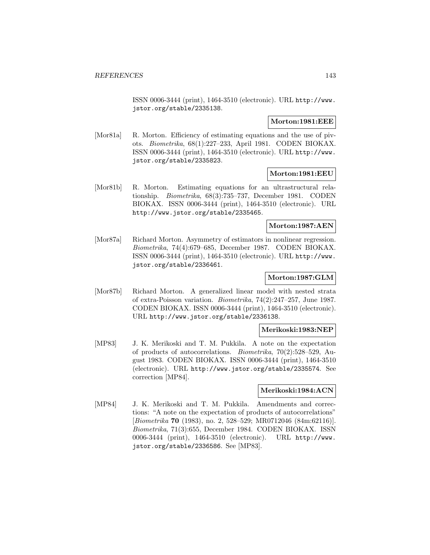ISSN 0006-3444 (print), 1464-3510 (electronic). URL http://www. jstor.org/stable/2335138.

### **Morton:1981:EEE**

[Mor81a] R. Morton. Efficiency of estimating equations and the use of pivots. Biometrika, 68(1):227–233, April 1981. CODEN BIOKAX. ISSN 0006-3444 (print), 1464-3510 (electronic). URL http://www. jstor.org/stable/2335823.

## **Morton:1981:EEU**

[Mor81b] R. Morton. Estimating equations for an ultrastructural relationship. Biometrika, 68(3):735–737, December 1981. CODEN BIOKAX. ISSN 0006-3444 (print), 1464-3510 (electronic). URL http://www.jstor.org/stable/2335465.

### **Morton:1987:AEN**

[Mor87a] Richard Morton. Asymmetry of estimators in nonlinear regression. Biometrika, 74(4):679–685, December 1987. CODEN BIOKAX. ISSN 0006-3444 (print), 1464-3510 (electronic). URL http://www. jstor.org/stable/2336461.

# **Morton:1987:GLM**

[Mor87b] Richard Morton. A generalized linear model with nested strata of extra-Poisson variation. Biometrika, 74(2):247–257, June 1987. CODEN BIOKAX. ISSN 0006-3444 (print), 1464-3510 (electronic). URL http://www.jstor.org/stable/2336138.

# **Merikoski:1983:NEP**

[MP83] J. K. Merikoski and T. M. Pukkila. A note on the expectation of products of autocorrelations. Biometrika, 70(2):528–529, August 1983. CODEN BIOKAX. ISSN 0006-3444 (print), 1464-3510 (electronic). URL http://www.jstor.org/stable/2335574. See correction [MP84].

#### **Merikoski:1984:ACN**

[MP84] J. K. Merikoski and T. M. Pukkila. Amendments and corrections: "A note on the expectation of products of autocorrelations" [Biometrika **70** (1983), no. 2, 528–529; MR0712046 (84m:62116)]. Biometrika, 71(3):655, December 1984. CODEN BIOKAX. ISSN 0006-3444 (print), 1464-3510 (electronic). URL http://www. jstor.org/stable/2336586. See [MP83].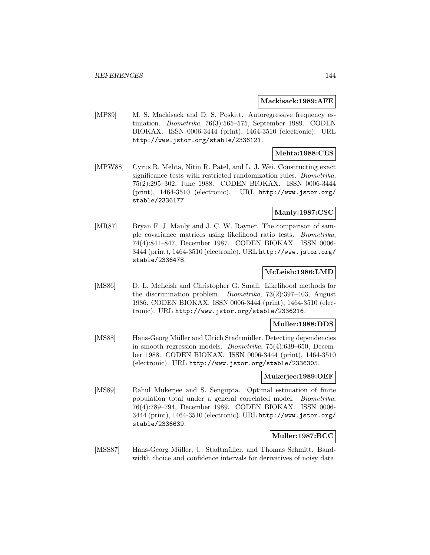#### **Mackisack:1989:AFE**

[MP89] M. S. Mackisack and D. S. Poskitt. Autoregressive frequency estimation. Biometrika, 76(3):565–575, September 1989. CODEN BIOKAX. ISSN 0006-3444 (print), 1464-3510 (electronic). URL http://www.jstor.org/stable/2336121.

## **Mehta:1988:CES**

[MPW88] Cyrus R. Mehta, Nitin R. Patel, and L. J. Wei. Constructing exact significance tests with restricted randomization rules. Biometrika, 75(2):295–302, June 1988. CODEN BIOKAX. ISSN 0006-3444 (print), 1464-3510 (electronic). URL http://www.jstor.org/ stable/2336177.

## **Manly:1987:CSC**

[MR87] Bryan F. J. Manly and J. C. W. Rayner. The comparison of sample covariance matrices using likelihood ratio tests. Biometrika, 74(4):841–847, December 1987. CODEN BIOKAX. ISSN 0006- 3444 (print), 1464-3510 (electronic). URL http://www.jstor.org/ stable/2336478.

## **McLeish:1986:LMD**

[MS86] D. L. McLeish and Christopher G. Small. Likelihood methods for the discrimination problem. Biometrika, 73(2):397–403, August 1986. CODEN BIOKAX. ISSN 0006-3444 (print), 1464-3510 (electronic). URL http://www.jstor.org/stable/2336216.

## **Muller:1988:DDS**

[MS88] Hans-Georg Müller and Ulrich Stadtmüller. Detecting dependencies in smooth regression models. Biometrika, 75(4):639–650, December 1988. CODEN BIOKAX. ISSN 0006-3444 (print), 1464-3510 (electronic). URL http://www.jstor.org/stable/2336305.

#### **Mukerjee:1989:OEF**

[MS89] Rahul Mukerjee and S. Sengupta. Optimal estimation of finite population total under a general correlated model. Biometrika, 76(4):789–794, December 1989. CODEN BIOKAX. ISSN 0006- 3444 (print), 1464-3510 (electronic). URL http://www.jstor.org/ stable/2336639.

## **Muller:1987:BCC**

[MSS87] Hans-Georg Müller, U. Stadtmüller, and Thomas Schmitt. Bandwidth choice and confidence intervals for derivatives of noisy data.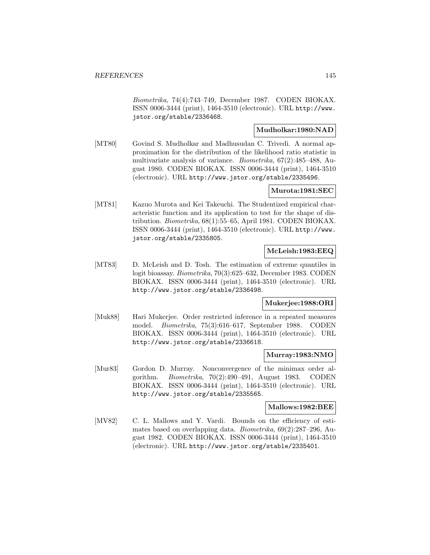Biometrika, 74(4):743–749, December 1987. CODEN BIOKAX. ISSN 0006-3444 (print), 1464-3510 (electronic). URL http://www. jstor.org/stable/2336468.

# **Mudholkar:1980:NAD**

[MT80] Govind S. Mudholkar and Madhusudan C. Trivedi. A normal approximation for the distribution of the likelihood ratio statistic in multivariate analysis of variance. Biometrika, 67(2):485–488, August 1980. CODEN BIOKAX. ISSN 0006-3444 (print), 1464-3510 (electronic). URL http://www.jstor.org/stable/2335496.

## **Murota:1981:SEC**

[MT81] Kazuo Murota and Kei Takeuchi. The Studentized empirical characteristic function and its application to test for the shape of distribution. Biometrika, 68(1):55–65, April 1981. CODEN BIOKAX. ISSN 0006-3444 (print), 1464-3510 (electronic). URL http://www. jstor.org/stable/2335805.

### **McLeish:1983:EEQ**

[MT83] D. McLeish and D. Tosh. The estimation of extreme quantiles in logit bioassay. Biometrika, 70(3):625–632, December 1983. CODEN BIOKAX. ISSN 0006-3444 (print), 1464-3510 (electronic). URL http://www.jstor.org/stable/2336498.

### **Mukerjee:1988:ORI**

[Muk88] Hari Mukerjee. Order restricted inference in a repeated measures model. Biometrika, 75(3):616–617, September 1988. CODEN BIOKAX. ISSN 0006-3444 (print), 1464-3510 (electronic). URL http://www.jstor.org/stable/2336618.

### **Murray:1983:NMO**

[Mur83] Gordon D. Murray. Nonconvergence of the minimax order algorithm. Biometrika, 70(2):490–491, August 1983. CODEN BIOKAX. ISSN 0006-3444 (print), 1464-3510 (electronic). URL http://www.jstor.org/stable/2335565.

#### **Mallows:1982:BEE**

[MV82] C. L. Mallows and Y. Vardi. Bounds on the efficiency of estimates based on overlapping data. Biometrika, 69(2):287–296, August 1982. CODEN BIOKAX. ISSN 0006-3444 (print), 1464-3510 (electronic). URL http://www.jstor.org/stable/2335401.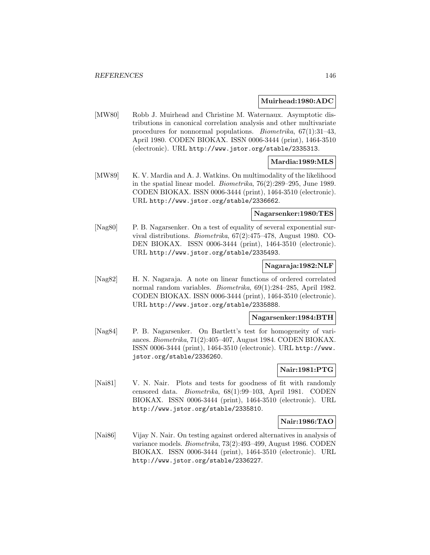#### **Muirhead:1980:ADC**

[MW80] Robb J. Muirhead and Christine M. Waternaux. Asymptotic distributions in canonical correlation analysis and other multivariate procedures for nonnormal populations. Biometrika, 67(1):31–43, April 1980. CODEN BIOKAX. ISSN 0006-3444 (print), 1464-3510 (electronic). URL http://www.jstor.org/stable/2335313.

## **Mardia:1989:MLS**

[MW89] K. V. Mardia and A. J. Watkins. On multimodality of the likelihood in the spatial linear model. Biometrika, 76(2):289–295, June 1989. CODEN BIOKAX. ISSN 0006-3444 (print), 1464-3510 (electronic). URL http://www.jstor.org/stable/2336662.

### **Nagarsenker:1980:TES**

[Nag80] P. B. Nagarsenker. On a test of equality of several exponential survival distributions. Biometrika, 67(2):475–478, August 1980. CO-DEN BIOKAX. ISSN 0006-3444 (print), 1464-3510 (electronic). URL http://www.jstor.org/stable/2335493.

#### **Nagaraja:1982:NLF**

[Nag82] H. N. Nagaraja. A note on linear functions of ordered correlated normal random variables. Biometrika, 69(1):284–285, April 1982. CODEN BIOKAX. ISSN 0006-3444 (print), 1464-3510 (electronic). URL http://www.jstor.org/stable/2335888.

#### **Nagarsenker:1984:BTH**

[Nag84] P. B. Nagarsenker. On Bartlett's test for homogeneity of variances. Biometrika, 71(2):405–407, August 1984. CODEN BIOKAX. ISSN 0006-3444 (print), 1464-3510 (electronic). URL http://www. jstor.org/stable/2336260.

# **Nair:1981:PTG**

[Nai81] V. N. Nair. Plots and tests for goodness of fit with randomly censored data. Biometrika, 68(1):99–103, April 1981. CODEN BIOKAX. ISSN 0006-3444 (print), 1464-3510 (electronic). URL http://www.jstor.org/stable/2335810.

### **Nair:1986:TAO**

[Nai86] Vijay N. Nair. On testing against ordered alternatives in analysis of variance models. Biometrika, 73(2):493–499, August 1986. CODEN BIOKAX. ISSN 0006-3444 (print), 1464-3510 (electronic). URL http://www.jstor.org/stable/2336227.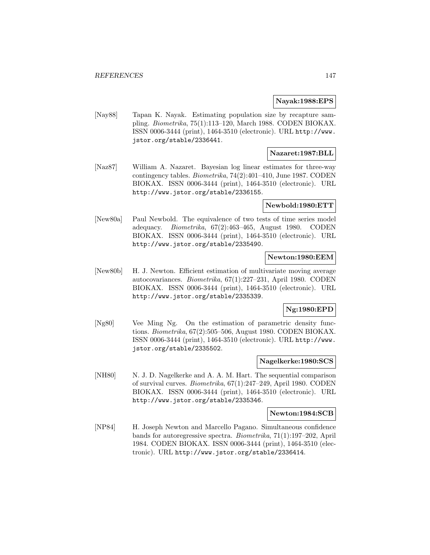### **Nayak:1988:EPS**

[Nay88] Tapan K. Nayak. Estimating population size by recapture sampling. Biometrika, 75(1):113–120, March 1988. CODEN BIOKAX. ISSN 0006-3444 (print), 1464-3510 (electronic). URL http://www. jstor.org/stable/2336441.

### **Nazaret:1987:BLL**

[Naz87] William A. Nazaret. Bayesian log linear estimates for three-way contingency tables. Biometrika, 74(2):401–410, June 1987. CODEN BIOKAX. ISSN 0006-3444 (print), 1464-3510 (electronic). URL http://www.jstor.org/stable/2336155.

#### **Newbold:1980:ETT**

[New80a] Paul Newbold. The equivalence of two tests of time series model adequacy. Biometrika, 67(2):463–465, August 1980. CODEN BIOKAX. ISSN 0006-3444 (print), 1464-3510 (electronic). URL http://www.jstor.org/stable/2335490.

## **Newton:1980:EEM**

[New80b] H. J. Newton. Efficient estimation of multivariate moving average autocovariances. Biometrika, 67(1):227–231, April 1980. CODEN BIOKAX. ISSN 0006-3444 (print), 1464-3510 (electronic). URL http://www.jstor.org/stable/2335339.

## **Ng:1980:EPD**

[Ng80] Vee Ming Ng. On the estimation of parametric density functions. Biometrika, 67(2):505–506, August 1980. CODEN BIOKAX. ISSN 0006-3444 (print), 1464-3510 (electronic). URL http://www. jstor.org/stable/2335502.

## **Nagelkerke:1980:SCS**

[NH80] N. J. D. Nagelkerke and A. A. M. Hart. The sequential comparison of survival curves. Biometrika, 67(1):247–249, April 1980. CODEN BIOKAX. ISSN 0006-3444 (print), 1464-3510 (electronic). URL http://www.jstor.org/stable/2335346.

#### **Newton:1984:SCB**

[NP84] H. Joseph Newton and Marcello Pagano. Simultaneous confidence bands for autoregressive spectra. Biometrika, 71(1):197–202, April 1984. CODEN BIOKAX. ISSN 0006-3444 (print), 1464-3510 (electronic). URL http://www.jstor.org/stable/2336414.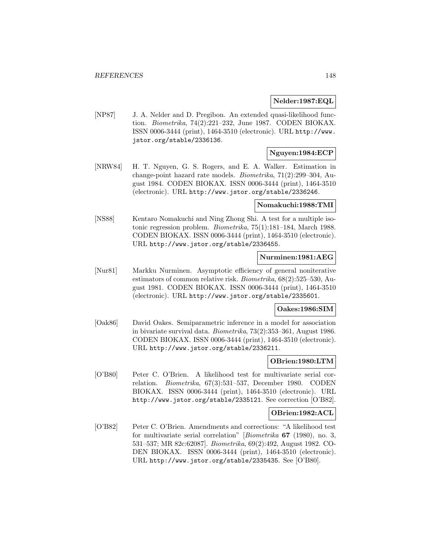### **Nelder:1987:EQL**

[NP87] J. A. Nelder and D. Pregibon. An extended quasi-likelihood function. Biometrika, 74(2):221–232, June 1987. CODEN BIOKAX. ISSN 0006-3444 (print), 1464-3510 (electronic). URL http://www. jstor.org/stable/2336136.

## **Nguyen:1984:ECP**

[NRW84] H. T. Nguyen, G. S. Rogers, and E. A. Walker. Estimation in change-point hazard rate models. Biometrika, 71(2):299–304, August 1984. CODEN BIOKAX. ISSN 0006-3444 (print), 1464-3510 (electronic). URL http://www.jstor.org/stable/2336246.

#### **Nomakuchi:1988:TMI**

[NS88] Kentaro Nomakuchi and Ning Zhong Shi. A test for a multiple isotonic regression problem. Biometrika, 75(1):181–184, March 1988. CODEN BIOKAX. ISSN 0006-3444 (print), 1464-3510 (electronic). URL http://www.jstor.org/stable/2336455.

### **Nurminen:1981:AEG**

[Nur81] Markku Nurminen. Asymptotic efficiency of general noniterative estimators of common relative risk. Biometrika, 68(2):525–530, August 1981. CODEN BIOKAX. ISSN 0006-3444 (print), 1464-3510 (electronic). URL http://www.jstor.org/stable/2335601.

### **Oakes:1986:SIM**

[Oak86] David Oakes. Semiparametric inference in a model for association in bivariate survival data. Biometrika, 73(2):353–361, August 1986. CODEN BIOKAX. ISSN 0006-3444 (print), 1464-3510 (electronic). URL http://www.jstor.org/stable/2336211.

### **OBrien:1980:LTM**

[O'B80] Peter C. O'Brien. A likelihood test for multivariate serial correlation. Biometrika, 67(3):531–537, December 1980. CODEN BIOKAX. ISSN 0006-3444 (print), 1464-3510 (electronic). URL http://www.jstor.org/stable/2335121. See correction [O'B82].

### **OBrien:1982:ACL**

[O'B82] Peter C. O'Brien. Amendments and corrections: "A likelihood test for multivariate serial correlation" [Biometrika **67** (1980), no. 3, 531–537; MR 82c:62087]. Biometrika, 69(2):492, August 1982. CO-DEN BIOKAX. ISSN 0006-3444 (print), 1464-3510 (electronic). URL http://www.jstor.org/stable/2335435. See [O'B80].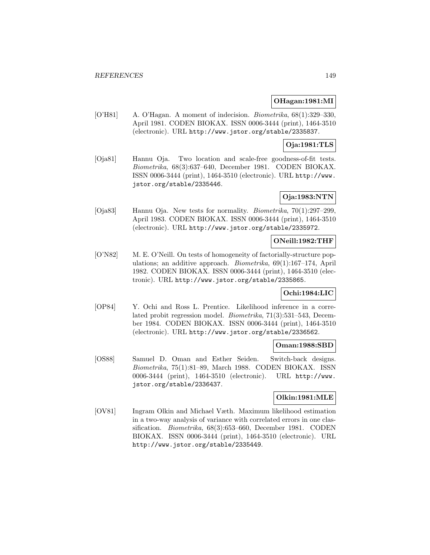## **OHagan:1981:MI**

[O'H81] A. O'Hagan. A moment of indecision. Biometrika, 68(1):329–330, April 1981. CODEN BIOKAX. ISSN 0006-3444 (print), 1464-3510 (electronic). URL http://www.jstor.org/stable/2335837.

## **Oja:1981:TLS**

[Oja81] Hannu Oja. Two location and scale-free goodness-of-fit tests. Biometrika, 68(3):637–640, December 1981. CODEN BIOKAX. ISSN 0006-3444 (print), 1464-3510 (electronic). URL http://www. jstor.org/stable/2335446.

## **Oja:1983:NTN**

[Oja83] Hannu Oja. New tests for normality. Biometrika, 70(1):297–299, April 1983. CODEN BIOKAX. ISSN 0006-3444 (print), 1464-3510 (electronic). URL http://www.jstor.org/stable/2335972.

## **ONeill:1982:THF**

[O'N82] M. E. O'Neill. On tests of homogeneity of factorially-structure populations; an additive approach. Biometrika, 69(1):167–174, April 1982. CODEN BIOKAX. ISSN 0006-3444 (print), 1464-3510 (electronic). URL http://www.jstor.org/stable/2335865.

## **Ochi:1984:LIC**

[OP84] Y. Ochi and Ross L. Prentice. Likelihood inference in a correlated probit regression model. Biometrika, 71(3):531–543, December 1984. CODEN BIOKAX. ISSN 0006-3444 (print), 1464-3510 (electronic). URL http://www.jstor.org/stable/2336562.

### **Oman:1988:SBD**

[OS88] Samuel D. Oman and Esther Seiden. Switch-back designs. Biometrika, 75(1):81–89, March 1988. CODEN BIOKAX. ISSN 0006-3444 (print), 1464-3510 (electronic). URL http://www. jstor.org/stable/2336437.

## **Olkin:1981:MLE**

[OV81] Ingram Olkin and Michael Væth. Maximum likelihood estimation in a two-way analysis of variance with correlated errors in one classification. Biometrika, 68(3):653–660, December 1981. CODEN BIOKAX. ISSN 0006-3444 (print), 1464-3510 (electronic). URL http://www.jstor.org/stable/2335449.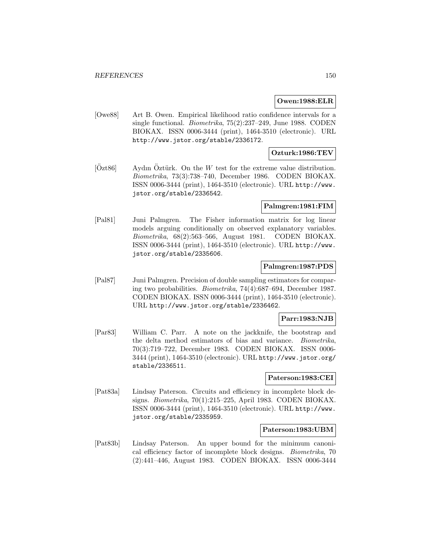## **Owen:1988:ELR**

[Owe88] Art B. Owen. Empirical likelihood ratio confidence intervals for a single functional. Biometrika, 75(2):237–249, June 1988. CODEN BIOKAX. ISSN 0006-3444 (print), 1464-3510 (electronic). URL http://www.jstor.org/stable/2336172.

### **Ozturk:1986:TEV**

 $[Öz t86]$  Aydın Öztürk. On the W test for the extreme value distribution. Biometrika, 73(3):738–740, December 1986. CODEN BIOKAX. ISSN 0006-3444 (print), 1464-3510 (electronic). URL http://www. jstor.org/stable/2336542.

### **Palmgren:1981:FIM**

[Pal81] Juni Palmgren. The Fisher information matrix for log linear models arguing conditionally on observed explanatory variables. Biometrika, 68(2):563–566, August 1981. CODEN BIOKAX. ISSN 0006-3444 (print), 1464-3510 (electronic). URL http://www. jstor.org/stable/2335606.

## **Palmgren:1987:PDS**

[Pal87] Juni Palmgren. Precision of double sampling estimators for comparing two probabilities. Biometrika, 74(4):687–694, December 1987. CODEN BIOKAX. ISSN 0006-3444 (print), 1464-3510 (electronic). URL http://www.jstor.org/stable/2336462.

#### **Parr:1983:NJB**

[Par83] William C. Parr. A note on the jackknife, the bootstrap and the delta method estimators of bias and variance. Biometrika, 70(3):719–722, December 1983. CODEN BIOKAX. ISSN 0006- 3444 (print), 1464-3510 (electronic). URL http://www.jstor.org/ stable/2336511.

### **Paterson:1983:CEI**

[Pat83a] Lindsay Paterson. Circuits and efficiency in incomplete block designs. Biometrika, 70(1):215–225, April 1983. CODEN BIOKAX. ISSN 0006-3444 (print), 1464-3510 (electronic). URL http://www. jstor.org/stable/2335959.

### **Paterson:1983:UBM**

[Pat83b] Lindsay Paterson. An upper bound for the minimum canonical efficiency factor of incomplete block designs. Biometrika, 70 (2):441–446, August 1983. CODEN BIOKAX. ISSN 0006-3444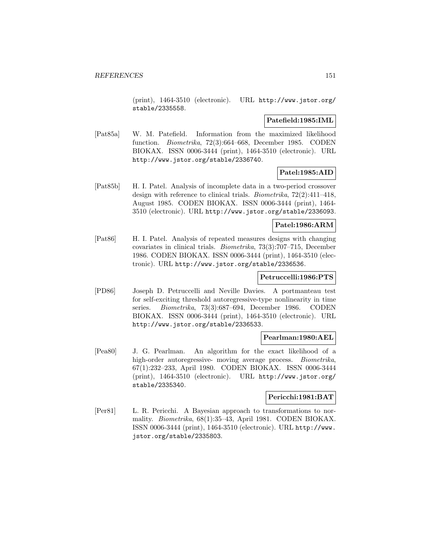(print), 1464-3510 (electronic). URL http://www.jstor.org/ stable/2335558.

### **Patefield:1985:IML**

[Pat85a] W. M. Patefield. Information from the maximized likelihood function. Biometrika, 72(3):664–668, December 1985. CODEN BIOKAX. ISSN 0006-3444 (print), 1464-3510 (electronic). URL http://www.jstor.org/stable/2336740.

## **Patel:1985:AID**

[Pat85b] H. I. Patel. Analysis of incomplete data in a two-period crossover design with reference to clinical trials. Biometrika, 72(2):411–418, August 1985. CODEN BIOKAX. ISSN 0006-3444 (print), 1464- 3510 (electronic). URL http://www.jstor.org/stable/2336093.

### **Patel:1986:ARM**

[Pat86] H. I. Patel. Analysis of repeated measures designs with changing covariates in clinical trials. Biometrika, 73(3):707–715, December 1986. CODEN BIOKAX. ISSN 0006-3444 (print), 1464-3510 (electronic). URL http://www.jstor.org/stable/2336536.

## **Petruccelli:1986:PTS**

[PD86] Joseph D. Petruccelli and Neville Davies. A portmanteau test for self-exciting threshold autoregressive-type nonlinearity in time series. Biometrika, 73(3):687–694, December 1986. CODEN BIOKAX. ISSN 0006-3444 (print), 1464-3510 (electronic). URL http://www.jstor.org/stable/2336533.

## **Pearlman:1980:AEL**

[Pea80] J. G. Pearlman. An algorithm for the exact likelihood of a high-order autoregressive- moving average process. *Biometrika*, 67(1):232–233, April 1980. CODEN BIOKAX. ISSN 0006-3444 (print), 1464-3510 (electronic). URL http://www.jstor.org/ stable/2335340.

### **Pericchi:1981:BAT**

[Per81] L. R. Pericchi. A Bayesian approach to transformations to normality. Biometrika, 68(1):35–43, April 1981. CODEN BIOKAX. ISSN 0006-3444 (print), 1464-3510 (electronic). URL http://www. jstor.org/stable/2335803.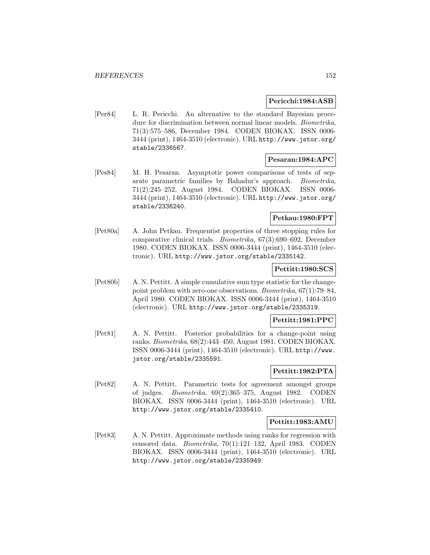#### **Pericchi:1984:ASB**

[Per84] L. R. Pericchi. An alternative to the standard Bayesian procedure for discrimination between normal linear models. Biometrika, 71(3):575–586, December 1984. CODEN BIOKAX. ISSN 0006- 3444 (print), 1464-3510 (electronic). URL http://www.jstor.org/ stable/2336567.

## **Pesaran:1984:APC**

[Pes84] M. H. Pesaran. Asymptotic power comparisons of tests of separate parametric families by Bahadur's approach. Biometrika, 71(2):245–252, August 1984. CODEN BIOKAX. ISSN 0006- 3444 (print), 1464-3510 (electronic). URL http://www.jstor.org/ stable/2336240.

## **Petkau:1980:FPT**

[Pet80a] A. John Petkau. Frequentist properties of three stopping rules for comparative clinical trials. Biometrika, 67(3):690–692, December 1980. CODEN BIOKAX. ISSN 0006-3444 (print), 1464-3510 (electronic). URL http://www.jstor.org/stable/2335142.

## **Pettitt:1980:SCS**

[Pet80b] A. N. Pettitt. A simple cumulative sum type statistic for the changepoint problem with zero-one observations. Biometrika, 67(1):79–84, April 1980. CODEN BIOKAX. ISSN 0006-3444 (print), 1464-3510 (electronic). URL http://www.jstor.org/stable/2335319.

#### **Pettitt:1981:PPC**

[Pet81] A. N. Pettitt. Posterior probabilities for a change-point using ranks. Biometrika, 68(2):443–450, August 1981. CODEN BIOKAX. ISSN 0006-3444 (print), 1464-3510 (electronic). URL http://www. jstor.org/stable/2335591.

## **Pettitt:1982:PTA**

[Pet82] A. N. Pettitt. Parametric tests for agreement amongst groups of judges. Biometrika, 69(2):365–375, August 1982. CODEN BIOKAX. ISSN 0006-3444 (print), 1464-3510 (electronic). URL http://www.jstor.org/stable/2335410.

### **Pettitt:1983:AMU**

[Pet83] A. N. Pettitt. Approximate methods using ranks for regression with censored data. Biometrika, 70(1):121–132, April 1983. CODEN BIOKAX. ISSN 0006-3444 (print), 1464-3510 (electronic). URL http://www.jstor.org/stable/2335949.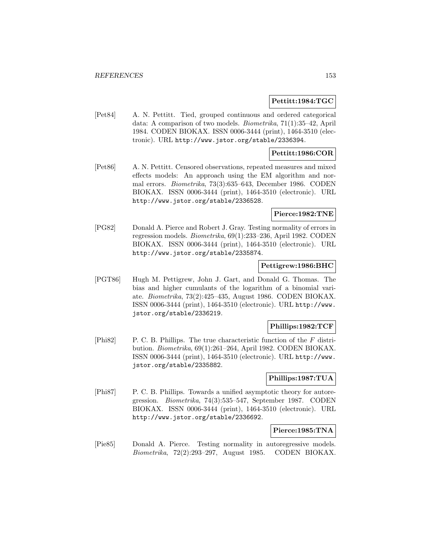## **Pettitt:1984:TGC**

[Pet84] A. N. Pettitt. Tied, grouped continuous and ordered categorical data: A comparison of two models. Biometrika, 71(1):35–42, April 1984. CODEN BIOKAX. ISSN 0006-3444 (print), 1464-3510 (electronic). URL http://www.jstor.org/stable/2336394.

## **Pettitt:1986:COR**

[Pet86] A. N. Pettitt. Censored observations, repeated measures and mixed effects models: An approach using the EM algorithm and normal errors. Biometrika, 73(3):635–643, December 1986. CODEN BIOKAX. ISSN 0006-3444 (print), 1464-3510 (electronic). URL http://www.jstor.org/stable/2336528.

# **Pierce:1982:TNE**

[PG82] Donald A. Pierce and Robert J. Gray. Testing normality of errors in regression models. Biometrika, 69(1):233–236, April 1982. CODEN BIOKAX. ISSN 0006-3444 (print), 1464-3510 (electronic). URL http://www.jstor.org/stable/2335874.

#### **Pettigrew:1986:BHC**

[PGT86] Hugh M. Pettigrew, John J. Gart, and Donald G. Thomas. The bias and higher cumulants of the logarithm of a binomial variate. Biometrika, 73(2):425–435, August 1986. CODEN BIOKAX. ISSN 0006-3444 (print), 1464-3510 (electronic). URL http://www. jstor.org/stable/2336219.

### **Phillips:1982:TCF**

[Phi82] P. C. B. Phillips. The true characteristic function of the  $F$  distribution. Biometrika, 69(1):261–264, April 1982. CODEN BIOKAX. ISSN 0006-3444 (print), 1464-3510 (electronic). URL http://www. jstor.org/stable/2335882.

#### **Phillips:1987:TUA**

[Phi87] P. C. B. Phillips. Towards a unified asymptotic theory for autoregression. Biometrika, 74(3):535–547, September 1987. CODEN BIOKAX. ISSN 0006-3444 (print), 1464-3510 (electronic). URL http://www.jstor.org/stable/2336692.

#### **Pierce:1985:TNA**

[Pie85] Donald A. Pierce. Testing normality in autoregressive models. Biometrika, 72(2):293–297, August 1985. CODEN BIOKAX.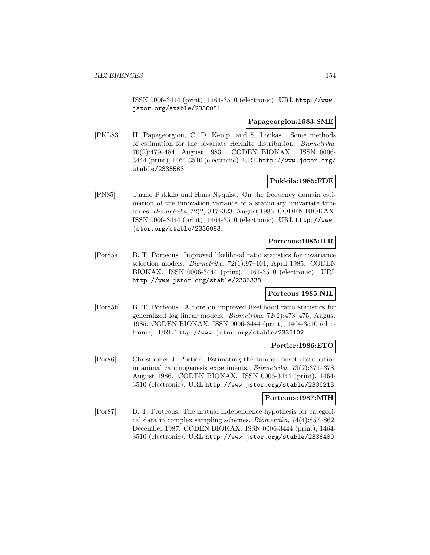ISSN 0006-3444 (print), 1464-3510 (electronic). URL http://www. jstor.org/stable/2336081.

### **Papageorgiou:1983:SME**

[PKL83] H. Papageorgiou, C. D. Kemp, and S. Loukas. Some methods of estimation for the bivariate Hermite distribution. Biometrika, 70(2):479–484, August 1983. CODEN BIOKAX. ISSN 0006- 3444 (print), 1464-3510 (electronic). URL http://www.jstor.org/ stable/2335563.

## **Pukkila:1985:FDE**

[PN85] Tarmo Pukkila and Hans Nyquist. On the frequency domain estimation of the innovation variance of a stationary univariate time series. Biometrika, 72(2):317–323, August 1985. CODEN BIOKAX. ISSN 0006-3444 (print), 1464-3510 (electronic). URL http://www. jstor.org/stable/2336083.

## **Porteous:1985:ILR**

[Por85a] B. T. Porteous. Improved likelihood ratio statistics for covariance selection models. Biometrika, 72(1):97–101, April 1985. CODEN BIOKAX. ISSN 0006-3444 (print), 1464-3510 (electronic). URL http://www.jstor.org/stable/2336338.

### **Porteous:1985:NIL**

[Por85b] B. T. Porteous. A note on improved likelihood ratio statistics for generalized log linear models. Biometrika, 72(2):473–475, August 1985. CODEN BIOKAX. ISSN 0006-3444 (print), 1464-3510 (electronic). URL http://www.jstor.org/stable/2336102.

## **Portier:1986:ETO**

[Por86] Christopher J. Portier. Estimating the tumour onset distribution in animal carcinogenesis experiments. Biometrika, 73(2):371–378, August 1986. CODEN BIOKAX. ISSN 0006-3444 (print), 1464- 3510 (electronic). URL http://www.jstor.org/stable/2336213.

#### **Porteous:1987:MIH**

[Por87] B. T. Porteous. The mutual independence hypothesis for categorical data in complex sampling schemes. Biometrika, 74(4):857–862, December 1987. CODEN BIOKAX. ISSN 0006-3444 (print), 1464- 3510 (electronic). URL http://www.jstor.org/stable/2336480.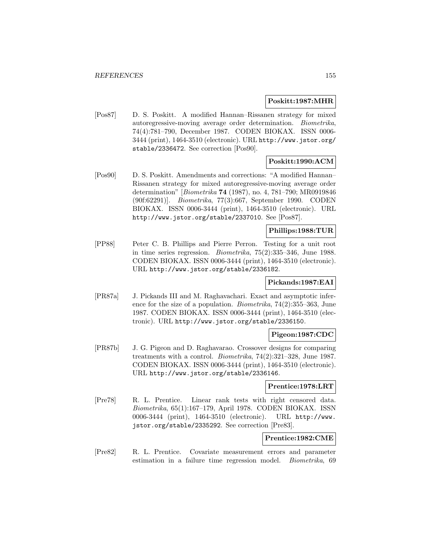#### **Poskitt:1987:MHR**

[Pos87] D. S. Poskitt. A modified Hannan–Rissanen strategy for mixed autoregressive-moving average order determination. Biometrika, 74(4):781–790, December 1987. CODEN BIOKAX. ISSN 0006- 3444 (print), 1464-3510 (electronic). URL http://www.jstor.org/ stable/2336472. See correction [Pos90].

# **Poskitt:1990:ACM**

[Pos90] D. S. Poskitt. Amendments and corrections: "A modified Hannan– Rissanen strategy for mixed autoregressive-moving average order determination" [Biometrika **74** (1987), no. 4, 781–790; MR0919846 (90f:62291)]. Biometrika, 77(3):667, September 1990. CODEN BIOKAX. ISSN 0006-3444 (print), 1464-3510 (electronic). URL http://www.jstor.org/stable/2337010. See [Pos87].

# **Phillips:1988:TUR**

[PP88] Peter C. B. Phillips and Pierre Perron. Testing for a unit root in time series regression. Biometrika, 75(2):335–346, June 1988. CODEN BIOKAX. ISSN 0006-3444 (print), 1464-3510 (electronic). URL http://www.jstor.org/stable/2336182.

### **Pickands:1987:EAI**

[PR87a] J. Pickands III and M. Raghavachari. Exact and asymptotic inference for the size of a population. Biometrika, 74(2):355–363, June 1987. CODEN BIOKAX. ISSN 0006-3444 (print), 1464-3510 (electronic). URL http://www.jstor.org/stable/2336150.

### **Pigeon:1987:CDC**

[PR87b] J. G. Pigeon and D. Raghavarao. Crossover designs for comparing treatments with a control. Biometrika, 74(2):321–328, June 1987. CODEN BIOKAX. ISSN 0006-3444 (print), 1464-3510 (electronic). URL http://www.jstor.org/stable/2336146.

#### **Prentice:1978:LRT**

[Pre78] R. L. Prentice. Linear rank tests with right censored data. Biometrika, 65(1):167–179, April 1978. CODEN BIOKAX. ISSN 0006-3444 (print), 1464-3510 (electronic). URL http://www. jstor.org/stable/2335292. See correction [Pre83].

#### **Prentice:1982:CME**

[Pre82] R. L. Prentice. Covariate measurement errors and parameter estimation in a failure time regression model. Biometrika, 69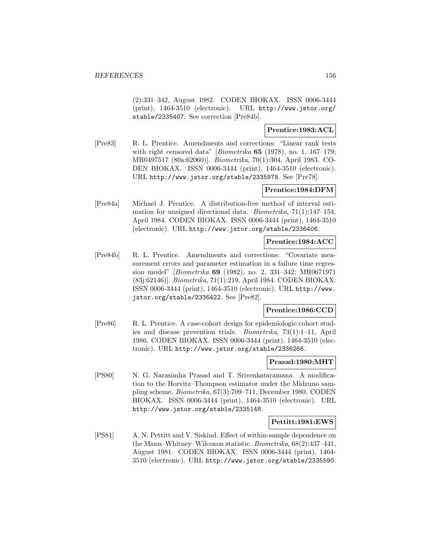(2):331–342, August 1982. CODEN BIOKAX. ISSN 0006-3444 (print), 1464-3510 (electronic). URL http://www.jstor.org/ stable/2335407. See correction [Pre84b].

# **Prentice:1983:ACL**

[Pre83] R. L. Prentice. Amendments and corrections: "Linear rank tests with right censored data" [Biometrika **65** (1978), no. 1, 167–179; MR0497517 (80a:62060)]. Biometrika, 70(1):304, April 1983. CO-DEN BIOKAX. ISSN 0006-3444 (print), 1464-3510 (electronic). URL http://www.jstor.org/stable/2335978. See [Pre78].

## **Prentice:1984:DFM**

[Pre84a] Michael J. Prentice. A distribution-free method of interval estimation for unsigned directional data. Biometrika, 71(1):147–154, April 1984. CODEN BIOKAX. ISSN 0006-3444 (print), 1464-3510 (electronic). URL http://www.jstor.org/stable/2336406.

## **Prentice:1984:ACC**

[Pre84b] R. L. Prentice. Amendments and corrections: "Covariate measurement errors and parameter estimation in a failure time regression model" [Biometrika **69** (1982), no. 2, 331–342; MR0671971 (83j:62146)]. Biometrika, 71(1):219, April 1984. CODEN BIOKAX. ISSN 0006-3444 (print), 1464-3510 (electronic). URL http://www. jstor.org/stable/2336422. See [Pre82].

### **Prentice:1986:CCD**

[Pre86] R. L. Prentice. A case-cohort design for epidemiologic cohort studies and disease prevention trials. Biometrika, 73(1):1–11, April 1986. CODEN BIOKAX. ISSN 0006-3444 (print), 1464-3510 (electronic). URL http://www.jstor.org/stable/2336266.

#### **Prasad:1980:MHT**

[PS80] N. G. Narasimha Prasad and T. Srivenkataramana. A modification to the Horvitz–Thompson estimator under the Midzuno sampling scheme. Biometrika, 67(3):709–711, December 1980. CODEN BIOKAX. ISSN 0006-3444 (print), 1464-3510 (electronic). URL http://www.jstor.org/stable/2335148.

### **Pettitt:1981:EWS**

[PS81] A. N. Pettitt and V. Siskind. Effect of within-sample dependence on the Mann–Whitney–Wilcoxon statistic. Biometrika, 68(2):437–441, August 1981. CODEN BIOKAX. ISSN 0006-3444 (print), 1464- 3510 (electronic). URL http://www.jstor.org/stable/2335590.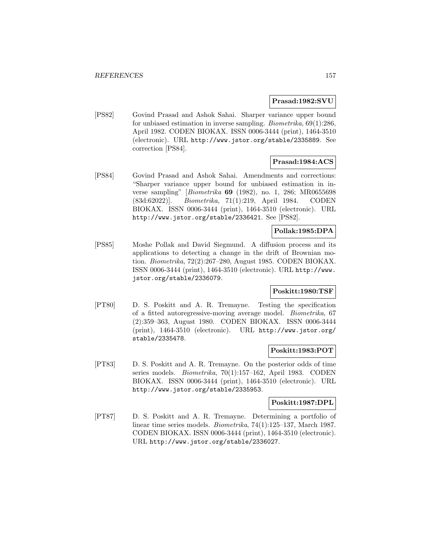#### **Prasad:1982:SVU**

[PS82] Govind Prasad and Ashok Sahai. Sharper variance upper bound for unbiased estimation in inverse sampling. Biometrika, 69(1):286, April 1982. CODEN BIOKAX. ISSN 0006-3444 (print), 1464-3510 (electronic). URL http://www.jstor.org/stable/2335889. See correction [PS84].

# **Prasad:1984:ACS**

[PS84] Govind Prasad and Ashok Sahai. Amendments and corrections: "Sharper variance upper bound for unbiased estimation in inverse sampling" [Biometrika **69** (1982), no. 1, 286; MR0655698 (83d:62022)]. Biometrika, 71(1):219, April 1984. CODEN BIOKAX. ISSN 0006-3444 (print), 1464-3510 (electronic). URL http://www.jstor.org/stable/2336421. See [PS82].

# **Pollak:1985:DPA**

[PS85] Moshe Pollak and David Siegmund. A diffusion process and its applications to detecting a change in the drift of Brownian motion. Biometrika, 72(2):267–280, August 1985. CODEN BIOKAX. ISSN 0006-3444 (print), 1464-3510 (electronic). URL http://www. jstor.org/stable/2336079.

## **Poskitt:1980:TSF**

[PT80] D. S. Poskitt and A. R. Tremayne. Testing the specification of a fitted autoregressive-moving average model. Biometrika, 67 (2):359–363, August 1980. CODEN BIOKAX. ISSN 0006-3444 (print), 1464-3510 (electronic). URL http://www.jstor.org/ stable/2335478.

### **Poskitt:1983:POT**

[PT83] D. S. Poskitt and A. R. Tremayne. On the posterior odds of time series models. Biometrika, 70(1):157–162, April 1983. CODEN BIOKAX. ISSN 0006-3444 (print), 1464-3510 (electronic). URL http://www.jstor.org/stable/2335953.

### **Poskitt:1987:DPL**

[PT87] D. S. Poskitt and A. R. Tremayne. Determining a portfolio of linear time series models. Biometrika, 74(1):125–137, March 1987. CODEN BIOKAX. ISSN 0006-3444 (print), 1464-3510 (electronic). URL http://www.jstor.org/stable/2336027.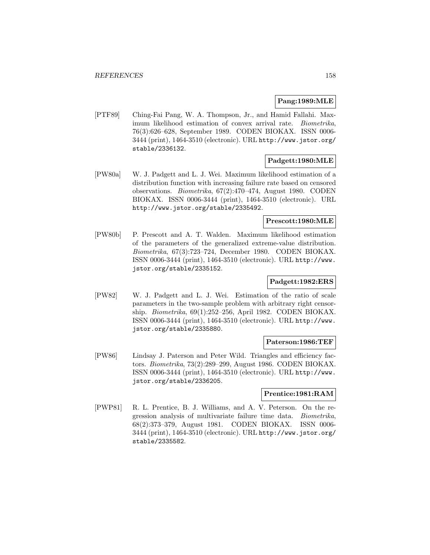## **Pang:1989:MLE**

[PTF89] Ching-Fai Pang, W. A. Thompson, Jr., and Hamid Fallahi. Maximum likelihood estimation of convex arrival rate. Biometrika, 76(3):626–628, September 1989. CODEN BIOKAX. ISSN 0006- 3444 (print), 1464-3510 (electronic). URL http://www.jstor.org/ stable/2336132.

## **Padgett:1980:MLE**

[PW80a] W. J. Padgett and L. J. Wei. Maximum likelihood estimation of a distribution function with increasing failure rate based on censored observations. Biometrika, 67(2):470–474, August 1980. CODEN BIOKAX. ISSN 0006-3444 (print), 1464-3510 (electronic). URL http://www.jstor.org/stable/2335492.

## **Prescott:1980:MLE**

[PW80b] P. Prescott and A. T. Walden. Maximum likelihood estimation of the parameters of the generalized extreme-value distribution. Biometrika, 67(3):723–724, December 1980. CODEN BIOKAX. ISSN 0006-3444 (print), 1464-3510 (electronic). URL http://www. jstor.org/stable/2335152.

# **Padgett:1982:ERS**

[PW82] W. J. Padgett and L. J. Wei. Estimation of the ratio of scale parameters in the two-sample problem with arbitrary right censorship. Biometrika, 69(1):252–256, April 1982. CODEN BIOKAX. ISSN 0006-3444 (print), 1464-3510 (electronic). URL http://www. jstor.org/stable/2335880.

#### **Paterson:1986:TEF**

[PW86] Lindsay J. Paterson and Peter Wild. Triangles and efficiency factors. Biometrika, 73(2):289–299, August 1986. CODEN BIOKAX. ISSN 0006-3444 (print), 1464-3510 (electronic). URL http://www. jstor.org/stable/2336205.

## **Prentice:1981:RAM**

[PWP81] R. L. Prentice, B. J. Williams, and A. V. Peterson. On the regression analysis of multivariate failure time data. Biometrika, 68(2):373–379, August 1981. CODEN BIOKAX. ISSN 0006- 3444 (print), 1464-3510 (electronic). URL http://www.jstor.org/ stable/2335582.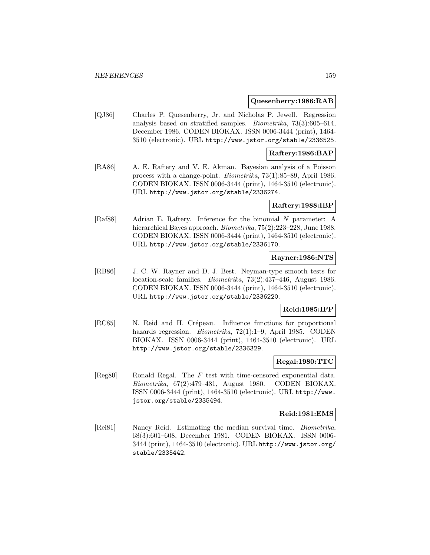#### **Quesenberry:1986:RAB**

[QJ86] Charles P. Quesenberry, Jr. and Nicholas P. Jewell. Regression analysis based on stratified samples. Biometrika, 73(3):605–614, December 1986. CODEN BIOKAX. ISSN 0006-3444 (print), 1464- 3510 (electronic). URL http://www.jstor.org/stable/2336525.

## **Raftery:1986:BAP**

[RA86] A. E. Raftery and V. E. Akman. Bayesian analysis of a Poisson process with a change-point. Biometrika, 73(1):85–89, April 1986. CODEN BIOKAX. ISSN 0006-3444 (print), 1464-3510 (electronic). URL http://www.jstor.org/stable/2336274.

### **Raftery:1988:IBP**

[Raf88] Adrian E. Raftery. Inference for the binomial N parameter: A hierarchical Bayes approach. Biometrika, 75(2):223–228, June 1988. CODEN BIOKAX. ISSN 0006-3444 (print), 1464-3510 (electronic). URL http://www.jstor.org/stable/2336170.

## **Rayner:1986:NTS**

[RB86] J. C. W. Rayner and D. J. Best. Neyman-type smooth tests for location-scale families. Biometrika, 73(2):437–446, August 1986. CODEN BIOKAX. ISSN 0006-3444 (print), 1464-3510 (electronic). URL http://www.jstor.org/stable/2336220.

## **Reid:1985:IFP**

[RC85] N. Reid and H. Crépeau. Influence functions for proportional hazards regression. Biometrika, 72(1):1–9, April 1985. CODEN BIOKAX. ISSN 0006-3444 (print), 1464-3510 (electronic). URL http://www.jstor.org/stable/2336329.

## **Regal:1980:TTC**

[Reg80] Ronald Regal. The F test with time-censored exponential data. Biometrika, 67(2):479–481, August 1980. CODEN BIOKAX. ISSN 0006-3444 (print), 1464-3510 (electronic). URL http://www. jstor.org/stable/2335494.

#### **Reid:1981:EMS**

[Rei81] Nancy Reid. Estimating the median survival time. Biometrika, 68(3):601–608, December 1981. CODEN BIOKAX. ISSN 0006- 3444 (print), 1464-3510 (electronic). URL http://www.jstor.org/ stable/2335442.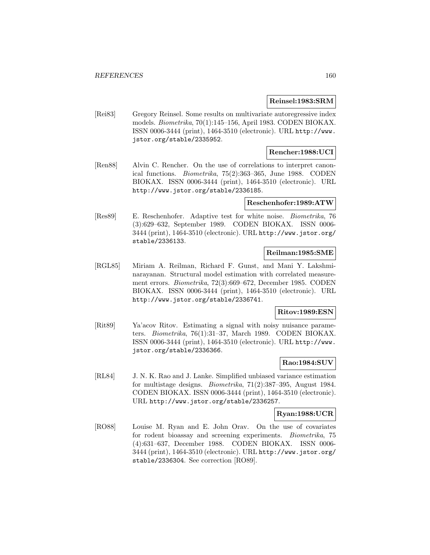#### **Reinsel:1983:SRM**

[Rei83] Gregory Reinsel. Some results on multivariate autoregressive index models. Biometrika, 70(1):145–156, April 1983. CODEN BIOKAX. ISSN 0006-3444 (print), 1464-3510 (electronic). URL http://www. jstor.org/stable/2335952.

## **Rencher:1988:UCI**

[Ren88] Alvin C. Rencher. On the use of correlations to interpret canonical functions. Biometrika, 75(2):363–365, June 1988. CODEN BIOKAX. ISSN 0006-3444 (print), 1464-3510 (electronic). URL http://www.jstor.org/stable/2336185.

### **Reschenhofer:1989:ATW**

[Res89] E. Reschenhofer. Adaptive test for white noise. Biometrika, 76 (3):629–632, September 1989. CODEN BIOKAX. ISSN 0006- 3444 (print), 1464-3510 (electronic). URL http://www.jstor.org/ stable/2336133.

# **Reilman:1985:SME**

[RGL85] Miriam A. Reilman, Richard F. Gunst, and Mani Y. Lakshminarayanan. Structural model estimation with correlated measurement errors. Biometrika, 72(3):669–672, December 1985. CODEN BIOKAX. ISSN 0006-3444 (print), 1464-3510 (electronic). URL http://www.jstor.org/stable/2336741.

## **Ritov:1989:ESN**

[Rit89] Ya'acov Ritov. Estimating a signal with noisy nuisance parameters. Biometrika, 76(1):31–37, March 1989. CODEN BIOKAX. ISSN 0006-3444 (print), 1464-3510 (electronic). URL http://www. jstor.org/stable/2336366.

#### **Rao:1984:SUV**

[RL84] J. N. K. Rao and J. Lanke. Simplified unbiased variance estimation for multistage designs. Biometrika, 71(2):387–395, August 1984. CODEN BIOKAX. ISSN 0006-3444 (print), 1464-3510 (electronic). URL http://www.jstor.org/stable/2336257.

#### **Ryan:1988:UCR**

[RO88] Louise M. Ryan and E. John Orav. On the use of covariates for rodent bioassay and screening experiments. Biometrika, 75 (4):631–637, December 1988. CODEN BIOKAX. ISSN 0006- 3444 (print), 1464-3510 (electronic). URL http://www.jstor.org/ stable/2336304. See correction [RO89].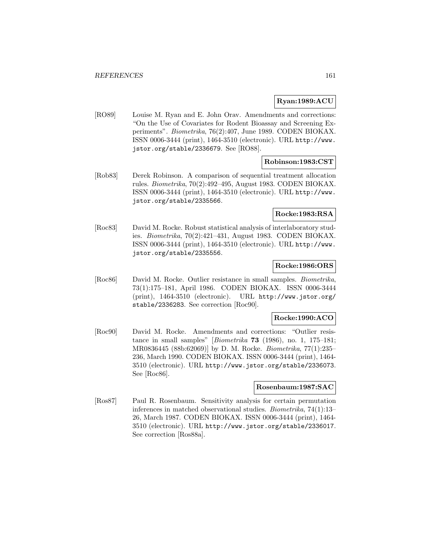## **Ryan:1989:ACU**

[RO89] Louise M. Ryan and E. John Orav. Amendments and corrections: "On the Use of Covariates for Rodent Bioassay and Screening Experiments". Biometrika, 76(2):407, June 1989. CODEN BIOKAX. ISSN 0006-3444 (print), 1464-3510 (electronic). URL http://www. jstor.org/stable/2336679. See [RO88].

## **Robinson:1983:CST**

[Rob83] Derek Robinson. A comparison of sequential treatment allocation rules. Biometrika, 70(2):492–495, August 1983. CODEN BIOKAX. ISSN 0006-3444 (print), 1464-3510 (electronic). URL http://www. jstor.org/stable/2335566.

### **Rocke:1983:RSA**

[Roc83] David M. Rocke. Robust statistical analysis of interlaboratory studies. Biometrika, 70(2):421–431, August 1983. CODEN BIOKAX. ISSN 0006-3444 (print), 1464-3510 (electronic). URL http://www. jstor.org/stable/2335556.

## **Rocke:1986:ORS**

[Roc86] David M. Rocke. Outlier resistance in small samples. Biometrika, 73(1):175–181, April 1986. CODEN BIOKAX. ISSN 0006-3444 (print), 1464-3510 (electronic). URL http://www.jstor.org/ stable/2336283. See correction [Roc90].

### **Rocke:1990:ACO**

[Roc90] David M. Rocke. Amendments and corrections: "Outlier resistance in small samples" [Biometrika **73** (1986), no. 1, 175–181; MR0836445 (88b:62069)] by D. M. Rocke. Biometrika, 77(1):235– 236, March 1990. CODEN BIOKAX. ISSN 0006-3444 (print), 1464- 3510 (electronic). URL http://www.jstor.org/stable/2336073. See [Roc86].

### **Rosenbaum:1987:SAC**

[Ros87] Paul R. Rosenbaum. Sensitivity analysis for certain permutation inferences in matched observational studies. Biometrika, 74(1):13– 26, March 1987. CODEN BIOKAX. ISSN 0006-3444 (print), 1464- 3510 (electronic). URL http://www.jstor.org/stable/2336017. See correction [Ros88a].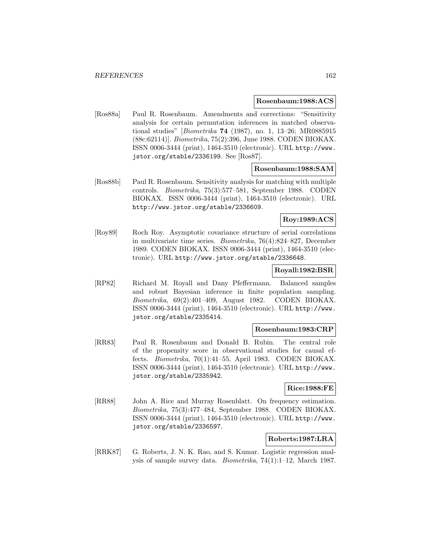#### **Rosenbaum:1988:ACS**

[Ros88a] Paul R. Rosenbaum. Amendments and corrections: "Sensitivity analysis for certain permutation inferences in matched observational studies" [Biometrika **74** (1987), no. 1, 13–26; MR0885915 (88c:62114)]. Biometrika, 75(2):396, June 1988. CODEN BIOKAX. ISSN 0006-3444 (print), 1464-3510 (electronic). URL http://www. jstor.org/stable/2336199. See [Ros87].

### **Rosenbaum:1988:SAM**

[Ros88b] Paul R. Rosenbaum. Sensitivity analysis for matching with multiple controls. Biometrika, 75(3):577–581, September 1988. CODEN BIOKAX. ISSN 0006-3444 (print), 1464-3510 (electronic). URL http://www.jstor.org/stable/2336609.

## **Roy:1989:ACS**

[Roy89] Roch Roy. Asymptotic covariance structure of serial correlations in multivariate time series. Biometrika, 76(4):824–827, December 1989. CODEN BIOKAX. ISSN 0006-3444 (print), 1464-3510 (electronic). URL http://www.jstor.org/stable/2336648.

## **Royall:1982:BSR**

[RP82] Richard M. Royall and Dany Pfeffermann. Balanced samples and robust Bayesian inference in finite population sampling. Biometrika, 69(2):401–409, August 1982. CODEN BIOKAX. ISSN 0006-3444 (print), 1464-3510 (electronic). URL http://www. jstor.org/stable/2335414.

#### **Rosenbaum:1983:CRP**

[RR83] Paul R. Rosenbaum and Donald B. Rubin. The central role of the propensity score in observational studies for causal effects. Biometrika, 70(1):41–55, April 1983. CODEN BIOKAX. ISSN 0006-3444 (print), 1464-3510 (electronic). URL http://www. jstor.org/stable/2335942.

## **Rice:1988:FE**

[RR88] John A. Rice and Murray Rosenblatt. On frequency estimation. Biometrika, 75(3):477–484, September 1988. CODEN BIOKAX. ISSN 0006-3444 (print), 1464-3510 (electronic). URL http://www. jstor.org/stable/2336597.

## **Roberts:1987:LRA**

[RRK87] G. Roberts, J. N. K. Rao, and S. Kumar. Logistic regression analysis of sample survey data. Biometrika, 74(1):1–12, March 1987.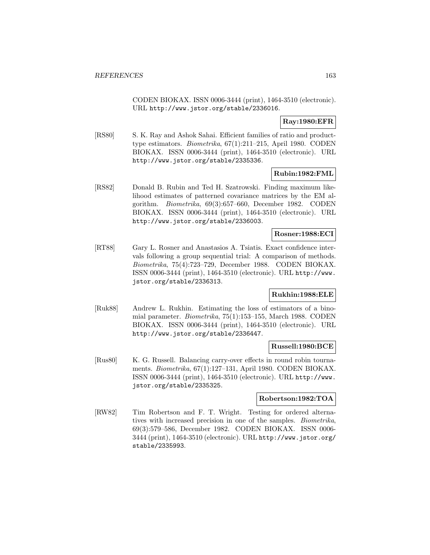CODEN BIOKAX. ISSN 0006-3444 (print), 1464-3510 (electronic). URL http://www.jstor.org/stable/2336016.

## **Ray:1980:EFR**

[RS80] S. K. Ray and Ashok Sahai. Efficient families of ratio and producttype estimators. Biometrika, 67(1):211–215, April 1980. CODEN BIOKAX. ISSN 0006-3444 (print), 1464-3510 (electronic). URL http://www.jstor.org/stable/2335336.

### **Rubin:1982:FML**

[RS82] Donald B. Rubin and Ted H. Szatrowski. Finding maximum likelihood estimates of patterned covariance matrices by the EM algorithm. Biometrika, 69(3):657–660, December 1982. CODEN BIOKAX. ISSN 0006-3444 (print), 1464-3510 (electronic). URL http://www.jstor.org/stable/2336003.

## **Rosner:1988:ECI**

[RT88] Gary L. Rosner and Anastasios A. Tsiatis. Exact confidence intervals following a group sequential trial: A comparison of methods. Biometrika, 75(4):723–729, December 1988. CODEN BIOKAX. ISSN 0006-3444 (print), 1464-3510 (electronic). URL http://www. jstor.org/stable/2336313.

### **Rukhin:1988:ELE**

[Ruk88] Andrew L. Rukhin. Estimating the loss of estimators of a binomial parameter. Biometrika, 75(1):153–155, March 1988. CODEN BIOKAX. ISSN 0006-3444 (print), 1464-3510 (electronic). URL http://www.jstor.org/stable/2336447.

## **Russell:1980:BCE**

[Rus80] K. G. Russell. Balancing carry-over effects in round robin tournaments. Biometrika, 67(1):127–131, April 1980. CODEN BIOKAX. ISSN 0006-3444 (print), 1464-3510 (electronic). URL http://www. jstor.org/stable/2335325.

#### **Robertson:1982:TOA**

[RW82] Tim Robertson and F. T. Wright. Testing for ordered alternatives with increased precision in one of the samples. Biometrika, 69(3):579–586, December 1982. CODEN BIOKAX. ISSN 0006- 3444 (print), 1464-3510 (electronic). URL http://www.jstor.org/ stable/2335993.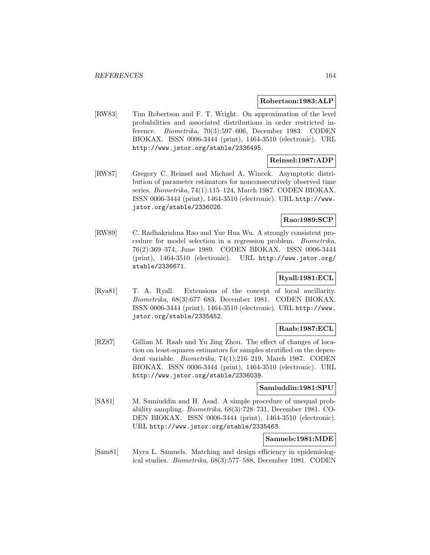#### **Robertson:1983:ALP**

[RW83] Tim Robertson and F. T. Wright. On approximation of the level probabilities and associated distributions in order restricted inference. Biometrika, 70(3):597–606, December 1983. CODEN BIOKAX. ISSN 0006-3444 (print), 1464-3510 (electronic). URL http://www.jstor.org/stable/2336495.

### **Reinsel:1987:ADP**

[RW87] Gregory C. Reinsel and Michael A. Wincek. Asymptotic distribution of parameter estimators for nonconsecutively observed time series. Biometrika, 74(1):115–124, March 1987. CODEN BIOKAX. ISSN 0006-3444 (print), 1464-3510 (electronic). URL http://www. jstor.org/stable/2336026.

## **Rao:1989:SCP**

[RW89] C. Radhakrishna Rao and Yue Hua Wu. A strongly consistent procedure for model selection in a regression problem. Biometrika, 76(2):369–374, June 1989. CODEN BIOKAX. ISSN 0006-3444 (print), 1464-3510 (electronic). URL http://www.jstor.org/ stable/2336671.

# **Ryall:1981:ECL**

[Rya81] T. A. Ryall. Extensions of the concept of local ancillarity. Biometrika, 68(3):677–683, December 1981. CODEN BIOKAX. ISSN 0006-3444 (print), 1464-3510 (electronic). URL http://www. jstor.org/stable/2335452.

## **Raab:1987:ECL**

[RZ87] Gillian M. Raab and Yu Jing Zhou. The effect of changes of location on least-squares estimators for samples stratified on the dependent variable. Biometrika, 74(1):216–219, March 1987. CODEN BIOKAX. ISSN 0006-3444 (print), 1464-3510 (electronic). URL http://www.jstor.org/stable/2336039.

### **Samiuddin:1981:SPU**

[SA81] M. Samiuddin and H. Asad. A simple procedure of unequal probability sampling. Biometrika, 68(3):728–731, December 1981. CO-DEN BIOKAX. ISSN 0006-3444 (print), 1464-3510 (electronic). URL http://www.jstor.org/stable/2335463.

### **Samuels:1981:MDE**

[Sam81] Myra L. Samuels. Matching and design efficiency in epidemiological studies. Biometrika, 68(3):577–588, December 1981. CODEN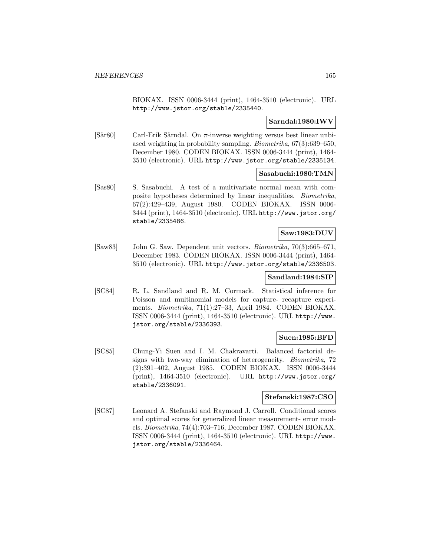BIOKAX. ISSN 0006-3444 (print), 1464-3510 (electronic). URL http://www.jstor.org/stable/2335440.

## **Sarndal:1980:IWV**

[Sär80] Carl-Erik Särndal. On  $\pi$ -inverse weighting versus best linear unbiased weighting in probability sampling. Biometrika, 67(3):639–650, December 1980. CODEN BIOKAX. ISSN 0006-3444 (print), 1464- 3510 (electronic). URL http://www.jstor.org/stable/2335134.

### **Sasabuchi:1980:TMN**

[Sas80] S. Sasabuchi. A test of a multivariate normal mean with composite hypotheses determined by linear inequalities. Biometrika, 67(2):429–439, August 1980. CODEN BIOKAX. ISSN 0006- 3444 (print), 1464-3510 (electronic). URL http://www.jstor.org/ stable/2335486.

## **Saw:1983:DUV**

[Saw83] John G. Saw. Dependent unit vectors. Biometrika, 70(3):665–671, December 1983. CODEN BIOKAX. ISSN 0006-3444 (print), 1464- 3510 (electronic). URL http://www.jstor.org/stable/2336503.

## **Sandland:1984:SIP**

[SC84] R. L. Sandland and R. M. Cormack. Statistical inference for Poisson and multinomial models for capture- recapture experiments. Biometrika, 71(1):27–33, April 1984. CODEN BIOKAX. ISSN 0006-3444 (print), 1464-3510 (electronic). URL http://www. jstor.org/stable/2336393.

### **Suen:1985:BFD**

[SC85] Chung-Yi Suen and I. M. Chakravarti. Balanced factorial designs with two-way elimination of heterogeneity. Biometrika, 72 (2):391–402, August 1985. CODEN BIOKAX. ISSN 0006-3444 (print), 1464-3510 (electronic). URL http://www.jstor.org/ stable/2336091.

### **Stefanski:1987:CSO**

[SC87] Leonard A. Stefanski and Raymond J. Carroll. Conditional scores and optimal scores for generalized linear measurement- error models. Biometrika, 74(4):703–716, December 1987. CODEN BIOKAX. ISSN 0006-3444 (print), 1464-3510 (electronic). URL http://www. jstor.org/stable/2336464.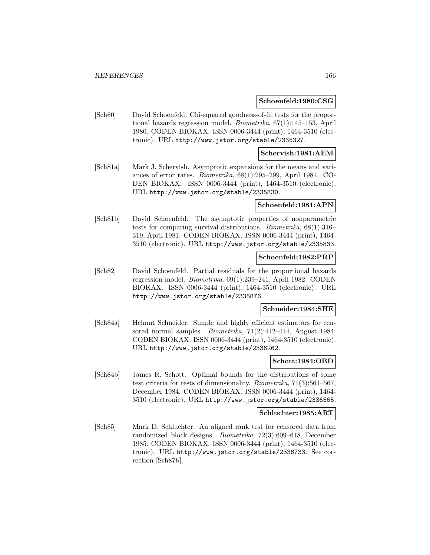#### **Schoenfeld:1980:CSG**

[Sch80] David Schoenfeld. Chi-squared goodness-of-fit tests for the proportional hazards regression model. Biometrika, 67(1):145–153, April 1980. CODEN BIOKAX. ISSN 0006-3444 (print), 1464-3510 (electronic). URL http://www.jstor.org/stable/2335327.

### **Schervish:1981:AEM**

[Sch81a] Mark J. Schervish. Asymptotic expansions for the means and variances of error rates. Biometrika, 68(1):295–299, April 1981. CO-DEN BIOKAX. ISSN 0006-3444 (print), 1464-3510 (electronic). URL http://www.jstor.org/stable/2335830.

#### **Schoenfeld:1981:APN**

[Sch81b] David Schoenfeld. The asymptotic properties of nonparametric tests for comparing survival distributions. Biometrika, 68(1):316– 319, April 1981. CODEN BIOKAX. ISSN 0006-3444 (print), 1464- 3510 (electronic). URL http://www.jstor.org/stable/2335833.

#### **Schoenfeld:1982:PRP**

[Sch82] David Schoenfeld. Partial residuals for the proportional hazards regression model. Biometrika, 69(1):239–241, April 1982. CODEN BIOKAX. ISSN 0006-3444 (print), 1464-3510 (electronic). URL http://www.jstor.org/stable/2335876.

#### **Schneider:1984:SHE**

[Sch84a] Helmut Schneider. Simple and highly efficient estimators for censored normal samples. Biometrika, 71(2):412–414, August 1984. CODEN BIOKAX. ISSN 0006-3444 (print), 1464-3510 (electronic). URL http://www.jstor.org/stable/2336262.

#### **Schott:1984:OBD**

[Sch84b] James R. Schott. Optimal bounds for the distributions of some test criteria for tests of dimensionality. Biometrika, 71(3):561–567, December 1984. CODEN BIOKAX. ISSN 0006-3444 (print), 1464- 3510 (electronic). URL http://www.jstor.org/stable/2336565.

#### **Schluchter:1985:ART**

[Sch85] Mark D. Schluchter. An aligned rank test for censored data from randomized block designs. Biometrika, 72(3):609–618, December 1985. CODEN BIOKAX. ISSN 0006-3444 (print), 1464-3510 (electronic). URL http://www.jstor.org/stable/2336733. See correction [Sch87b].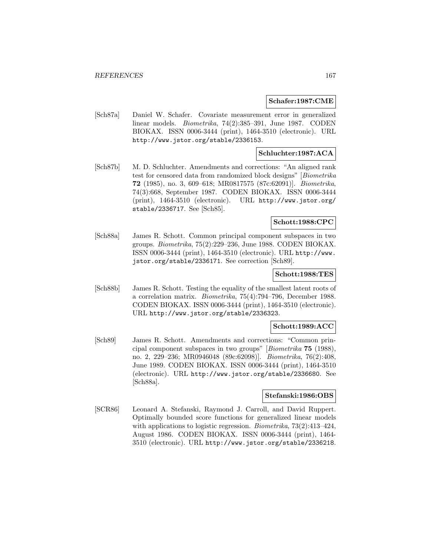#### **Schafer:1987:CME**

[Sch87a] Daniel W. Schafer. Covariate measurement error in generalized linear models. Biometrika, 74(2):385–391, June 1987. CODEN BIOKAX. ISSN 0006-3444 (print), 1464-3510 (electronic). URL http://www.jstor.org/stable/2336153.

## **Schluchter:1987:ACA**

[Sch87b] M. D. Schluchter. Amendments and corrections: "An aligned rank test for censored data from randomized block designs" [Biometrika **72** (1985), no. 3, 609–618; MR0817575 (87c:62091)]. Biometrika, 74(3):668, September 1987. CODEN BIOKAX. ISSN 0006-3444 (print), 1464-3510 (electronic). URL http://www.jstor.org/ stable/2336717. See [Sch85].

## **Schott:1988:CPC**

[Sch88a] James R. Schott. Common principal component subspaces in two groups. Biometrika, 75(2):229–236, June 1988. CODEN BIOKAX. ISSN 0006-3444 (print), 1464-3510 (electronic). URL http://www. jstor.org/stable/2336171. See correction [Sch89].

#### **Schott:1988:TES**

[Sch88b] James R. Schott. Testing the equality of the smallest latent roots of a correlation matrix. Biometrika, 75(4):794–796, December 1988. CODEN BIOKAX. ISSN 0006-3444 (print), 1464-3510 (electronic). URL http://www.jstor.org/stable/2336323.

### **Schott:1989:ACC**

[Sch89] James R. Schott. Amendments and corrections: "Common principal component subspaces in two groups" [Biometrika **75** (1988), no. 2, 229–236; MR0946048 (89c:62098)]. Biometrika, 76(2):408, June 1989. CODEN BIOKAX. ISSN 0006-3444 (print), 1464-3510 (electronic). URL http://www.jstor.org/stable/2336680. See [Sch88a].

### **Stefanski:1986:OBS**

[SCR86] Leonard A. Stefanski, Raymond J. Carroll, and David Ruppert. Optimally bounded score functions for generalized linear models with applications to logistic regression. *Biometrika*,  $73(2):413-424$ , August 1986. CODEN BIOKAX. ISSN 0006-3444 (print), 1464- 3510 (electronic). URL http://www.jstor.org/stable/2336218.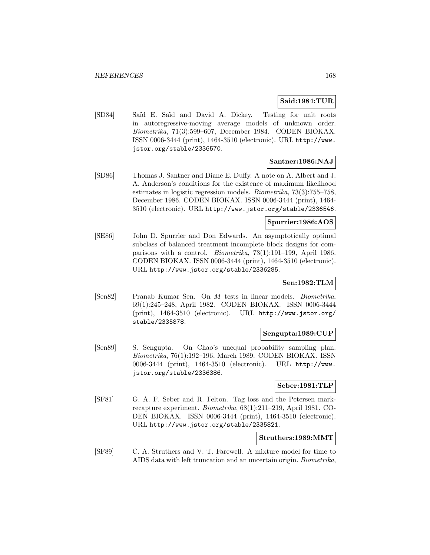### **Said:1984:TUR**

[SD84] Saïd E. Saïd and David A. Dickey. Testing for unit roots in autoregressive-moving average models of unknown order. Biometrika, 71(3):599–607, December 1984. CODEN BIOKAX. ISSN 0006-3444 (print), 1464-3510 (electronic). URL http://www. jstor.org/stable/2336570.

## **Santner:1986:NAJ**

[SD86] Thomas J. Santner and Diane E. Duffy. A note on A. Albert and J. A. Anderson's conditions for the existence of maximum likelihood estimates in logistic regression models. Biometrika, 73(3):755–758, December 1986. CODEN BIOKAX. ISSN 0006-3444 (print), 1464- 3510 (electronic). URL http://www.jstor.org/stable/2336546.

### **Spurrier:1986:AOS**

[SE86] John D. Spurrier and Don Edwards. An asymptotically optimal subclass of balanced treatment incomplete block designs for comparisons with a control. Biometrika, 73(1):191–199, April 1986. CODEN BIOKAX. ISSN 0006-3444 (print), 1464-3510 (electronic). URL http://www.jstor.org/stable/2336285.

### **Sen:1982:TLM**

[Sen82] Pranab Kumar Sen. On M tests in linear models. Biometrika, 69(1):245–248, April 1982. CODEN BIOKAX. ISSN 0006-3444 (print), 1464-3510 (electronic). URL http://www.jstor.org/ stable/2335878.

#### **Sengupta:1989:CUP**

[Sen89] S. Sengupta. On Chao's unequal probability sampling plan. Biometrika, 76(1):192–196, March 1989. CODEN BIOKAX. ISSN 0006-3444 (print), 1464-3510 (electronic). URL http://www. jstor.org/stable/2336386.

## **Seber:1981:TLP**

[SF81] G. A. F. Seber and R. Felton. Tag loss and the Petersen markrecapture experiment. Biometrika, 68(1):211–219, April 1981. CO-DEN BIOKAX. ISSN 0006-3444 (print), 1464-3510 (electronic). URL http://www.jstor.org/stable/2335821.

#### **Struthers:1989:MMT**

[SF89] C. A. Struthers and V. T. Farewell. A mixture model for time to AIDS data with left truncation and an uncertain origin. Biometrika,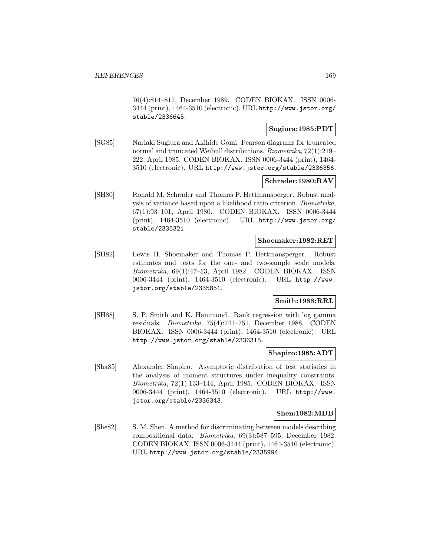76(4):814–817, December 1989. CODEN BIOKAX. ISSN 0006- 3444 (print), 1464-3510 (electronic). URL http://www.jstor.org/ stable/2336645.

## **Sugiura:1985:PDT**

[SG85] Nariaki Sugiura and Akihide Gomi. Pearson diagrams for truncated normal and truncated Weibull distributions. Biometrika, 72(1):219– 222, April 1985. CODEN BIOKAX. ISSN 0006-3444 (print), 1464- 3510 (electronic). URL http://www.jstor.org/stable/2336356.

## **Schrader:1980:RAV**

[SH80] Ronald M. Schrader and Thomas P. Hettmansperger. Robust analysis of variance based upon a likelihood ratio criterion. Biometrika, 67(1):93–101, April 1980. CODEN BIOKAX. ISSN 0006-3444 (print), 1464-3510 (electronic). URL http://www.jstor.org/ stable/2335321.

#### **Shoemaker:1982:RET**

[SH82] Lewis H. Shoemaker and Thomas P. Hettmansperger. Robust estimates and tests for the one- and two-sample scale models. Biometrika, 69(1):47–53, April 1982. CODEN BIOKAX. ISSN 0006-3444 (print), 1464-3510 (electronic). URL http://www. jstor.org/stable/2335851.

## **Smith:1988:RRL**

[SH88] S. P. Smith and K. Hammond. Rank regression with log gamma residuals. Biometrika, 75(4):741–751, December 1988. CODEN BIOKAX. ISSN 0006-3444 (print), 1464-3510 (electronic). URL http://www.jstor.org/stable/2336315.

### **Shapiro:1985:ADT**

[Sha85] Alexander Shapiro. Asymptotic distribution of test statistics in the analysis of moment structures under inequality constraints. Biometrika, 72(1):133–144, April 1985. CODEN BIOKAX. ISSN 0006-3444 (print), 1464-3510 (electronic). URL http://www. jstor.org/stable/2336343.

### **Shen:1982:MDB**

[She82] S. M. Shen. A method for discriminating between models describing compositional data. Biometrika, 69(3):587–595, December 1982. CODEN BIOKAX. ISSN 0006-3444 (print), 1464-3510 (electronic). URL http://www.jstor.org/stable/2335994.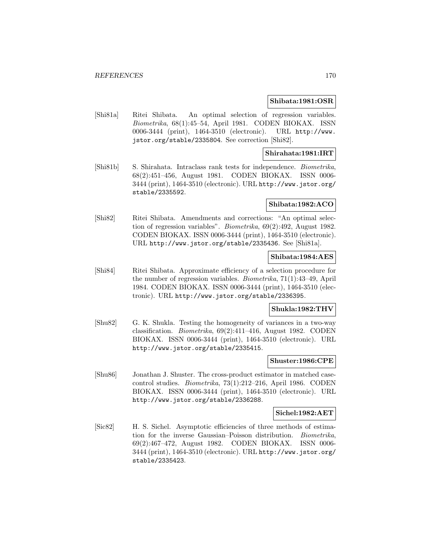#### **Shibata:1981:OSR**

[Shi81a] Ritei Shibata. An optimal selection of regression variables. Biometrika, 68(1):45–54, April 1981. CODEN BIOKAX. ISSN 0006-3444 (print), 1464-3510 (electronic). URL http://www. jstor.org/stable/2335804. See correction [Shi82].

## **Shirahata:1981:IRT**

[Shi81b] S. Shirahata. Intraclass rank tests for independence. Biometrika, 68(2):451–456, August 1981. CODEN BIOKAX. ISSN 0006- 3444 (print), 1464-3510 (electronic). URL http://www.jstor.org/ stable/2335592.

#### **Shibata:1982:ACO**

[Shi82] Ritei Shibata. Amendments and corrections: "An optimal selection of regression variables". Biometrika, 69(2):492, August 1982. CODEN BIOKAX. ISSN 0006-3444 (print), 1464-3510 (electronic). URL http://www.jstor.org/stable/2335436. See [Shi81a].

### **Shibata:1984:AES**

[Shi84] Ritei Shibata. Approximate efficiency of a selection procedure for the number of regression variables. Biometrika, 71(1):43–49, April 1984. CODEN BIOKAX. ISSN 0006-3444 (print), 1464-3510 (electronic). URL http://www.jstor.org/stable/2336395.

### **Shukla:1982:THV**

[Shu82] G. K. Shukla. Testing the homogeneity of variances in a two-way classification. Biometrika, 69(2):411–416, August 1982. CODEN BIOKAX. ISSN 0006-3444 (print), 1464-3510 (electronic). URL http://www.jstor.org/stable/2335415.

#### **Shuster:1986:CPE**

[Shu86] Jonathan J. Shuster. The cross-product estimator in matched casecontrol studies. Biometrika, 73(1):212–216, April 1986. CODEN BIOKAX. ISSN 0006-3444 (print), 1464-3510 (electronic). URL http://www.jstor.org/stable/2336288.

#### **Sichel:1982:AET**

[Sic82] H. S. Sichel. Asymptotic efficiencies of three methods of estimation for the inverse Gaussian–Poisson distribution. Biometrika, 69(2):467–472, August 1982. CODEN BIOKAX. ISSN 0006- 3444 (print), 1464-3510 (electronic). URL http://www.jstor.org/ stable/2335423.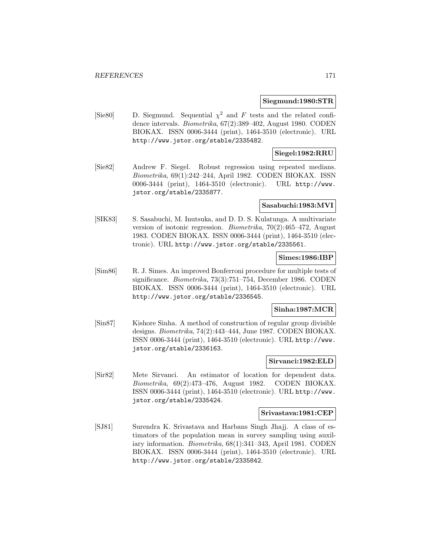#### **Siegmund:1980:STR**

[Sie80] D. Siegmund. Sequential  $\chi^2$  and F tests and the related confidence intervals. Biometrika, 67(2):389–402, August 1980. CODEN BIOKAX. ISSN 0006-3444 (print), 1464-3510 (electronic). URL http://www.jstor.org/stable/2335482.

## **Siegel:1982:RRU**

[Sie82] Andrew F. Siegel. Robust regression using repeated medians. Biometrika, 69(1):242–244, April 1982. CODEN BIOKAX. ISSN 0006-3444 (print), 1464-3510 (electronic). URL http://www. jstor.org/stable/2335877.

#### **Sasabuchi:1983:MVI**

[SIK83] S. Sasabuchi, M. Inutsuka, and D. D. S. Kulatunga. A multivariate version of isotonic regression. Biometrika, 70(2):465–472, August 1983. CODEN BIOKAX. ISSN 0006-3444 (print), 1464-3510 (electronic). URL http://www.jstor.org/stable/2335561.

## **Simes:1986:IBP**

[Sim86] R. J. Simes. An improved Bonferroni procedure for multiple tests of significance. Biometrika, 73(3):751–754, December 1986. CODEN BIOKAX. ISSN 0006-3444 (print), 1464-3510 (electronic). URL http://www.jstor.org/stable/2336545.

## **Sinha:1987:MCR**

[Sin87] Kishore Sinha. A method of construction of regular group divisible designs. Biometrika, 74(2):443–444, June 1987. CODEN BIOKAX. ISSN 0006-3444 (print), 1464-3510 (electronic). URL http://www. jstor.org/stable/2336163.

## **Sirvanci:1982:ELD**

[Sir82] Mete Sirvanci. An estimator of location for dependent data. Biometrika, 69(2):473–476, August 1982. CODEN BIOKAX. ISSN 0006-3444 (print), 1464-3510 (electronic). URL http://www. jstor.org/stable/2335424.

#### **Srivastava:1981:CEP**

[SJ81] Surendra K. Srivastava and Harbans Singh Jhajj. A class of estimators of the population mean in survey sampling using auxiliary information. Biometrika, 68(1):341–343, April 1981. CODEN BIOKAX. ISSN 0006-3444 (print), 1464-3510 (electronic). URL http://www.jstor.org/stable/2335842.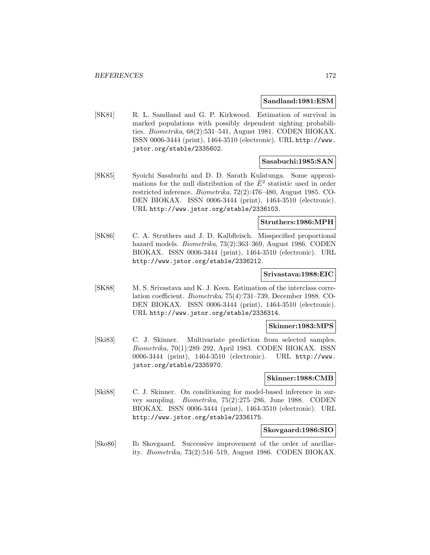#### **Sandland:1981:ESM**

[SK81] R. L. Sandland and G. P. Kirkwood. Estimation of survival in marked populations with possibly dependent sighting probabilities. Biometrika, 68(2):531–541, August 1981. CODEN BIOKAX. ISSN 0006-3444 (print), 1464-3510 (electronic). URL http://www. jstor.org/stable/2335602.

### **Sasabuchi:1985:SAN**

[SK85] Syoichi Sasabuchi and D. D. Sarath Kulatunga. Some approximations for the null distribution of the  $\bar{E}^2$  statistic used in order restricted inference. Biometrika, 72(2):476–480, August 1985. CO-DEN BIOKAX. ISSN 0006-3444 (print), 1464-3510 (electronic). URL http://www.jstor.org/stable/2336103.

# **Struthers:1986:MPH**

[SK86] C. A. Struthers and J. D. Kalbfleisch. Misspecified proportional hazard models. Biometrika, 73(2):363–369, August 1986. CODEN BIOKAX. ISSN 0006-3444 (print), 1464-3510 (electronic). URL http://www.jstor.org/stable/2336212.

#### **Srivastava:1988:EIC**

[SK88] M. S. Srivastava and K. J. Keen. Estimation of the interclass correlation coefficient. Biometrika, 75(4):731–739, December 1988. CO-DEN BIOKAX. ISSN 0006-3444 (print), 1464-3510 (electronic). URL http://www.jstor.org/stable/2336314.

#### **Skinner:1983:MPS**

[Ski83] C. J. Skinner. Multivariate prediction from selected samples. Biometrika, 70(1):289–292, April 1983. CODEN BIOKAX. ISSN 0006-3444 (print), 1464-3510 (electronic). URL http://www. jstor.org/stable/2335970.

#### **Skinner:1988:CMB**

[Ski88] C. J. Skinner. On conditioning for model-based inference in survey sampling. Biometrika, 75(2):275–286, June 1988. CODEN BIOKAX. ISSN 0006-3444 (print), 1464-3510 (electronic). URL http://www.jstor.org/stable/2336175.

#### **Skovgaard:1986:SIO**

[Sko86] Ib Skovgaard. Successive improvement of the order of ancillarity. Biometrika, 73(2):516–519, August 1986. CODEN BIOKAX.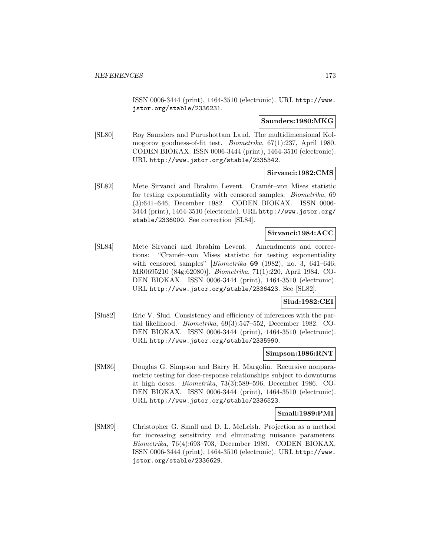ISSN 0006-3444 (print), 1464-3510 (electronic). URL http://www. jstor.org/stable/2336231.

#### **Saunders:1980:MKG**

[SL80] Roy Saunders and Purushottam Laud. The multidimensional Kolmogorov goodness-of-fit test. Biometrika, 67(1):237, April 1980. CODEN BIOKAX. ISSN 0006-3444 (print), 1464-3510 (electronic). URL http://www.jstor.org/stable/2335342.

#### **Sirvanci:1982:CMS**

[SL82] Mete Sirvanci and Ibrahim Levent. Cram´er–von Mises statistic for testing exponentiality with censored samples. Biometrika, 69 (3):641–646, December 1982. CODEN BIOKAX. ISSN 0006- 3444 (print), 1464-3510 (electronic). URL http://www.jstor.org/ stable/2336000. See correction [SL84].

## **Sirvanci:1984:ACC**

[SL84] Mete Sirvanci and Ibrahim Levent. Amendments and corrections: "Cramér–von Mises statistic for testing exponentiality with censored samples" [Biometrika **69** (1982), no. 3, 641–646; MR0695210 (84g:62080)]. Biometrika, 71(1):220, April 1984. CO-DEN BIOKAX. ISSN 0006-3444 (print), 1464-3510 (electronic). URL http://www.jstor.org/stable/2336423. See [SL82].

### **Slud:1982:CEI**

[Slu82] Eric V. Slud. Consistency and efficiency of inferences with the partial likelihood. Biometrika, 69(3):547–552, December 1982. CO-DEN BIOKAX. ISSN 0006-3444 (print), 1464-3510 (electronic). URL http://www.jstor.org/stable/2335990.

#### **Simpson:1986:RNT**

[SM86] Douglas G. Simpson and Barry H. Margolin. Recursive nonparametric testing for dose-response relationships subject to downturns at high doses. Biometrika, 73(3):589–596, December 1986. CO-DEN BIOKAX. ISSN 0006-3444 (print), 1464-3510 (electronic). URL http://www.jstor.org/stable/2336523.

#### **Small:1989:PMI**

[SM89] Christopher G. Small and D. L. McLeish. Projection as a method for increasing sensitivity and eliminating nuisance parameters. Biometrika, 76(4):693–703, December 1989. CODEN BIOKAX. ISSN 0006-3444 (print), 1464-3510 (electronic). URL http://www. jstor.org/stable/2336629.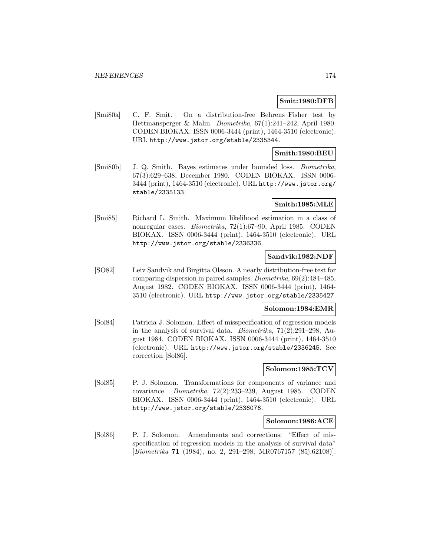#### **Smit:1980:DFB**

[Smi80a] C. F. Smit. On a distribution-free Behrens–Fisher test by Hettmansperger & Malin. Biometrika, 67(1):241–242, April 1980. CODEN BIOKAX. ISSN 0006-3444 (print), 1464-3510 (electronic). URL http://www.jstor.org/stable/2335344.

## **Smith:1980:BEU**

[Smi80b] J. Q. Smith. Bayes estimates under bounded loss. Biometrika, 67(3):629–638, December 1980. CODEN BIOKAX. ISSN 0006- 3444 (print), 1464-3510 (electronic). URL http://www.jstor.org/ stable/2335133.

### **Smith:1985:MLE**

[Smi85] Richard L. Smith. Maximum likelihood estimation in a class of nonregular cases. Biometrika, 72(1):67–90, April 1985. CODEN BIOKAX. ISSN 0006-3444 (print), 1464-3510 (electronic). URL http://www.jstor.org/stable/2336336.

## **Sandvik:1982:NDF**

[SO82] Leiv Sandvik and Birgitta Olsson. A nearly distribution-free test for comparing dispersion in paired samples. Biometrika, 69(2):484–485, August 1982. CODEN BIOKAX. ISSN 0006-3444 (print), 1464- 3510 (electronic). URL http://www.jstor.org/stable/2335427.

### **Solomon:1984:EMR**

[Sol84] Patricia J. Solomon. Effect of misspecification of regression models in the analysis of survival data. Biometrika, 71(2):291–298, August 1984. CODEN BIOKAX. ISSN 0006-3444 (print), 1464-3510 (electronic). URL http://www.jstor.org/stable/2336245. See correction [Sol86].

### **Solomon:1985:TCV**

[Sol85] P. J. Solomon. Transformations for components of variance and covariance. Biometrika, 72(2):233–239, August 1985. CODEN BIOKAX. ISSN 0006-3444 (print), 1464-3510 (electronic). URL http://www.jstor.org/stable/2336076.

#### **Solomon:1986:ACE**

[Sol86] P. J. Solomon. Amendments and corrections: "Effect of misspecification of regression models in the analysis of survival data" [Biometrika **71** (1984), no. 2, 291–298; MR0767157 (85j:62108)].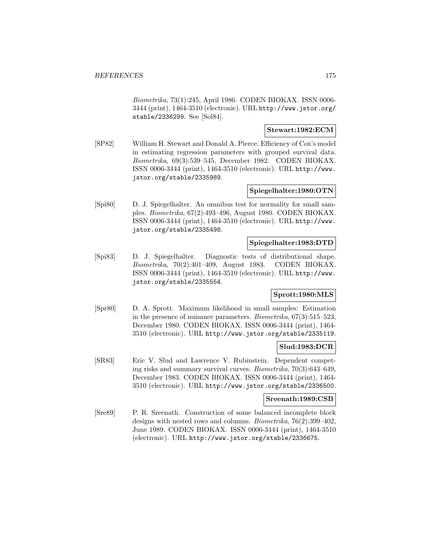Biometrika, 73(1):245, April 1986. CODEN BIOKAX. ISSN 0006- 3444 (print), 1464-3510 (electronic). URL http://www.jstor.org/ stable/2336299. See [Sol84].

## **Stewart:1982:ECM**

[SP82] William H. Stewart and Donald A. Pierce. Efficiency of Cox's model in estimating regression parameters with grouped survival data. Biometrika, 69(3):539–545, December 1982. CODEN BIOKAX. ISSN 0006-3444 (print), 1464-3510 (electronic). URL http://www. jstor.org/stable/2335989.

## **Spiegelhalter:1980:OTN**

[Spi80] D. J. Spiegelhalter. An omnibus test for normality for small samples. Biometrika, 67(2):493–496, August 1980. CODEN BIOKAX. ISSN 0006-3444 (print), 1464-3510 (electronic). URL http://www. jstor.org/stable/2335498.

## **Spiegelhalter:1983:DTD**

[Spi83] D. J. Spiegelhalter. Diagnostic tests of distributional shape. Biometrika, 70(2):401–409, August 1983. CODEN BIOKAX. ISSN 0006-3444 (print), 1464-3510 (electronic). URL http://www. jstor.org/stable/2335554.

## **Sprott:1980:MLS**

[Spr80] D. A. Sprott. Maximum likelihood in small samples: Estimation in the presence of nuisance parameters. Biometrika, 67(3):515–523, December 1980. CODEN BIOKAX. ISSN 0006-3444 (print), 1464- 3510 (electronic). URL http://www.jstor.org/stable/2335119.

## **Slud:1983:DCR**

[SR83] Eric V. Slud and Lawrence V. Rubinstein. Dependent competing risks and summary survival curves. Biometrika, 70(3):643–649, December 1983. CODEN BIOKAX. ISSN 0006-3444 (print), 1464- 3510 (electronic). URL http://www.jstor.org/stable/2336500.

### **Sreenath:1989:CSB**

[Sre89] P. R. Sreenath. Construction of some balanced incomplete block designs with nested rows and columns. Biometrika, 76(2):399–402, June 1989. CODEN BIOKAX. ISSN 0006-3444 (print), 1464-3510 (electronic). URL http://www.jstor.org/stable/2336675.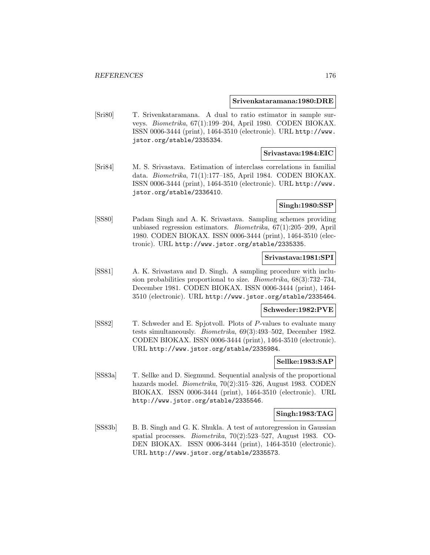#### **Srivenkataramana:1980:DRE**

[Sri80] T. Srivenkataramana. A dual to ratio estimator in sample surveys. Biometrika, 67(1):199–204, April 1980. CODEN BIOKAX. ISSN 0006-3444 (print), 1464-3510 (electronic). URL http://www. jstor.org/stable/2335334.

#### **Srivastava:1984:EIC**

[Sri84] M. S. Srivastava. Estimation of interclass correlations in familial data. Biometrika, 71(1):177–185, April 1984. CODEN BIOKAX. ISSN 0006-3444 (print), 1464-3510 (electronic). URL http://www. jstor.org/stable/2336410.

#### **Singh:1980:SSP**

[SS80] Padam Singh and A. K. Srivastava. Sampling schemes providing unbiased regression estimators. Biometrika, 67(1):205–209, April 1980. CODEN BIOKAX. ISSN 0006-3444 (print), 1464-3510 (electronic). URL http://www.jstor.org/stable/2335335.

#### **Srivastava:1981:SPI**

[SS81] A. K. Srivastava and D. Singh. A sampling procedure with inclusion probabilities proportional to size. Biometrika, 68(3):732–734, December 1981. CODEN BIOKAX. ISSN 0006-3444 (print), 1464- 3510 (electronic). URL http://www.jstor.org/stable/2335464.

#### **Schweder:1982:PVE**

[SS82] T. Schweder and E. Spjotvoll. Plots of P-values to evaluate many tests simultaneously. Biometrika, 69(3):493–502, December 1982. CODEN BIOKAX. ISSN 0006-3444 (print), 1464-3510 (electronic). URL http://www.jstor.org/stable/2335984.

#### **Sellke:1983:SAP**

[SS83a] T. Sellke and D. Siegmund. Sequential analysis of the proportional hazards model. *Biometrika*, 70(2):315–326, August 1983. CODEN BIOKAX. ISSN 0006-3444 (print), 1464-3510 (electronic). URL http://www.jstor.org/stable/2335546.

#### **Singh:1983:TAG**

[SS83b] B. B. Singh and G. K. Shukla. A test of autoregression in Gaussian spatial processes. Biometrika, 70(2):523–527, August 1983. CO-DEN BIOKAX. ISSN 0006-3444 (print), 1464-3510 (electronic). URL http://www.jstor.org/stable/2335573.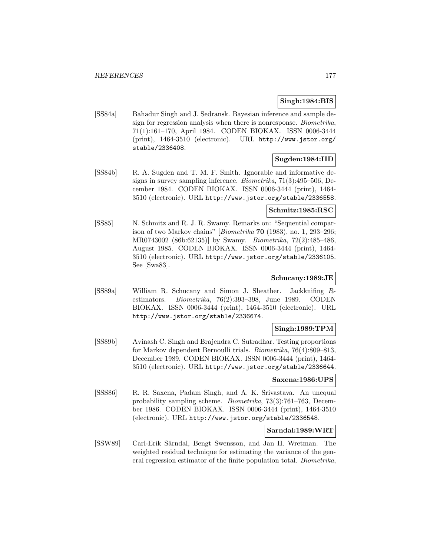## **Singh:1984:BIS**

[SS84a] Bahadur Singh and J. Sedransk. Bayesian inference and sample design for regression analysis when there is nonresponse. Biometrika, 71(1):161–170, April 1984. CODEN BIOKAX. ISSN 0006-3444 (print), 1464-3510 (electronic). URL http://www.jstor.org/ stable/2336408.

## **Sugden:1984:IID**

[SS84b] R. A. Sugden and T. M. F. Smith. Ignorable and informative designs in survey sampling inference. Biometrika, 71(3):495–506, December 1984. CODEN BIOKAX. ISSN 0006-3444 (print), 1464- 3510 (electronic). URL http://www.jstor.org/stable/2336558.

## **Schmitz:1985:RSC**

[SS85] N. Schmitz and R. J. R. Swamy. Remarks on: "Sequential comparison of two Markov chains" [Biometrika **70** (1983), no. 1, 293–296; MR0743002 (86b:62135)] by Swamy. Biometrika, 72(2):485–486, August 1985. CODEN BIOKAX. ISSN 0006-3444 (print), 1464- 3510 (electronic). URL http://www.jstor.org/stable/2336105. See [Swa83].

## **Schucany:1989:JE**

[SS89a] William R. Schucany and Simon J. Sheather. Jackknifing Restimators. Biometrika, 76(2):393–398, June 1989. CODEN BIOKAX. ISSN 0006-3444 (print), 1464-3510 (electronic). URL http://www.jstor.org/stable/2336674.

#### **Singh:1989:TPM**

[SS89b] Avinash C. Singh and Brajendra C. Sutradhar. Testing proportions for Markov dependent Bernoulli trials. Biometrika, 76(4):809–813, December 1989. CODEN BIOKAX. ISSN 0006-3444 (print), 1464- 3510 (electronic). URL http://www.jstor.org/stable/2336644.

#### **Saxena:1986:UPS**

[SSS86] R. R. Saxena, Padam Singh, and A. K. Srivastava. An unequal probability sampling scheme. Biometrika, 73(3):761–763, December 1986. CODEN BIOKAX. ISSN 0006-3444 (print), 1464-3510 (electronic). URL http://www.jstor.org/stable/2336548.

### **Sarndal:1989:WRT**

[SSW89] Carl-Erik Särndal, Bengt Swensson, and Jan H. Wretman. The weighted residual technique for estimating the variance of the general regression estimator of the finite population total. Biometrika,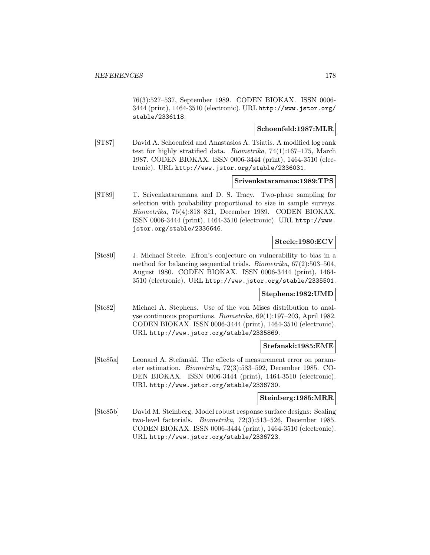76(3):527–537, September 1989. CODEN BIOKAX. ISSN 0006- 3444 (print), 1464-3510 (electronic). URL http://www.jstor.org/ stable/2336118.

#### **Schoenfeld:1987:MLR**

[ST87] David A. Schoenfeld and Anastasios A. Tsiatis. A modified log rank test for highly stratified data. Biometrika, 74(1):167–175, March 1987. CODEN BIOKAX. ISSN 0006-3444 (print), 1464-3510 (electronic). URL http://www.jstor.org/stable/2336031.

#### **Srivenkataramana:1989:TPS**

[ST89] T. Srivenkataramana and D. S. Tracy. Two-phase sampling for selection with probability proportional to size in sample surveys. Biometrika, 76(4):818–821, December 1989. CODEN BIOKAX. ISSN 0006-3444 (print), 1464-3510 (electronic). URL http://www. jstor.org/stable/2336646.

## **Steele:1980:ECV**

[Ste80] J. Michael Steele. Efron's conjecture on vulnerability to bias in a method for balancing sequential trials. Biometrika, 67(2):503–504, August 1980. CODEN BIOKAX. ISSN 0006-3444 (print), 1464- 3510 (electronic). URL http://www.jstor.org/stable/2335501.

#### **Stephens:1982:UMD**

[Ste82] Michael A. Stephens. Use of the von Mises distribution to analyse continuous proportions. Biometrika, 69(1):197–203, April 1982. CODEN BIOKAX. ISSN 0006-3444 (print), 1464-3510 (electronic). URL http://www.jstor.org/stable/2335869.

#### **Stefanski:1985:EME**

[Ste85a] Leonard A. Stefanski. The effects of measurement error on parameter estimation. Biometrika, 72(3):583–592, December 1985. CO-DEN BIOKAX. ISSN 0006-3444 (print), 1464-3510 (electronic). URL http://www.jstor.org/stable/2336730.

#### **Steinberg:1985:MRR**

[Ste85b] David M. Steinberg. Model robust response surface designs: Scaling two-level factorials. Biometrika, 72(3):513–526, December 1985. CODEN BIOKAX. ISSN 0006-3444 (print), 1464-3510 (electronic). URL http://www.jstor.org/stable/2336723.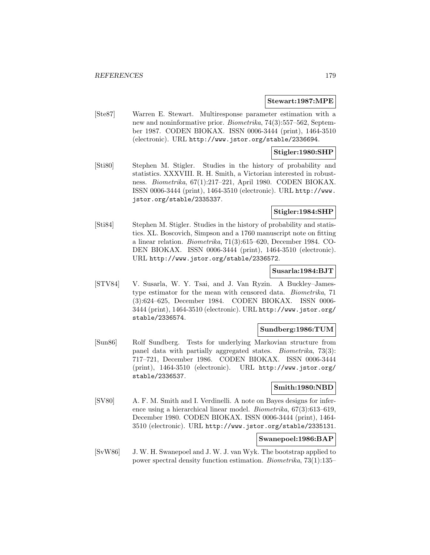#### **Stewart:1987:MPE**

[Ste87] Warren E. Stewart. Multiresponse parameter estimation with a new and noninformative prior. Biometrika, 74(3):557–562, September 1987. CODEN BIOKAX. ISSN 0006-3444 (print), 1464-3510 (electronic). URL http://www.jstor.org/stable/2336694.

### **Stigler:1980:SHP**

[Sti80] Stephen M. Stigler. Studies in the history of probability and statistics. XXXVIII. R. H. Smith, a Victorian interested in robustness. Biometrika, 67(1):217–221, April 1980. CODEN BIOKAX. ISSN 0006-3444 (print), 1464-3510 (electronic). URL http://www. jstor.org/stable/2335337.

## **Stigler:1984:SHP**

[Sti84] Stephen M. Stigler. Studies in the history of probability and statistics. XL. Boscovich, Simpson and a 1760 manuscript note on fitting a linear relation. Biometrika, 71(3):615–620, December 1984. CO-DEN BIOKAX. ISSN 0006-3444 (print), 1464-3510 (electronic). URL http://www.jstor.org/stable/2336572.

#### **Susarla:1984:BJT**

[STV84] V. Susarla, W. Y. Tsai, and J. Van Ryzin. A Buckley–Jamestype estimator for the mean with censored data. Biometrika, 71 (3):624–625, December 1984. CODEN BIOKAX. ISSN 0006- 3444 (print), 1464-3510 (electronic). URL http://www.jstor.org/ stable/2336574.

### **Sundberg:1986:TUM**

[Sun86] Rolf Sundberg. Tests for underlying Markovian structure from panel data with partially aggregated states. Biometrika, 73(3): 717–721, December 1986. CODEN BIOKAX. ISSN 0006-3444 (print), 1464-3510 (electronic). URL http://www.jstor.org/ stable/2336537.

### **Smith:1980:NBD**

[SV80] A. F. M. Smith and I. Verdinelli. A note on Bayes designs for inference using a hierarchical linear model. Biometrika, 67(3):613–619, December 1980. CODEN BIOKAX. ISSN 0006-3444 (print), 1464- 3510 (electronic). URL http://www.jstor.org/stable/2335131.

# **Swanepoel:1986:BAP**

[SvW86] J. W. H. Swanepoel and J. W. J. van Wyk. The bootstrap applied to power spectral density function estimation. Biometrika, 73(1):135–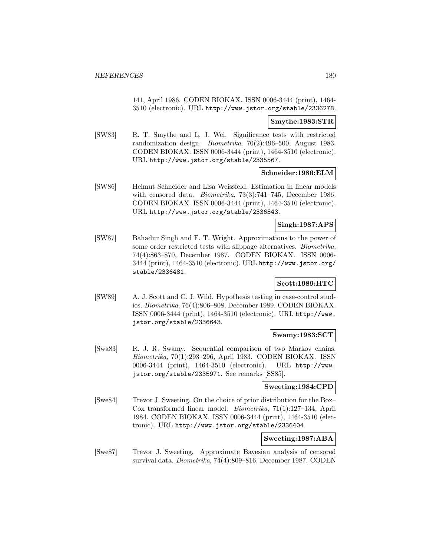141, April 1986. CODEN BIOKAX. ISSN 0006-3444 (print), 1464- 3510 (electronic). URL http://www.jstor.org/stable/2336278.

#### **Smythe:1983:STR**

[SW83] R. T. Smythe and L. J. Wei. Significance tests with restricted randomization design. Biometrika, 70(2):496–500, August 1983. CODEN BIOKAX. ISSN 0006-3444 (print), 1464-3510 (electronic). URL http://www.jstor.org/stable/2335567.

### **Schneider:1986:ELM**

[SW86] Helmut Schneider and Lisa Weissfeld. Estimation in linear models with censored data. Biometrika, 73(3):741–745, December 1986. CODEN BIOKAX. ISSN 0006-3444 (print), 1464-3510 (electronic). URL http://www.jstor.org/stable/2336543.

# **Singh:1987:APS**

[SW87] Bahadur Singh and F. T. Wright. Approximations to the power of some order restricted tests with slippage alternatives. Biometrika, 74(4):863–870, December 1987. CODEN BIOKAX. ISSN 0006- 3444 (print), 1464-3510 (electronic). URL http://www.jstor.org/ stable/2336481.

### **Scott:1989:HTC**

[SW89] A. J. Scott and C. J. Wild. Hypothesis testing in case-control studies. Biometrika, 76(4):806–808, December 1989. CODEN BIOKAX. ISSN 0006-3444 (print), 1464-3510 (electronic). URL http://www. jstor.org/stable/2336643.

## **Swamy:1983:SCT**

[Swa83] R. J. R. Swamy. Sequential comparison of two Markov chains. Biometrika, 70(1):293–296, April 1983. CODEN BIOKAX. ISSN 0006-3444 (print), 1464-3510 (electronic). URL http://www. jstor.org/stable/2335971. See remarks [SS85].

### **Sweeting:1984:CPD**

[Swe84] Trevor J. Sweeting. On the choice of prior distribution for the Box– Cox transformed linear model. Biometrika, 71(1):127–134, April 1984. CODEN BIOKAX. ISSN 0006-3444 (print), 1464-3510 (electronic). URL http://www.jstor.org/stable/2336404.

#### **Sweeting:1987:ABA**

[Swe87] Trevor J. Sweeting. Approximate Bayesian analysis of censored survival data. Biometrika, 74(4):809–816, December 1987. CODEN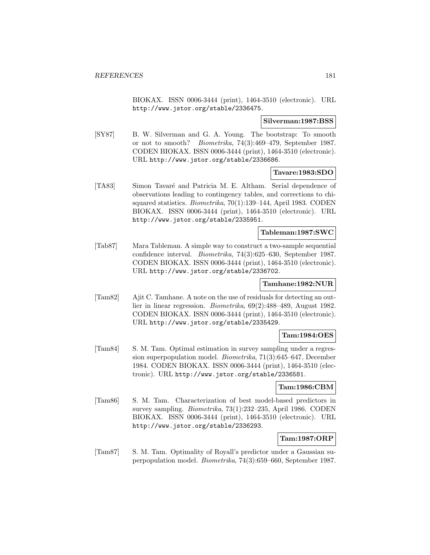BIOKAX. ISSN 0006-3444 (print), 1464-3510 (electronic). URL http://www.jstor.org/stable/2336475.

### **Silverman:1987:BSS**

[SY87] B. W. Silverman and G. A. Young. The bootstrap: To smooth or not to smooth? Biometrika, 74(3):469–479, September 1987. CODEN BIOKAX. ISSN 0006-3444 (print), 1464-3510 (electronic). URL http://www.jstor.org/stable/2336686.

# **Tavare:1983:SDO**

[TA83] Simon Tavaré and Patricia M. E. Altham. Serial dependence of observations leading to contingency tables, and corrections to chisquared statistics. Biometrika, 70(1):139–144, April 1983. CODEN BIOKAX. ISSN 0006-3444 (print), 1464-3510 (electronic). URL http://www.jstor.org/stable/2335951.

#### **Tableman:1987:SWC**

[Tab87] Mara Tableman. A simple way to construct a two-sample sequential confidence interval. Biometrika, 74(3):625–630, September 1987. CODEN BIOKAX. ISSN 0006-3444 (print), 1464-3510 (electronic). URL http://www.jstor.org/stable/2336702.

### **Tamhane:1982:NUR**

[Tam82] Ajit C. Tamhane. A note on the use of residuals for detecting an outlier in linear regression. Biometrika, 69(2):488–489, August 1982. CODEN BIOKAX. ISSN 0006-3444 (print), 1464-3510 (electronic). URL http://www.jstor.org/stable/2335429.

## **Tam:1984:OES**

[Tam84] S. M. Tam. Optimal estimation in survey sampling under a regression superpopulation model. Biometrika, 71(3):645–647, December 1984. CODEN BIOKAX. ISSN 0006-3444 (print), 1464-3510 (electronic). URL http://www.jstor.org/stable/2336581.

### **Tam:1986:CBM**

[Tam86] S. M. Tam. Characterization of best model-based predictors in survey sampling. Biometrika, 73(1):232–235, April 1986. CODEN BIOKAX. ISSN 0006-3444 (print), 1464-3510 (electronic). URL http://www.jstor.org/stable/2336293.

# **Tam:1987:ORP**

[Tam87] S. M. Tam. Optimality of Royall's predictor under a Gaussian superpopulation model. Biometrika, 74(3):659–660, September 1987.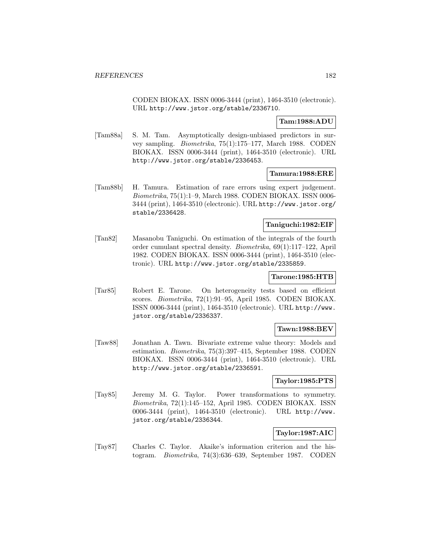CODEN BIOKAX. ISSN 0006-3444 (print), 1464-3510 (electronic). URL http://www.jstor.org/stable/2336710.

# **Tam:1988:ADU**

[Tam88a] S. M. Tam. Asymptotically design-unbiased predictors in survey sampling. Biometrika, 75(1):175–177, March 1988. CODEN BIOKAX. ISSN 0006-3444 (print), 1464-3510 (electronic). URL http://www.jstor.org/stable/2336453.

### **Tamura:1988:ERE**

[Tam88b] H. Tamura. Estimation of rare errors using expert judgement. Biometrika, 75(1):1–9, March 1988. CODEN BIOKAX. ISSN 0006- 3444 (print), 1464-3510 (electronic). URL http://www.jstor.org/ stable/2336428.

### **Taniguchi:1982:EIF**

[Tan82] Masanobu Taniguchi. On estimation of the integrals of the fourth order cumulant spectral density. Biometrika, 69(1):117–122, April 1982. CODEN BIOKAX. ISSN 0006-3444 (print), 1464-3510 (electronic). URL http://www.jstor.org/stable/2335859.

# **Tarone:1985:HTB**

[Tar85] Robert E. Tarone. On heterogeneity tests based on efficient scores. Biometrika, 72(1):91–95, April 1985. CODEN BIOKAX. ISSN 0006-3444 (print), 1464-3510 (electronic). URL http://www. jstor.org/stable/2336337.

### **Tawn:1988:BEV**

[Taw88] Jonathan A. Tawn. Bivariate extreme value theory: Models and estimation. Biometrika, 75(3):397–415, September 1988. CODEN BIOKAX. ISSN 0006-3444 (print), 1464-3510 (electronic). URL http://www.jstor.org/stable/2336591.

## **Taylor:1985:PTS**

[Tay85] Jeremy M. G. Taylor. Power transformations to symmetry. Biometrika, 72(1):145–152, April 1985. CODEN BIOKAX. ISSN 0006-3444 (print), 1464-3510 (electronic). URL http://www. jstor.org/stable/2336344.

### **Taylor:1987:AIC**

[Tay87] Charles C. Taylor. Akaike's information criterion and the histogram. Biometrika, 74(3):636–639, September 1987. CODEN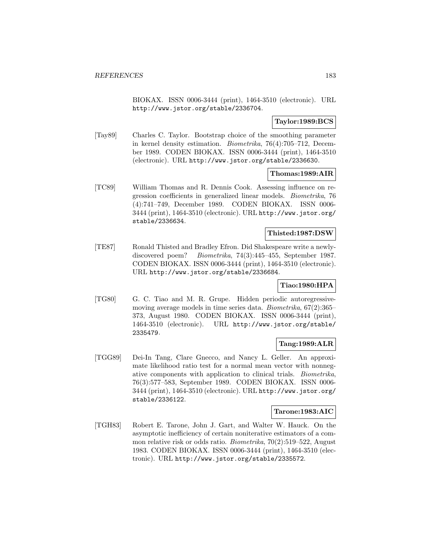BIOKAX. ISSN 0006-3444 (print), 1464-3510 (electronic). URL http://www.jstor.org/stable/2336704.

# **Taylor:1989:BCS**

[Tay89] Charles C. Taylor. Bootstrap choice of the smoothing parameter in kernel density estimation. Biometrika, 76(4):705–712, December 1989. CODEN BIOKAX. ISSN 0006-3444 (print), 1464-3510 (electronic). URL http://www.jstor.org/stable/2336630.

### **Thomas:1989:AIR**

[TC89] William Thomas and R. Dennis Cook. Assessing influence on regression coefficients in generalized linear models. Biometrika, 76 (4):741–749, December 1989. CODEN BIOKAX. ISSN 0006- 3444 (print), 1464-3510 (electronic). URL http://www.jstor.org/ stable/2336634.

# **Thisted:1987:DSW**

[TE87] Ronald Thisted and Bradley Efron. Did Shakespeare write a newlydiscovered poem? Biometrika, 74(3):445–455, September 1987. CODEN BIOKAX. ISSN 0006-3444 (print), 1464-3510 (electronic). URL http://www.jstor.org/stable/2336684.

## **Tiao:1980:HPA**

[TG80] G. C. Tiao and M. R. Grupe. Hidden periodic autoregressivemoving average models in time series data. Biometrika, 67(2):365– 373, August 1980. CODEN BIOKAX. ISSN 0006-3444 (print), 1464-3510 (electronic). URL http://www.jstor.org/stable/ 2335479.

## **Tang:1989:ALR**

[TGG89] Dei-In Tang, Clare Gnecco, and Nancy L. Geller. An approximate likelihood ratio test for a normal mean vector with nonnegative components with application to clinical trials. Biometrika, 76(3):577–583, September 1989. CODEN BIOKAX. ISSN 0006- 3444 (print), 1464-3510 (electronic). URL http://www.jstor.org/ stable/2336122.

### **Tarone:1983:AIC**

[TGH83] Robert E. Tarone, John J. Gart, and Walter W. Hauck. On the asymptotic inefficiency of certain noniterative estimators of a common relative risk or odds ratio. Biometrika, 70(2):519–522, August 1983. CODEN BIOKAX. ISSN 0006-3444 (print), 1464-3510 (electronic). URL http://www.jstor.org/stable/2335572.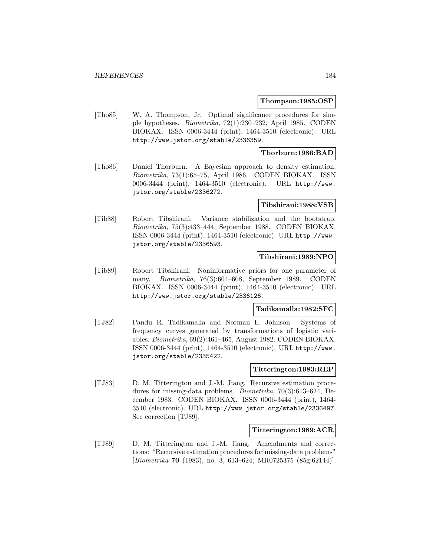### **Thompson:1985:OSP**

[Tho85] W. A. Thompson, Jr. Optimal significance procedures for simple hypotheses. Biometrika, 72(1):230–232, April 1985. CODEN BIOKAX. ISSN 0006-3444 (print), 1464-3510 (electronic). URL http://www.jstor.org/stable/2336359.

### **Thorburn:1986:BAD**

[Tho86] Daniel Thorburn. A Bayesian approach to density estimation. Biometrika, 73(1):65–75, April 1986. CODEN BIOKAX. ISSN 0006-3444 (print), 1464-3510 (electronic). URL http://www. jstor.org/stable/2336272.

#### **Tibshirani:1988:VSB**

[Tib88] Robert Tibshirani. Variance stabilization and the bootstrap. Biometrika, 75(3):433–444, September 1988. CODEN BIOKAX. ISSN 0006-3444 (print), 1464-3510 (electronic). URL http://www. jstor.org/stable/2336593.

### **Tibshirani:1989:NPO**

[Tib89] Robert Tibshirani. Noninformative priors for one parameter of many. Biometrika, 76(3):604–608, September 1989. CODEN BIOKAX. ISSN 0006-3444 (print), 1464-3510 (electronic). URL http://www.jstor.org/stable/2336126.

### **Tadikamalla:1982:SFC**

[TJ82] Pandu R. Tadikamalla and Norman L. Johnson. Systems of frequency curves generated by transformations of logistic variables. Biometrika, 69(2):461–465, August 1982. CODEN BIOKAX. ISSN 0006-3444 (print), 1464-3510 (electronic). URL http://www. jstor.org/stable/2335422.

#### **Titterington:1983:REP**

[TJ83] D. M. Titterington and J.-M. Jiang. Recursive estimation procedures for missing-data problems. Biometrika, 70(3):613–624, December 1983. CODEN BIOKAX. ISSN 0006-3444 (print), 1464- 3510 (electronic). URL http://www.jstor.org/stable/2336497. See correction [TJ89].

## **Titterington:1989:ACR**

[TJ89] D. M. Titterington and J.-M. Jiang. Amendments and corrections: "Recursive estimation procedures for missing-data problems" [Biometrika **70** (1983), no. 3, 613–624; MR0725375 (85g:62144)].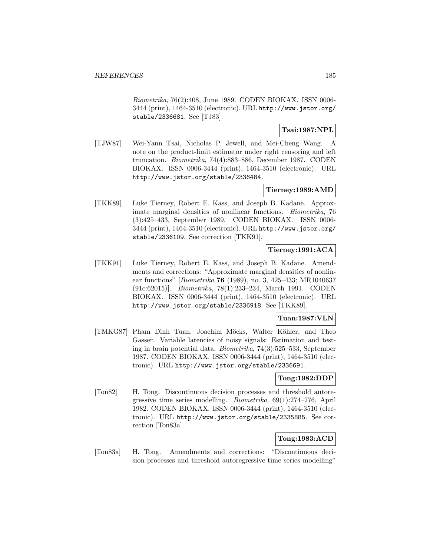Biometrika, 76(2):408, June 1989. CODEN BIOKAX. ISSN 0006- 3444 (print), 1464-3510 (electronic). URL http://www.jstor.org/ stable/2336681. See [TJ83].

# **Tsai:1987:NPL**

[TJW87] Wei-Yann Tsai, Nicholas P. Jewell, and Mei-Cheng Wang. A note on the product-limit estimator under right censoring and left truncation. Biometrika, 74(4):883–886, December 1987. CODEN BIOKAX. ISSN 0006-3444 (print), 1464-3510 (electronic). URL http://www.jstor.org/stable/2336484.

### **Tierney:1989:AMD**

[TKK89] Luke Tierney, Robert E. Kass, and Joseph B. Kadane. Approximate marginal densities of nonlinear functions. Biometrika, 76 (3):425–433, September 1989. CODEN BIOKAX. ISSN 0006- 3444 (print), 1464-3510 (electronic). URL http://www.jstor.org/ stable/2336109. See correction [TKK91].

# **Tierney:1991:ACA**

[TKK91] Luke Tierney, Robert E. Kass, and Joseph B. Kadane. Amendments and corrections: "Approximate marginal densities of nonlinear functions" [Biometrika **76** (1989), no. 3, 425–433; MR1040637 (91c:62015)]. Biometrika, 78(1):233–234, March 1991. CODEN BIOKAX. ISSN 0006-3444 (print), 1464-3510 (electronic). URL http://www.jstor.org/stable/2336918. See [TKK89].

# **Tuan:1987:VLN**

[TMKG87] Pham Dinh Tuan, Joachim Möcks, Walter Köhler, and Theo Gasser. Variable latencies of noisy signals: Estimation and testing in brain potential data. Biometrika, 74(3):525–533, September 1987. CODEN BIOKAX. ISSN 0006-3444 (print), 1464-3510 (electronic). URL http://www.jstor.org/stable/2336691.

### **Tong:1982:DDP**

[Ton82] H. Tong. Discontinuous decision processes and threshold autoregressive time series modelling. Biometrika, 69(1):274–276, April 1982. CODEN BIOKAX. ISSN 0006-3444 (print), 1464-3510 (electronic). URL http://www.jstor.org/stable/2335885. See correction [Ton83a].

# **Tong:1983:ACD**

[Ton83a] H. Tong. Amendments and corrections: "Discontinuous decision processes and threshold autoregressive time series modelling"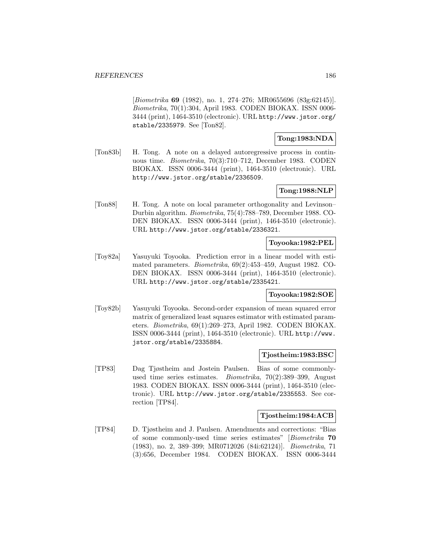[Biometrika **69** (1982), no. 1, 274–276; MR0655696 (83g:62145)]. Biometrika, 70(1):304, April 1983. CODEN BIOKAX. ISSN 0006- 3444 (print), 1464-3510 (electronic). URL http://www.jstor.org/ stable/2335979. See [Ton82].

# **Tong:1983:NDA**

[Ton83b] H. Tong. A note on a delayed autoregressive process in continuous time. Biometrika, 70(3):710–712, December 1983. CODEN BIOKAX. ISSN 0006-3444 (print), 1464-3510 (electronic). URL http://www.jstor.org/stable/2336509.

# **Tong:1988:NLP**

[Ton88] H. Tong. A note on local parameter orthogonality and Levinson– Durbin algorithm. Biometrika, 75(4):788–789, December 1988. CO-DEN BIOKAX. ISSN 0006-3444 (print), 1464-3510 (electronic). URL http://www.jstor.org/stable/2336321.

# **Toyooka:1982:PEL**

[Toy82a] Yasuyuki Toyooka. Prediction error in a linear model with estimated parameters. Biometrika, 69(2):453–459, August 1982. CO-DEN BIOKAX. ISSN 0006-3444 (print), 1464-3510 (electronic). URL http://www.jstor.org/stable/2335421.

# **Toyooka:1982:SOE**

[Toy82b] Yasuyuki Toyooka. Second-order expansion of mean squared error matrix of generalized least squares estimator with estimated parameters. Biometrika, 69(1):269–273, April 1982. CODEN BIOKAX. ISSN 0006-3444 (print), 1464-3510 (electronic). URL http://www. jstor.org/stable/2335884.

## **Tjostheim:1983:BSC**

[TP83] Dag Tjøstheim and Jostein Paulsen. Bias of some commonlyused time series estimates. Biometrika, 70(2):389–399, August 1983. CODEN BIOKAX. ISSN 0006-3444 (print), 1464-3510 (electronic). URL http://www.jstor.org/stable/2335553. See correction [TP84].

### **Tjostheim:1984:ACB**

[TP84] D. Tjøstheim and J. Paulsen. Amendments and corrections: "Bias of some commonly-used time series estimates" [Biometrika **70** (1983), no. 2, 389–399; MR0712026 (84i:62124)]. Biometrika, 71 (3):656, December 1984. CODEN BIOKAX. ISSN 0006-3444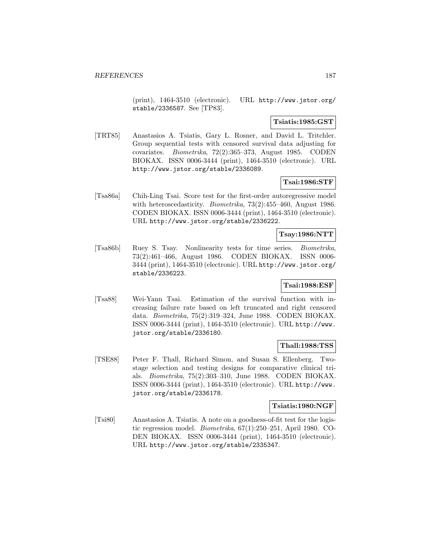(print), 1464-3510 (electronic). URL http://www.jstor.org/ stable/2336587. See [TP83].

# **Tsiatis:1985:GST**

[TRT85] Anastasios A. Tsiatis, Gary L. Rosner, and David L. Tritchler. Group sequential tests with censored survival data adjusting for covariates. Biometrika, 72(2):365–373, August 1985. CODEN BIOKAX. ISSN 0006-3444 (print), 1464-3510 (electronic). URL http://www.jstor.org/stable/2336089.

# **Tsai:1986:STF**

[Tsa86a] Chih-Ling Tsai. Score test for the first-order autoregressive model with heteroscedasticity. Biometrika, 73(2):455–460, August 1986. CODEN BIOKAX. ISSN 0006-3444 (print), 1464-3510 (electronic). URL http://www.jstor.org/stable/2336222.

## **Tsay:1986:NTT**

[Tsa86b] Ruey S. Tsay. Nonlinearity tests for time series. Biometrika, 73(2):461–466, August 1986. CODEN BIOKAX. ISSN 0006- 3444 (print), 1464-3510 (electronic). URL http://www.jstor.org/ stable/2336223.

# **Tsai:1988:ESF**

[Tsa88] Wei-Yann Tsai. Estimation of the survival function with increasing failure rate based on left truncated and right censored data. Biometrika, 75(2):319–324, June 1988. CODEN BIOKAX. ISSN 0006-3444 (print), 1464-3510 (electronic). URL http://www. jstor.org/stable/2336180.

### **Thall:1988:TSS**

[TSE88] Peter F. Thall, Richard Simon, and Susan S. Ellenberg. Twostage selection and testing designs for comparative clinical trials. Biometrika, 75(2):303–310, June 1988. CODEN BIOKAX. ISSN 0006-3444 (print), 1464-3510 (electronic). URL http://www. jstor.org/stable/2336178.

### **Tsiatis:1980:NGF**

[Tsi80] Anastasios A. Tsiatis. A note on a goodness-of-fit test for the logistic regression model. Biometrika, 67(1):250–251, April 1980. CO-DEN BIOKAX. ISSN 0006-3444 (print), 1464-3510 (electronic). URL http://www.jstor.org/stable/2335347.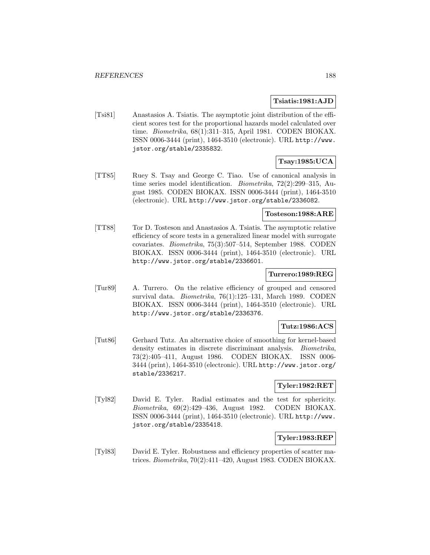### **Tsiatis:1981:AJD**

[Tsi81] Anastasios A. Tsiatis. The asymptotic joint distribution of the efficient scores test for the proportional hazards model calculated over time. Biometrika, 68(1):311–315, April 1981. CODEN BIOKAX. ISSN 0006-3444 (print), 1464-3510 (electronic). URL http://www. jstor.org/stable/2335832.

# **Tsay:1985:UCA**

[TT85] Ruey S. Tsay and George C. Tiao. Use of canonical analysis in time series model identification. Biometrika, 72(2):299–315, August 1985. CODEN BIOKAX. ISSN 0006-3444 (print), 1464-3510 (electronic). URL http://www.jstor.org/stable/2336082.

### **Tosteson:1988:ARE**

[TT88] Tor D. Tosteson and Anastasios A. Tsiatis. The asymptotic relative efficiency of score tests in a generalized linear model with surrogate covariates. Biometrika, 75(3):507–514, September 1988. CODEN BIOKAX. ISSN 0006-3444 (print), 1464-3510 (electronic). URL http://www.jstor.org/stable/2336601.

### **Turrero:1989:REG**

[Tur89] A. Turrero. On the relative efficiency of grouped and censored survival data. Biometrika, 76(1):125–131, March 1989. CODEN BIOKAX. ISSN 0006-3444 (print), 1464-3510 (electronic). URL http://www.jstor.org/stable/2336376.

## **Tutz:1986:ACS**

[Tut86] Gerhard Tutz. An alternative choice of smoothing for kernel-based density estimates in discrete discriminant analysis. Biometrika, 73(2):405–411, August 1986. CODEN BIOKAX. ISSN 0006- 3444 (print), 1464-3510 (electronic). URL http://www.jstor.org/ stable/2336217.

# **Tyler:1982:RET**

[Tyl82] David E. Tyler. Radial estimates and the test for sphericity. Biometrika, 69(2):429–436, August 1982. CODEN BIOKAX. ISSN 0006-3444 (print), 1464-3510 (electronic). URL http://www. jstor.org/stable/2335418.

## **Tyler:1983:REP**

[Tyl83] David E. Tyler. Robustness and efficiency properties of scatter matrices. Biometrika, 70(2):411–420, August 1983. CODEN BIOKAX.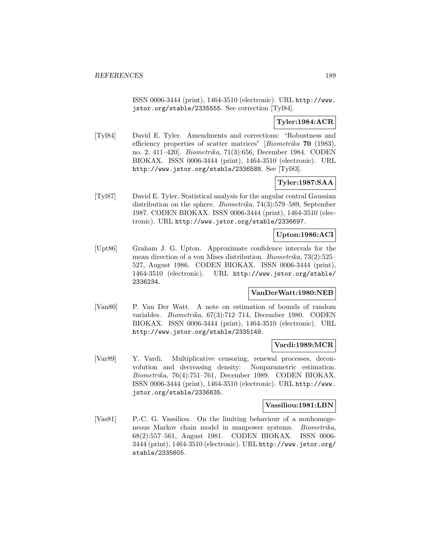ISSN 0006-3444 (print), 1464-3510 (electronic). URL http://www. jstor.org/stable/2335555. See correction [Tyl84].

# **Tyler:1984:ACR**

[Tyl84] David E. Tyler. Amendments and corrections: "Robustness and efficiency properties of scatter matrices" [Biometrika **70** (1983), no. 2, 411–420]. Biometrika, 71(3):656, December 1984. CODEN BIOKAX. ISSN 0006-3444 (print), 1464-3510 (electronic). URL http://www.jstor.org/stable/2336588. See [Tyl83].

# **Tyler:1987:SAA**

[Tyl87] David E. Tyler. Statistical analysis for the angular central Gaussian distribution on the sphere. Biometrika, 74(3):579–589, September 1987. CODEN BIOKAX. ISSN 0006-3444 (print), 1464-3510 (electronic). URL http://www.jstor.org/stable/2336697.

# **Upton:1986:ACI**

[Upt86] Graham J. G. Upton. Approximate confidence intervals for the mean direction of a von Mises distribution. Biometrika, 73(2):525– 527, August 1986. CODEN BIOKAX. ISSN 0006-3444 (print), 1464-3510 (electronic). URL http://www.jstor.org/stable/ 2336234.

## **VanDerWatt:1980:NEB**

[Van80] P. Van Der Watt. A note on estimation of bounds of random variables. Biometrika, 67(3):712–714, December 1980. CODEN BIOKAX. ISSN 0006-3444 (print), 1464-3510 (electronic). URL http://www.jstor.org/stable/2335149.

### **Vardi:1989:MCR**

[Var89] Y. Vardi. Multiplicative censoring, renewal processes, deconvolution and decreasing density: Nonparametric estimation. Biometrika, 76(4):751–761, December 1989. CODEN BIOKAX. ISSN 0006-3444 (print), 1464-3510 (electronic). URL http://www. jstor.org/stable/2336635.

# **Vassiliou:1981:LBN**

[Vas81] P.-C. G. Vassiliou. On the limiting behaviour of a nonhomogeneous Markov chain model in manpower systems. Biometrika, 68(2):557–561, August 1981. CODEN BIOKAX. ISSN 0006- 3444 (print), 1464-3510 (electronic). URL http://www.jstor.org/ stable/2335605.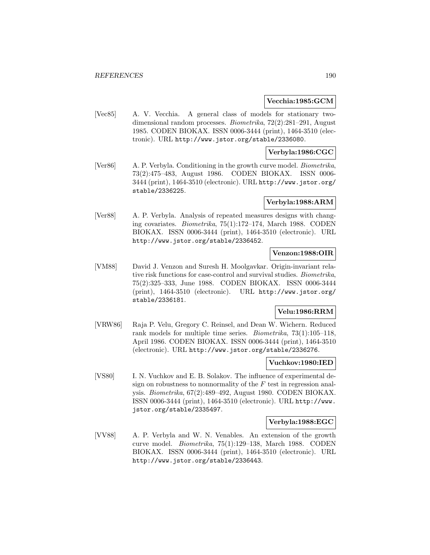### **Vecchia:1985:GCM**

[Vec85] A. V. Vecchia. A general class of models for stationary twodimensional random processes. Biometrika, 72(2):281–291, August 1985. CODEN BIOKAX. ISSN 0006-3444 (print), 1464-3510 (electronic). URL http://www.jstor.org/stable/2336080.

## **Verbyla:1986:CGC**

[Ver86] A. P. Verbyla. Conditioning in the growth curve model. *Biometrika*, 73(2):475–483, August 1986. CODEN BIOKAX. ISSN 0006- 3444 (print), 1464-3510 (electronic). URL http://www.jstor.org/ stable/2336225.

### **Verbyla:1988:ARM**

[Ver88] A. P. Verbyla. Analysis of repeated measures designs with changing covariates. Biometrika, 75(1):172–174, March 1988. CODEN BIOKAX. ISSN 0006-3444 (print), 1464-3510 (electronic). URL http://www.jstor.org/stable/2336452.

# **Venzon:1988:OIR**

[VM88] David J. Venzon and Suresh H. Moolgavkar. Origin-invariant relative risk functions for case-control and survival studies. Biometrika, 75(2):325–333, June 1988. CODEN BIOKAX. ISSN 0006-3444 (print), 1464-3510 (electronic). URL http://www.jstor.org/ stable/2336181.

# **Velu:1986:RRM**

[VRW86] Raja P. Velu, Gregory C. Reinsel, and Dean W. Wichern. Reduced rank models for multiple time series. Biometrika, 73(1):105–118, April 1986. CODEN BIOKAX. ISSN 0006-3444 (print), 1464-3510 (electronic). URL http://www.jstor.org/stable/2336276.

### **Vuchkov:1980:IED**

[VS80] I. N. Vuchkov and E. B. Solakov. The influence of experimental design on robustness to nonnormality of the  $F$  test in regression analysis. Biometrika, 67(2):489–492, August 1980. CODEN BIOKAX. ISSN 0006-3444 (print), 1464-3510 (electronic). URL http://www. jstor.org/stable/2335497.

#### **Verbyla:1988:EGC**

[VV88] A. P. Verbyla and W. N. Venables. An extension of the growth curve model. Biometrika, 75(1):129–138, March 1988. CODEN BIOKAX. ISSN 0006-3444 (print), 1464-3510 (electronic). URL http://www.jstor.org/stable/2336443.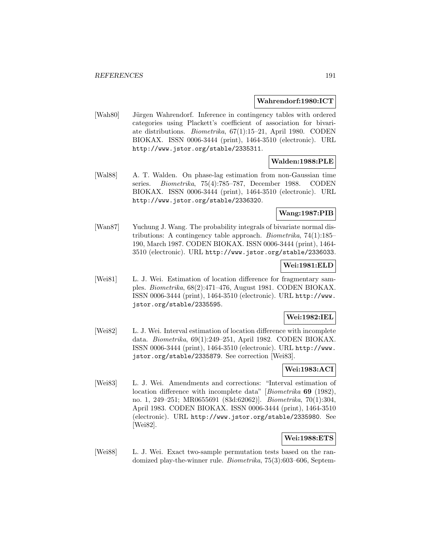#### **Wahrendorf:1980:ICT**

[Wah80] Jürgen Wahrendorf. Inference in contingency tables with ordered categories using Plackett's coefficient of association for bivariate distributions. Biometrika, 67(1):15–21, April 1980. CODEN BIOKAX. ISSN 0006-3444 (print), 1464-3510 (electronic). URL http://www.jstor.org/stable/2335311.

# **Walden:1988:PLE**

[Wal88] A. T. Walden. On phase-lag estimation from non-Gaussian time series. Biometrika, 75(4):785–787, December 1988. CODEN BIOKAX. ISSN 0006-3444 (print), 1464-3510 (electronic). URL http://www.jstor.org/stable/2336320.

# **Wang:1987:PIB**

[Wan87] Yuchung J. Wang. The probability integrals of bivariate normal distributions: A contingency table approach. Biometrika, 74(1):185– 190, March 1987. CODEN BIOKAX. ISSN 0006-3444 (print), 1464- 3510 (electronic). URL http://www.jstor.org/stable/2336033.

# **Wei:1981:ELD**

[Wei81] L. J. Wei. Estimation of location difference for fragmentary samples. Biometrika, 68(2):471–476, August 1981. CODEN BIOKAX. ISSN 0006-3444 (print), 1464-3510 (electronic). URL http://www. jstor.org/stable/2335595.

### **Wei:1982:IEL**

[Wei82] L. J. Wei. Interval estimation of location difference with incomplete data. Biometrika, 69(1):249–251, April 1982. CODEN BIOKAX. ISSN 0006-3444 (print), 1464-3510 (electronic). URL http://www. jstor.org/stable/2335879. See correction [Wei83].

# **Wei:1983:ACI**

[Wei83] L. J. Wei. Amendments and corrections: "Interval estimation of location difference with incomplete data" [Biometrika **69** (1982), no. 1, 249–251; MR0655691 (83d:62062)]. Biometrika, 70(1):304, April 1983. CODEN BIOKAX. ISSN 0006-3444 (print), 1464-3510 (electronic). URL http://www.jstor.org/stable/2335980. See [Wei82].

### **Wei:1988:ETS**

[Wei88] L. J. Wei. Exact two-sample permutation tests based on the randomized play-the-winner rule. Biometrika, 75(3):603–606, Septem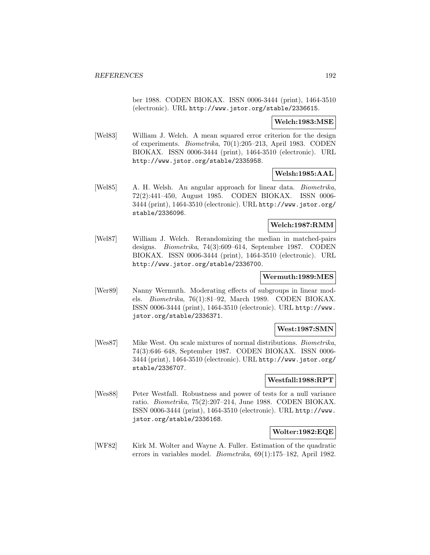ber 1988. CODEN BIOKAX. ISSN 0006-3444 (print), 1464-3510 (electronic). URL http://www.jstor.org/stable/2336615.

## **Welch:1983:MSE**

[Wel83] William J. Welch. A mean squared error criterion for the design of experiments. Biometrika, 70(1):205–213, April 1983. CODEN BIOKAX. ISSN 0006-3444 (print), 1464-3510 (electronic). URL http://www.jstor.org/stable/2335958.

# **Welsh:1985:AAL**

[Wel85] A. H. Welsh. An angular approach for linear data. Biometrika, 72(2):441–450, August 1985. CODEN BIOKAX. ISSN 0006- 3444 (print), 1464-3510 (electronic). URL http://www.jstor.org/ stable/2336096.

### **Welch:1987:RMM**

[Wel87] William J. Welch. Rerandomizing the median in matched-pairs designs. Biometrika, 74(3):609–614, September 1987. CODEN BIOKAX. ISSN 0006-3444 (print), 1464-3510 (electronic). URL http://www.jstor.org/stable/2336700.

# **Wermuth:1989:MES**

[Wer89] Nanny Wermuth. Moderating effects of subgroups in linear models. Biometrika, 76(1):81–92, March 1989. CODEN BIOKAX. ISSN 0006-3444 (print), 1464-3510 (electronic). URL http://www. jstor.org/stable/2336371.

### **West:1987:SMN**

[Wes87] Mike West. On scale mixtures of normal distributions. Biometrika, 74(3):646–648, September 1987. CODEN BIOKAX. ISSN 0006- 3444 (print), 1464-3510 (electronic). URL http://www.jstor.org/ stable/2336707.

## **Westfall:1988:RPT**

[Wes88] Peter Westfall. Robustness and power of tests for a null variance ratio. Biometrika, 75(2):207–214, June 1988. CODEN BIOKAX. ISSN 0006-3444 (print), 1464-3510 (electronic). URL http://www. jstor.org/stable/2336168.

# **Wolter:1982:EQE**

[WF82] Kirk M. Wolter and Wayne A. Fuller. Estimation of the quadratic errors in variables model. Biometrika, 69(1):175–182, April 1982.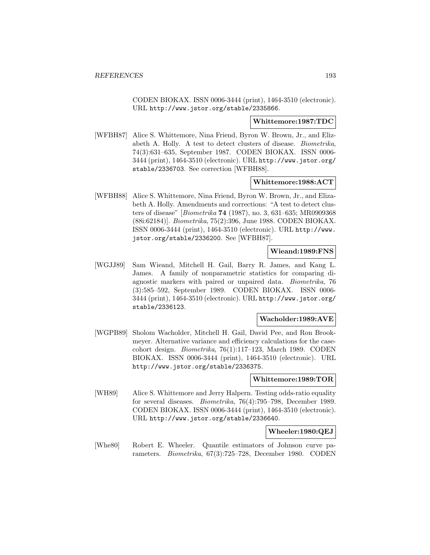CODEN BIOKAX. ISSN 0006-3444 (print), 1464-3510 (electronic). URL http://www.jstor.org/stable/2335866.

#### **Whittemore:1987:TDC**

[WFBH87] Alice S. Whittemore, Nina Friend, Byron W. Brown, Jr., and Elizabeth A. Holly. A test to detect clusters of disease. Biometrika, 74(3):631–635, September 1987. CODEN BIOKAX. ISSN 0006- 3444 (print), 1464-3510 (electronic). URL http://www.jstor.org/ stable/2336703. See correction [WFBH88].

## **Whittemore:1988:ACT**

[WFBH88] Alice S. Whittemore, Nina Friend, Byron W. Brown, Jr., and Elizabeth A. Holly. Amendments and corrections: "A test to detect clusters of disease" [Biometrika **74** (1987), no. 3, 631–635; MR0909368 (88i:62184)]. Biometrika, 75(2):396, June 1988. CODEN BIOKAX. ISSN 0006-3444 (print), 1464-3510 (electronic). URL http://www. jstor.org/stable/2336200. See [WFBH87].

### **Wieand:1989:FNS**

[WGJJ89] Sam Wieand, Mitchell H. Gail, Barry R. James, and Kang L. James. A family of nonparametric statistics for comparing diagnostic markers with paired or unpaired data. Biometrika, 76 (3):585–592, September 1989. CODEN BIOKAX. ISSN 0006- 3444 (print), 1464-3510 (electronic). URL http://www.jstor.org/ stable/2336123.

#### **Wacholder:1989:AVE**

[WGPB89] Sholom Wacholder, Mitchell H. Gail, David Pee, and Ron Brookmeyer. Alternative variance and efficiency calculations for the casecohort design. Biometrika, 76(1):117–123, March 1989. CODEN BIOKAX. ISSN 0006-3444 (print), 1464-3510 (electronic). URL http://www.jstor.org/stable/2336375.

#### **Whittemore:1989:TOR**

[WH89] Alice S. Whittemore and Jerry Halpern. Testing odds-ratio equality for several diseases. Biometrika, 76(4):795–798, December 1989. CODEN BIOKAX. ISSN 0006-3444 (print), 1464-3510 (electronic). URL http://www.jstor.org/stable/2336640.

# **Wheeler:1980:QEJ**

[Whe80] Robert E. Wheeler. Quantile estimators of Johnson curve parameters. Biometrika, 67(3):725–728, December 1980. CODEN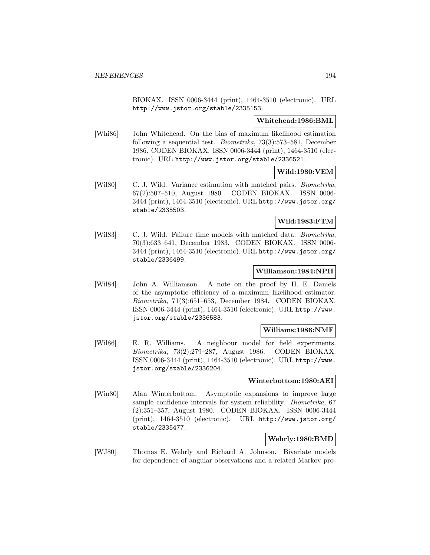BIOKAX. ISSN 0006-3444 (print), 1464-3510 (electronic). URL http://www.jstor.org/stable/2335153.

### **Whitehead:1986:BML**

[Whi86] John Whitehead. On the bias of maximum likelihood estimation following a sequential test. Biometrika, 73(3):573–581, December 1986. CODEN BIOKAX. ISSN 0006-3444 (print), 1464-3510 (electronic). URL http://www.jstor.org/stable/2336521.

# **Wild:1980:VEM**

[Wil80] C. J. Wild. Variance estimation with matched pairs. *Biometrika*, 67(2):507–510, August 1980. CODEN BIOKAX. ISSN 0006- 3444 (print), 1464-3510 (electronic). URL http://www.jstor.org/ stable/2335503.

### **Wild:1983:FTM**

[Wil83] C. J. Wild. Failure time models with matched data. *Biometrika*, 70(3):633–641, December 1983. CODEN BIOKAX. ISSN 0006- 3444 (print), 1464-3510 (electronic). URL http://www.jstor.org/ stable/2336499.

### **Williamson:1984:NPH**

[Wil84] John A. Williamson. A note on the proof by H. E. Daniels of the asymptotic efficiency of a maximum likelihood estimator. Biometrika, 71(3):651–653, December 1984. CODEN BIOKAX. ISSN 0006-3444 (print), 1464-3510 (electronic). URL http://www. jstor.org/stable/2336583.

# **Williams:1986:NMF**

[Wil86] E. R. Williams. A neighbour model for field experiments. Biometrika, 73(2):279–287, August 1986. CODEN BIOKAX. ISSN 0006-3444 (print), 1464-3510 (electronic). URL http://www. jstor.org/stable/2336204.

### **Winterbottom:1980:AEI**

[Win80] Alan Winterbottom. Asymptotic expansions to improve large sample confidence intervals for system reliability. *Biometrika*, 67 (2):351–357, August 1980. CODEN BIOKAX. ISSN 0006-3444 (print), 1464-3510 (electronic). URL http://www.jstor.org/ stable/2335477.

# **Wehrly:1980:BMD**

[WJ80] Thomas E. Wehrly and Richard A. Johnson. Bivariate models for dependence of angular observations and a related Markov pro-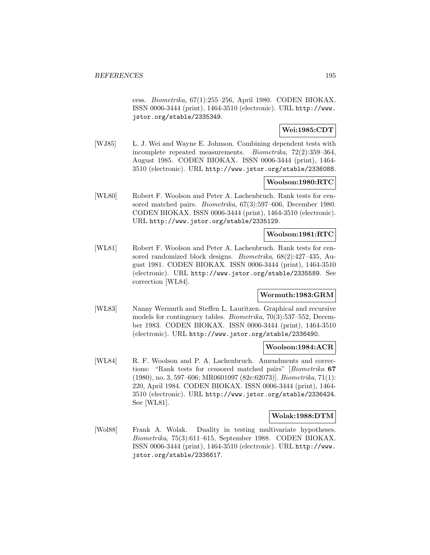cess. Biometrika, 67(1):255–256, April 1980. CODEN BIOKAX. ISSN 0006-3444 (print), 1464-3510 (electronic). URL http://www. jstor.org/stable/2335349.

## **Wei:1985:CDT**

[WJ85] L. J. Wei and Wayne E. Johnson. Combining dependent tests with incomplete repeated measurements. Biometrika, 72(2):359–364, August 1985. CODEN BIOKAX. ISSN 0006-3444 (print), 1464- 3510 (electronic). URL http://www.jstor.org/stable/2336088.

## **Woolson:1980:RTC**

[WL80] Robert F. Woolson and Peter A. Lachenbruch. Rank tests for censored matched pairs. Biometrika, 67(3):597–606, December 1980. CODEN BIOKAX. ISSN 0006-3444 (print), 1464-3510 (electronic). URL http://www.jstor.org/stable/2335129.

## **Woolson:1981:RTC**

[WL81] Robert F. Woolson and Peter A. Lachenbruch. Rank tests for censored randomized block designs. Biometrika, 68(2):427–435, August 1981. CODEN BIOKAX. ISSN 0006-3444 (print), 1464-3510 (electronic). URL http://www.jstor.org/stable/2335589. See correction [WL84].

## **Wermuth:1983:GRM**

[WL83] Nanny Wermuth and Steffen L. Lauritzen. Graphical and recursive models for contingency tables. Biometrika, 70(3):537–552, December 1983. CODEN BIOKAX. ISSN 0006-3444 (print), 1464-3510 (electronic). URL http://www.jstor.org/stable/2336490.

### **Woolson:1984:ACR**

[WL84] R. F. Woolson and P. A. Lachenbruch. Amendments and corrections: "Rank tests for censored matched pairs" [Biometrika **67** (1980), no. 3, 597–606; MR0601097 (82e:62073)]. Biometrika, 71(1): 220, April 1984. CODEN BIOKAX. ISSN 0006-3444 (print), 1464- 3510 (electronic). URL http://www.jstor.org/stable/2336424. See [WL81].

# **Wolak:1988:DTM**

[Wol88] Frank A. Wolak. Duality in testing multivariate hypotheses. Biometrika, 75(3):611–615, September 1988. CODEN BIOKAX. ISSN 0006-3444 (print), 1464-3510 (electronic). URL http://www. jstor.org/stable/2336617.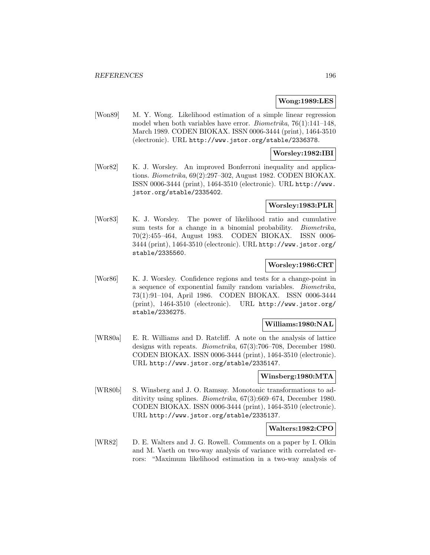### **Wong:1989:LES**

[Won89] M. Y. Wong. Likelihood estimation of a simple linear regression model when both variables have error. Biometrika, 76(1):141–148, March 1989. CODEN BIOKAX. ISSN 0006-3444 (print), 1464-3510 (electronic). URL http://www.jstor.org/stable/2336378.

### **Worsley:1982:IBI**

[Wor82] K. J. Worsley. An improved Bonferroni inequality and applications. Biometrika, 69(2):297–302, August 1982. CODEN BIOKAX. ISSN 0006-3444 (print), 1464-3510 (electronic). URL http://www. jstor.org/stable/2335402.

### **Worsley:1983:PLR**

[Wor83] K. J. Worsley. The power of likelihood ratio and cumulative sum tests for a change in a binomial probability. *Biometrika*, 70(2):455–464, August 1983. CODEN BIOKAX. ISSN 0006- 3444 (print), 1464-3510 (electronic). URL http://www.jstor.org/ stable/2335560.

# **Worsley:1986:CRT**

[Wor86] K. J. Worsley. Confidence regions and tests for a change-point in a sequence of exponential family random variables. Biometrika, 73(1):91–104, April 1986. CODEN BIOKAX. ISSN 0006-3444 (print), 1464-3510 (electronic). URL http://www.jstor.org/ stable/2336275.

# **Williams:1980:NAL**

[WR80a] E. R. Williams and D. Ratcliff. A note on the analysis of lattice designs with repeats. Biometrika, 67(3):706–708, December 1980. CODEN BIOKAX. ISSN 0006-3444 (print), 1464-3510 (electronic). URL http://www.jstor.org/stable/2335147.

#### **Winsberg:1980:MTA**

[WR80b] S. Winsberg and J. O. Ramsay. Monotonic transformations to additivity using splines. Biometrika, 67(3):669–674, December 1980. CODEN BIOKAX. ISSN 0006-3444 (print), 1464-3510 (electronic). URL http://www.jstor.org/stable/2335137.

#### **Walters:1982:CPO**

[WR82] D. E. Walters and J. G. Rowell. Comments on a paper by I. Olkin and M. Vaeth on two-way analysis of variance with correlated errors: "Maximum likelihood estimation in a two-way analysis of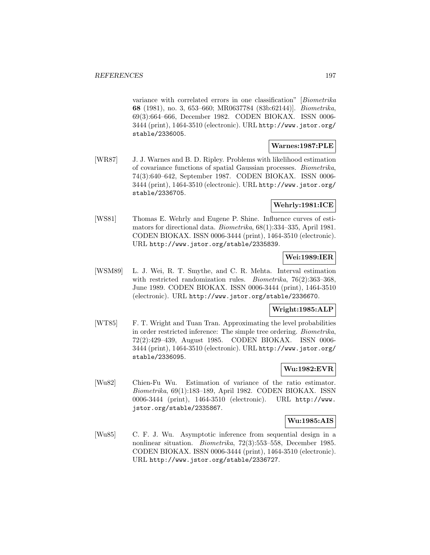variance with correlated errors in one classification" [Biometrika **68** (1981), no. 3, 653–660; MR0637784 (83b:62144)]. Biometrika, 69(3):664–666, December 1982. CODEN BIOKAX. ISSN 0006- 3444 (print), 1464-3510 (electronic). URL http://www.jstor.org/ stable/2336005.

# **Warnes:1987:PLE**

[WR87] J. J. Warnes and B. D. Ripley. Problems with likelihood estimation of covariance functions of spatial Gaussian processes. Biometrika, 74(3):640–642, September 1987. CODEN BIOKAX. ISSN 0006- 3444 (print), 1464-3510 (electronic). URL http://www.jstor.org/ stable/2336705.

# **Wehrly:1981:ICE**

[WS81] Thomas E. Wehrly and Eugene P. Shine. Influence curves of estimators for directional data. Biometrika, 68(1):334–335, April 1981. CODEN BIOKAX. ISSN 0006-3444 (print), 1464-3510 (electronic). URL http://www.jstor.org/stable/2335839.

# **Wei:1989:IER**

[WSM89] L. J. Wei, R. T. Smythe, and C. R. Mehta. Interval estimation with restricted randomization rules. *Biometrika*, 76(2):363-368, June 1989. CODEN BIOKAX. ISSN 0006-3444 (print), 1464-3510 (electronic). URL http://www.jstor.org/stable/2336670.

# **Wright:1985:ALP**

[WT85] F. T. Wright and Tuan Tran. Approximating the level probabilities in order restricted inference: The simple tree ordering. Biometrika, 72(2):429–439, August 1985. CODEN BIOKAX. ISSN 0006- 3444 (print), 1464-3510 (electronic). URL http://www.jstor.org/ stable/2336095.

# **Wu:1982:EVR**

[Wu82] Chien-Fu Wu. Estimation of variance of the ratio estimator. Biometrika, 69(1):183–189, April 1982. CODEN BIOKAX. ISSN 0006-3444 (print), 1464-3510 (electronic). URL http://www. jstor.org/stable/2335867.

## **Wu:1985:AIS**

[Wu85] C. F. J. Wu. Asymptotic inference from sequential design in a nonlinear situation. Biometrika, 72(3):553–558, December 1985. CODEN BIOKAX. ISSN 0006-3444 (print), 1464-3510 (electronic). URL http://www.jstor.org/stable/2336727.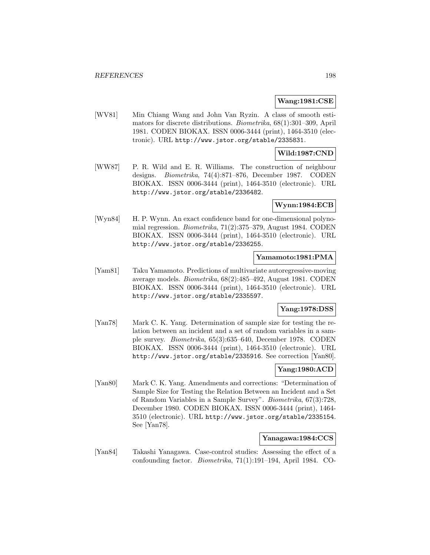### **Wang:1981:CSE**

[WV81] Min Chiang Wang and John Van Ryzin. A class of smooth estimators for discrete distributions. Biometrika, 68(1):301–309, April 1981. CODEN BIOKAX. ISSN 0006-3444 (print), 1464-3510 (electronic). URL http://www.jstor.org/stable/2335831.

# **Wild:1987:CND**

[WW87] P. R. Wild and E. R. Williams. The construction of neighbour designs. Biometrika, 74(4):871–876, December 1987. CODEN BIOKAX. ISSN 0006-3444 (print), 1464-3510 (electronic). URL http://www.jstor.org/stable/2336482.

## **Wynn:1984:ECB**

[Wyn84] H. P. Wynn. An exact confidence band for one-dimensional polynomial regression. Biometrika, 71(2):375–379, August 1984. CODEN BIOKAX. ISSN 0006-3444 (print), 1464-3510 (electronic). URL http://www.jstor.org/stable/2336255.

# **Yamamoto:1981:PMA**

[Yam81] Taku Yamamoto. Predictions of multivariate autoregressive-moving average models. Biometrika, 68(2):485–492, August 1981. CODEN BIOKAX. ISSN 0006-3444 (print), 1464-3510 (electronic). URL http://www.jstor.org/stable/2335597.

# **Yang:1978:DSS**

[Yan78] Mark C. K. Yang. Determination of sample size for testing the relation between an incident and a set of random variables in a sample survey. Biometrika, 65(3):635–640, December 1978. CODEN BIOKAX. ISSN 0006-3444 (print), 1464-3510 (electronic). URL http://www.jstor.org/stable/2335916. See correction [Yan80].

# **Yang:1980:ACD**

[Yan80] Mark C. K. Yang. Amendments and corrections: "Determination of Sample Size for Testing the Relation Between an Incident and a Set of Random Variables in a Sample Survey". Biometrika, 67(3):728, December 1980. CODEN BIOKAX. ISSN 0006-3444 (print), 1464- 3510 (electronic). URL http://www.jstor.org/stable/2335154. See [Yan78].

### **Yanagawa:1984:CCS**

[Yan84] Takashi Yanagawa. Case-control studies: Assessing the effect of a confounding factor. Biometrika, 71(1):191–194, April 1984. CO-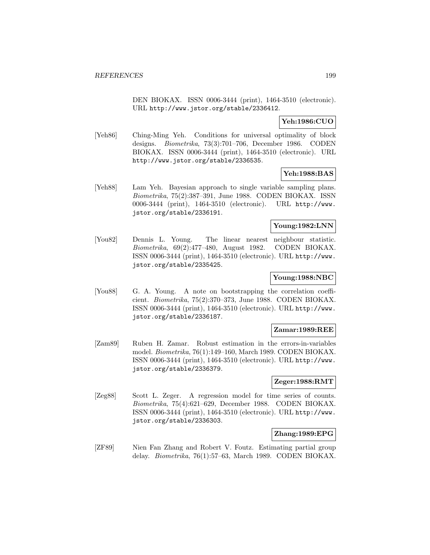DEN BIOKAX. ISSN 0006-3444 (print), 1464-3510 (electronic). URL http://www.jstor.org/stable/2336412.

# **Yeh:1986:CUO**

[Yeh86] Ching-Ming Yeh. Conditions for universal optimality of block designs. Biometrika, 73(3):701–706, December 1986. CODEN BIOKAX. ISSN 0006-3444 (print), 1464-3510 (electronic). URL http://www.jstor.org/stable/2336535.

# **Yeh:1988:BAS**

[Yeh88] Lam Yeh. Bayesian approach to single variable sampling plans. Biometrika, 75(2):387–391, June 1988. CODEN BIOKAX. ISSN 0006-3444 (print), 1464-3510 (electronic). URL http://www. jstor.org/stable/2336191.

# **Young:1982:LNN**

[You82] Dennis L. Young. The linear nearest neighbour statistic. Biometrika, 69(2):477–480, August 1982. CODEN BIOKAX. ISSN 0006-3444 (print), 1464-3510 (electronic). URL http://www. jstor.org/stable/2335425.

# **Young:1988:NBC**

[You88] G. A. Young. A note on bootstrapping the correlation coefficient. Biometrika, 75(2):370–373, June 1988. CODEN BIOKAX. ISSN 0006-3444 (print), 1464-3510 (electronic). URL http://www. jstor.org/stable/2336187.

### **Zamar:1989:REE**

[Zam89] Ruben H. Zamar. Robust estimation in the errors-in-variables model. Biometrika, 76(1):149–160, March 1989. CODEN BIOKAX. ISSN 0006-3444 (print), 1464-3510 (electronic). URL http://www. jstor.org/stable/2336379.

## **Zeger:1988:RMT**

[Zeg88] Scott L. Zeger. A regression model for time series of counts. Biometrika, 75(4):621–629, December 1988. CODEN BIOKAX. ISSN 0006-3444 (print), 1464-3510 (electronic). URL http://www. jstor.org/stable/2336303.

# **Zhang:1989:EPG**

[ZF89] Nien Fan Zhang and Robert V. Foutz. Estimating partial group delay. Biometrika, 76(1):57–63, March 1989. CODEN BIOKAX.